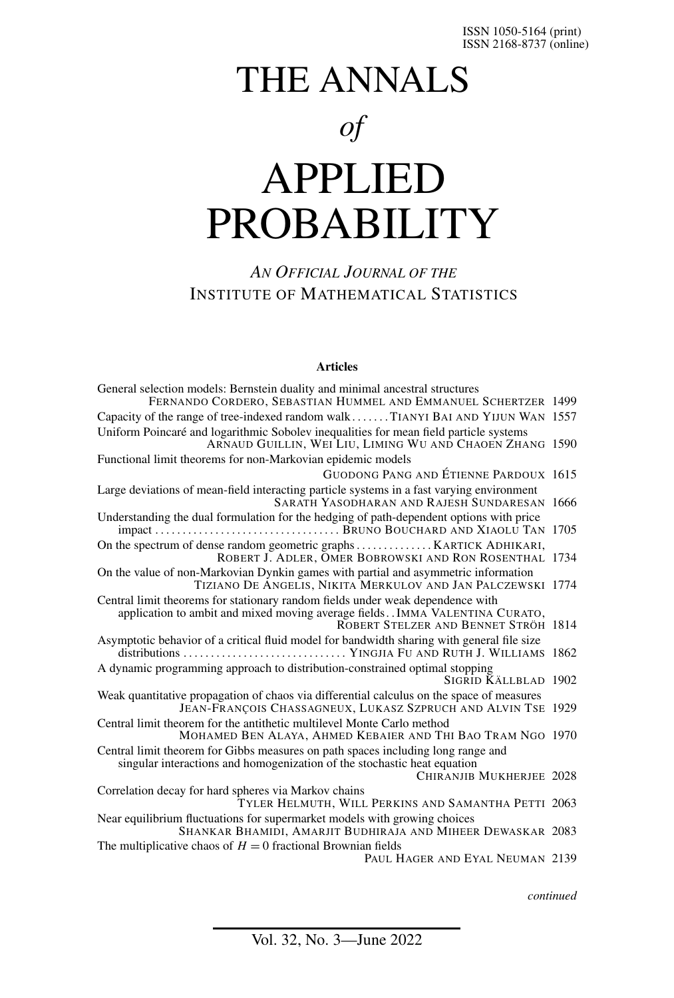# THE ANNALS *of* APPLIED

# PROBABILITY

### *AN OFFICIAL JOURNAL OF THE* INSTITUTE OF MATHEMATICAL STATISTICS

#### **Articles**

| General selection models: Bernstein duality and minimal ancestral structures<br>FERNANDO CORDERO, SEBASTIAN HUMMEL AND EMMANUEL SCHERTZER 1499                                                           |  |
|----------------------------------------------------------------------------------------------------------------------------------------------------------------------------------------------------------|--|
| Capacity of the range of tree-indexed random walkTIANYI BAI AND YIJUN WAN 1557                                                                                                                           |  |
| Uniform Poincaré and logarithmic Sobolev inequalities for mean field particle systems<br>ARNAUD GUILLIN, WEI LIU, LIMING WU AND CHAOEN ZHANG 1590                                                        |  |
| Functional limit theorems for non-Markovian epidemic models                                                                                                                                              |  |
| GUODONG PANG AND ÉTIENNE PARDOUX 1615                                                                                                                                                                    |  |
| Large deviations of mean-field interacting particle systems in a fast varying environment<br><b>SARATH YASODHARAN AND RAJESH SUNDARESAN 1666</b>                                                         |  |
| Understanding the dual formulation for the hedging of path-dependent options with price                                                                                                                  |  |
| ROBERT J. ADLER, OMER BOBROWSKI AND RON ROSENTHAL 1734                                                                                                                                                   |  |
| On the value of non-Markovian Dynkin games with partial and asymmetric information<br>TIZIANO DE ANGELIS, NIKITA MERKULOV AND JAN PALCZEWSKI 1774                                                        |  |
| Central limit theorems for stationary random fields under weak dependence with<br>application to ambit and mixed moving average fields. . IMMA VALENTINA CURATO,<br>ROBERT STELZER AND BENNET STRÖH 1814 |  |
| Asymptotic behavior of a critical fluid model for bandwidth sharing with general file size                                                                                                               |  |
| A dynamic programming approach to distribution-constrained optimal stopping<br>SIGRID KÄLLBLAD 1902                                                                                                      |  |
| Weak quantitative propagation of chaos via differential calculus on the space of measures<br>JEAN-FRANÇOIS CHASSAGNEUX, LUKASZ SZPRUCH AND ALVIN TSE 1929                                                |  |
| Central limit theorem for the antithetic multilevel Monte Carlo method                                                                                                                                   |  |
| MOHAMED BEN ALAYA, AHMED KEBAIER AND THI BAO TRAM NGO 1970                                                                                                                                               |  |
| Central limit theorem for Gibbs measures on path spaces including long range and<br>singular interactions and homogenization of the stochastic heat equation                                             |  |
| CHIRANJIB MUKHERJEE 2028                                                                                                                                                                                 |  |
| Correlation decay for hard spheres via Markov chains<br>TYLER HELMUTH, WILL PERKINS AND SAMANTHA PETTI 2063                                                                                              |  |
| Near equilibrium fluctuations for supermarket models with growing choices<br>SHANKAR BHAMIDI, AMARJIT BUDHIRAJA AND MIHEER DEWASKAR 2083                                                                 |  |
| The multiplicative chaos of $H = 0$ fractional Brownian fields                                                                                                                                           |  |
| PAUL HAGER AND EYAL NEUMAN 2139                                                                                                                                                                          |  |
|                                                                                                                                                                                                          |  |

*continued*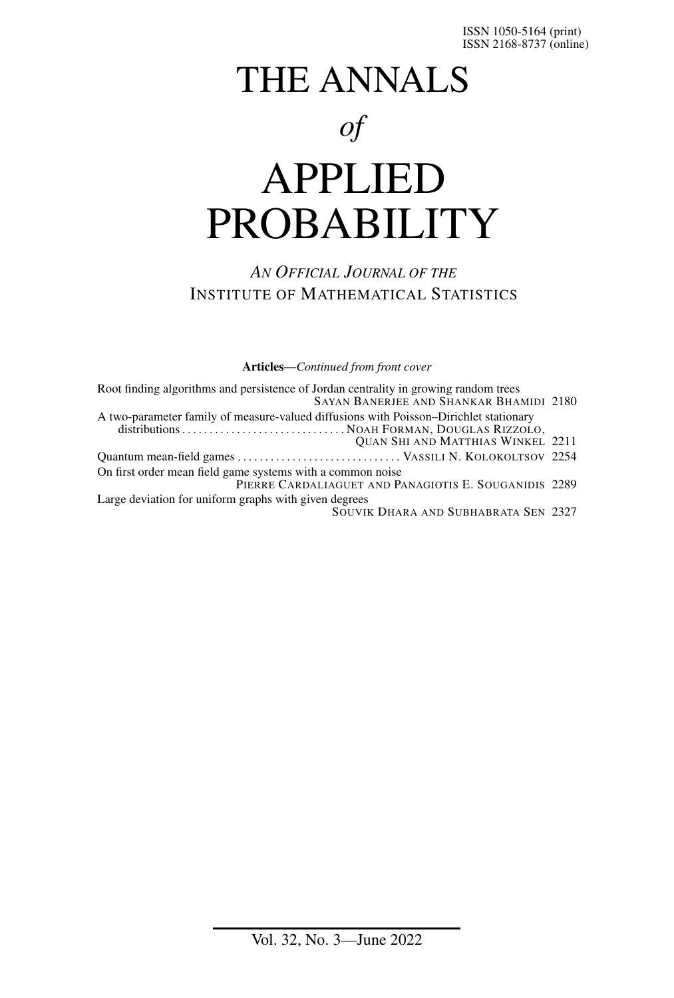# THE ANNALS *of* APPLIED PROBABILITY

### *AN OFFICIAL JOURNAL OF THE* INSTITUTE OF MATHEMATICAL STATISTICS

**Articles**—*Continued from front cover*

| Root finding algorithms and persistence of Jordan centrality in growing random trees<br>SAYAN BANERJEE AND SHANKAR BHAMIDI 2180   |  |
|-----------------------------------------------------------------------------------------------------------------------------------|--|
| A two-parameter family of measure-valued diffusions with Poisson-Dirichlet stationary<br><b>QUAN SHI AND MATTHIAS WINKEL 2211</b> |  |
|                                                                                                                                   |  |
| On first order mean field game systems with a common noise                                                                        |  |
| PIERRE CARDALIAGUET AND PANAGIOTIS E. SOUGANIDIS 2289                                                                             |  |
| Large deviation for uniform graphs with given degrees<br><b>SOUVIK DHARA AND SUBHABRATA SEN 2327</b>                              |  |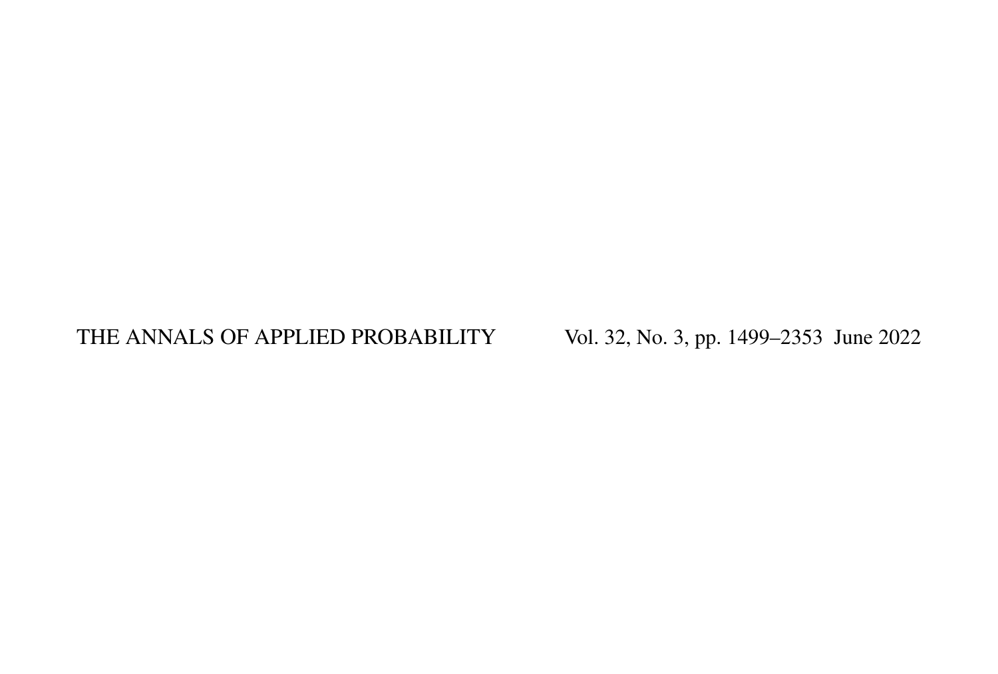# THE ANNALS OF APPLIED PROBABILITY Vol. 32, No. 3, pp. 1499–2353 June 2022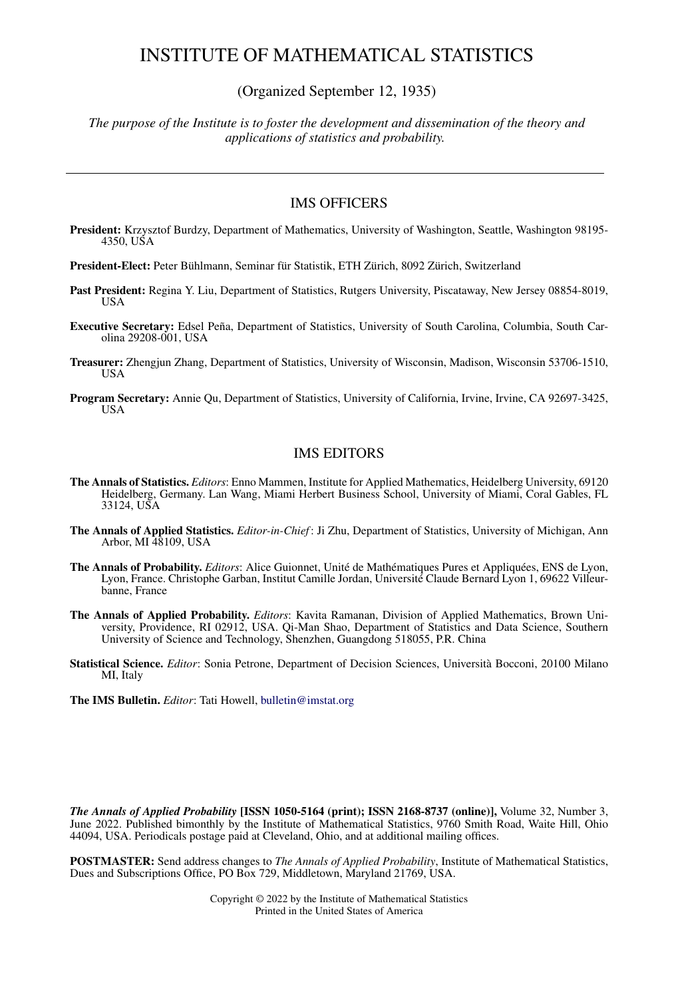#### INSTITUTE OF MATHEMATICAL STATISTICS

(Organized September 12, 1935)

*The purpose of the Institute is to foster the development and dissemination of the theory and applications of statistics and probability.*

#### IMS OFFICERS

**President:** Krzysztof Burdzy, Department of Mathematics, University of Washington, Seattle, Washington 98195- 4350, USA

**President-Elect:** Peter Bühlmann, Seminar für Statistik, ETH Zürich, 8092 Zürich, Switzerland

- Past President: Regina Y. Liu, Department of Statistics, Rutgers University, Piscataway, New Jersey 08854-8019, USA
- **Executive Secretary:** Edsel Peña, Department of Statistics, University of South Carolina, Columbia, South Carolina 29208-001, USA
- **Treasurer:** Zhengjun Zhang, Department of Statistics, University of Wisconsin, Madison, Wisconsin 53706-1510, USA
- **Program Secretary:** Annie Qu, Department of Statistics, University of California, Irvine, Irvine, CA 92697-3425, USA

#### IMS EDITORS

- **The Annals of Statistics.** *Editors*: Enno Mammen, Institute for Applied Mathematics, Heidelberg University, 69120 Heidelberg, Germany. Lan Wang, Miami Herbert Business School, University of Miami, Coral Gables, FL 33124, USA
- **The Annals of Applied Statistics.** *Editor-in-Chief* : Ji Zhu, Department of Statistics, University of Michigan, Ann Arbor, MI 48109, USA
- **The Annals of Probability.** *Editors*: Alice Guionnet, Unité de Mathématiques Pures et Appliquées, ENS de Lyon, Lyon, France. Christophe Garban, Institut Camille Jordan, Université Claude Bernard Lyon 1, 69622 Villeurbanne, France
- **The Annals of Applied Probability.** *Editors*: Kavita Ramanan, Division of Applied Mathematics, Brown University, Providence, RI 02912, USA. Qi-Man Shao, Department of Statistics and Data Science, Southern University of Science and Technology, Shenzhen, Guangdong 518055, P.R. China
- **Statistical Science.** *Editor*: Sonia Petrone, Department of Decision Sciences, Università Bocconi, 20100 Milano MI, Italy

**The IMS Bulletin.** *Editor*: Tati Howell, [bulletin@imstat.org](http://bulletin@imstat.org)

*The Annals of Applied Probability* **[ISSN 1050-5164 (print); ISSN 2168-8737 (online)],** Volume 32, Number 3, June 2022. Published bimonthly by the Institute of Mathematical Statistics, 9760 Smith Road, Waite Hill, Ohio 44094, USA. Periodicals postage paid at Cleveland, Ohio, and at additional mailing offices.

**POSTMASTER:** Send address changes to *The Annals of Applied Probability*, Institute of Mathematical Statistics, Dues and Subscriptions Office, PO Box 729, Middletown, Maryland 21769, USA.

> Copyright © 2022 by the Institute of Mathematical Statistics Printed in the United States of America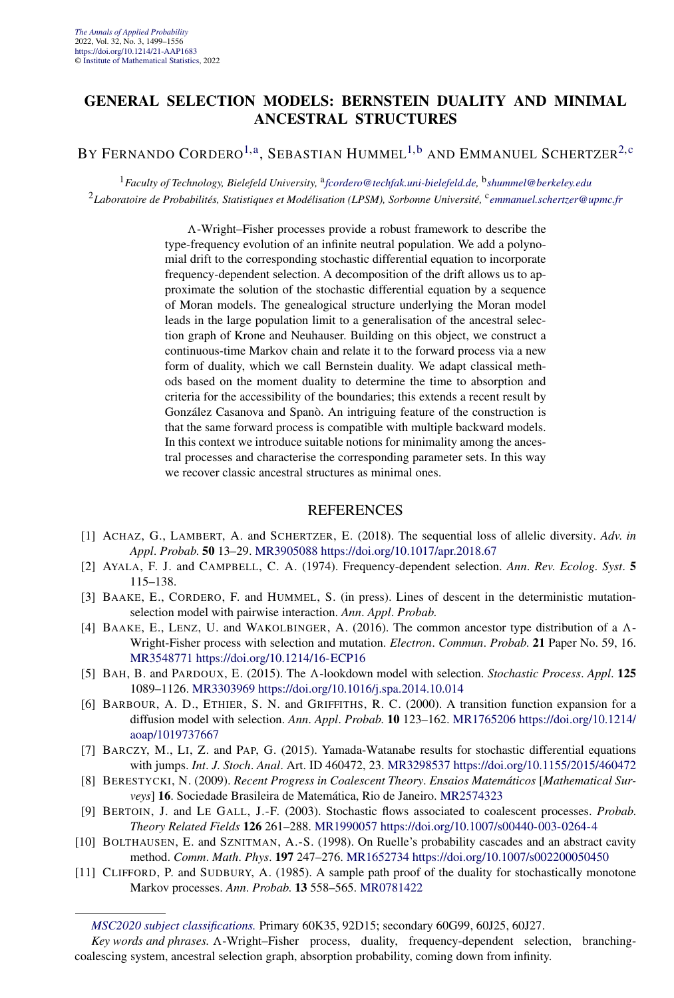#### <span id="page-4-0"></span>**GENERAL SELECTION MODELS: BERNSTEIN DUALITY AND MINIMAL ANCESTRAL STRUCTURES**

#### BY FERNANDO CORDERO<sup>1,a</sup>, SEBASTIAN HUMMEL<sup>1,b</sup> AND EMMANUEL SCHERTZER<sup>2,c</sup>

<sup>1</sup>*Faculty of Technology, Bielefeld University,* <sup>a</sup>*[fcordero@techfak.uni-bielefeld.de,](mailto:fcordero@techfak.uni-bielefeld.de)* <sup>b</sup>*[shummel@berkeley.edu](mailto:shummel@berkeley.edu)* <sup>2</sup>*Laboratoire de Probabilités, Statistiques et Modélisation (LPSM), Sorbonne Université,* <sup>c</sup>*[emmanuel.schertzer@upmc.fr](mailto:emmanuel.schertzer@upmc.fr)*

> *-*-Wright–Fisher processes provide a robust framework to describe the type-frequency evolution of an infinite neutral population. We add a polynomial drift to the corresponding stochastic differential equation to incorporate frequency-dependent selection. A decomposition of the drift allows us to approximate the solution of the stochastic differential equation by a sequence of Moran models. The genealogical structure underlying the Moran model leads in the large population limit to a generalisation of the ancestral selection graph of Krone and Neuhauser. Building on this object, we construct a continuous-time Markov chain and relate it to the forward process via a new form of duality, which we call Bernstein duality. We adapt classical methods based on the moment duality to determine the time to absorption and criteria for the accessibility of the boundaries; this extends a recent result by González Casanova and Spanò. An intriguing feature of the construction is that the same forward process is compatible with multiple backward models. In this context we introduce suitable notions for minimality among the ancestral processes and characterise the corresponding parameter sets. In this way we recover classic ancestral structures as minimal ones.

- [1] ACHAZ, G., LAMBERT, A. and SCHERTZER, E. (2018). The sequential loss of allelic diversity. *Adv*. *in Appl*. *Probab*. **50** 13–29. [MR3905088](http://www.ams.org/mathscinet-getitem?mr=3905088)<https://doi.org/10.1017/apr.2018.67>
- [2] AYALA, F. J. and CAMPBELL, C. A. (1974). Frequency-dependent selection. *Ann*. *Rev*. *Ecolog*. *Syst*. **5** 115–138.
- [3] BAAKE, E., CORDERO, F. and HUMMEL, S. (in press). Lines of descent in the deterministic mutationselection model with pairwise interaction. *Ann*. *Appl*. *Probab*.
- [4] BAAKE, E., LENZ, U. and WAKOLBINGER, A. (2016). The common ancestor type distribution of a *-* Wright-Fisher process with selection and mutation. *Electron*. *Commun*. *Probab*. **21** Paper No. 59, 16. [MR3548771](http://www.ams.org/mathscinet-getitem?mr=3548771)<https://doi.org/10.1214/16-ECP16>
- [5] BAH, B. and PARDOUX, E. (2015). The  $\Lambda$ -lookdown model with selection. *Stochastic Process. Appl.* **125** 1089–1126. [MR3303969](http://www.ams.org/mathscinet-getitem?mr=3303969)<https://doi.org/10.1016/j.spa.2014.10.014>
- [6] BARBOUR, A. D., ETHIER, S. N. and GRIFFITHS, R. C. (2000). A transition function expansion for a diffusion model with selection. *Ann*. *Appl*. *Probab*. **10** 123–162. [MR1765206](http://www.ams.org/mathscinet-getitem?mr=1765206) [https://doi.org/10.1214/](https://doi.org/10.1214/aoap/1019737667) [aoap/1019737667](https://doi.org/10.1214/aoap/1019737667)
- [7] BARCZY, M., LI, Z. and PAP, G. (2015). Yamada-Watanabe results for stochastic differential equations with jumps. *Int*. *J*. *Stoch*. *Anal*. Art. ID 460472, 23. [MR3298537](http://www.ams.org/mathscinet-getitem?mr=3298537)<https://doi.org/10.1155/2015/460472>
- [8] BERESTYCKI, N. (2009). *Recent Progress in Coalescent Theory*. *Ensaios Matemáticos* [*Mathematical Surveys*] **16**. Sociedade Brasileira de Matemática, Rio de Janeiro. [MR2574323](http://www.ams.org/mathscinet-getitem?mr=2574323)
- [9] BERTOIN, J. and LE GALL, J.-F. (2003). Stochastic flows associated to coalescent processes. *Probab*. *Theory Related Fields* **126** 261–288. [MR1990057](http://www.ams.org/mathscinet-getitem?mr=1990057)<https://doi.org/10.1007/s00440-003-0264-4>
- [10] BOLTHAUSEN, E. and SZNITMAN, A.-S. (1998). On Ruelle's probability cascades and an abstract cavity method. *Comm*. *Math*. *Phys*. **197** 247–276. [MR1652734](http://www.ams.org/mathscinet-getitem?mr=1652734)<https://doi.org/10.1007/s002200050450>
- [11] CLIFFORD, P. and SUDBURY, A. (1985). A sample path proof of the duality for stochastically monotone Markov processes. *Ann*. *Probab*. **13** 558–565. [MR0781422](http://www.ams.org/mathscinet-getitem?mr=0781422)

*[MSC2020 subject classifications.](https://mathscinet.ams.org/mathscinet/msc/msc2020.html)* Primary 60K35, 92D15; secondary 60G99, 60J25, 60J27.

Key words and phrases. A-Wright–Fisher process, duality, frequency-dependent selection, branchingcoalescing system, ancestral selection graph, absorption probability, coming down from infinity.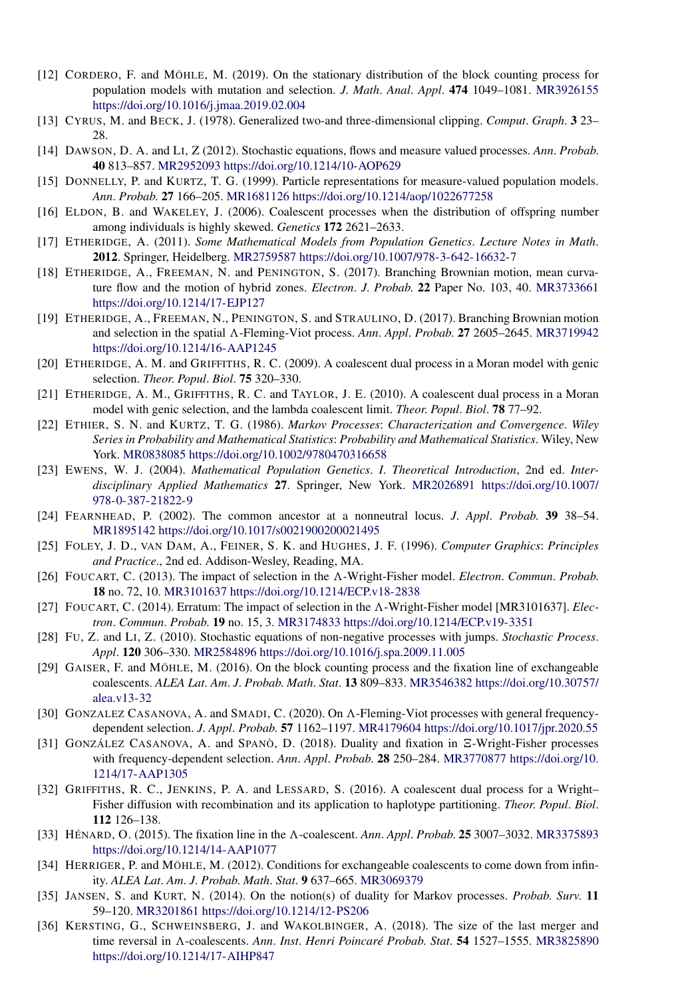- [12] CORDERO, F. and MÖHLE, M. (2019). On the stationary distribution of the block counting process for population models with mutation and selection. *J*. *Math*. *Anal*. *Appl*. **474** 1049–1081. [MR3926155](http://www.ams.org/mathscinet-getitem?mr=3926155) <https://doi.org/10.1016/j.jmaa.2019.02.004>
- [13] CYRUS, M. and BECK, J. (1978). Generalized two-and three-dimensional clipping. *Comput*. *Graph*. **3** 23– 28.
- [14] DAWSON, D. A. and LI, Z (2012). Stochastic equations, flows and measure valued processes. *Ann*. *Probab*. **40** 813–857. [MR2952093](http://www.ams.org/mathscinet-getitem?mr=2952093)<https://doi.org/10.1214/10-AOP629>
- [15] DONNELLY, P. and KURTZ, T. G. (1999). Particle representations for measure-valued population models. *Ann*. *Probab*. **27** 166–205. [MR1681126](http://www.ams.org/mathscinet-getitem?mr=1681126)<https://doi.org/10.1214/aop/1022677258>
- [16] ELDON, B. and WAKELEY, J. (2006). Coalescent processes when the distribution of offspring number among individuals is highly skewed. *Genetics* **172** 2621–2633.
- [17] ETHERIDGE, A. (2011). *Some Mathematical Models from Population Genetics*. *Lecture Notes in Math*. **2012**. Springer, Heidelberg. [MR2759587](http://www.ams.org/mathscinet-getitem?mr=2759587)<https://doi.org/10.1007/978-3-642-16632-7>
- [18] ETHERIDGE, A., FREEMAN, N. and PENINGTON, S. (2017). Branching Brownian motion, mean curvature flow and the motion of hybrid zones. *Electron*. *J*. *Probab*. **22** Paper No. 103, 40. [MR3733661](http://www.ams.org/mathscinet-getitem?mr=3733661) <https://doi.org/10.1214/17-EJP127>
- [19] ETHERIDGE, A., FREEMAN, N., PENINGTON, S. and STRAULINO, D. (2017). Branching Brownian motion and selection in the spatial *-*-Fleming-Viot process. *Ann*. *Appl*. *Probab*. **27** 2605–2645. [MR3719942](http://www.ams.org/mathscinet-getitem?mr=3719942) <https://doi.org/10.1214/16-AAP1245>
- [20] ETHERIDGE, A. M. and GRIFFITHS, R. C. (2009). A coalescent dual process in a Moran model with genic selection. *Theor*. *Popul*. *Biol*. **75** 320–330.
- [21] ETHERIDGE, A. M., GRIFFITHS, R. C. and TAYLOR, J. E. (2010). A coalescent dual process in a Moran model with genic selection, and the lambda coalescent limit. *Theor*. *Popul*. *Biol*. **78** 77–92.
- [22] ETHIER, S. N. and KURTZ, T. G. (1986). *Markov Processes*: *Characterization and Convergence*. *Wiley Series in Probability and Mathematical Statistics*: *Probability and Mathematical Statistics*. Wiley, New York. [MR0838085](http://www.ams.org/mathscinet-getitem?mr=0838085)<https://doi.org/10.1002/9780470316658>
- [23] EWENS, W. J. (2004). *Mathematical Population Genetics*. *I*. *Theoretical Introduction*, 2nd ed. *Interdisciplinary Applied Mathematics* **27**. Springer, New York. [MR2026891](http://www.ams.org/mathscinet-getitem?mr=2026891) [https://doi.org/10.1007/](https://doi.org/10.1007/978-0-387-21822-9) [978-0-387-21822-9](https://doi.org/10.1007/978-0-387-21822-9)
- [24] FEARNHEAD, P. (2002). The common ancestor at a nonneutral locus. *J*. *Appl*. *Probab*. **39** 38–54. [MR1895142](http://www.ams.org/mathscinet-getitem?mr=1895142)<https://doi.org/10.1017/s0021900200021495>
- [25] FOLEY, J. D., VAN DAM, A., FEINER, S. K. and HUGHES, J. F. (1996). *Computer Graphics*: *Principles and Practice*., 2nd ed. Addison-Wesley, Reading, MA.
- [26] FOUCART, C. (2013). The impact of selection in the *-*-Wright-Fisher model. *Electron*. *Commun*. *Probab*. **18** no. 72, 10. [MR3101637](http://www.ams.org/mathscinet-getitem?mr=3101637)<https://doi.org/10.1214/ECP.v18-2838>
- [27] FOUCART, C. (2014). Erratum: The impact of selection in the  $\Lambda$ -Wright-Fisher model [MR3101637]. *Electron*. *Commun*. *Probab*. **19** no. 15, 3. [MR3174833](http://www.ams.org/mathscinet-getitem?mr=3174833)<https://doi.org/10.1214/ECP.v19-3351>
- [28] FU, Z. and LI, Z. (2010). Stochastic equations of non-negative processes with jumps. *Stochastic Process*. *Appl*. **120** 306–330. [MR2584896](http://www.ams.org/mathscinet-getitem?mr=2584896)<https://doi.org/10.1016/j.spa.2009.11.005>
- [29] GAISER, F. and MÖHLE, M. (2016). On the block counting process and the fixation line of exchangeable coalescents. *ALEA Lat*. *Am*. *J*. *Probab*. *Math*. *Stat*. **13** 809–833. [MR3546382](http://www.ams.org/mathscinet-getitem?mr=3546382) [https://doi.org/10.30757/](https://doi.org/10.30757/alea.v13-32) [alea.v13-32](https://doi.org/10.30757/alea.v13-32)
- [30] GONZALEZ CASANOVA, A. and SMADI, C. (2020). On  $\Lambda$ -Fleming-Viot processes with general frequencydependent selection. *J*. *Appl*. *Probab*. **57** 1162–1197. [MR4179604](http://www.ams.org/mathscinet-getitem?mr=4179604)<https://doi.org/10.1017/jpr.2020.55>
- [31] GONZÁLEZ CASANOVA, A. and SPANÒ, D. (2018). Duality and fixation in  $\Xi$ -Wright-Fisher processes with frequency-dependent selection. *Ann*. *Appl*. *Probab*. **28** 250–284. [MR3770877](http://www.ams.org/mathscinet-getitem?mr=3770877) [https://doi.org/10.](https://doi.org/10.1214/17-AAP1305) [1214/17-AAP1305](https://doi.org/10.1214/17-AAP1305)
- [32] GRIFFITHS, R. C., JENKINS, P. A. and LESSARD, S. (2016). A coalescent dual process for a Wright– Fisher diffusion with recombination and its application to haplotype partitioning. *Theor*. *Popul*. *Biol*. **112** 126–138.
- [33] HÉNARD, O. (2015). The fixation line in the *-*-coalescent. *Ann*. *Appl*. *Probab*. **25** 3007–3032. [MR3375893](http://www.ams.org/mathscinet-getitem?mr=3375893) <https://doi.org/10.1214/14-AAP1077>
- [34] HERRIGER, P. and MÖHLE, M. (2012). Conditions for exchangeable coalescents to come down from infinity. *ALEA Lat*. *Am*. *J*. *Probab*. *Math*. *Stat*. **9** 637–665. [MR3069379](http://www.ams.org/mathscinet-getitem?mr=3069379)
- [35] JANSEN, S. and KURT, N. (2014). On the notion(s) of duality for Markov processes. *Probab*. *Surv*. **11** 59–120. [MR3201861](http://www.ams.org/mathscinet-getitem?mr=3201861)<https://doi.org/10.1214/12-PS206>
- [36] KERSTING, G., SCHWEINSBERG, J. and WAKOLBINGER, A. (2018). The size of the last merger and time reversal in *A*-coalescents. *Ann. Inst. Henri Poincaré Probab. Stat.* **54** 1527–1555. [MR3825890](http://www.ams.org/mathscinet-getitem?mr=3825890) <https://doi.org/10.1214/17-AIHP847>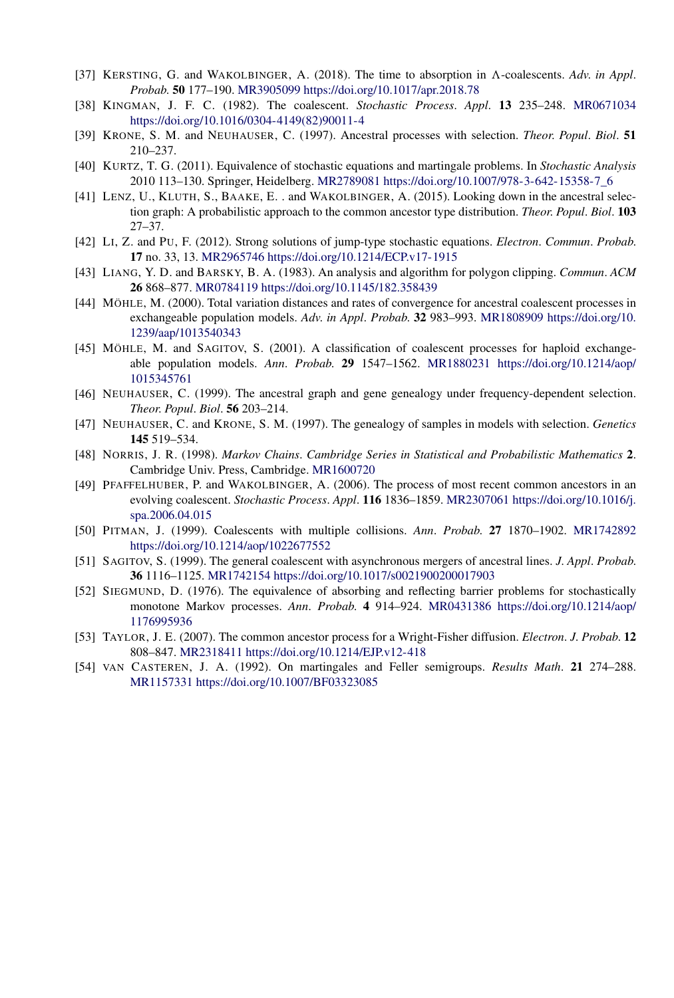- [37] KERSTING, G. and WAKOLBINGER, A. (2018). The time to absorption in  $\Lambda$ -coalescents. Adv. in Appl. *Probab*. **50** 177–190. [MR3905099](http://www.ams.org/mathscinet-getitem?mr=3905099)<https://doi.org/10.1017/apr.2018.78>
- [38] KINGMAN, J. F. C. (1982). The coalescent. *Stochastic Process*. *Appl*. **13** 235–248. [MR0671034](http://www.ams.org/mathscinet-getitem?mr=0671034) [https://doi.org/10.1016/0304-4149\(82\)90011-4](https://doi.org/10.1016/0304-4149(82)90011-4)
- [39] KRONE, S. M. and NEUHAUSER, C. (1997). Ancestral processes with selection. *Theor*. *Popul*. *Biol*. **51** 210–237.
- [40] KURTZ, T. G. (2011). Equivalence of stochastic equations and martingale problems. In *Stochastic Analysis* 2010 113–130. Springer, Heidelberg. [MR2789081](http://www.ams.org/mathscinet-getitem?mr=2789081) [https://doi.org/10.1007/978-3-642-15358-7\\_6](https://doi.org/10.1007/978-3-642-15358-7_6)
- [41] LENZ, U., KLUTH, S., BAAKE, E. . and WAKOLBINGER, A. (2015). Looking down in the ancestral selection graph: A probabilistic approach to the common ancestor type distribution. *Theor*. *Popul*. *Biol*. **103** 27–37.
- [42] LI, Z. and PU, F. (2012). Strong solutions of jump-type stochastic equations. *Electron*. *Commun*. *Probab*. **17** no. 33, 13. [MR2965746](http://www.ams.org/mathscinet-getitem?mr=2965746)<https://doi.org/10.1214/ECP.v17-1915>
- [43] LIANG, Y. D. and BARSKY, B. A. (1983). An analysis and algorithm for polygon clipping. *Commun*. *ACM* **26** 868–877. [MR0784119](http://www.ams.org/mathscinet-getitem?mr=0784119)<https://doi.org/10.1145/182.358439>
- [44] MÖHLE, M. (2000). Total variation distances and rates of convergence for ancestral coalescent processes in exchangeable population models. *Adv*. *in Appl*. *Probab*. **32** 983–993. [MR1808909](http://www.ams.org/mathscinet-getitem?mr=1808909) [https://doi.org/10.](https://doi.org/10.1239/aap/1013540343) [1239/aap/1013540343](https://doi.org/10.1239/aap/1013540343)
- [45] MÖHLE, M. and SAGITOV, S. (2001). A classification of coalescent processes for haploid exchangeable population models. *Ann*. *Probab*. **29** 1547–1562. [MR1880231](http://www.ams.org/mathscinet-getitem?mr=1880231) [https://doi.org/10.1214/aop/](https://doi.org/10.1214/aop/1015345761) [1015345761](https://doi.org/10.1214/aop/1015345761)
- [46] NEUHAUSER, C. (1999). The ancestral graph and gene genealogy under frequency-dependent selection. *Theor*. *Popul*. *Biol*. **56** 203–214.
- [47] NEUHAUSER, C. and KRONE, S. M. (1997). The genealogy of samples in models with selection. *Genetics* **145** 519–534.
- [48] NORRIS, J. R. (1998). *Markov Chains*. *Cambridge Series in Statistical and Probabilistic Mathematics* **2**. Cambridge Univ. Press, Cambridge. [MR1600720](http://www.ams.org/mathscinet-getitem?mr=1600720)
- [49] PFAFFELHUBER, P. and WAKOLBINGER, A. (2006). The process of most recent common ancestors in an evolving coalescent. *Stochastic Process*. *Appl*. **116** 1836–1859. [MR2307061](http://www.ams.org/mathscinet-getitem?mr=2307061) [https://doi.org/10.1016/j.](https://doi.org/10.1016/j.spa.2006.04.015) [spa.2006.04.015](https://doi.org/10.1016/j.spa.2006.04.015)
- [50] PITMAN, J. (1999). Coalescents with multiple collisions. *Ann*. *Probab*. **27** 1870–1902. [MR1742892](http://www.ams.org/mathscinet-getitem?mr=1742892) <https://doi.org/10.1214/aop/1022677552>
- [51] SAGITOV, S. (1999). The general coalescent with asynchronous mergers of ancestral lines. *J*. *Appl*. *Probab*. **36** 1116–1125. [MR1742154](http://www.ams.org/mathscinet-getitem?mr=1742154)<https://doi.org/10.1017/s0021900200017903>
- [52] SIEGMUND, D. (1976). The equivalence of absorbing and reflecting barrier problems for stochastically monotone Markov processes. *Ann*. *Probab*. **4** 914–924. [MR0431386](http://www.ams.org/mathscinet-getitem?mr=0431386) [https://doi.org/10.1214/aop/](https://doi.org/10.1214/aop/1176995936) [1176995936](https://doi.org/10.1214/aop/1176995936)
- [53] TAYLOR, J. E. (2007). The common ancestor process for a Wright-Fisher diffusion. *Electron*. *J*. *Probab*. **12** 808–847. [MR2318411](http://www.ams.org/mathscinet-getitem?mr=2318411)<https://doi.org/10.1214/EJP.v12-418>
- [54] VAN CASTEREN, J. A. (1992). On martingales and Feller semigroups. *Results Math*. **21** 274–288. [MR1157331](http://www.ams.org/mathscinet-getitem?mr=1157331)<https://doi.org/10.1007/BF03323085>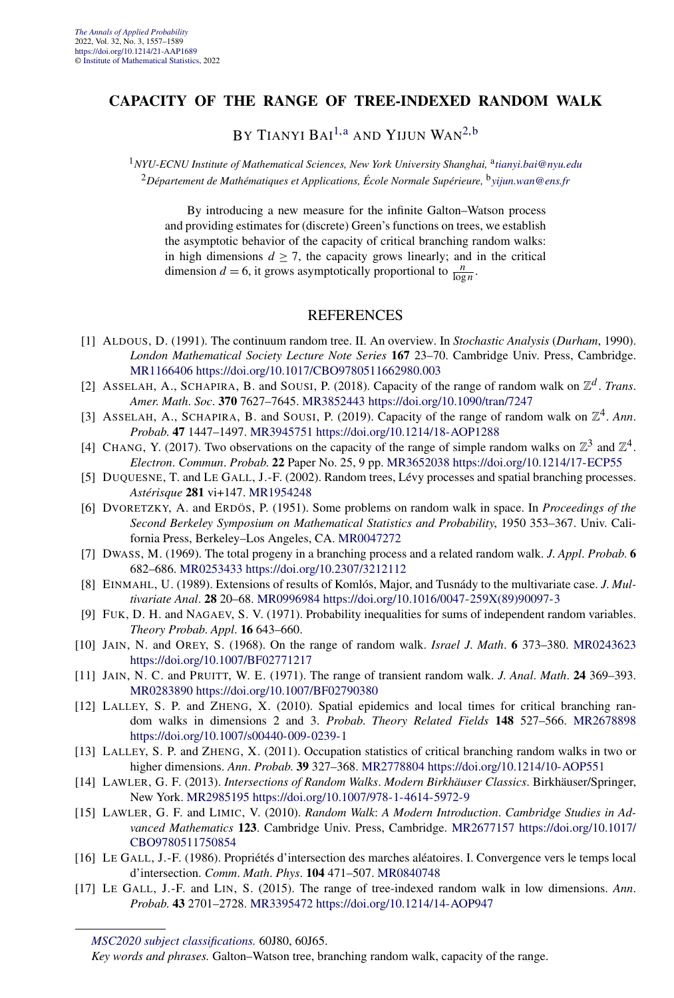#### **CAPACITY OF THE RANGE OF TREE-INDEXED RANDOM WALK**

BY TIANYI BAI<sup>[1,a](#page-4-0)</sup> AND YIJUN WAN<sup>[2,b](#page-4-0)</sup>

<sup>1</sup>*NYU-ECNU Institute of Mathematical Sciences, New York University Shanghai,* <sup>a</sup>*[tianyi.bai@nyu.edu](mailto:tianyi.bai@nyu.edu)* <sup>2</sup>*Département de Mathématiques et Applications, École Normale Supérieure,* <sup>b</sup>*[yijun.wan@ens.fr](mailto:yijun.wan@ens.fr)*

By introducing a new measure for the infinite Galton–Watson process and providing estimates for (discrete) Green's functions on trees, we establish the asymptotic behavior of the capacity of critical branching random walks: in high dimensions  $d \ge 7$ , the capacity grows linearly; and in the critical dimension  $d = 6$ , it grows asymptotically proportional to  $\frac{n}{\log n}$ .

- [1] ALDOUS, D. (1991). The continuum random tree. II. An overview. In *Stochastic Analysis* (*Durham*, 1990). *London Mathematical Society Lecture Note Series* **167** 23–70. Cambridge Univ. Press, Cambridge. [MR1166406](http://www.ams.org/mathscinet-getitem?mr=1166406)<https://doi.org/10.1017/CBO9780511662980.003>
- [2] ASSELAH, A., SCHAPIRA, B. and SOUSI, P. (2018). Capacity of the range of random walk on  $\mathbb{Z}^d$ . *Trans*. *Amer*. *Math*. *Soc*. **370** 7627–7645. [MR3852443](http://www.ams.org/mathscinet-getitem?mr=3852443)<https://doi.org/10.1090/tran/7247>
- [3] ASSELAH, A., SCHAPIRA, B. and SOUSI, P. (2019). Capacity of the range of random walk on  $\mathbb{Z}^4$ . Ann. *Probab*. **47** 1447–1497. [MR3945751](http://www.ams.org/mathscinet-getitem?mr=3945751)<https://doi.org/10.1214/18-AOP1288>
- [4] CHANG, Y. (2017). Two observations on the capacity of the range of simple random walks on  $\mathbb{Z}^3$  and  $\mathbb{Z}^4$ . *Electron*. *Commun*. *Probab*. **22** Paper No. 25, 9 pp. [MR3652038](http://www.ams.org/mathscinet-getitem?mr=3652038)<https://doi.org/10.1214/17-ECP55>
- [5] DUQUESNE, T. and LE GALL, J.-F. (2002). Random trees, Lévy processes and spatial branching processes. *Astérisque* **281** vi+147. [MR1954248](http://www.ams.org/mathscinet-getitem?mr=1954248)
- [6] DVORETZKY, A. and ERDÖS, P. (1951). Some problems on random walk in space. In *Proceedings of the Second Berkeley Symposium on Mathematical Statistics and Probability*, 1950 353–367. Univ. California Press, Berkeley–Los Angeles, CA. [MR0047272](http://www.ams.org/mathscinet-getitem?mr=0047272)
- [7] DWASS, M. (1969). The total progeny in a branching process and a related random walk. *J*. *Appl*. *Probab*. **6** 682–686. [MR0253433](http://www.ams.org/mathscinet-getitem?mr=0253433)<https://doi.org/10.2307/3212112>
- [8] EINMAHL, U. (1989). Extensions of results of Komlós, Major, and Tusnády to the multivariate case. *J*. *Multivariate Anal*. **28** 20–68. [MR0996984](http://www.ams.org/mathscinet-getitem?mr=0996984) [https://doi.org/10.1016/0047-259X\(89\)90097-3](https://doi.org/10.1016/0047-259X(89)90097-3)
- [9] FUK, D. H. and NAGAEV, S. V. (1971). Probability inequalities for sums of independent random variables. *Theory Probab*. *Appl*. **16** 643–660.
- [10] JAIN, N. and OREY, S. (1968). On the range of random walk. *Israel J*. *Math*. **6** 373–380. [MR0243623](http://www.ams.org/mathscinet-getitem?mr=0243623) <https://doi.org/10.1007/BF02771217>
- [11] JAIN, N. C. and PRUITT, W. E. (1971). The range of transient random walk. *J*. *Anal*. *Math*. **24** 369–393. [MR0283890](http://www.ams.org/mathscinet-getitem?mr=0283890)<https://doi.org/10.1007/BF02790380>
- [12] LALLEY, S. P. and ZHENG, X. (2010). Spatial epidemics and local times for critical branching random walks in dimensions 2 and 3. *Probab*. *Theory Related Fields* **148** 527–566. [MR2678898](http://www.ams.org/mathscinet-getitem?mr=2678898) <https://doi.org/10.1007/s00440-009-0239-1>
- [13] LALLEY, S. P. and ZHENG, X. (2011). Occupation statistics of critical branching random walks in two or higher dimensions. *Ann*. *Probab*. **39** 327–368. [MR2778804](http://www.ams.org/mathscinet-getitem?mr=2778804)<https://doi.org/10.1214/10-AOP551>
- [14] LAWLER, G. F. (2013). *Intersections of Random Walks*. *Modern Birkhäuser Classics*. Birkhäuser/Springer, New York. [MR2985195](http://www.ams.org/mathscinet-getitem?mr=2985195)<https://doi.org/10.1007/978-1-4614-5972-9>
- [15] LAWLER, G. F. and LIMIC, V. (2010). *Random Walk*: *A Modern Introduction*. *Cambridge Studies in Advanced Mathematics* **123**. Cambridge Univ. Press, Cambridge. [MR2677157](http://www.ams.org/mathscinet-getitem?mr=2677157) [https://doi.org/10.1017/](https://doi.org/10.1017/CBO9780511750854) [CBO9780511750854](https://doi.org/10.1017/CBO9780511750854)
- [16] LE GALL, J.-F. (1986). Propriétés d'intersection des marches aléatoires. I. Convergence vers le temps local d'intersection. *Comm*. *Math*. *Phys*. **104** 471–507. [MR0840748](http://www.ams.org/mathscinet-getitem?mr=0840748)
- [17] LE GALL, J.-F. and LIN, S. (2015). The range of tree-indexed random walk in low dimensions. *Ann*. *Probab*. **43** 2701–2728. [MR3395472](http://www.ams.org/mathscinet-getitem?mr=3395472)<https://doi.org/10.1214/14-AOP947>

*[MSC2020 subject classifications.](https://mathscinet.ams.org/mathscinet/msc/msc2020.html)* 60J80, 60J65.

*Key words and phrases.* Galton–Watson tree, branching random walk, capacity of the range.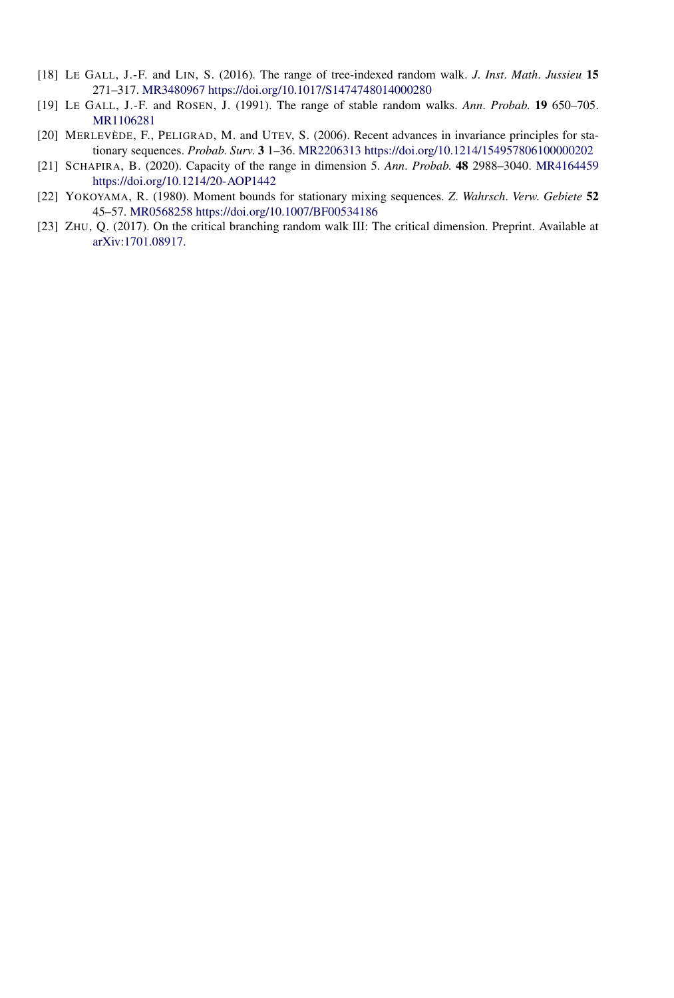- [18] LE GALL, J.-F. and LIN, S. (2016). The range of tree-indexed random walk. *J*. *Inst*. *Math*. *Jussieu* **15** 271–317. [MR3480967](http://www.ams.org/mathscinet-getitem?mr=3480967)<https://doi.org/10.1017/S1474748014000280>
- [19] LE GALL, J.-F. and ROSEN, J. (1991). The range of stable random walks. *Ann*. *Probab*. **19** 650–705. [MR1106281](http://www.ams.org/mathscinet-getitem?mr=1106281)
- [20] MERLEVÈDE, F., PELIGRAD, M. and UTEV, S. (2006). Recent advances in invariance principles for stationary sequences. *Probab*. *Surv*. **3** 1–36. [MR2206313](http://www.ams.org/mathscinet-getitem?mr=2206313)<https://doi.org/10.1214/154957806100000202>
- [21] SCHAPIRA, B. (2020). Capacity of the range in dimension 5. *Ann*. *Probab*. **48** 2988–3040. [MR4164459](http://www.ams.org/mathscinet-getitem?mr=4164459) <https://doi.org/10.1214/20-AOP1442>
- [22] YOKOYAMA, R. (1980). Moment bounds for stationary mixing sequences. *Z*. *Wahrsch*. *Verw*. *Gebiete* **52** 45–57. [MR0568258](http://www.ams.org/mathscinet-getitem?mr=0568258)<https://doi.org/10.1007/BF00534186>
- [23] ZHU, Q. (2017). On the critical branching random walk III: The critical dimension. Preprint. Available at [arXiv:1701.08917](http://arxiv.org/abs/arXiv:1701.08917).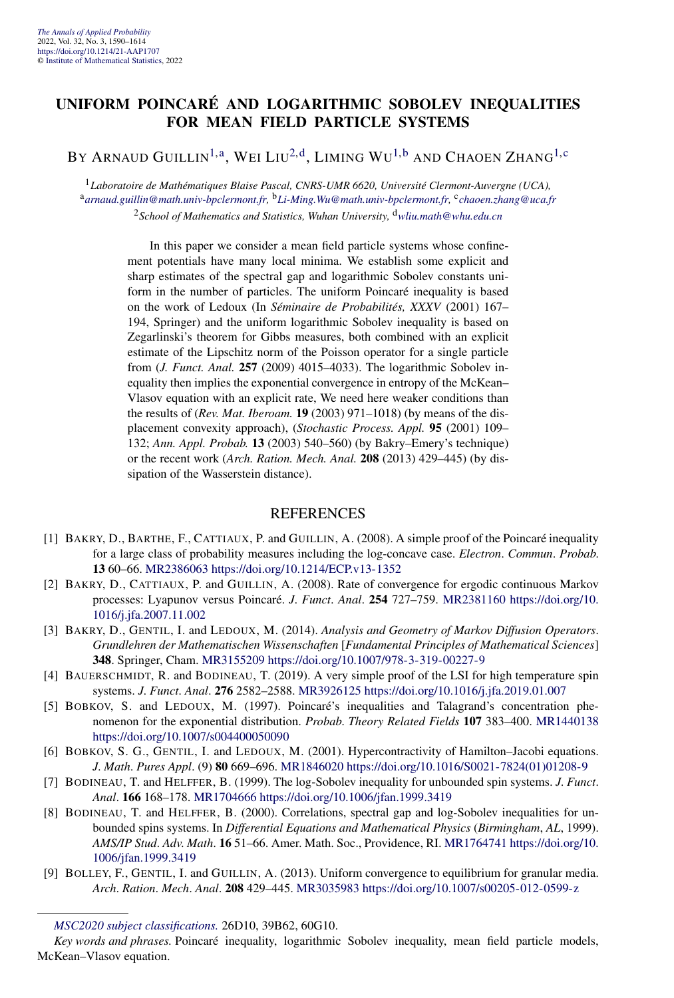#### <span id="page-9-0"></span>**UNIFORM POINCARÉ AND LOGARITHMIC SOBOLEV INEQUALITIES FOR MEAN FIELD PARTICLE SYSTEMS**

BY ARNAUD GUILLIN<sup>1,a</sup>, WEI LIU<sup>2,d</sup>, LIMING WU<sup>[1,b](#page-4-0)</sup> AND CHAOEN ZHANG<sup>[1,](#page-4-0)c</sup>

<sup>1</sup>*Laboratoire de Mathématiques Blaise Pascal, CNRS-UMR 6620, Université Clermont-Auvergne (UCA),* <sup>a</sup>*[arnaud.guillin@math.univ-bpclermont.fr](mailto:arnaud.guillin@math.univ-bpclermont.fr),* <sup>b</sup>*[Li-Ming.Wu@math.univ-bpclermont.fr,](mailto:Li-Ming.Wu@math.univ-bpclermont.fr)* <sup>c</sup>*[chaoen.zhang@uca.fr](mailto:chaoen.zhang@uca.fr)* <sup>2</sup>*School of Mathematics and Statistics, Wuhan University,* <sup>d</sup>*[wliu.math@whu.edu.cn](mailto:wliu.math@whu.edu.cn)*

> In this paper we consider a mean field particle systems whose confinement potentials have many local minima. We establish some explicit and sharp estimates of the spectral gap and logarithmic Sobolev constants uniform in the number of particles. The uniform Poincaré inequality is based on the work of Ledoux (In *Séminaire de Probabilités, XXXV* (2001) 167– 194, Springer) and the uniform logarithmic Sobolev inequality is based on Zegarlinski's theorem for Gibbs measures, both combined with an explicit estimate of the Lipschitz norm of the Poisson operator for a single particle from (*J. Funct. Anal.* **257** (2009) 4015–4033). The logarithmic Sobolev inequality then implies the exponential convergence in entropy of the McKean– Vlasov equation with an explicit rate, We need here weaker conditions than the results of (*Rev. Mat. Iberoam.* **19** (2003) 971–1018) (by means of the displacement convexity approach), (*Stochastic Process. Appl.* **95** (2001) 109– 132; *Ann. Appl. Probab.* **13** (2003) 540–560) (by Bakry–Emery's technique) or the recent work (*Arch. Ration. Mech. Anal.* **208** (2013) 429–445) (by dissipation of the Wasserstein distance).

- [1] BAKRY, D., BARTHE, F., CATTIAUX, P. and GUILLIN, A. (2008). A simple proof of the Poincaré inequality for a large class of probability measures including the log-concave case. *Electron*. *Commun*. *Probab*. **13** 60–66. [MR2386063](http://www.ams.org/mathscinet-getitem?mr=2386063)<https://doi.org/10.1214/ECP.v13-1352>
- [2] BAKRY, D., CATTIAUX, P. and GUILLIN, A. (2008). Rate of convergence for ergodic continuous Markov processes: Lyapunov versus Poincaré. *J*. *Funct*. *Anal*. **254** 727–759. [MR2381160](http://www.ams.org/mathscinet-getitem?mr=2381160) [https://doi.org/10.](https://doi.org/10.1016/j.jfa.2007.11.002) [1016/j.jfa.2007.11.002](https://doi.org/10.1016/j.jfa.2007.11.002)
- [3] BAKRY, D., GENTIL, I. and LEDOUX, M. (2014). *Analysis and Geometry of Markov Diffusion Operators*. *Grundlehren der Mathematischen Wissenschaften* [*Fundamental Principles of Mathematical Sciences*] **348**. Springer, Cham. [MR3155209](http://www.ams.org/mathscinet-getitem?mr=3155209)<https://doi.org/10.1007/978-3-319-00227-9>
- [4] BAUERSCHMIDT, R. and BODINEAU, T. (2019). A very simple proof of the LSI for high temperature spin systems. *J*. *Funct*. *Anal*. **276** 2582–2588. [MR3926125](http://www.ams.org/mathscinet-getitem?mr=3926125)<https://doi.org/10.1016/j.jfa.2019.01.007>
- [5] BOBKOV, S. and LEDOUX, M. (1997). Poincaré's inequalities and Talagrand's concentration phenomenon for the exponential distribution. *Probab*. *Theory Related Fields* **107** 383–400. [MR1440138](http://www.ams.org/mathscinet-getitem?mr=1440138) <https://doi.org/10.1007/s004400050090>
- [6] BOBKOV, S. G., GENTIL, I. and LEDOUX, M. (2001). Hypercontractivity of Hamilton–Jacobi equations. *J*. *Math*. *Pures Appl*. (9) **80** 669–696. [MR1846020](http://www.ams.org/mathscinet-getitem?mr=1846020) [https://doi.org/10.1016/S0021-7824\(01\)01208-9](https://doi.org/10.1016/S0021-7824(01)01208-9)
- [7] BODINEAU, T. and HELFFER, B. (1999). The log-Sobolev inequality for unbounded spin systems. *J*. *Funct*. *Anal*. **166** 168–178. [MR1704666](http://www.ams.org/mathscinet-getitem?mr=1704666)<https://doi.org/10.1006/jfan.1999.3419>
- [8] BODINEAU, T. and HELFFER, B. (2000). Correlations, spectral gap and log-Sobolev inequalities for unbounded spins systems. In *Differential Equations and Mathematical Physics* (*Birmingham*, *AL*, 1999). *AMS/IP Stud*. *Adv*. *Math*. **16** 51–66. Amer. Math. Soc., Providence, RI. [MR1764741](http://www.ams.org/mathscinet-getitem?mr=1764741) [https://doi.org/10.](https://doi.org/10.1006/jfan.1999.3419) [1006/jfan.1999.3419](https://doi.org/10.1006/jfan.1999.3419)
- [9] BOLLEY, F., GENTIL, I. and GUILLIN, A. (2013). Uniform convergence to equilibrium for granular media. *Arch*. *Ration*. *Mech*. *Anal*. **208** 429–445. [MR3035983](http://www.ams.org/mathscinet-getitem?mr=3035983)<https://doi.org/10.1007/s00205-012-0599-z>

*[MSC2020 subject classifications.](https://mathscinet.ams.org/mathscinet/msc/msc2020.html)* 26D10, 39B62, 60G10.

*Key words and phrases.* Poincaré inequality, logarithmic Sobolev inequality, mean field particle models, McKean–Vlasov equation.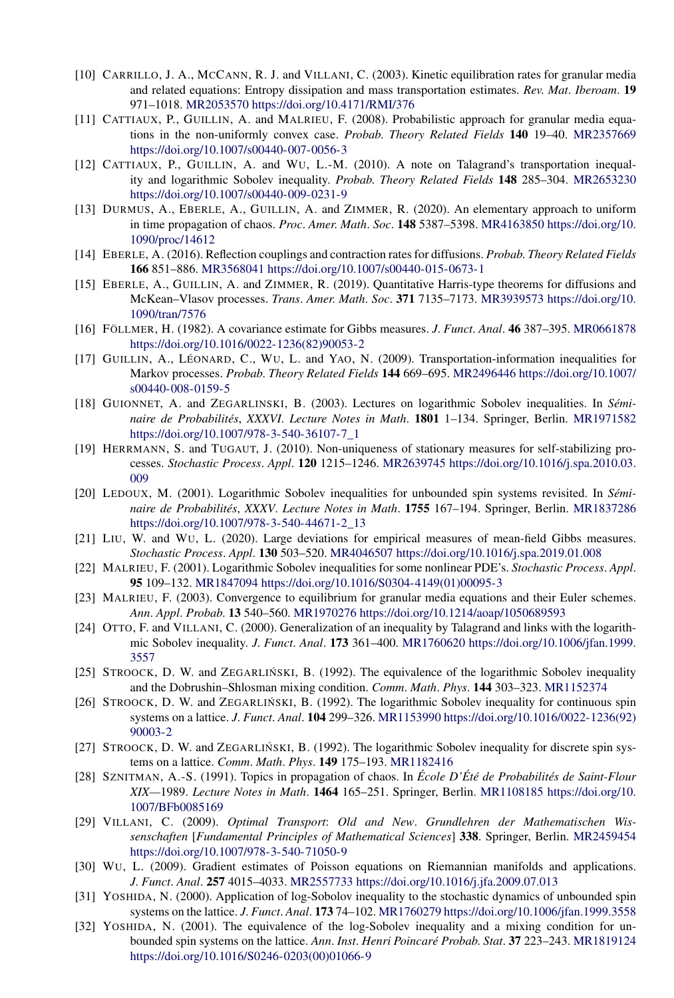- [10] CARRILLO, J. A., MCCANN, R. J. and VILLANI, C. (2003). Kinetic equilibration rates for granular media and related equations: Entropy dissipation and mass transportation estimates. *Rev*. *Mat*. *Iberoam*. **19** 971–1018. [MR2053570](http://www.ams.org/mathscinet-getitem?mr=2053570)<https://doi.org/10.4171/RMI/376>
- [11] CATTIAUX, P., GUILLIN, A. and MALRIEU, F. (2008). Probabilistic approach for granular media equations in the non-uniformly convex case. *Probab*. *Theory Related Fields* **140** 19–40. [MR2357669](http://www.ams.org/mathscinet-getitem?mr=2357669) <https://doi.org/10.1007/s00440-007-0056-3>
- [12] CATTIAUX, P., GUILLIN, A. and WU, L.-M. (2010). A note on Talagrand's transportation inequality and logarithmic Sobolev inequality. *Probab*. *Theory Related Fields* **148** 285–304. [MR2653230](http://www.ams.org/mathscinet-getitem?mr=2653230) <https://doi.org/10.1007/s00440-009-0231-9>
- [13] DURMUS, A., EBERLE, A., GUILLIN, A. and ZIMMER, R. (2020). An elementary approach to uniform in time propagation of chaos. *Proc*. *Amer*. *Math*. *Soc*. **148** 5387–5398. [MR4163850](http://www.ams.org/mathscinet-getitem?mr=4163850) [https://doi.org/10.](https://doi.org/10.1090/proc/14612) [1090/proc/14612](https://doi.org/10.1090/proc/14612)
- [14] EBERLE, A. (2016). Reflection couplings and contraction rates for diffusions. *Probab*. *Theory Related Fields* **166** 851–886. [MR3568041](http://www.ams.org/mathscinet-getitem?mr=3568041)<https://doi.org/10.1007/s00440-015-0673-1>
- [15] EBERLE, A., GUILLIN, A. and ZIMMER, R. (2019). Quantitative Harris-type theorems for diffusions and McKean–Vlasov processes. *Trans*. *Amer*. *Math*. *Soc*. **371** 7135–7173. [MR3939573](http://www.ams.org/mathscinet-getitem?mr=3939573) [https://doi.org/10.](https://doi.org/10.1090/tran/7576) [1090/tran/7576](https://doi.org/10.1090/tran/7576)
- [16] FÖLLMER, H. (1982). A covariance estimate for Gibbs measures. *J*. *Funct*. *Anal*. **46** 387–395. [MR0661878](http://www.ams.org/mathscinet-getitem?mr=0661878) [https://doi.org/10.1016/0022-1236\(82\)90053-2](https://doi.org/10.1016/0022-1236(82)90053-2)
- [17] GUILLIN, A., LÉONARD, C., WU, L. and YAO, N. (2009). Transportation-information inequalities for Markov processes. *Probab*. *Theory Related Fields* **144** 669–695. [MR2496446](http://www.ams.org/mathscinet-getitem?mr=2496446) [https://doi.org/10.1007/](https://doi.org/10.1007/s00440-008-0159-5) [s00440-008-0159-5](https://doi.org/10.1007/s00440-008-0159-5)
- [18] GUIONNET, A. and ZEGARLINSKI, B. (2003). Lectures on logarithmic Sobolev inequalities. In *Séminaire de Probabilités*, *XXXVI*. *Lecture Notes in Math*. **1801** 1–134. Springer, Berlin. [MR1971582](http://www.ams.org/mathscinet-getitem?mr=1971582) [https://doi.org/10.1007/978-3-540-36107-7\\_1](https://doi.org/10.1007/978-3-540-36107-7_1)
- [19] HERRMANN, S. and TUGAUT, J. (2010). Non-uniqueness of stationary measures for self-stabilizing processes. *Stochastic Process*. *Appl*. **120** 1215–1246. [MR2639745](http://www.ams.org/mathscinet-getitem?mr=2639745) [https://doi.org/10.1016/j.spa.2010.03.](https://doi.org/10.1016/j.spa.2010.03.009) [009](https://doi.org/10.1016/j.spa.2010.03.009)
- [20] LEDOUX, M. (2001). Logarithmic Sobolev inequalities for unbounded spin systems revisited. In *Séminaire de Probabilités*, *XXXV*. *Lecture Notes in Math*. **1755** 167–194. Springer, Berlin. [MR1837286](http://www.ams.org/mathscinet-getitem?mr=1837286) [https://doi.org/10.1007/978-3-540-44671-2\\_13](https://doi.org/10.1007/978-3-540-44671-2_13)
- [21] LIU, W. and WU, L. (2020). Large deviations for empirical measures of mean-field Gibbs measures. *Stochastic Process*. *Appl*. **130** 503–520. [MR4046507](http://www.ams.org/mathscinet-getitem?mr=4046507)<https://doi.org/10.1016/j.spa.2019.01.008>
- [22] MALRIEU, F. (2001). Logarithmic Sobolev inequalities for some nonlinear PDE's. *Stochastic Process*. *Appl*. **95** 109–132. [MR1847094](http://www.ams.org/mathscinet-getitem?mr=1847094) [https://doi.org/10.1016/S0304-4149\(01\)00095-3](https://doi.org/10.1016/S0304-4149(01)00095-3)
- [23] MALRIEU, F. (2003). Convergence to equilibrium for granular media equations and their Euler schemes. *Ann*. *Appl*. *Probab*. **13** 540–560. [MR1970276](http://www.ams.org/mathscinet-getitem?mr=1970276)<https://doi.org/10.1214/aoap/1050689593>
- [24] OTTO, F. and VILLANI, C. (2000). Generalization of an inequality by Talagrand and links with the logarithmic Sobolev inequality. *J*. *Funct*. *Anal*. **173** 361–400. [MR1760620](http://www.ams.org/mathscinet-getitem?mr=1760620) [https://doi.org/10.1006/jfan.1999.](https://doi.org/10.1006/jfan.1999.3557) [3557](https://doi.org/10.1006/jfan.1999.3557)
- [25] STROOCK, D. W. and ZEGARLINSKI, B. (1992). The equivalence of the logarithmic Sobolev inequality and the Dobrushin–Shlosman mixing condition. *Comm*. *Math*. *Phys*. **144** 303–323. [MR1152374](http://www.ams.org/mathscinet-getitem?mr=1152374)
- [26] STROOCK, D. W. and ZEGARLIŃSKI, B. (1992). The logarithmic Sobolev inequality for continuous spin systems on a lattice. *J*. *Funct*. *Anal*. **104** 299–326. [MR1153990](http://www.ams.org/mathscinet-getitem?mr=1153990) [https://doi.org/10.1016/0022-1236\(92\)](https://doi.org/10.1016/0022-1236(92)90003-2) [90003-2](https://doi.org/10.1016/0022-1236(92)90003-2)
- [27] STROOCK, D. W. and ZEGARLINSKI, B. (1992). The logarithmic Sobolev inequality for discrete spin systems on a lattice. *Comm*. *Math*. *Phys*. **149** 175–193. [MR1182416](http://www.ams.org/mathscinet-getitem?mr=1182416)
- [28] SZNITMAN, A.-S. (1991). Topics in propagation of chaos. In *École D'Été de Probabilités de Saint-Flour XIX—*1989. *Lecture Notes in Math*. **1464** 165–251. Springer, Berlin. [MR1108185](http://www.ams.org/mathscinet-getitem?mr=1108185) [https://doi.org/10.](https://doi.org/10.1007/BFb0085169) [1007/BFb0085169](https://doi.org/10.1007/BFb0085169)
- [29] VILLANI, C. (2009). *Optimal Transport*: *Old and New*. *Grundlehren der Mathematischen Wissenschaften* [*Fundamental Principles of Mathematical Sciences*] **338**. Springer, Berlin. [MR2459454](http://www.ams.org/mathscinet-getitem?mr=2459454) <https://doi.org/10.1007/978-3-540-71050-9>
- [30] WU, L. (2009). Gradient estimates of Poisson equations on Riemannian manifolds and applications. *J*. *Funct*. *Anal*. **257** 4015–4033. [MR2557733](http://www.ams.org/mathscinet-getitem?mr=2557733)<https://doi.org/10.1016/j.jfa.2009.07.013>
- [31] YOSHIDA, N. (2000). Application of log-Sobolov inequality to the stochastic dynamics of unbounded spin systems on the lattice. *J*. *Funct*. *Anal*. **173** 74–102. [MR1760279](http://www.ams.org/mathscinet-getitem?mr=1760279)<https://doi.org/10.1006/jfan.1999.3558>
- [32] YOSHIDA, N. (2001). The equivalence of the log-Sobolev inequality and a mixing condition for unbounded spin systems on the lattice. *Ann*. *Inst*. *Henri Poincaré Probab*. *Stat*. **37** 223–243. [MR1819124](http://www.ams.org/mathscinet-getitem?mr=1819124) [https://doi.org/10.1016/S0246-0203\(00\)01066-9](https://doi.org/10.1016/S0246-0203(00)01066-9)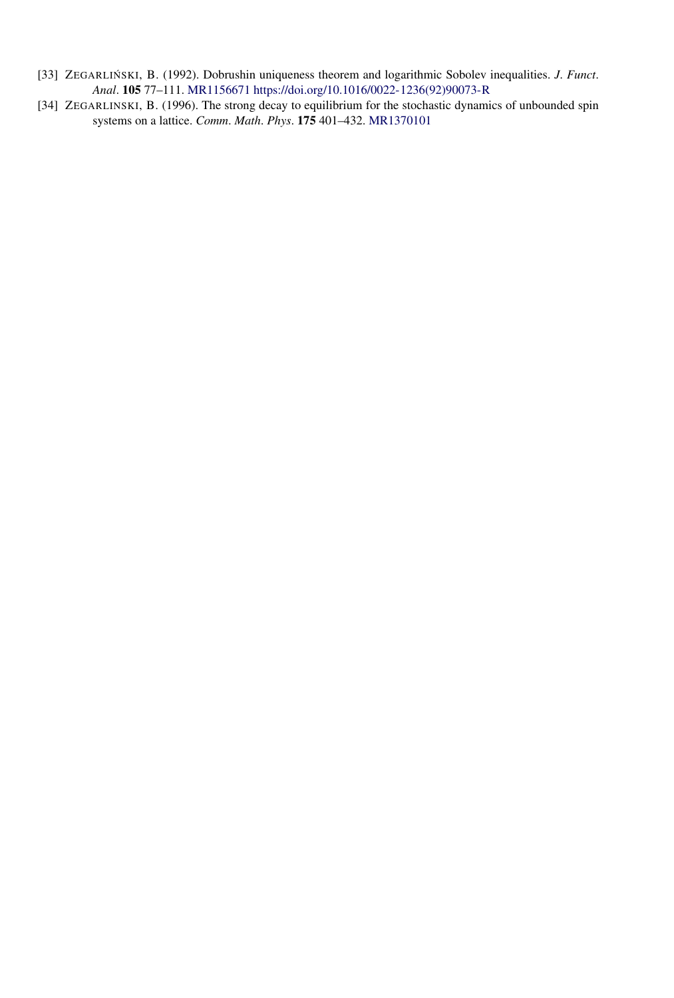- [33] ZEGARLIŃSKI, B. (1992). Dobrushin uniqueness theorem and logarithmic Sobolev inequalities. *J. Funct*. *Anal*. **105** 77–111. [MR1156671](http://www.ams.org/mathscinet-getitem?mr=1156671) [https://doi.org/10.1016/0022-1236\(92\)90073-R](https://doi.org/10.1016/0022-1236(92)90073-R)
- [34] ZEGARLINSKI, B. (1996). The strong decay to equilibrium for the stochastic dynamics of unbounded spin systems on a lattice. *Comm*. *Math*. *Phys*. **175** 401–432. [MR1370101](http://www.ams.org/mathscinet-getitem?mr=1370101)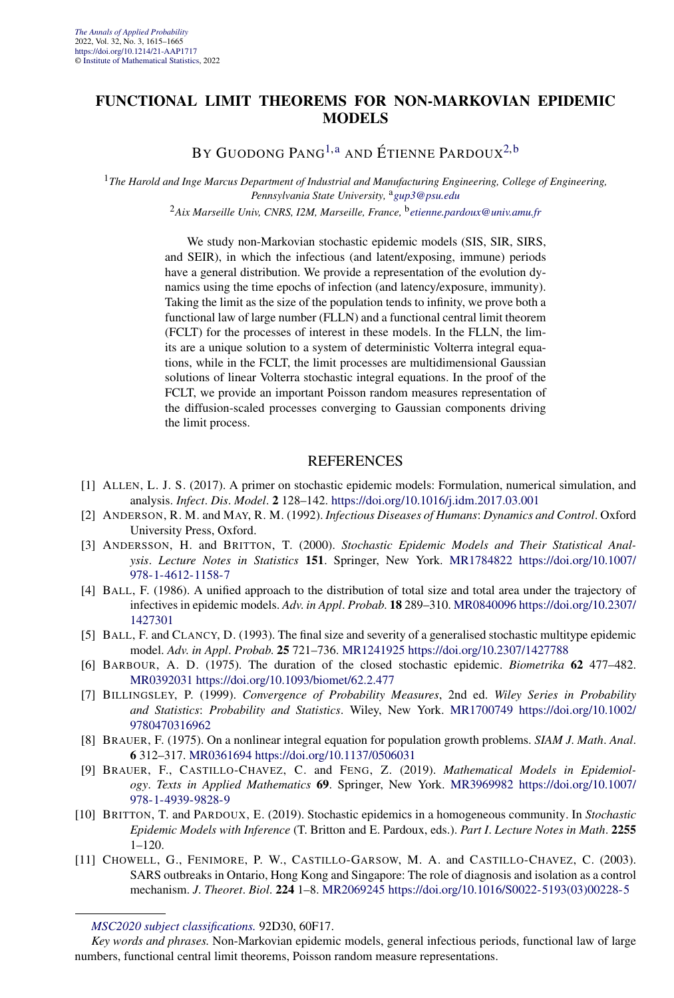#### **FUNCTIONAL LIMIT THEOREMS FOR NON-MARKOVIAN EPIDEMIC MODELS**

BY GUODONG PANG<sup>[1,a](#page-4-0)</sup> AND ÉTIENNE PARDOUX<sup>[2,b](#page-4-0)</sup>

<sup>1</sup>*The Harold and Inge Marcus Department of Industrial and Manufacturing Engineering, College of Engineering, Pennsylvania State University,* <sup>a</sup>*[gup3@psu.edu](mailto:gup3@psu.edu)*

<sup>2</sup>*Aix Marseille Univ, CNRS, I2M, Marseille, France,* <sup>b</sup>*[etienne.pardoux@univ.amu.fr](mailto:etienne.pardoux@univ.amu.fr)*

We study non-Markovian stochastic epidemic models (SIS, SIR, SIRS, and SEIR), in which the infectious (and latent/exposing, immune) periods have a general distribution. We provide a representation of the evolution dynamics using the time epochs of infection (and latency/exposure, immunity). Taking the limit as the size of the population tends to infinity, we prove both a functional law of large number (FLLN) and a functional central limit theorem (FCLT) for the processes of interest in these models. In the FLLN, the limits are a unique solution to a system of deterministic Volterra integral equations, while in the FCLT, the limit processes are multidimensional Gaussian solutions of linear Volterra stochastic integral equations. In the proof of the FCLT, we provide an important Poisson random measures representation of the diffusion-scaled processes converging to Gaussian components driving the limit process.

- [1] ALLEN, L. J. S. (2017). A primer on stochastic epidemic models: Formulation, numerical simulation, and analysis. *Infect*. *Dis*. *Model*. **2** 128–142. <https://doi.org/10.1016/j.idm.2017.03.001>
- [2] ANDERSON, R. M. and MAY, R. M. (1992). *Infectious Diseases of Humans*: *Dynamics and Control*. Oxford University Press, Oxford.
- [3] ANDERSSON, H. and BRITTON, T. (2000). *Stochastic Epidemic Models and Their Statistical Analysis*. *Lecture Notes in Statistics* **151**. Springer, New York. [MR1784822](http://www.ams.org/mathscinet-getitem?mr=1784822) [https://doi.org/10.1007/](https://doi.org/10.1007/978-1-4612-1158-7) [978-1-4612-1158-7](https://doi.org/10.1007/978-1-4612-1158-7)
- [4] BALL, F. (1986). A unified approach to the distribution of total size and total area under the trajectory of infectives in epidemic models. *Adv*. *in Appl*. *Probab*. **18** 289–310. [MR0840096](http://www.ams.org/mathscinet-getitem?mr=0840096) [https://doi.org/10.2307/](https://doi.org/10.2307/1427301) [1427301](https://doi.org/10.2307/1427301)
- [5] BALL, F. and CLANCY, D. (1993). The final size and severity of a generalised stochastic multitype epidemic model. *Adv*. *in Appl*. *Probab*. **25** 721–736. [MR1241925](http://www.ams.org/mathscinet-getitem?mr=1241925)<https://doi.org/10.2307/1427788>
- [6] BARBOUR, A. D. (1975). The duration of the closed stochastic epidemic. *Biometrika* **62** 477–482. [MR0392031](http://www.ams.org/mathscinet-getitem?mr=0392031)<https://doi.org/10.1093/biomet/62.2.477>
- [7] BILLINGSLEY, P. (1999). *Convergence of Probability Measures*, 2nd ed. *Wiley Series in Probability and Statistics*: *Probability and Statistics*. Wiley, New York. [MR1700749](http://www.ams.org/mathscinet-getitem?mr=1700749) [https://doi.org/10.1002/](https://doi.org/10.1002/9780470316962) [9780470316962](https://doi.org/10.1002/9780470316962)
- [8] BRAUER, F. (1975). On a nonlinear integral equation for population growth problems. *SIAM J*. *Math*. *Anal*. **6** 312–317. [MR0361694](http://www.ams.org/mathscinet-getitem?mr=0361694)<https://doi.org/10.1137/0506031>
- [9] BRAUER, F., CASTILLO-CHAVEZ, C. and FENG, Z. (2019). *Mathematical Models in Epidemiology*. *Texts in Applied Mathematics* **69**. Springer, New York. [MR3969982](http://www.ams.org/mathscinet-getitem?mr=3969982) [https://doi.org/10.1007/](https://doi.org/10.1007/978-1-4939-9828-9) [978-1-4939-9828-9](https://doi.org/10.1007/978-1-4939-9828-9)
- [10] BRITTON, T. and PARDOUX, E. (2019). Stochastic epidemics in a homogeneous community. In *Stochastic Epidemic Models with Inference* (T. Britton and E. Pardoux, eds.). *Part I*. *Lecture Notes in Math*. **2255** 1–120.
- [11] CHOWELL, G., FENIMORE, P. W., CASTILLO-GARSOW, M. A. and CASTILLO-CHAVEZ, C. (2003). SARS outbreaks in Ontario, Hong Kong and Singapore: The role of diagnosis and isolation as a control mechanism. *J*. *Theoret*. *Biol*. **224** 1–8. [MR2069245](http://www.ams.org/mathscinet-getitem?mr=2069245) [https://doi.org/10.1016/S0022-5193\(03\)00228-5](https://doi.org/10.1016/S0022-5193(03)00228-5)

*[MSC2020 subject classifications.](https://mathscinet.ams.org/mathscinet/msc/msc2020.html)* 92D30, 60F17.

*Key words and phrases.* Non-Markovian epidemic models, general infectious periods, functional law of large numbers, functional central limit theorems, Poisson random measure representations.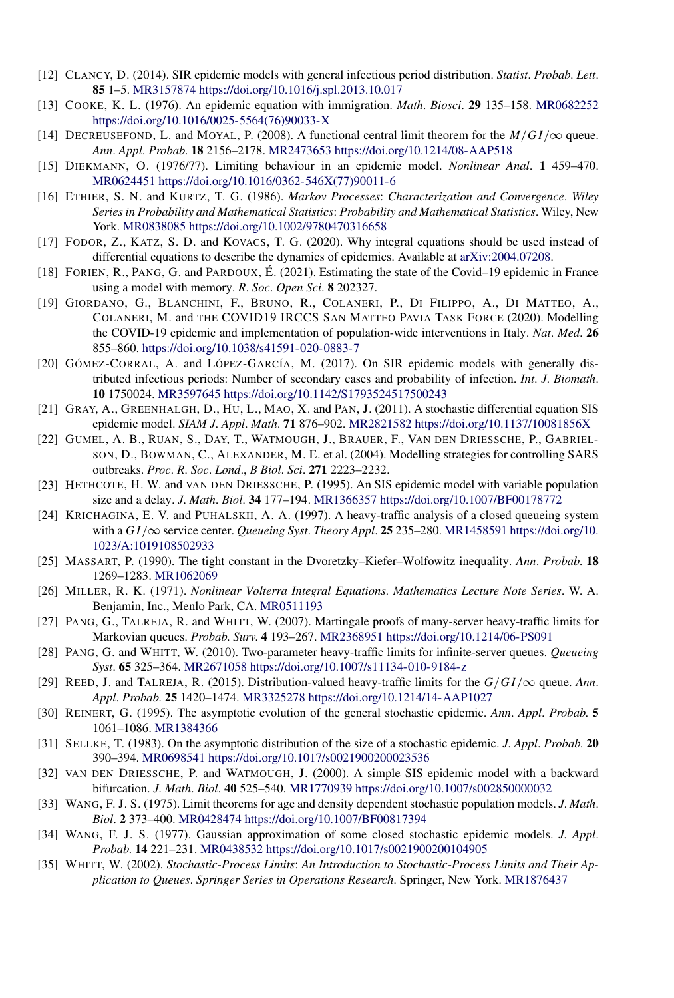- [12] CLANCY, D. (2014). SIR epidemic models with general infectious period distribution. *Statist*. *Probab*. *Lett*. **85** 1–5. [MR3157874](http://www.ams.org/mathscinet-getitem?mr=3157874)<https://doi.org/10.1016/j.spl.2013.10.017>
- [13] COOKE, K. L. (1976). An epidemic equation with immigration. *Math*. *Biosci*. **29** 135–158. [MR0682252](http://www.ams.org/mathscinet-getitem?mr=0682252) [https://doi.org/10.1016/0025-5564\(76\)90033-X](https://doi.org/10.1016/0025-5564(76)90033-X)
- [14] DECREUSEFOND, L. and MOYAL, P. (2008). A functional central limit theorem for the *M/GI/*∞ queue. *Ann*. *Appl*. *Probab*. **18** 2156–2178. [MR2473653](http://www.ams.org/mathscinet-getitem?mr=2473653)<https://doi.org/10.1214/08-AAP518>
- [15] DIEKMANN, O. (1976/77). Limiting behaviour in an epidemic model. *Nonlinear Anal*. **1** 459–470. [MR0624451](http://www.ams.org/mathscinet-getitem?mr=0624451) [https://doi.org/10.1016/0362-546X\(77\)90011-6](https://doi.org/10.1016/0362-546X(77)90011-6)
- [16] ETHIER, S. N. and KURTZ, T. G. (1986). *Markov Processes*: *Characterization and Convergence*. *Wiley Series in Probability and Mathematical Statistics*: *Probability and Mathematical Statistics*. Wiley, New York. [MR0838085](http://www.ams.org/mathscinet-getitem?mr=0838085)<https://doi.org/10.1002/9780470316658>
- [17] FODOR, Z., KATZ, S. D. and KOVACS, T. G. (2020). Why integral equations should be used instead of differential equations to describe the dynamics of epidemics. Available at [arXiv:2004.07208](http://arxiv.org/abs/arXiv:2004.07208).
- [18] FORIEN, R., PANG, G. and PARDOUX, É. (2021). Estimating the state of the Covid–19 epidemic in France using a model with memory. *R*. *Soc*. *Open Sci*. **8** 202327.
- [19] GIORDANO, G., BLANCHINI, F., BRUNO, R., COLANERI, P., DI FILIPPO, A., DI MATTEO, A., COLANERI, M. and THE COVID19 IRCCS SAN MATTEO PAVIA TASK FORCE (2020). Modelling the COVID-19 epidemic and implementation of population-wide interventions in Italy. *Nat*. *Med*. **26** 855–860. <https://doi.org/10.1038/s41591-020-0883-7>
- [20] GÓMEZ-CORRAL, A. and LÓPEZ-GARCÍA, M. (2017). On SIR epidemic models with generally distributed infectious periods: Number of secondary cases and probability of infection. *Int*. *J*. *Biomath*. **10** 1750024. [MR3597645](http://www.ams.org/mathscinet-getitem?mr=3597645)<https://doi.org/10.1142/S1793524517500243>
- [21] GRAY, A., GREENHALGH, D., HU, L., MAO, X. and PAN, J. (2011). A stochastic differential equation SIS epidemic model. *SIAM J*. *Appl*. *Math*. **71** 876–902. [MR2821582](http://www.ams.org/mathscinet-getitem?mr=2821582)<https://doi.org/10.1137/10081856X>
- [22] GUMEL, A. B., RUAN, S., DAY, T., WATMOUGH, J., BRAUER, F., VAN DEN DRIESSCHE, P., GABRIEL-SON, D., BOWMAN, C., ALEXANDER, M. E. et al. (2004). Modelling strategies for controlling SARS outbreaks. *Proc*. *R*. *Soc*. *Lond*., *B Biol*. *Sci*. **271** 2223–2232.
- [23] HETHCOTE, H. W. and VAN DEN DRIESSCHE, P. (1995). An SIS epidemic model with variable population size and a delay. *J*. *Math*. *Biol*. **34** 177–194. [MR1366357](http://www.ams.org/mathscinet-getitem?mr=1366357)<https://doi.org/10.1007/BF00178772>
- [24] KRICHAGINA, E. V. and PUHALSKII, A. A. (1997). A heavy-traffic analysis of a closed queueing system with a *GI/*∞ service center. *Queueing Syst*. *Theory Appl*. **25** 235–280. [MR1458591](http://www.ams.org/mathscinet-getitem?mr=1458591) [https://doi.org/10.](https://doi.org/10.1023/A:1019108502933) [1023/A:1019108502933](https://doi.org/10.1023/A:1019108502933)
- [25] MASSART, P. (1990). The tight constant in the Dvoretzky–Kiefer–Wolfowitz inequality. *Ann*. *Probab*. **18** 1269–1283. [MR1062069](http://www.ams.org/mathscinet-getitem?mr=1062069)
- [26] MILLER, R. K. (1971). *Nonlinear Volterra Integral Equations*. *Mathematics Lecture Note Series*. W. A. Benjamin, Inc., Menlo Park, CA. [MR0511193](http://www.ams.org/mathscinet-getitem?mr=0511193)
- [27] PANG, G., TALREJA, R. and WHITT, W. (2007). Martingale proofs of many-server heavy-traffic limits for Markovian queues. *Probab*. *Surv*. **4** 193–267. [MR2368951](http://www.ams.org/mathscinet-getitem?mr=2368951)<https://doi.org/10.1214/06-PS091>
- [28] PANG, G. and WHITT, W. (2010). Two-parameter heavy-traffic limits for infinite-server queues. *Queueing Syst*. **65** 325–364. [MR2671058](http://www.ams.org/mathscinet-getitem?mr=2671058)<https://doi.org/10.1007/s11134-010-9184-z>
- [29] REED, J. and TALREJA, R. (2015). Distribution-valued heavy-traffic limits for the *G/GI/*∞ queue. *Ann*. *Appl*. *Probab*. **25** 1420–1474. [MR3325278](http://www.ams.org/mathscinet-getitem?mr=3325278)<https://doi.org/10.1214/14-AAP1027>
- [30] REINERT, G. (1995). The asymptotic evolution of the general stochastic epidemic. *Ann*. *Appl*. *Probab*. **5** 1061–1086. [MR1384366](http://www.ams.org/mathscinet-getitem?mr=1384366)
- [31] SELLKE, T. (1983). On the asymptotic distribution of the size of a stochastic epidemic. *J*. *Appl*. *Probab*. **20** 390–394. [MR0698541](http://www.ams.org/mathscinet-getitem?mr=0698541)<https://doi.org/10.1017/s0021900200023536>
- [32] VAN DEN DRIESSCHE, P. and WATMOUGH, J. (2000). A simple SIS epidemic model with a backward bifurcation. *J*. *Math*. *Biol*. **40** 525–540. [MR1770939](http://www.ams.org/mathscinet-getitem?mr=1770939)<https://doi.org/10.1007/s002850000032>
- [33] WANG, F. J. S. (1975). Limit theorems for age and density dependent stochastic population models. *J*. *Math*. *Biol*. **2** 373–400. [MR0428474](http://www.ams.org/mathscinet-getitem?mr=0428474)<https://doi.org/10.1007/BF00817394>
- [34] WANG, F. J. S. (1977). Gaussian approximation of some closed stochastic epidemic models. *J*. *Appl*. *Probab*. **14** 221–231. [MR0438532](http://www.ams.org/mathscinet-getitem?mr=0438532)<https://doi.org/10.1017/s0021900200104905>
- [35] WHITT, W. (2002). *Stochastic-Process Limits*: *An Introduction to Stochastic-Process Limits and Their Application to Queues*. *Springer Series in Operations Research*. Springer, New York. [MR1876437](http://www.ams.org/mathscinet-getitem?mr=1876437)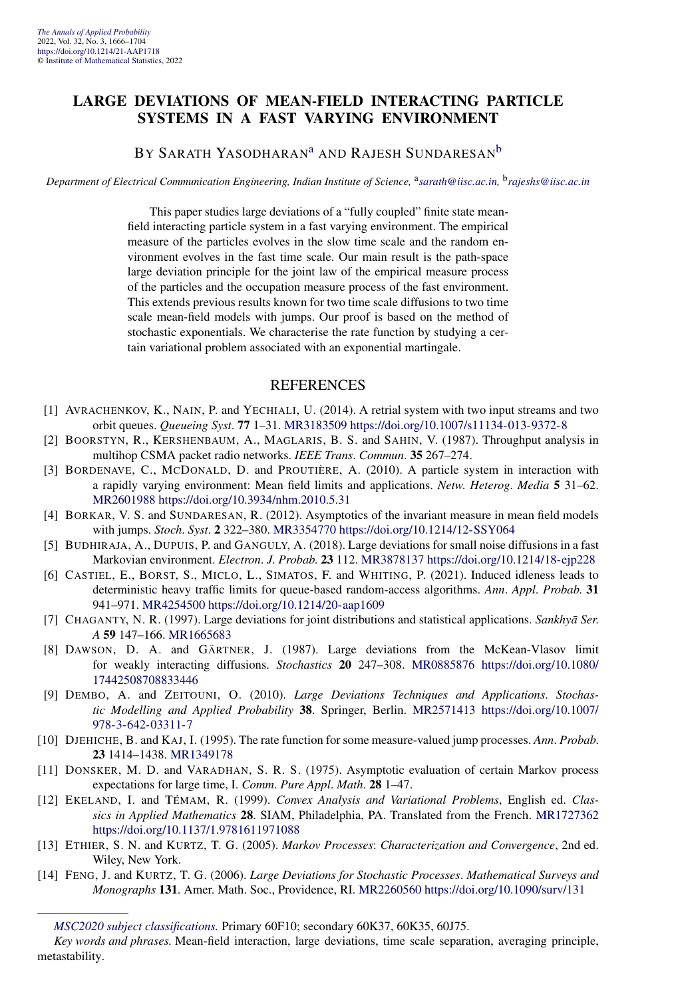#### **LARGE DEVIATIONS OF MEAN-FIELD INTERACTING PARTICLE SYSTEMS IN A FAST VARYING ENVIRONMENT**

#### BY SARATH YASODHARAN<sup>[a](#page-4-0)</sup> AND RAJESH SUNDARESAN<sup>[b](#page-4-0)</sup>

*Department of Electrical Communication Engineering, Indian Institute of Science, <sup>a</sup>[sarath@iisc.ac.in,](mailto:sarath@iisc.ac.in) <sup>b</sup>[rajeshs@iisc.ac.in](mailto:rajeshs@iisc.ac.in)* 

This paper studies large deviations of a "fully coupled" finite state meanfield interacting particle system in a fast varying environment. The empirical measure of the particles evolves in the slow time scale and the random environment evolves in the fast time scale. Our main result is the path-space large deviation principle for the joint law of the empirical measure process of the particles and the occupation measure process of the fast environment. This extends previous results known for two time scale diffusions to two time scale mean-field models with jumps. Our proof is based on the method of stochastic exponentials. We characterise the rate function by studying a certain variational problem associated with an exponential martingale.

- [1] AVRACHENKOV, K., NAIN, P. and YECHIALI, U. (2014). A retrial system with two input streams and two orbit queues. *Queueing Syst*. **77** 1–31. [MR3183509](http://www.ams.org/mathscinet-getitem?mr=3183509)<https://doi.org/10.1007/s11134-013-9372-8>
- [2] BOORSTYN, R., KERSHENBAUM, A., MAGLARIS, B. S. and SAHIN, V. (1987). Throughput analysis in multihop CSMA packet radio networks. *IEEE Trans*. *Commun*. **35** 267–274.
- [3] BORDENAVE, C., MCDONALD, D. and PROUTIÈRE, A. (2010). A particle system in interaction with a rapidly varying environment: Mean field limits and applications. *Netw*. *Heterog*. *Media* **5** 31–62. [MR2601988](http://www.ams.org/mathscinet-getitem?mr=2601988)<https://doi.org/10.3934/nhm.2010.5.31>
- [4] BORKAR, V. S. and SUNDARESAN, R. (2012). Asymptotics of the invariant measure in mean field models with jumps. *Stoch*. *Syst*. **2** 322–380. [MR3354770](http://www.ams.org/mathscinet-getitem?mr=3354770)<https://doi.org/10.1214/12-SSY064>
- [5] BUDHIRAJA, A., DUPUIS, P. and GANGULY, A. (2018). Large deviations for small noise diffusions in a fast Markovian environment. *Electron*. *J*. *Probab*. **23** 112. [MR3878137](http://www.ams.org/mathscinet-getitem?mr=3878137)<https://doi.org/10.1214/18-ejp228>
- [6] CASTIEL, E., BORST, S., MICLO, L., SIMATOS, F. and WHITING, P. (2021). Induced idleness leads to deterministic heavy traffic limits for queue-based random-access algorithms. *Ann*. *Appl*. *Probab*. **31** 941–971. [MR4254500](http://www.ams.org/mathscinet-getitem?mr=4254500)<https://doi.org/10.1214/20-aap1609>
- [7] CHAGANTY, N. R. (1997). Large deviations for joint distributions and statistical applications. *Sankhya Ser*. *A* **59** 147–166. [MR1665683](http://www.ams.org/mathscinet-getitem?mr=1665683)
- [8] DAWSON, D. A. and GÄRTNER, J. (1987). Large deviations from the McKean-Vlasov limit for weakly interacting diffusions. *Stochastics* **20** 247–308. [MR0885876](http://www.ams.org/mathscinet-getitem?mr=0885876) [https://doi.org/10.1080/](https://doi.org/10.1080/17442508708833446) [17442508708833446](https://doi.org/10.1080/17442508708833446)
- [9] DEMBO, A. and ZEITOUNI, O. (2010). *Large Deviations Techniques and Applications*. *Stochastic Modelling and Applied Probability* **38**. Springer, Berlin. [MR2571413](http://www.ams.org/mathscinet-getitem?mr=2571413) [https://doi.org/10.1007/](https://doi.org/10.1007/978-3-642-03311-7) [978-3-642-03311-7](https://doi.org/10.1007/978-3-642-03311-7)
- [10] DJEHICHE, B. and KAJ, I. (1995). The rate function for some measure-valued jump processes. *Ann*. *Probab*. **23** 1414–1438. [MR1349178](http://www.ams.org/mathscinet-getitem?mr=1349178)
- [11] DONSKER, M. D. and VARADHAN, S. R. S. (1975). Asymptotic evaluation of certain Markov process expectations for large time, I. *Comm*. *Pure Appl*. *Math*. **28** 1–47.
- [12] EKELAND, I. and TÉMAM, R. (1999). *Convex Analysis and Variational Problems*, English ed. *Classics in Applied Mathematics* **28**. SIAM, Philadelphia, PA. Translated from the French. [MR1727362](http://www.ams.org/mathscinet-getitem?mr=1727362) <https://doi.org/10.1137/1.9781611971088>
- [13] ETHIER, S. N. and KURTZ, T. G. (2005). *Markov Processes*: *Characterization and Convergence*, 2nd ed. Wiley, New York.
- [14] FENG, J. and KURTZ, T. G. (2006). *Large Deviations for Stochastic Processes*. *Mathematical Surveys and Monographs* **131**. Amer. Math. Soc., Providence, RI. [MR2260560](http://www.ams.org/mathscinet-getitem?mr=2260560)<https://doi.org/10.1090/surv/131>

*[MSC2020 subject classifications.](https://mathscinet.ams.org/mathscinet/msc/msc2020.html)* Primary 60F10; secondary 60K37, 60K35, 60J75.

*Key words and phrases.* Mean-field interaction, large deviations, time scale separation, averaging principle, metastability.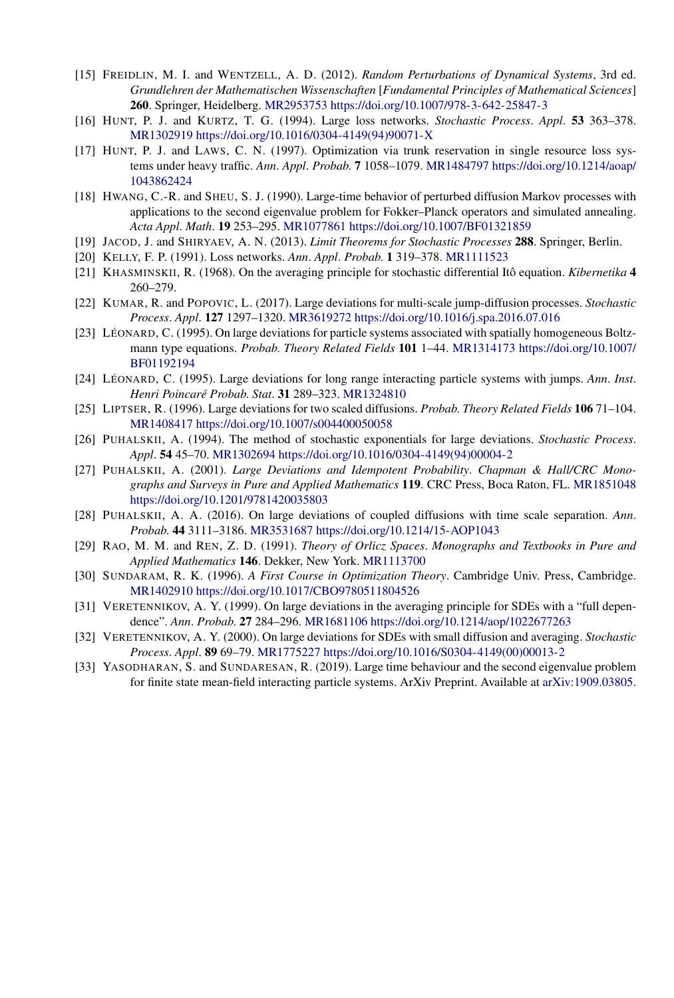- [15] FREIDLIN, M. I. and WENTZELL, A. D. (2012). *Random Perturbations of Dynamical Systems*, 3rd ed. *Grundlehren der Mathematischen Wissenschaften* [*Fundamental Principles of Mathematical Sciences*] **260**. Springer, Heidelberg. [MR2953753](http://www.ams.org/mathscinet-getitem?mr=2953753)<https://doi.org/10.1007/978-3-642-25847-3>
- [16] HUNT, P. J. and KURTZ, T. G. (1994). Large loss networks. *Stochastic Process*. *Appl*. **53** 363–378. [MR1302919](http://www.ams.org/mathscinet-getitem?mr=1302919) [https://doi.org/10.1016/0304-4149\(94\)90071-X](https://doi.org/10.1016/0304-4149(94)90071-X)
- [17] HUNT, P. J. and LAWS, C. N. (1997). Optimization via trunk reservation in single resource loss systems under heavy traffic. *Ann*. *Appl*. *Probab*. **7** 1058–1079. [MR1484797](http://www.ams.org/mathscinet-getitem?mr=1484797) [https://doi.org/10.1214/aoap/](https://doi.org/10.1214/aoap/1043862424) [1043862424](https://doi.org/10.1214/aoap/1043862424)
- [18] HWANG, C.-R. and SHEU, S. J. (1990). Large-time behavior of perturbed diffusion Markov processes with applications to the second eigenvalue problem for Fokker–Planck operators and simulated annealing. *Acta Appl*. *Math*. **19** 253–295. [MR1077861](http://www.ams.org/mathscinet-getitem?mr=1077861)<https://doi.org/10.1007/BF01321859>
- [19] JACOD, J. and SHIRYAEV, A. N. (2013). *Limit Theorems for Stochastic Processes* **288**. Springer, Berlin.
- [20] KELLY, F. P. (1991). Loss networks. *Ann*. *Appl*. *Probab*. **1** 319–378. [MR1111523](http://www.ams.org/mathscinet-getitem?mr=1111523)
- [21] KHASMINSKII, R. (1968). On the averaging principle for stochastic differential Itô equation. *Kibernetika* **4** 260–279.
- [22] KUMAR, R. and POPOVIC, L. (2017). Large deviations for multi-scale jump-diffusion processes. *Stochastic Process*. *Appl*. **127** 1297–1320. [MR3619272](http://www.ams.org/mathscinet-getitem?mr=3619272)<https://doi.org/10.1016/j.spa.2016.07.016>
- [23] LÉONARD, C. (1995). On large deviations for particle systems associated with spatially homogeneous Boltzmann type equations. *Probab*. *Theory Related Fields* **101** 1–44. [MR1314173](http://www.ams.org/mathscinet-getitem?mr=1314173) [https://doi.org/10.1007/](https://doi.org/10.1007/BF01192194) [BF01192194](https://doi.org/10.1007/BF01192194)
- [24] LÉONARD, C. (1995). Large deviations for long range interacting particle systems with jumps. *Ann*. *Inst*. *Henri Poincaré Probab*. *Stat*. **31** 289–323. [MR1324810](http://www.ams.org/mathscinet-getitem?mr=1324810)
- [25] LIPTSER, R. (1996). Large deviations for two scaled diffusions. *Probab*. *Theory Related Fields* **106** 71–104. [MR1408417](http://www.ams.org/mathscinet-getitem?mr=1408417)<https://doi.org/10.1007/s004400050058>
- [26] PUHALSKII, A. (1994). The method of stochastic exponentials for large deviations. *Stochastic Process*. *Appl*. **54** 45–70. [MR1302694](http://www.ams.org/mathscinet-getitem?mr=1302694) [https://doi.org/10.1016/0304-4149\(94\)00004-2](https://doi.org/10.1016/0304-4149(94)00004-2)
- [27] PUHALSKII, A. (2001). *Large Deviations and Idempotent Probability*. *Chapman & Hall/CRC Monographs and Surveys in Pure and Applied Mathematics* **119**. CRC Press, Boca Raton, FL. [MR1851048](http://www.ams.org/mathscinet-getitem?mr=1851048) <https://doi.org/10.1201/9781420035803>
- [28] PUHALSKII, A. A. (2016). On large deviations of coupled diffusions with time scale separation. *Ann*. *Probab*. **44** 3111–3186. [MR3531687](http://www.ams.org/mathscinet-getitem?mr=3531687)<https://doi.org/10.1214/15-AOP1043>
- [29] RAO, M. M. and REN, Z. D. (1991). *Theory of Orlicz Spaces*. *Monographs and Textbooks in Pure and Applied Mathematics* **146**. Dekker, New York. [MR1113700](http://www.ams.org/mathscinet-getitem?mr=1113700)
- [30] SUNDARAM, R. K. (1996). *A First Course in Optimization Theory*. Cambridge Univ. Press, Cambridge. [MR1402910](http://www.ams.org/mathscinet-getitem?mr=1402910)<https://doi.org/10.1017/CBO9780511804526>
- [31] VERETENNIKOV, A. Y. (1999). On large deviations in the averaging principle for SDEs with a "full dependence". *Ann*. *Probab*. **27** 284–296. [MR1681106](http://www.ams.org/mathscinet-getitem?mr=1681106)<https://doi.org/10.1214/aop/1022677263>
- [32] VERETENNIKOV, A. Y. (2000). On large deviations for SDEs with small diffusion and averaging. *Stochastic Process*. *Appl*. **89** 69–79. [MR1775227](http://www.ams.org/mathscinet-getitem?mr=1775227) [https://doi.org/10.1016/S0304-4149\(00\)00013-2](https://doi.org/10.1016/S0304-4149(00)00013-2)
- [33] YASODHARAN, S. and SUNDARESAN, R. (2019). Large time behaviour and the second eigenvalue problem for finite state mean-field interacting particle systems. ArXiv Preprint. Available at [arXiv:1909.03805.](http://arxiv.org/abs/arXiv:1909.03805)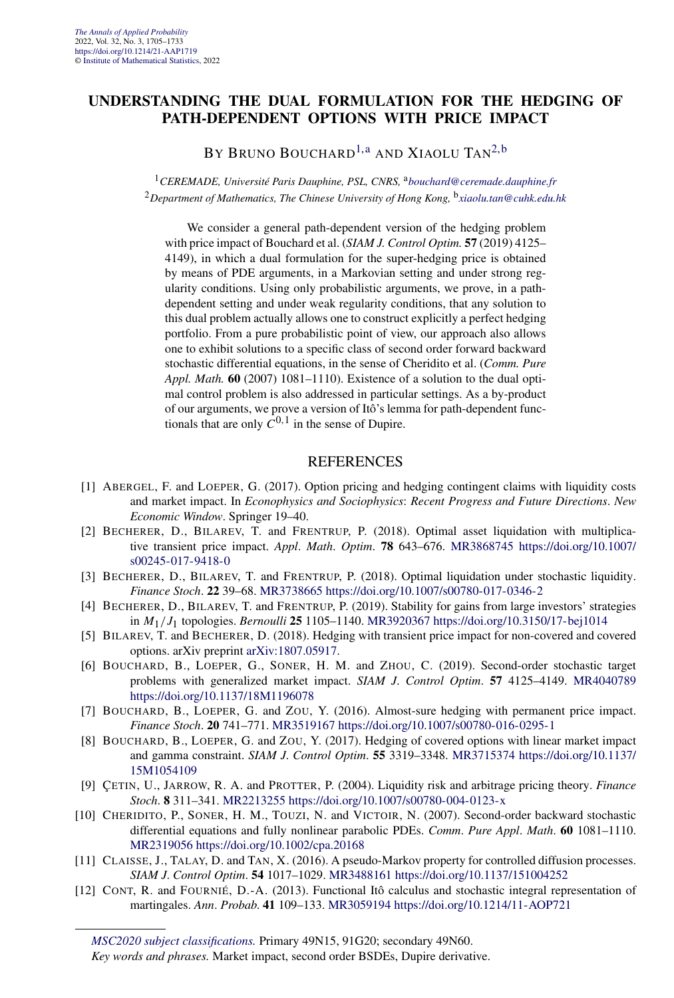#### **UNDERSTANDING THE DUAL FORMULATION FOR THE HEDGING OF PATH-DEPENDENT OPTIONS WITH PRICE IMPACT**

BY BRUNO BOUCHARD<sup>1, a</sup> AND XIAOLU TAN<sup>2, b</sup>

<sup>1</sup> CEREMADE, Université Paris Dauphine, PSL, CNRS, <sup>a</sup>[bouchard@ceremade.dauphine.fr](mailto:bouchard@ceremade.dauphine.fr) <sup>2</sup>*Department of Mathematics, The Chinese University of Hong Kong,* <sup>b</sup>*[xiaolu.tan@cuhk.edu.hk](mailto:xiaolu.tan@cuhk.edu.hk)*

We consider a general path-dependent version of the hedging problem with price impact of Bouchard et al. (*SIAM J. Control Optim.* **57** (2019) 4125– 4149), in which a dual formulation for the super-hedging price is obtained by means of PDE arguments, in a Markovian setting and under strong regularity conditions. Using only probabilistic arguments, we prove, in a pathdependent setting and under weak regularity conditions, that any solution to this dual problem actually allows one to construct explicitly a perfect hedging portfolio. From a pure probabilistic point of view, our approach also allows one to exhibit solutions to a specific class of second order forward backward stochastic differential equations, in the sense of Cheridito et al. (*Comm. Pure Appl. Math.* **60** (2007) 1081–1110). Existence of a solution to the dual optimal control problem is also addressed in particular settings. As a by-product of our arguments, we prove a version of Itô's lemma for path-dependent functionals that are only  $C^{0,1}$  in the sense of Dupire.

- [1] ABERGEL, F. and LOEPER, G. (2017). Option pricing and hedging contingent claims with liquidity costs and market impact. In *Econophysics and Sociophysics*: *Recent Progress and Future Directions*. *New Economic Window*. Springer 19–40.
- [2] BECHERER, D., BILAREV, T. and FRENTRUP, P. (2018). Optimal asset liquidation with multiplicative transient price impact. *Appl*. *Math*. *Optim*. **78** 643–676. [MR3868745](http://www.ams.org/mathscinet-getitem?mr=3868745) [https://doi.org/10.1007/](https://doi.org/10.1007/s00245-017-9418-0) [s00245-017-9418-0](https://doi.org/10.1007/s00245-017-9418-0)
- [3] BECHERER, D., BILAREV, T. and FRENTRUP, P. (2018). Optimal liquidation under stochastic liquidity. *Finance Stoch*. **22** 39–68. [MR3738665](http://www.ams.org/mathscinet-getitem?mr=3738665)<https://doi.org/10.1007/s00780-017-0346-2>
- [4] BECHERER, D., BILAREV, T. and FRENTRUP, P. (2019). Stability for gains from large investors' strategies in *M*1*/J*1 topologies. *Bernoulli* **25** 1105–1140. [MR3920367](http://www.ams.org/mathscinet-getitem?mr=3920367)<https://doi.org/10.3150/17-bej1014>
- [5] BILAREV, T. and BECHERER, D. (2018). Hedging with transient price impact for non-covered and covered options. arXiv preprint [arXiv:1807.05917](http://arxiv.org/abs/arXiv:1807.05917).
- [6] BOUCHARD, B., LOEPER, G., SONER, H. M. and ZHOU, C. (2019). Second-order stochastic target problems with generalized market impact. *SIAM J*. *Control Optim*. **57** 4125–4149. [MR4040789](http://www.ams.org/mathscinet-getitem?mr=4040789) <https://doi.org/10.1137/18M1196078>
- [7] BOUCHARD, B., LOEPER, G. and ZOU, Y. (2016). Almost-sure hedging with permanent price impact. *Finance Stoch*. **20** 741–771. [MR3519167](http://www.ams.org/mathscinet-getitem?mr=3519167)<https://doi.org/10.1007/s00780-016-0295-1>
- [8] BOUCHARD, B., LOEPER, G. and ZOU, Y. (2017). Hedging of covered options with linear market impact and gamma constraint. *SIAM J*. *Control Optim*. **55** 3319–3348. [MR3715374](http://www.ams.org/mathscinet-getitem?mr=3715374) [https://doi.org/10.1137/](https://doi.org/10.1137/15M1054109) [15M1054109](https://doi.org/10.1137/15M1054109)
- [9] ÇETIN, U., JARROW, R. A. and PROTTER, P. (2004). Liquidity risk and arbitrage pricing theory. *Finance Stoch*. **8** 311–341. [MR2213255](http://www.ams.org/mathscinet-getitem?mr=2213255)<https://doi.org/10.1007/s00780-004-0123-x>
- [10] CHERIDITO, P., SONER, H. M., TOUZI, N. and VICTOIR, N. (2007). Second-order backward stochastic differential equations and fully nonlinear parabolic PDEs. *Comm*. *Pure Appl*. *Math*. **60** 1081–1110. [MR2319056](http://www.ams.org/mathscinet-getitem?mr=2319056)<https://doi.org/10.1002/cpa.20168>
- [11] CLAISSE, J., TALAY, D. and TAN, X. (2016). A pseudo-Markov property for controlled diffusion processes. *SIAM J*. *Control Optim*. **54** 1017–1029. [MR3488161](http://www.ams.org/mathscinet-getitem?mr=3488161)<https://doi.org/10.1137/151004252>
- [12] CONT, R. and FOURNIÉ, D.-A. (2013). Functional Itô calculus and stochastic integral representation of martingales. *Ann*. *Probab*. **41** 109–133. [MR3059194](http://www.ams.org/mathscinet-getitem?mr=3059194)<https://doi.org/10.1214/11-AOP721>

*[MSC2020 subject classifications.](https://mathscinet.ams.org/mathscinet/msc/msc2020.html)* Primary 49N15, 91G20; secondary 49N60.

*Key words and phrases.* Market impact, second order BSDEs, Dupire derivative.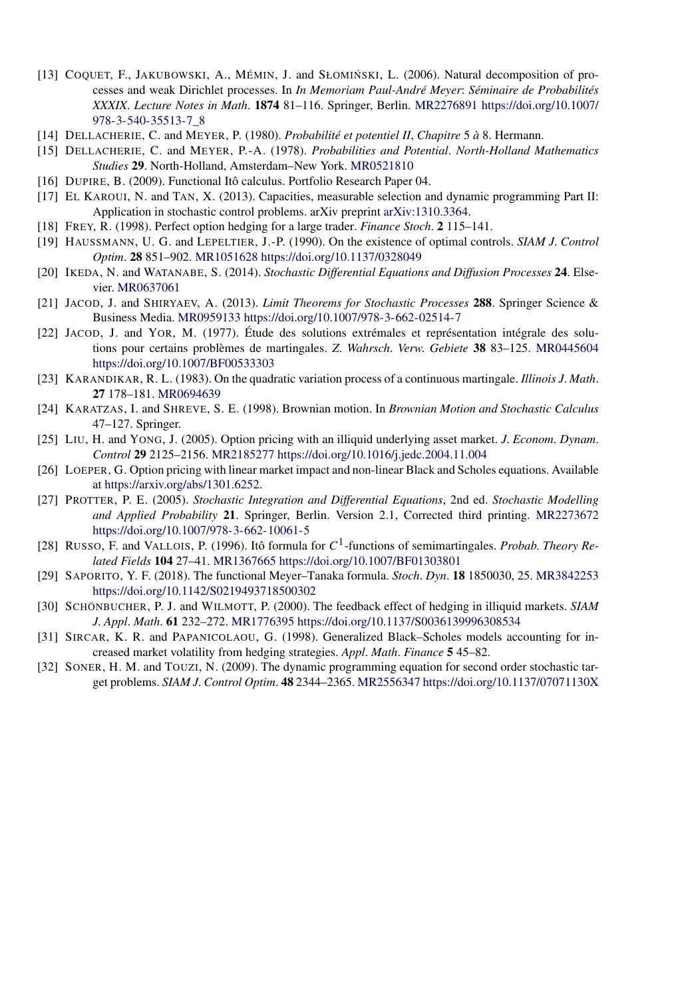- [13] COQUET, F., JAKUBOWSKI, A., MÉMIN, J. and SŁOMIŃSKI, L. (2006). Natural decomposition of processes and weak Dirichlet processes. In *In Memoriam Paul-André Meyer*: *Séminaire de Probabilités XXXIX*. *Lecture Notes in Math*. **1874** 81–116. Springer, Berlin. [MR2276891](http://www.ams.org/mathscinet-getitem?mr=2276891) [https://doi.org/10.1007/](https://doi.org/10.1007/978-3-540-35513-7_8) [978-3-540-35513-7\\_8](https://doi.org/10.1007/978-3-540-35513-7_8)
- [14] DELLACHERIE, C. and MEYER, P. (1980). *Probabilité et potentiel II*, *Chapitre* 5 *à* 8. Hermann.
- [15] DELLACHERIE, C. and MEYER, P.-A. (1978). *Probabilities and Potential*. *North-Holland Mathematics Studies* **29**. North-Holland, Amsterdam–New York. [MR0521810](http://www.ams.org/mathscinet-getitem?mr=0521810)
- [16] DUPIRE, B. (2009). Functional Itô calculus. Portfolio Research Paper 04.
- [17] EL KAROUI, N. and TAN, X. (2013). Capacities, measurable selection and dynamic programming Part II: Application in stochastic control problems. arXiv preprint [arXiv:1310.3364.](http://arxiv.org/abs/arXiv:1310.3364)
- [18] FREY, R. (1998). Perfect option hedging for a large trader. *Finance Stoch*. **2** 115–141.
- [19] HAUSSMANN, U. G. and LEPELTIER, J.-P. (1990). On the existence of optimal controls. *SIAM J*. *Control Optim*. **28** 851–902. [MR1051628](http://www.ams.org/mathscinet-getitem?mr=1051628)<https://doi.org/10.1137/0328049>
- [20] IKEDA, N. and WATANABE, S. (2014). *Stochastic Differential Equations and Diffusion Processes* **24**. Elsevier. [MR0637061](http://www.ams.org/mathscinet-getitem?mr=0637061)
- [21] JACOD, J. and SHIRYAEV, A. (2013). *Limit Theorems for Stochastic Processes* **288**. Springer Science & Business Media. [MR0959133](http://www.ams.org/mathscinet-getitem?mr=0959133)<https://doi.org/10.1007/978-3-662-02514-7>
- [22] JACOD, J. and YOR, M. (1977). Étude des solutions extrémales et représentation intégrale des solutions pour certains problèmes de martingales. *Z*. *Wahrsch*. *Verw*. *Gebiete* **38** 83–125. [MR0445604](http://www.ams.org/mathscinet-getitem?mr=0445604) <https://doi.org/10.1007/BF00533303>
- [23] KARANDIKAR, R. L. (1983). On the quadratic variation process of a continuous martingale. *Illinois J*. *Math*. **27** 178–181. [MR0694639](http://www.ams.org/mathscinet-getitem?mr=0694639)
- [24] KARATZAS, I. and SHREVE, S. E. (1998). Brownian motion. In *Brownian Motion and Stochastic Calculus* 47–127. Springer.
- [25] LIU, H. and YONG, J. (2005). Option pricing with an illiquid underlying asset market. *J*. *Econom*. *Dynam*. *Control* **29** 2125–2156. [MR2185277](http://www.ams.org/mathscinet-getitem?mr=2185277)<https://doi.org/10.1016/j.jedc.2004.11.004>
- [26] LOEPER, G. Option pricing with linear market impact and non-linear Black and Scholes equations. Available at <https://arxiv.org/abs/1301.6252>.
- [27] PROTTER, P. E. (2005). *Stochastic Integration and Differential Equations*, 2nd ed. *Stochastic Modelling and Applied Probability* **21**. Springer, Berlin. Version 2.1, Corrected third printing. [MR2273672](http://www.ams.org/mathscinet-getitem?mr=2273672) <https://doi.org/10.1007/978-3-662-10061-5>
- [28] RUSSO, F. and VALLOIS, P. (1996). Itô formula for *C*1-functions of semimartingales. *Probab*. *Theory Related Fields* **104** 27–41. [MR1367665](http://www.ams.org/mathscinet-getitem?mr=1367665)<https://doi.org/10.1007/BF01303801>
- [29] SAPORITO, Y. F. (2018). The functional Meyer–Tanaka formula. *Stoch*. *Dyn*. **18** 1850030, 25. [MR3842253](http://www.ams.org/mathscinet-getitem?mr=3842253) <https://doi.org/10.1142/S0219493718500302>
- [30] SCHÖNBUCHER, P. J. and WILMOTT, P. (2000). The feedback effect of hedging in illiquid markets. *SIAM J*. *Appl*. *Math*. **61** 232–272. [MR1776395](http://www.ams.org/mathscinet-getitem?mr=1776395)<https://doi.org/10.1137/S0036139996308534>
- [31] SIRCAR, K. R. and PAPANICOLAOU, G. (1998). Generalized Black–Scholes models accounting for increased market volatility from hedging strategies. *Appl*. *Math*. *Finance* **5** 45–82.
- [32] SONER, H. M. and TOUZI, N. (2009). The dynamic programming equation for second order stochastic target problems. *SIAM J*. *Control Optim*. **48** 2344–2365. [MR2556347](http://www.ams.org/mathscinet-getitem?mr=2556347)<https://doi.org/10.1137/07071130X>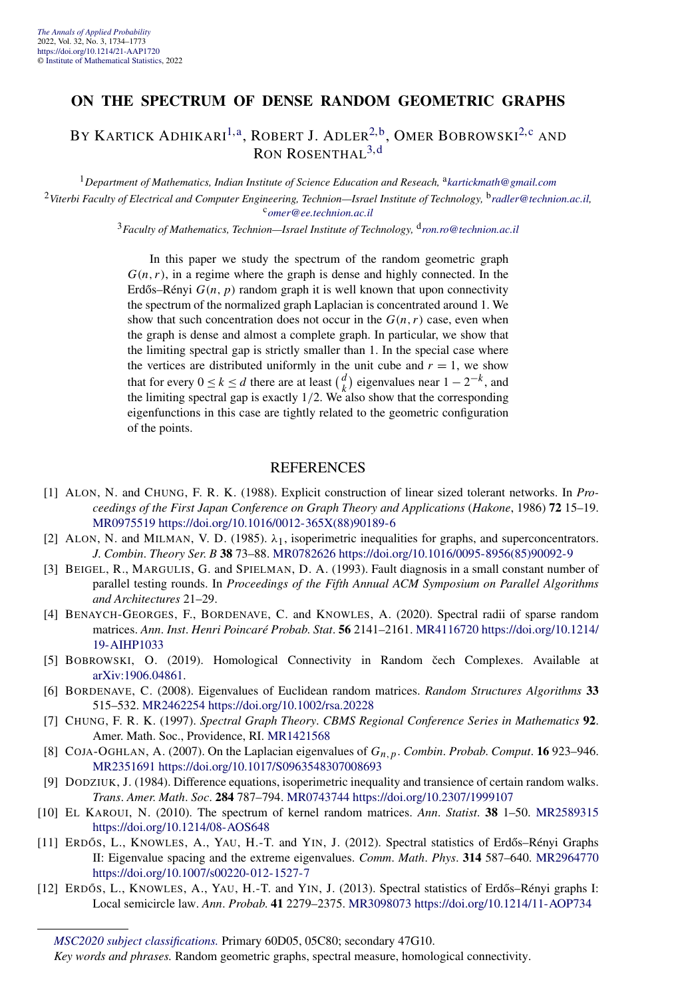#### <span id="page-18-0"></span>**ON THE SPECTRUM OF DENSE RANDOM GEOMETRIC GRAPHS**

BY KARTICK ADHIKARI<sup>1,[a](#page-4-0)</sup>, ROBERT J. ADLER<sup>2,b</sup>, OMER BOBROWSKI<sup>[2,c](#page-4-0)</sup> and RON ROSENTHAL<sup>[3,](#page-4-0)[d](#page-9-0)</sup>

<sup>1</sup>*Department of Mathematics, Indian Institute of Science Education and Reseach,* <sup>a</sup>*[kartickmath@gmail.com](mailto:kartickmath@gmail.com)* <sup>2</sup>*Viterbi Faculty of Electrical and Computer Engineering, Technion—Israel Institute of Technology,* <sup>b</sup>*[radler@technion.ac.il](mailto:radler@technion.ac.il),* <sup>c</sup>*[omer@ee.technion.ac.il](mailto:omer@ee.technion.ac.il)*

<sup>3</sup>*Faculty of Mathematics, Technion—Israel Institute of Technology,* <sup>d</sup>*[ron.ro@technion.ac.il](mailto:ron.ro@technion.ac.il)*

In this paper we study the spectrum of the random geometric graph  $G(n, r)$ , in a regime where the graph is dense and highly connected. In the Erdős–Rényi  $G(n, p)$  random graph it is well known that upon connectivity the spectrum of the normalized graph Laplacian is concentrated around 1. We show that such concentration does not occur in the  $G(n, r)$  case, even when the graph is dense and almost a complete graph. In particular, we show that the limiting spectral gap is strictly smaller than 1. In the special case where the vertices are distributed uniformly in the unit cube and  $r = 1$ , we show that for every  $0 \le k \le d$  there are at least  $\begin{pmatrix} d \\ h \end{pmatrix}$  $\binom{d}{k}$  eigenvalues near  $1 - 2^{-k}$ , and the limiting spectral gap is exactly  $1/2$ . We also show that the corresponding eigenfunctions in this case are tightly related to the geometric configuration of the points.

- [1] ALON, N. and CHUNG, F. R. K. (1988). Explicit construction of linear sized tolerant networks. In *Proceedings of the First Japan Conference on Graph Theory and Applications* (*Hakone*, 1986) **72** 15–19. [MR0975519](http://www.ams.org/mathscinet-getitem?mr=0975519) [https://doi.org/10.1016/0012-365X\(88\)90189-6](https://doi.org/10.1016/0012-365X(88)90189-6)
- [2] ALON, N. and MILMAN, V. D. (1985). *λ*1, isoperimetric inequalities for graphs, and superconcentrators. *J*. *Combin*. *Theory Ser*. *B* **38** 73–88. [MR0782626](http://www.ams.org/mathscinet-getitem?mr=0782626) [https://doi.org/10.1016/0095-8956\(85\)90092-9](https://doi.org/10.1016/0095-8956(85)90092-9)
- [3] BEIGEL, R., MARGULIS, G. and SPIELMAN, D. A. (1993). Fault diagnosis in a small constant number of parallel testing rounds. In *Proceedings of the Fifth Annual ACM Symposium on Parallel Algorithms and Architectures* 21–29.
- [4] BENAYCH-GEORGES, F., BORDENAVE, C. and KNOWLES, A. (2020). Spectral radii of sparse random matrices. *Ann*. *Inst*. *Henri Poincaré Probab*. *Stat*. **56** 2141–2161. [MR4116720](http://www.ams.org/mathscinet-getitem?mr=4116720) [https://doi.org/10.1214/](https://doi.org/10.1214/19-AIHP1033) [19-AIHP1033](https://doi.org/10.1214/19-AIHP1033)
- [5] BOBROWSKI, O. (2019). Homological Connectivity in Random čech Complexes. Available at [arXiv:1906.04861](http://arxiv.org/abs/arXiv:1906.04861).
- [6] BORDENAVE, C. (2008). Eigenvalues of Euclidean random matrices. *Random Structures Algorithms* **33** 515–532. [MR2462254](http://www.ams.org/mathscinet-getitem?mr=2462254)<https://doi.org/10.1002/rsa.20228>
- [7] CHUNG, F. R. K. (1997). *Spectral Graph Theory*. *CBMS Regional Conference Series in Mathematics* **92**. Amer. Math. Soc., Providence, RI. [MR1421568](http://www.ams.org/mathscinet-getitem?mr=1421568)
- [8] COJA-OGHLAN, A. (2007). On the Laplacian eigenvalues of *Gn,p*. *Combin*. *Probab*. *Comput*. **16** 923–946. [MR2351691](http://www.ams.org/mathscinet-getitem?mr=2351691)<https://doi.org/10.1017/S0963548307008693>
- [9] DODZIUK, J. (1984). Difference equations, isoperimetric inequality and transience of certain random walks. *Trans*. *Amer*. *Math*. *Soc*. **284** 787–794. [MR0743744](http://www.ams.org/mathscinet-getitem?mr=0743744)<https://doi.org/10.2307/1999107>
- [10] EL KAROUI, N. (2010). The spectrum of kernel random matrices. *Ann*. *Statist*. **38** 1–50. [MR2589315](http://www.ams.org/mathscinet-getitem?mr=2589315) <https://doi.org/10.1214/08-AOS648>
- [11] ERDŐS, L., KNOWLES, A., YAU, H.-T. and YIN, J. (2012). Spectral statistics of Erdős–Rényi Graphs II: Eigenvalue spacing and the extreme eigenvalues. *Comm*. *Math*. *Phys*. **314** 587–640. [MR2964770](http://www.ams.org/mathscinet-getitem?mr=2964770) <https://doi.org/10.1007/s00220-012-1527-7>
- [12] ERDŐS, L., KNOWLES, A., YAU, H.-T. and YIN, J. (2013). Spectral statistics of Erdős–Rényi graphs I: Local semicircle law. *Ann*. *Probab*. **41** 2279–2375. [MR3098073](http://www.ams.org/mathscinet-getitem?mr=3098073)<https://doi.org/10.1214/11-AOP734>

*[MSC2020 subject classifications.](https://mathscinet.ams.org/mathscinet/msc/msc2020.html)* Primary 60D05, 05C80; secondary 47G10.

*Key words and phrases.* Random geometric graphs, spectral measure, homological connectivity.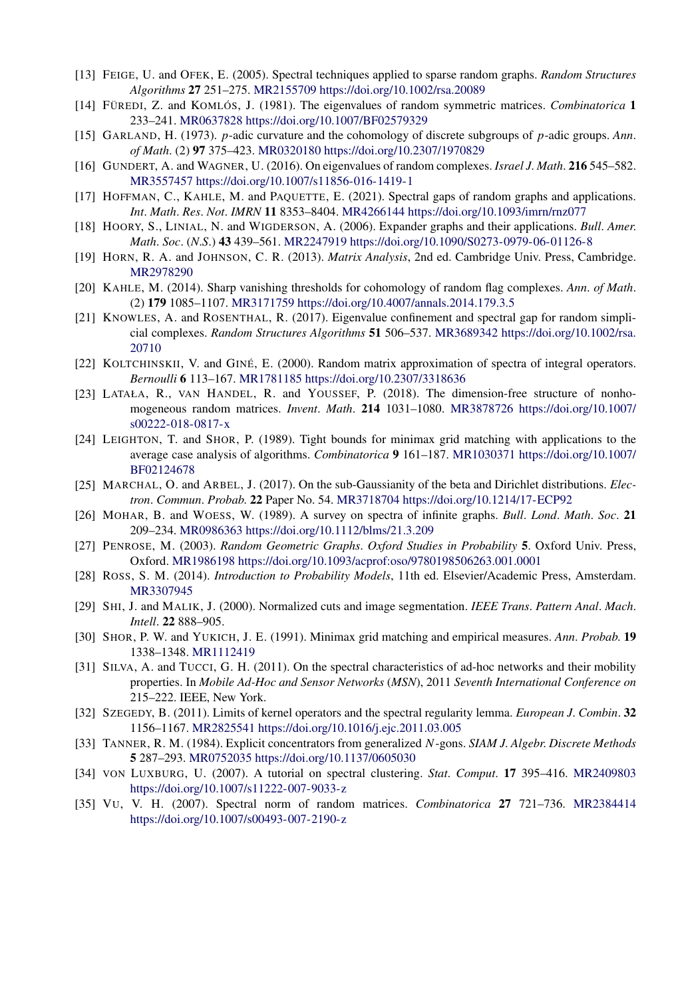- [13] FEIGE, U. and OFEK, E. (2005). Spectral techniques applied to sparse random graphs. *Random Structures Algorithms* **27** 251–275. [MR2155709](http://www.ams.org/mathscinet-getitem?mr=2155709)<https://doi.org/10.1002/rsa.20089>
- [14] FÜREDI, Z. and KOMLÓS, J. (1981). The eigenvalues of random symmetric matrices. *Combinatorica* **1** 233–241. [MR0637828](http://www.ams.org/mathscinet-getitem?mr=0637828)<https://doi.org/10.1007/BF02579329>
- [15] GARLAND, H. (1973). *p*-adic curvature and the cohomology of discrete subgroups of *p*-adic groups. *Ann*. *of Math*. (2) **97** 375–423. [MR0320180](http://www.ams.org/mathscinet-getitem?mr=0320180)<https://doi.org/10.2307/1970829>
- [16] GUNDERT, A. and WAGNER, U. (2016). On eigenvalues of random complexes. *Israel J*. *Math*. **216** 545–582. [MR3557457](http://www.ams.org/mathscinet-getitem?mr=3557457)<https://doi.org/10.1007/s11856-016-1419-1>
- [17] HOFFMAN, C., KAHLE, M. and PAQUETTE, E. (2021). Spectral gaps of random graphs and applications. *Int*. *Math*. *Res*. *Not*. *IMRN* **11** 8353–8404. [MR4266144](http://www.ams.org/mathscinet-getitem?mr=4266144)<https://doi.org/10.1093/imrn/rnz077>
- [18] HOORY, S., LINIAL, N. and WIGDERSON, A. (2006). Expander graphs and their applications. *Bull*. *Amer*. *Math*. *Soc*. (*N*.*S*.) **43** 439–561. [MR2247919](http://www.ams.org/mathscinet-getitem?mr=2247919)<https://doi.org/10.1090/S0273-0979-06-01126-8>
- [19] HORN, R. A. and JOHNSON, C. R. (2013). *Matrix Analysis*, 2nd ed. Cambridge Univ. Press, Cambridge. [MR2978290](http://www.ams.org/mathscinet-getitem?mr=2978290)
- [20] KAHLE, M. (2014). Sharp vanishing thresholds for cohomology of random flag complexes. *Ann*. *of Math*. (2) **179** 1085–1107. [MR3171759](http://www.ams.org/mathscinet-getitem?mr=3171759)<https://doi.org/10.4007/annals.2014.179.3.5>
- [21] KNOWLES, A. and ROSENTHAL, R. (2017). Eigenvalue confinement and spectral gap for random simplicial complexes. *Random Structures Algorithms* **51** 506–537. [MR3689342](http://www.ams.org/mathscinet-getitem?mr=3689342) [https://doi.org/10.1002/rsa.](https://doi.org/10.1002/rsa.20710) [20710](https://doi.org/10.1002/rsa.20710)
- [22] KOLTCHINSKII, V. and GINÉ, E. (2000). Random matrix approximation of spectra of integral operators. *Bernoulli* **6** 113–167. [MR1781185](http://www.ams.org/mathscinet-getitem?mr=1781185)<https://doi.org/10.2307/3318636>
- [23] LATAŁA, R., VAN HANDEL, R. and YOUSSEF, P. (2018). The dimension-free structure of nonhomogeneous random matrices. *Invent*. *Math*. **214** 1031–1080. [MR3878726](http://www.ams.org/mathscinet-getitem?mr=3878726) [https://doi.org/10.1007/](https://doi.org/10.1007/s00222-018-0817-x) [s00222-018-0817-x](https://doi.org/10.1007/s00222-018-0817-x)
- [24] LEIGHTON, T. and SHOR, P. (1989). Tight bounds for minimax grid matching with applications to the average case analysis of algorithms. *Combinatorica* **9** 161–187. [MR1030371](http://www.ams.org/mathscinet-getitem?mr=1030371) [https://doi.org/10.1007/](https://doi.org/10.1007/BF02124678) [BF02124678](https://doi.org/10.1007/BF02124678)
- [25] MARCHAL, O. and ARBEL, J. (2017). On the sub-Gaussianity of the beta and Dirichlet distributions. *Electron*. *Commun*. *Probab*. **22** Paper No. 54. [MR3718704](http://www.ams.org/mathscinet-getitem?mr=3718704)<https://doi.org/10.1214/17-ECP92>
- [26] MOHAR, B. and WOESS, W. (1989). A survey on spectra of infinite graphs. *Bull*. *Lond*. *Math*. *Soc*. **21** 209–234. [MR0986363](http://www.ams.org/mathscinet-getitem?mr=0986363)<https://doi.org/10.1112/blms/21.3.209>
- [27] PENROSE, M. (2003). *Random Geometric Graphs*. *Oxford Studies in Probability* **5**. Oxford Univ. Press, Oxford. [MR1986198](http://www.ams.org/mathscinet-getitem?mr=1986198)<https://doi.org/10.1093/acprof:oso/9780198506263.001.0001>
- [28] ROSS, S. M. (2014). *Introduction to Probability Models*, 11th ed. Elsevier/Academic Press, Amsterdam. [MR3307945](http://www.ams.org/mathscinet-getitem?mr=3307945)
- [29] SHI, J. and MALIK, J. (2000). Normalized cuts and image segmentation. *IEEE Trans*. *Pattern Anal*. *Mach*. *Intell*. **22** 888–905.
- [30] SHOR, P. W. and YUKICH, J. E. (1991). Minimax grid matching and empirical measures. *Ann*. *Probab*. **19** 1338–1348. [MR1112419](http://www.ams.org/mathscinet-getitem?mr=1112419)
- [31] SILVA, A. and TUCCI, G. H. (2011). On the spectral characteristics of ad-hoc networks and their mobility properties. In *Mobile Ad-Hoc and Sensor Networks* (*MSN*), 2011 *Seventh International Conference on* 215–222. IEEE, New York.
- [32] SZEGEDY, B. (2011). Limits of kernel operators and the spectral regularity lemma. *European J*. *Combin*. **32** 1156–1167. [MR2825541](http://www.ams.org/mathscinet-getitem?mr=2825541)<https://doi.org/10.1016/j.ejc.2011.03.005>
- [33] TANNER, R. M. (1984). Explicit concentrators from generalized *N*-gons. *SIAM J*. *Algebr*. *Discrete Methods* **5** 287–293. [MR0752035](http://www.ams.org/mathscinet-getitem?mr=0752035)<https://doi.org/10.1137/0605030>
- [34] VON LUXBURG, U. (2007). A tutorial on spectral clustering. *Stat*. *Comput*. **17** 395–416. [MR2409803](http://www.ams.org/mathscinet-getitem?mr=2409803) <https://doi.org/10.1007/s11222-007-9033-z>
- [35] VU, V. H. (2007). Spectral norm of random matrices. *Combinatorica* **27** 721–736. [MR2384414](http://www.ams.org/mathscinet-getitem?mr=2384414) <https://doi.org/10.1007/s00493-007-2190-z>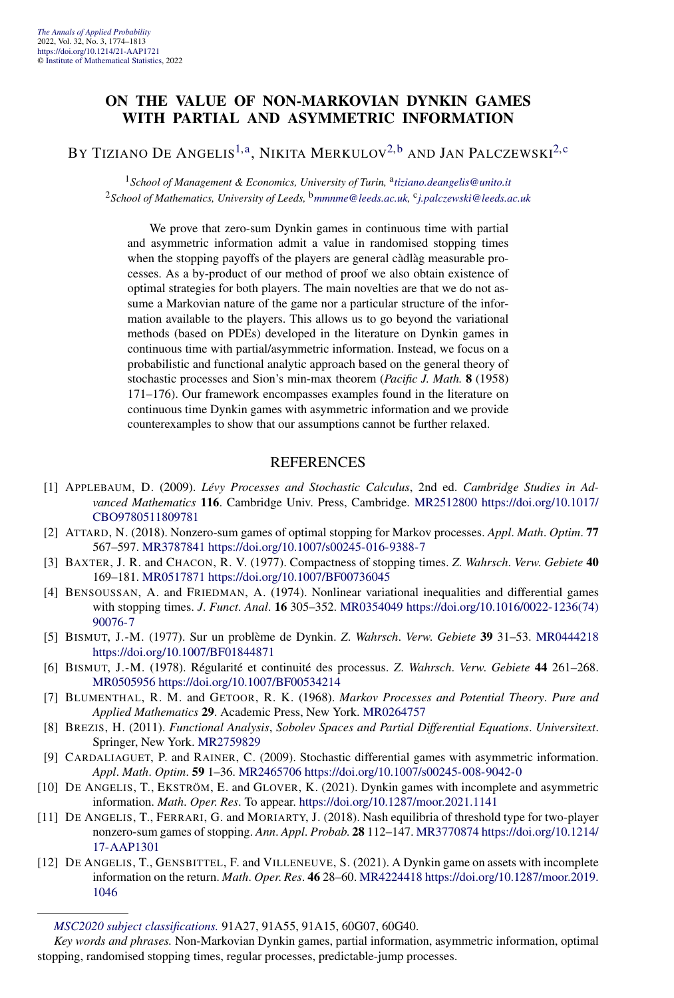#### **ON THE VALUE OF NON-MARKOVIAN DYNKIN GAMES WITH PARTIAL AND ASYMMETRIC INFORMATION**

#### BY TIZIANO DE ANGELIS<sup>[1,a](#page-4-0)</sup>, NIKITA MERKULOV<sup>[2,b](#page-4-0)</sup> AND JAN PALCZEWSKI<sup>[2,c](#page-4-0)</sup>

<sup>1</sup> School of Management & Economics, University of Turin, <sup>a</sup>[tiziano.deangelis@unito.it](mailto:tiziano.deangelis@unito.it) <sup>2</sup>*School of Mathematics, University of Leeds,* <sup>b</sup>*[mmnme@leeds.ac.uk](mailto:mmnme@leeds.ac.uk),* <sup>c</sup>*[j.palczewski@leeds.ac.uk](mailto:j.palczewski@leeds.ac.uk)*

We prove that zero-sum Dynkin games in continuous time with partial and asymmetric information admit a value in randomised stopping times when the stopping payoffs of the players are general càdlàg measurable processes. As a by-product of our method of proof we also obtain existence of optimal strategies for both players. The main novelties are that we do not assume a Markovian nature of the game nor a particular structure of the information available to the players. This allows us to go beyond the variational methods (based on PDEs) developed in the literature on Dynkin games in continuous time with partial/asymmetric information. Instead, we focus on a probabilistic and functional analytic approach based on the general theory of stochastic processes and Sion's min-max theorem (*Pacific J. Math.* **8** (1958) 171–176). Our framework encompasses examples found in the literature on continuous time Dynkin games with asymmetric information and we provide counterexamples to show that our assumptions cannot be further relaxed.

- [1] APPLEBAUM, D. (2009). *Lévy Processes and Stochastic Calculus*, 2nd ed. *Cambridge Studies in Advanced Mathematics* **116**. Cambridge Univ. Press, Cambridge. [MR2512800](http://www.ams.org/mathscinet-getitem?mr=2512800) [https://doi.org/10.1017/](https://doi.org/10.1017/CBO9780511809781) [CBO9780511809781](https://doi.org/10.1017/CBO9780511809781)
- [2] ATTARD, N. (2018). Nonzero-sum games of optimal stopping for Markov processes. *Appl*. *Math*. *Optim*. **77** 567–597. [MR3787841](http://www.ams.org/mathscinet-getitem?mr=3787841)<https://doi.org/10.1007/s00245-016-9388-7>
- [3] BAXTER, J. R. and CHACON, R. V. (1977). Compactness of stopping times. *Z*. *Wahrsch*. *Verw*. *Gebiete* **40** 169–181. [MR0517871](http://www.ams.org/mathscinet-getitem?mr=0517871)<https://doi.org/10.1007/BF00736045>
- [4] BENSOUSSAN, A. and FRIEDMAN, A. (1974). Nonlinear variational inequalities and differential games with stopping times. *J*. *Funct*. *Anal*. **16** 305–352. [MR0354049](http://www.ams.org/mathscinet-getitem?mr=0354049) [https://doi.org/10.1016/0022-1236\(74\)](https://doi.org/10.1016/0022-1236(74)90076-7) [90076-7](https://doi.org/10.1016/0022-1236(74)90076-7)
- [5] BISMUT, J.-M. (1977). Sur un problème de Dynkin. *Z*. *Wahrsch*. *Verw*. *Gebiete* **39** 31–53. [MR0444218](http://www.ams.org/mathscinet-getitem?mr=0444218) <https://doi.org/10.1007/BF01844871>
- [6] BISMUT, J.-M. (1978). Régularité et continuité des processus. *Z*. *Wahrsch*. *Verw*. *Gebiete* **44** 261–268. [MR0505956](http://www.ams.org/mathscinet-getitem?mr=0505956)<https://doi.org/10.1007/BF00534214>
- [7] BLUMENTHAL, R. M. and GETOOR, R. K. (1968). *Markov Processes and Potential Theory*. *Pure and Applied Mathematics* **29**. Academic Press, New York. [MR0264757](http://www.ams.org/mathscinet-getitem?mr=0264757)
- [8] BREZIS, H. (2011). *Functional Analysis*, *Sobolev Spaces and Partial Differential Equations*. *Universitext*. Springer, New York. [MR2759829](http://www.ams.org/mathscinet-getitem?mr=2759829)
- [9] CARDALIAGUET, P. and RAINER, C. (2009). Stochastic differential games with asymmetric information. *Appl*. *Math*. *Optim*. **59** 1–36. [MR2465706](http://www.ams.org/mathscinet-getitem?mr=2465706)<https://doi.org/10.1007/s00245-008-9042-0>
- [10] DE ANGELIS, T., EKSTRÖM, E. and GLOVER, K. (2021). Dynkin games with incomplete and asymmetric information. *Math*. *Oper*. *Res*. To appear. <https://doi.org/10.1287/moor.2021.1141>
- [11] DE ANGELIS, T., FERRARI, G. and MORIARTY, J. (2018). Nash equilibria of threshold type for two-player nonzero-sum games of stopping. *Ann*. *Appl*. *Probab*. **28** 112–147. [MR3770874](http://www.ams.org/mathscinet-getitem?mr=3770874) [https://doi.org/10.1214/](https://doi.org/10.1214/17-AAP1301) [17-AAP1301](https://doi.org/10.1214/17-AAP1301)
- [12] DE ANGELIS, T., GENSBITTEL, F. and VILLENEUVE, S. (2021). A Dynkin game on assets with incomplete information on the return. *Math*. *Oper*. *Res*. **46** 28–60. [MR4224418](http://www.ams.org/mathscinet-getitem?mr=4224418) [https://doi.org/10.1287/moor.2019.](https://doi.org/10.1287/moor.2019.1046) [1046](https://doi.org/10.1287/moor.2019.1046)

*[MSC2020 subject classifications.](https://mathscinet.ams.org/mathscinet/msc/msc2020.html)* 91A27, 91A55, 91A15, 60G07, 60G40.

*Key words and phrases.* Non-Markovian Dynkin games, partial information, asymmetric information, optimal stopping, randomised stopping times, regular processes, predictable-jump processes.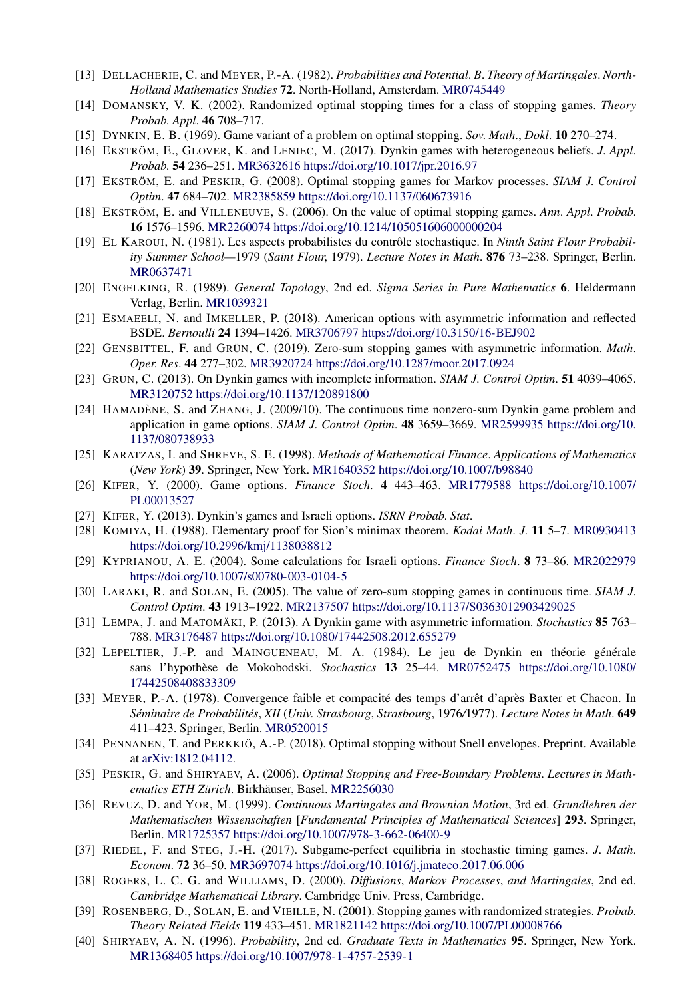- [13] DELLACHERIE, C. and MEYER, P.-A. (1982). *Probabilities and Potential*. *B*. *Theory of Martingales*. *North-Holland Mathematics Studies* **72**. North-Holland, Amsterdam. [MR0745449](http://www.ams.org/mathscinet-getitem?mr=0745449)
- [14] DOMANSKY, V. K. (2002). Randomized optimal stopping times for a class of stopping games. *Theory Probab*. *Appl*. **46** 708–717.
- [15] DYNKIN, E. B. (1969). Game variant of a problem on optimal stopping. *Sov*. *Math*., *Dokl*. **10** 270–274.
- [16] EKSTRÖM, E., GLOVER, K. and LENIEC, M. (2017). Dynkin games with heterogeneous beliefs. *J*. *Appl*. *Probab*. **54** 236–251. [MR3632616](http://www.ams.org/mathscinet-getitem?mr=3632616)<https://doi.org/10.1017/jpr.2016.97>
- [17] EKSTRÖM, E. and PESKIR, G. (2008). Optimal stopping games for Markov processes. *SIAM J*. *Control Optim*. **47** 684–702. [MR2385859](http://www.ams.org/mathscinet-getitem?mr=2385859)<https://doi.org/10.1137/060673916>
- [18] EKSTRÖM, E. and VILLENEUVE, S. (2006). On the value of optimal stopping games. *Ann*. *Appl*. *Probab*. **16** 1576–1596. [MR2260074](http://www.ams.org/mathscinet-getitem?mr=2260074)<https://doi.org/10.1214/105051606000000204>
- [19] EL KAROUI, N. (1981). Les aspects probabilistes du contrôle stochastique. In *Ninth Saint Flour Probability Summer School—*1979 (*Saint Flour*, 1979). *Lecture Notes in Math*. **876** 73–238. Springer, Berlin. [MR0637471](http://www.ams.org/mathscinet-getitem?mr=0637471)
- [20] ENGELKING, R. (1989). *General Topology*, 2nd ed. *Sigma Series in Pure Mathematics* **6**. Heldermann Verlag, Berlin. [MR1039321](http://www.ams.org/mathscinet-getitem?mr=1039321)
- [21] ESMAEELI, N. and IMKELLER, P. (2018). American options with asymmetric information and reflected BSDE. *Bernoulli* **24** 1394–1426. [MR3706797](http://www.ams.org/mathscinet-getitem?mr=3706797)<https://doi.org/10.3150/16-BEJ902>
- [22] GENSBITTEL, F. and GRÜN, C. (2019). Zero-sum stopping games with asymmetric information. *Math*. *Oper*. *Res*. **44** 277–302. [MR3920724](http://www.ams.org/mathscinet-getitem?mr=3920724)<https://doi.org/10.1287/moor.2017.0924>
- [23] GRÜN, C. (2013). On Dynkin games with incomplete information. *SIAM J*. *Control Optim*. **51** 4039–4065. [MR3120752](http://www.ams.org/mathscinet-getitem?mr=3120752)<https://doi.org/10.1137/120891800>
- [24] HAMADÈNE, S. and ZHANG, J. (2009/10). The continuous time nonzero-sum Dynkin game problem and application in game options. *SIAM J*. *Control Optim*. **48** 3659–3669. [MR2599935](http://www.ams.org/mathscinet-getitem?mr=2599935) [https://doi.org/10.](https://doi.org/10.1137/080738933) [1137/080738933](https://doi.org/10.1137/080738933)
- [25] KARATZAS, I. and SHREVE, S. E. (1998). *Methods of Mathematical Finance*. *Applications of Mathematics* (*New York*) **39**. Springer, New York. [MR1640352](http://www.ams.org/mathscinet-getitem?mr=1640352)<https://doi.org/10.1007/b98840>
- [26] KIFER, Y. (2000). Game options. *Finance Stoch*. **4** 443–463. [MR1779588](http://www.ams.org/mathscinet-getitem?mr=1779588) [https://doi.org/10.1007/](https://doi.org/10.1007/PL00013527) [PL00013527](https://doi.org/10.1007/PL00013527)
- [27] KIFER, Y. (2013). Dynkin's games and Israeli options. *ISRN Probab*. *Stat*.
- [28] KOMIYA, H. (1988). Elementary proof for Sion's minimax theorem. *Kodai Math*. *J*. **11** 5–7. [MR0930413](http://www.ams.org/mathscinet-getitem?mr=0930413) <https://doi.org/10.2996/kmj/1138038812>
- [29] KYPRIANOU, A. E. (2004). Some calculations for Israeli options. *Finance Stoch*. **8** 73–86. [MR2022979](http://www.ams.org/mathscinet-getitem?mr=2022979) <https://doi.org/10.1007/s00780-003-0104-5>
- [30] LARAKI, R. and SOLAN, E. (2005). The value of zero-sum stopping games in continuous time. *SIAM J*. *Control Optim*. **43** 1913–1922. [MR2137507](http://www.ams.org/mathscinet-getitem?mr=2137507)<https://doi.org/10.1137/S0363012903429025>
- [31] LEMPA, J. and MATOMÄKI, P. (2013). A Dynkin game with asymmetric information. *Stochastics* **85** 763– 788. [MR3176487](http://www.ams.org/mathscinet-getitem?mr=3176487)<https://doi.org/10.1080/17442508.2012.655279>
- [32] LEPELTIER, J.-P. and MAINGUENEAU, M. A. (1984). Le jeu de Dynkin en théorie générale sans l'hypothèse de Mokobodski. *Stochastics* **13** 25–44. [MR0752475](http://www.ams.org/mathscinet-getitem?mr=0752475) [https://doi.org/10.1080/](https://doi.org/10.1080/17442508408833309) [17442508408833309](https://doi.org/10.1080/17442508408833309)
- [33] MEYER, P.-A. (1978). Convergence faible et compacité des temps d'arrêt d'après Baxter et Chacon. In *Séminaire de Probabilités*, *XII* (*Univ*. *Strasbourg*, *Strasbourg*, 1976*/*1977). *Lecture Notes in Math*. **649** 411–423. Springer, Berlin. [MR0520015](http://www.ams.org/mathscinet-getitem?mr=0520015)
- [34] PENNANEN, T. and PERKKIÖ, A.-P. (2018). Optimal stopping without Snell envelopes. Preprint. Available at [arXiv:1812.04112.](http://arxiv.org/abs/arXiv:1812.04112)
- [35] PESKIR, G. and SHIRYAEV, A. (2006). *Optimal Stopping and Free-Boundary Problems*. *Lectures in Mathematics ETH Zürich*. Birkhäuser, Basel. [MR2256030](http://www.ams.org/mathscinet-getitem?mr=2256030)
- [36] REVUZ, D. and YOR, M. (1999). *Continuous Martingales and Brownian Motion*, 3rd ed. *Grundlehren der Mathematischen Wissenschaften* [*Fundamental Principles of Mathematical Sciences*] **293**. Springer, Berlin. [MR1725357](http://www.ams.org/mathscinet-getitem?mr=1725357)<https://doi.org/10.1007/978-3-662-06400-9>
- [37] RIEDEL, F. and STEG, J.-H. (2017). Subgame-perfect equilibria in stochastic timing games. *J*. *Math*. *Econom*. **72** 36–50. [MR3697074](http://www.ams.org/mathscinet-getitem?mr=3697074)<https://doi.org/10.1016/j.jmateco.2017.06.006>
- [38] ROGERS, L. C. G. and WILLIAMS, D. (2000). *Diffusions*, *Markov Processes*, *and Martingales*, 2nd ed. *Cambridge Mathematical Library*. Cambridge Univ. Press, Cambridge.
- [39] ROSENBERG, D., SOLAN, E. and VIEILLE, N. (2001). Stopping games with randomized strategies. *Probab*. *Theory Related Fields* **119** 433–451. [MR1821142](http://www.ams.org/mathscinet-getitem?mr=1821142)<https://doi.org/10.1007/PL00008766>
- [40] SHIRYAEV, A. N. (1996). *Probability*, 2nd ed. *Graduate Texts in Mathematics* **95**. Springer, New York. [MR1368405](http://www.ams.org/mathscinet-getitem?mr=1368405)<https://doi.org/10.1007/978-1-4757-2539-1>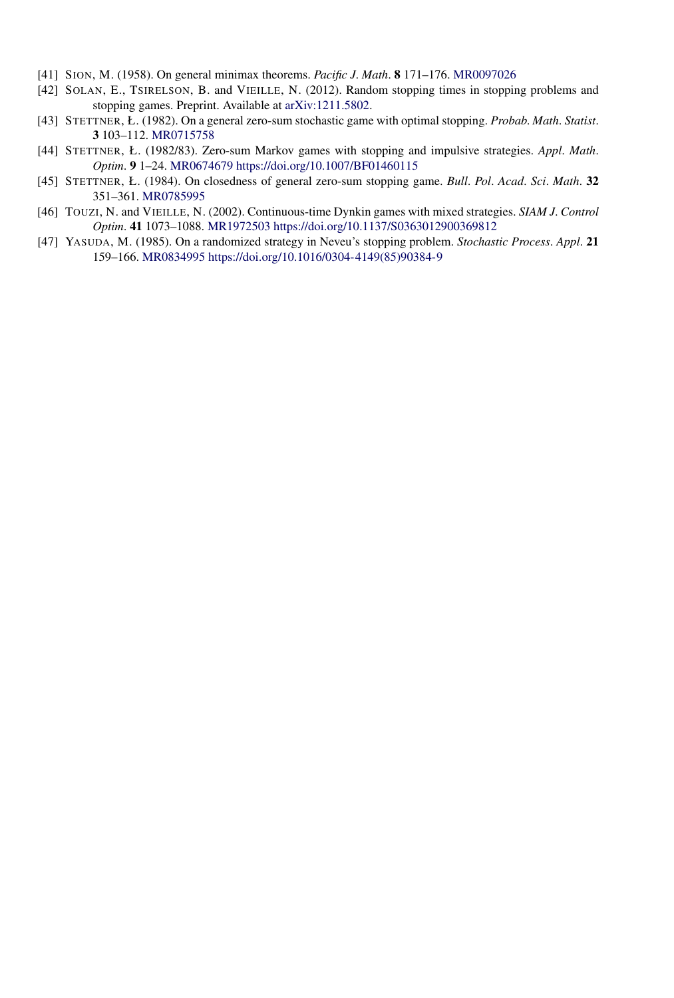- [41] SION, M. (1958). On general minimax theorems. *Pacific J*. *Math*. **8** 171–176. [MR0097026](http://www.ams.org/mathscinet-getitem?mr=0097026)
- [42] SOLAN, E., TSIRELSON, B. and VIEILLE, N. (2012). Random stopping times in stopping problems and stopping games. Preprint. Available at [arXiv:1211.5802](http://arxiv.org/abs/arXiv:1211.5802).
- [43] STETTNER, Ł. (1982). On a general zero-sum stochastic game with optimal stopping. *Probab*. *Math*. *Statist*. **3** 103–112. [MR0715758](http://www.ams.org/mathscinet-getitem?mr=0715758)
- [44] STETTNER, Ł. (1982/83). Zero-sum Markov games with stopping and impulsive strategies. *Appl*. *Math*. *Optim*. **9** 1–24. [MR0674679](http://www.ams.org/mathscinet-getitem?mr=0674679)<https://doi.org/10.1007/BF01460115>
- [45] STETTNER, Ł. (1984). On closedness of general zero-sum stopping game. *Bull*. *Pol*. *Acad*. *Sci*. *Math*. **32** 351–361. [MR0785995](http://www.ams.org/mathscinet-getitem?mr=0785995)
- [46] TOUZI, N. and VIEILLE, N. (2002). Continuous-time Dynkin games with mixed strategies. *SIAM J*. *Control Optim*. **41** 1073–1088. [MR1972503](http://www.ams.org/mathscinet-getitem?mr=1972503)<https://doi.org/10.1137/S0363012900369812>
- [47] YASUDA, M. (1985). On a randomized strategy in Neveu's stopping problem. *Stochastic Process*. *Appl*. **21** 159–166. [MR0834995](http://www.ams.org/mathscinet-getitem?mr=0834995) [https://doi.org/10.1016/0304-4149\(85\)90384-9](https://doi.org/10.1016/0304-4149(85)90384-9)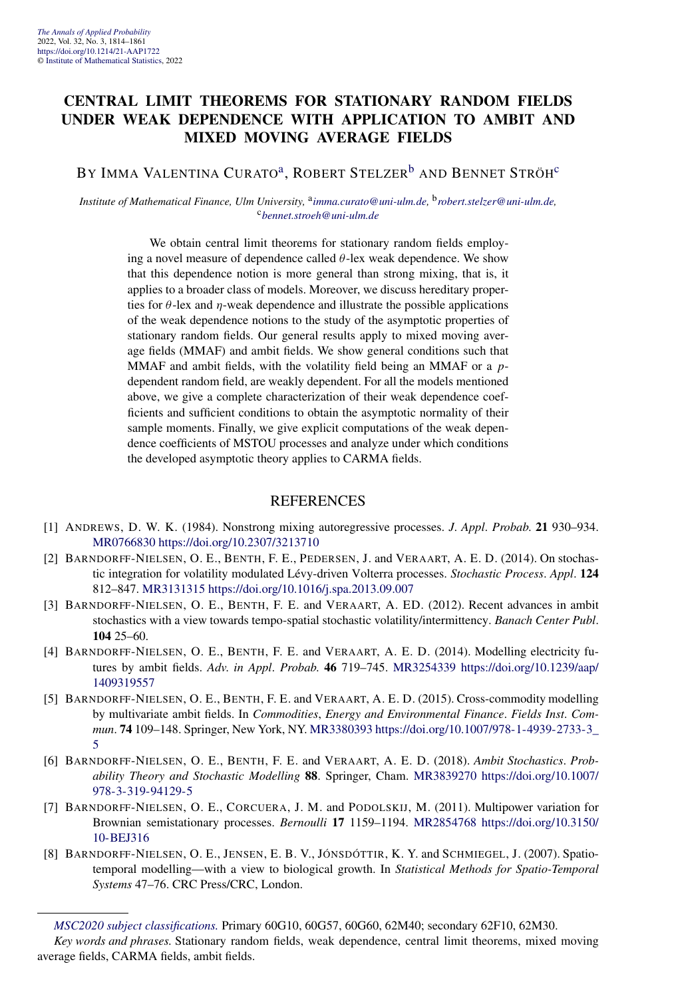#### **CENTRAL LIMIT THEOREMS FOR STATIONARY RANDOM FIELDS UNDER WEAK DEPENDENCE WITH APPLICATION TO AMBIT AND MIXED MOVING AVERAGE FIELDS**

BY IMMA VALENTINA CURATO<sup>a</sup>, ROBERT STELZER<sup>[b](#page-4-0)</sup> AND BENNET STRÖH<sup>[c](#page-4-0)</sup>

*Institute of Mathematical Finance, Ulm University,* <sup>a</sup>*[imma.curato@uni-ulm.de,](mailto:imma.curato@uni-ulm.de)* <sup>b</sup>*[robert.stelzer@uni-ulm.de,](mailto:robert.stelzer@uni-ulm.de)* <sup>c</sup>*[bennet.stroeh@uni-ulm.de](mailto:bennet.stroeh@uni-ulm.de)*

> We obtain central limit theorems for stationary random fields employing a novel measure of dependence called *θ*-lex weak dependence. We show that this dependence notion is more general than strong mixing, that is, it applies to a broader class of models. Moreover, we discuss hereditary properties for  $\theta$ -lex and  $\eta$ -weak dependence and illustrate the possible applications of the weak dependence notions to the study of the asymptotic properties of stationary random fields. Our general results apply to mixed moving average fields (MMAF) and ambit fields. We show general conditions such that MMAF and ambit fields, with the volatility field being an MMAF or a *p*dependent random field, are weakly dependent. For all the models mentioned above, we give a complete characterization of their weak dependence coefficients and sufficient conditions to obtain the asymptotic normality of their sample moments. Finally, we give explicit computations of the weak dependence coefficients of MSTOU processes and analyze under which conditions the developed asymptotic theory applies to CARMA fields.

- [1] ANDREWS, D. W. K. (1984). Nonstrong mixing autoregressive processes. *J*. *Appl*. *Probab*. **21** 930–934. [MR0766830](http://www.ams.org/mathscinet-getitem?mr=0766830)<https://doi.org/10.2307/3213710>
- [2] BARNDORFF-NIELSEN, O. E., BENTH, F. E., PEDERSEN, J. and VERAART, A. E. D. (2014). On stochastic integration for volatility modulated Lévy-driven Volterra processes. *Stochastic Process*. *Appl*. **124** 812–847. [MR3131315](http://www.ams.org/mathscinet-getitem?mr=3131315)<https://doi.org/10.1016/j.spa.2013.09.007>
- [3] BARNDORFF-NIELSEN, O. E., BENTH, F. E. and VERAART, A. ED. (2012). Recent advances in ambit stochastics with a view towards tempo-spatial stochastic volatility/intermittency. *Banach Center Publ*. **104** 25–60.
- [4] BARNDORFF-NIELSEN, O. E., BENTH, F. E. and VERAART, A. E. D. (2014). Modelling electricity futures by ambit fields. *Adv*. *in Appl*. *Probab*. **46** 719–745. [MR3254339](http://www.ams.org/mathscinet-getitem?mr=3254339) [https://doi.org/10.1239/aap/](https://doi.org/10.1239/aap/1409319557) [1409319557](https://doi.org/10.1239/aap/1409319557)
- [5] BARNDORFF-NIELSEN, O. E., BENTH, F. E. and VERAART, A. E. D. (2015). Cross-commodity modelling by multivariate ambit fields. In *Commodities*, *Energy and Environmental Finance*. *Fields Inst*. *Commun*. **74** 109–148. Springer, New York, NY. [MR3380393](http://www.ams.org/mathscinet-getitem?mr=3380393) [https://doi.org/10.1007/978-1-4939-2733-3\\_](https://doi.org/10.1007/978-1-4939-2733-3_5) [5](https://doi.org/10.1007/978-1-4939-2733-3_5)
- [6] BARNDORFF-NIELSEN, O. E., BENTH, F. E. and VERAART, A. E. D. (2018). *Ambit Stochastics*. *Probability Theory and Stochastic Modelling* **88**. Springer, Cham. [MR3839270](http://www.ams.org/mathscinet-getitem?mr=3839270) [https://doi.org/10.1007/](https://doi.org/10.1007/978-3-319-94129-5) [978-3-319-94129-5](https://doi.org/10.1007/978-3-319-94129-5)
- [7] BARNDORFF-NIELSEN, O. E., CORCUERA, J. M. and PODOLSKIJ, M. (2011). Multipower variation for Brownian semistationary processes. *Bernoulli* **17** 1159–1194. [MR2854768](http://www.ams.org/mathscinet-getitem?mr=2854768) [https://doi.org/10.3150/](https://doi.org/10.3150/10-BEJ316) [10-BEJ316](https://doi.org/10.3150/10-BEJ316)
- [8] BARNDORFF-NIELSEN, O. E., JENSEN, E. B. V., JÓNSDÓTTIR, K. Y. and SCHMIEGEL, J. (2007). Spatiotemporal modelling—with a view to biological growth. In *Statistical Methods for Spatio-Temporal Systems* 47–76. CRC Press/CRC, London.

*[MSC2020 subject classifications.](https://mathscinet.ams.org/mathscinet/msc/msc2020.html)* Primary 60G10, 60G57, 60G60, 62M40; secondary 62F10, 62M30.

*Key words and phrases.* Stationary random fields, weak dependence, central limit theorems, mixed moving average fields, CARMA fields, ambit fields.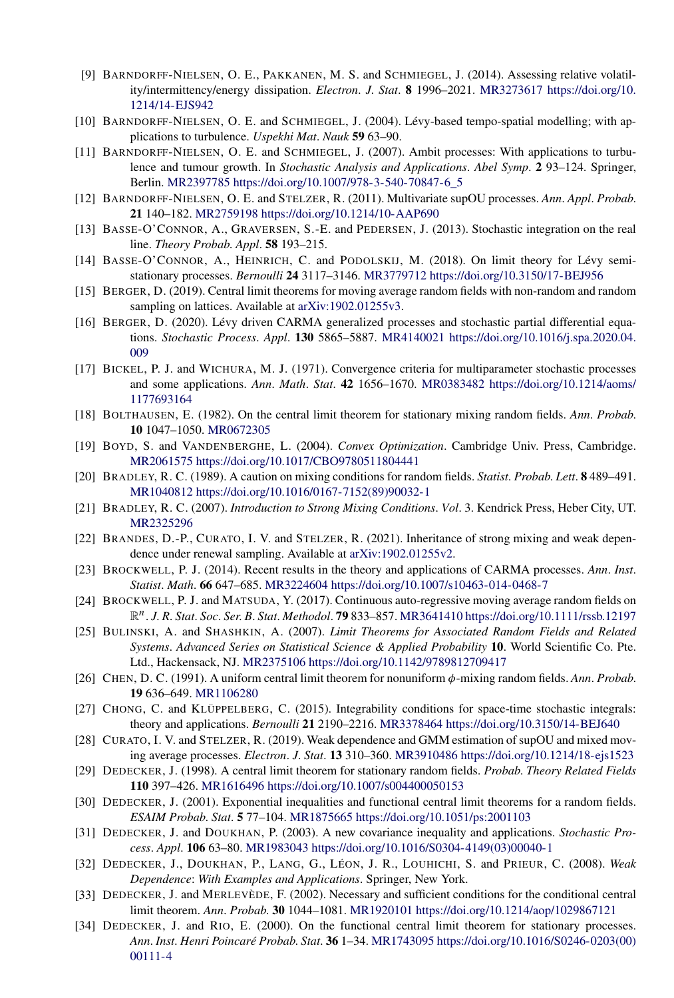- [9] BARNDORFF-NIELSEN, O. E., PAKKANEN, M. S. and SCHMIEGEL, J. (2014). Assessing relative volatility/intermittency/energy dissipation. *Electron*. *J*. *Stat*. **8** 1996–2021. [MR3273617](http://www.ams.org/mathscinet-getitem?mr=3273617) [https://doi.org/10.](https://doi.org/10.1214/14-EJS942) [1214/14-EJS942](https://doi.org/10.1214/14-EJS942)
- [10] BARNDORFF-NIELSEN, O. E. and SCHMIEGEL, J. (2004). Lévy-based tempo-spatial modelling; with applications to turbulence. *Uspekhi Mat*. *Nauk* **59** 63–90.
- [11] BARNDORFF-NIELSEN, O. E. and SCHMIEGEL, J. (2007). Ambit processes: With applications to turbulence and tumour growth. In *Stochastic Analysis and Applications*. *Abel Symp*. **2** 93–124. Springer, Berlin. [MR2397785](http://www.ams.org/mathscinet-getitem?mr=2397785) [https://doi.org/10.1007/978-3-540-70847-6\\_5](https://doi.org/10.1007/978-3-540-70847-6_5)
- [12] BARNDORFF-NIELSEN, O. E. and STELZER, R. (2011). Multivariate supOU processes. *Ann*. *Appl*. *Probab*. **21** 140–182. [MR2759198](http://www.ams.org/mathscinet-getitem?mr=2759198)<https://doi.org/10.1214/10-AAP690>
- [13] BASSE-O'CONNOR, A., GRAVERSEN, S.-E. and PEDERSEN, J. (2013). Stochastic integration on the real line. *Theory Probab*. *Appl*. **58** 193–215.
- [14] BASSE-O'CONNOR, A., HEINRICH, C. and PODOLSKIJ, M. (2018). On limit theory for Lévy semistationary processes. *Bernoulli* **24** 3117–3146. [MR3779712](http://www.ams.org/mathscinet-getitem?mr=3779712)<https://doi.org/10.3150/17-BEJ956>
- [15] BERGER, D. (2019). Central limit theorems for moving average random fields with non-random and random sampling on lattices. Available at [arXiv:1902.01255v3](http://arxiv.org/abs/arXiv:1902.01255v3).
- [16] BERGER, D. (2020). Lévy driven CARMA generalized processes and stochastic partial differential equations. *Stochastic Process*. *Appl*. **130** 5865–5887. [MR4140021](http://www.ams.org/mathscinet-getitem?mr=4140021) [https://doi.org/10.1016/j.spa.2020.04.](https://doi.org/10.1016/j.spa.2020.04.009) [009](https://doi.org/10.1016/j.spa.2020.04.009)
- [17] BICKEL, P. J. and WICHURA, M. J. (1971). Convergence criteria for multiparameter stochastic processes and some applications. *Ann*. *Math*. *Stat*. **42** 1656–1670. [MR0383482](http://www.ams.org/mathscinet-getitem?mr=0383482) [https://doi.org/10.1214/aoms/](https://doi.org/10.1214/aoms/1177693164) [1177693164](https://doi.org/10.1214/aoms/1177693164)
- [18] BOLTHAUSEN, E. (1982). On the central limit theorem for stationary mixing random fields. *Ann*. *Probab*. **10** 1047–1050. [MR0672305](http://www.ams.org/mathscinet-getitem?mr=0672305)
- [19] BOYD, S. and VANDENBERGHE, L. (2004). *Convex Optimization*. Cambridge Univ. Press, Cambridge. [MR2061575](http://www.ams.org/mathscinet-getitem?mr=2061575)<https://doi.org/10.1017/CBO9780511804441>
- [20] BRADLEY, R. C. (1989). A caution on mixing conditions for random fields. *Statist*. *Probab*. *Lett*. **8** 489–491. [MR1040812](http://www.ams.org/mathscinet-getitem?mr=1040812) [https://doi.org/10.1016/0167-7152\(89\)90032-1](https://doi.org/10.1016/0167-7152(89)90032-1)
- [21] BRADLEY, R. C. (2007). *Introduction to Strong Mixing Conditions*. *Vol*. 3. Kendrick Press, Heber City, UT. [MR2325296](http://www.ams.org/mathscinet-getitem?mr=2325296)
- [22] BRANDES, D.-P., CURATO, I. V. and STELZER, R. (2021). Inheritance of strong mixing and weak dependence under renewal sampling. Available at [arXiv:1902.01255v2](http://arxiv.org/abs/arXiv:1902.01255v2).
- [23] BROCKWELL, P. J. (2014). Recent results in the theory and applications of CARMA processes. *Ann*. *Inst*. *Statist*. *Math*. **66** 647–685. [MR3224604](http://www.ams.org/mathscinet-getitem?mr=3224604)<https://doi.org/10.1007/s10463-014-0468-7>
- [24] BROCKWELL, P. J. and MATSUDA, Y. (2017). Continuous auto-regressive moving average random fields on R*n*. *J*. *R*. *Stat*. *Soc*. *Ser*. *B*. *Stat*. *Methodol*. **79** 833–857. [MR3641410](http://www.ams.org/mathscinet-getitem?mr=3641410)<https://doi.org/10.1111/rssb.12197>
- [25] BULINSKI, A. and SHASHKIN, A. (2007). *Limit Theorems for Associated Random Fields and Related Systems*. *Advanced Series on Statistical Science & Applied Probability* **10**. World Scientific Co. Pte. Ltd., Hackensack, NJ. [MR2375106](http://www.ams.org/mathscinet-getitem?mr=2375106)<https://doi.org/10.1142/9789812709417>
- [26] CHEN, D. C. (1991). A uniform central limit theorem for nonuniform *φ*-mixing random fields. *Ann*. *Probab*. **19** 636–649. [MR1106280](http://www.ams.org/mathscinet-getitem?mr=1106280)
- [27] CHONG, C. and KLÜPPELBERG, C. (2015). Integrability conditions for space-time stochastic integrals: theory and applications. *Bernoulli* **21** 2190–2216. [MR3378464](http://www.ams.org/mathscinet-getitem?mr=3378464)<https://doi.org/10.3150/14-BEJ640>
- [28] CURATO, I. V. and STELZER, R. (2019). Weak dependence and GMM estimation of supOU and mixed moving average processes. *Electron*. *J*. *Stat*. **13** 310–360. [MR3910486](http://www.ams.org/mathscinet-getitem?mr=3910486)<https://doi.org/10.1214/18-ejs1523>
- [29] DEDECKER, J. (1998). A central limit theorem for stationary random fields. *Probab*. *Theory Related Fields* **110** 397–426. [MR1616496](http://www.ams.org/mathscinet-getitem?mr=1616496)<https://doi.org/10.1007/s004400050153>
- [30] DEDECKER, J. (2001). Exponential inequalities and functional central limit theorems for a random fields. *ESAIM Probab*. *Stat*. **5** 77–104. [MR1875665](http://www.ams.org/mathscinet-getitem?mr=1875665)<https://doi.org/10.1051/ps:2001103>
- [31] DEDECKER, J. and DOUKHAN, P. (2003). A new covariance inequality and applications. *Stochastic Process*. *Appl*. **106** 63–80. [MR1983043](http://www.ams.org/mathscinet-getitem?mr=1983043) [https://doi.org/10.1016/S0304-4149\(03\)00040-1](https://doi.org/10.1016/S0304-4149(03)00040-1)
- [32] DEDECKER, J., DOUKHAN, P., LANG, G., LÉON, J. R., LOUHICHI, S. and PRIEUR, C. (2008). *Weak Dependence*: *With Examples and Applications*. Springer, New York.
- [33] DEDECKER, J. and MERLEVÈDE, F. (2002). Necessary and sufficient conditions for the conditional central limit theorem. *Ann*. *Probab*. **30** 1044–1081. [MR1920101](http://www.ams.org/mathscinet-getitem?mr=1920101)<https://doi.org/10.1214/aop/1029867121>
- [34] DEDECKER, J. and RIO, E. (2000). On the functional central limit theorem for stationary processes. *Ann*. *Inst*. *Henri Poincaré Probab*. *Stat*. **36** 1–34. [MR1743095](http://www.ams.org/mathscinet-getitem?mr=1743095) [https://doi.org/10.1016/S0246-0203\(00\)](https://doi.org/10.1016/S0246-0203(00)00111-4) [00111-4](https://doi.org/10.1016/S0246-0203(00)00111-4)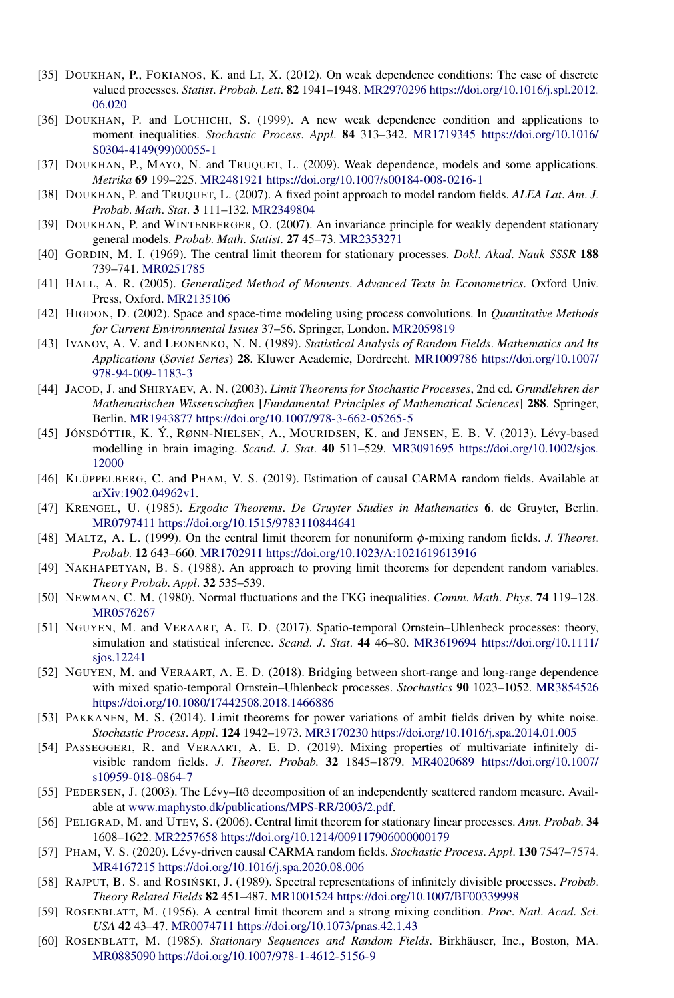- [35] DOUKHAN, P., FOKIANOS, K. and LI, X. (2012). On weak dependence conditions: The case of discrete valued processes. *Statist*. *Probab*. *Lett*. **82** 1941–1948. [MR2970296](http://www.ams.org/mathscinet-getitem?mr=2970296) [https://doi.org/10.1016/j.spl.2012.](https://doi.org/10.1016/j.spl.2012.06.020) [06.020](https://doi.org/10.1016/j.spl.2012.06.020)
- [36] DOUKHAN, P. and LOUHICHI, S. (1999). A new weak dependence condition and applications to moment inequalities. *Stochastic Process*. *Appl*. **84** 313–342. [MR1719345](http://www.ams.org/mathscinet-getitem?mr=1719345) [https://doi.org/10.1016/](https://doi.org/10.1016/S0304-4149(99)00055-1) [S0304-4149\(99\)00055-1](https://doi.org/10.1016/S0304-4149(99)00055-1)
- [37] DOUKHAN, P., MAYO, N. and TRUQUET, L. (2009). Weak dependence, models and some applications. *Metrika* **69** 199–225. [MR2481921](http://www.ams.org/mathscinet-getitem?mr=2481921)<https://doi.org/10.1007/s00184-008-0216-1>
- [38] DOUKHAN, P. and TRUQUET, L. (2007). A fixed point approach to model random fields. *ALEA Lat*. *Am*. *J*. *Probab*. *Math*. *Stat*. **3** 111–132. [MR2349804](http://www.ams.org/mathscinet-getitem?mr=2349804)
- [39] DOUKHAN, P. and WINTENBERGER, O. (2007). An invariance principle for weakly dependent stationary general models. *Probab*. *Math*. *Statist*. **27** 45–73. [MR2353271](http://www.ams.org/mathscinet-getitem?mr=2353271)
- [40] GORDIN, M. I. (1969). The central limit theorem for stationary processes. *Dokl*. *Akad*. *Nauk SSSR* **188** 739–741. [MR0251785](http://www.ams.org/mathscinet-getitem?mr=0251785)
- [41] HALL, A. R. (2005). *Generalized Method of Moments*. *Advanced Texts in Econometrics*. Oxford Univ. Press, Oxford. [MR2135106](http://www.ams.org/mathscinet-getitem?mr=2135106)
- [42] HIGDON, D. (2002). Space and space-time modeling using process convolutions. In *Quantitative Methods for Current Environmental Issues* 37–56. Springer, London. [MR2059819](http://www.ams.org/mathscinet-getitem?mr=2059819)
- [43] IVANOV, A. V. and LEONENKO, N. N. (1989). *Statistical Analysis of Random Fields*. *Mathematics and Its Applications* (*Soviet Series*) **28**. Kluwer Academic, Dordrecht. [MR1009786](http://www.ams.org/mathscinet-getitem?mr=1009786) [https://doi.org/10.1007/](https://doi.org/10.1007/978-94-009-1183-3) [978-94-009-1183-3](https://doi.org/10.1007/978-94-009-1183-3)
- [44] JACOD, J. and SHIRYAEV, A. N. (2003). *Limit Theorems for Stochastic Processes*, 2nd ed. *Grundlehren der Mathematischen Wissenschaften* [*Fundamental Principles of Mathematical Sciences*] **288**. Springer, Berlin. [MR1943877](http://www.ams.org/mathscinet-getitem?mr=1943877)<https://doi.org/10.1007/978-3-662-05265-5>
- [45] JÓNSDÓTTIR, K. Ý., RØNN-NIELSEN, A., MOURIDSEN, K. and JENSEN, E. B. V. (2013). Lévy-based modelling in brain imaging. *Scand*. *J*. *Stat*. **40** 511–529. [MR3091695](http://www.ams.org/mathscinet-getitem?mr=3091695) [https://doi.org/10.1002/sjos.](https://doi.org/10.1002/sjos.12000) [12000](https://doi.org/10.1002/sjos.12000)
- [46] KLÜPPELBERG, C. and PHAM, V. S. (2019). Estimation of causal CARMA random fields. Available at [arXiv:1902.04962v1](http://arxiv.org/abs/arXiv:1902.04962v1).
- [47] KRENGEL, U. (1985). *Ergodic Theorems*. *De Gruyter Studies in Mathematics* **6**. de Gruyter, Berlin. [MR0797411](http://www.ams.org/mathscinet-getitem?mr=0797411)<https://doi.org/10.1515/9783110844641>
- [48] MALTZ, A. L. (1999). On the central limit theorem for nonuniform *φ*-mixing random fields. *J*. *Theoret*. *Probab*. **12** 643–660. [MR1702911](http://www.ams.org/mathscinet-getitem?mr=1702911)<https://doi.org/10.1023/A:1021619613916>
- [49] NAKHAPETYAN, B. S. (1988). An approach to proving limit theorems for dependent random variables. *Theory Probab*. *Appl*. **32** 535–539.
- [50] NEWMAN, C. M. (1980). Normal fluctuations and the FKG inequalities. *Comm*. *Math*. *Phys*. **74** 119–128. [MR0576267](http://www.ams.org/mathscinet-getitem?mr=0576267)
- [51] NGUYEN, M. and VERAART, A. E. D. (2017). Spatio-temporal Ornstein–Uhlenbeck processes: theory, simulation and statistical inference. *Scand*. *J*. *Stat*. **44** 46–80. [MR3619694](http://www.ams.org/mathscinet-getitem?mr=3619694) [https://doi.org/10.1111/](https://doi.org/10.1111/sjos.12241) [sjos.12241](https://doi.org/10.1111/sjos.12241)
- [52] NGUYEN, M. and VERAART, A. E. D. (2018). Bridging between short-range and long-range dependence with mixed spatio-temporal Ornstein–Uhlenbeck processes. *Stochastics* **90** 1023–1052. [MR3854526](http://www.ams.org/mathscinet-getitem?mr=3854526) <https://doi.org/10.1080/17442508.2018.1466886>
- [53] PAKKANEN, M. S. (2014). Limit theorems for power variations of ambit fields driven by white noise. *Stochastic Process*. *Appl*. **124** 1942–1973. [MR3170230](http://www.ams.org/mathscinet-getitem?mr=3170230)<https://doi.org/10.1016/j.spa.2014.01.005>
- [54] PASSEGGERI, R. and VERAART, A. E. D. (2019). Mixing properties of multivariate infinitely divisible random fields. *J*. *Theoret*. *Probab*. **32** 1845–1879. [MR4020689](http://www.ams.org/mathscinet-getitem?mr=4020689) [https://doi.org/10.1007/](https://doi.org/10.1007/s10959-018-0864-7) [s10959-018-0864-7](https://doi.org/10.1007/s10959-018-0864-7)
- [55] PEDERSEN, J. (2003). The Lévy–Itô decomposition of an independently scattered random measure. Available at [www.maphysto.dk/publications/MPS-RR/2003/2.pdf](http://arxiv.org/abs/www.maphysto.dk/publications/MPS-RR/2003/2.pdf).
- [56] PELIGRAD, M. and UTEV, S. (2006). Central limit theorem for stationary linear processes. *Ann*. *Probab*. **34** 1608–1622. [MR2257658](http://www.ams.org/mathscinet-getitem?mr=2257658)<https://doi.org/10.1214/009117906000000179>
- [57] PHAM, V. S. (2020). Lévy-driven causal CARMA random fields. *Stochastic Process*. *Appl*. **130** 7547–7574. [MR4167215](http://www.ams.org/mathscinet-getitem?mr=4167215)<https://doi.org/10.1016/j.spa.2020.08.006>
- [58] RAJPUT, B. S. and ROSIŃSKI, J. (1989). Spectral representations of infinitely divisible processes. *Probab*. *Theory Related Fields* **82** 451–487. [MR1001524](http://www.ams.org/mathscinet-getitem?mr=1001524)<https://doi.org/10.1007/BF00339998>
- [59] ROSENBLATT, M. (1956). A central limit theorem and a strong mixing condition. *Proc*. *Natl*. *Acad*. *Sci*. *USA* **42** 43–47. [MR0074711](http://www.ams.org/mathscinet-getitem?mr=0074711)<https://doi.org/10.1073/pnas.42.1.43>
- [60] ROSENBLATT, M. (1985). *Stationary Sequences and Random Fields*. Birkhäuser, Inc., Boston, MA. [MR0885090](http://www.ams.org/mathscinet-getitem?mr=0885090)<https://doi.org/10.1007/978-1-4612-5156-9>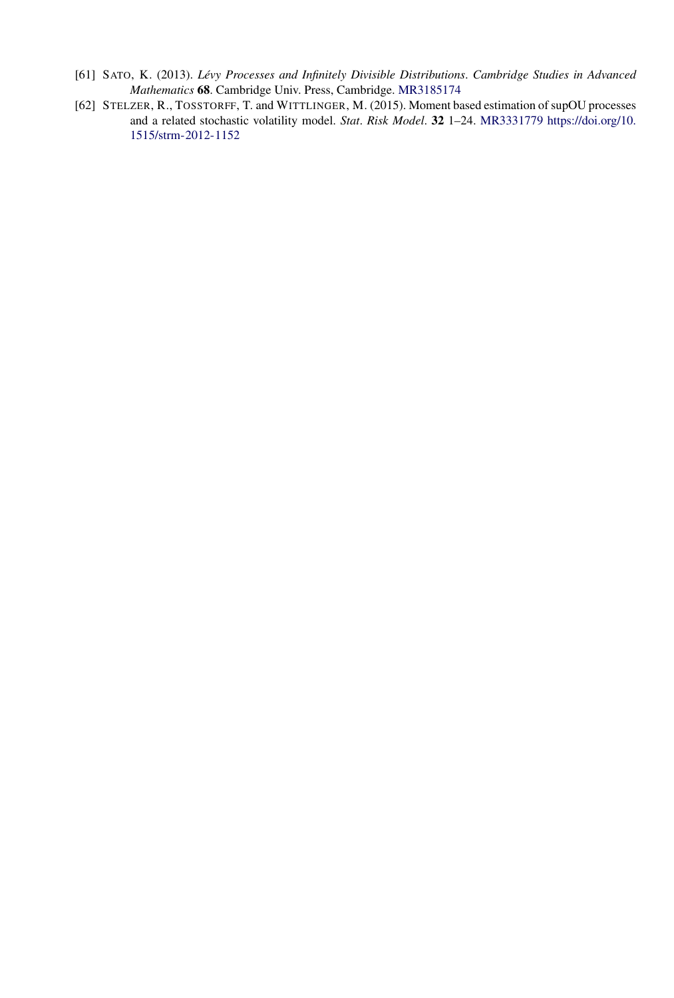- [61] SATO, K. (2013). *Lévy Processes and Infinitely Divisible Distributions*. *Cambridge Studies in Advanced Mathematics* **68**. Cambridge Univ. Press, Cambridge. [MR3185174](http://www.ams.org/mathscinet-getitem?mr=3185174)
- [62] STELZER, R., TOSSTORFF, T. and WITTLINGER, M. (2015). Moment based estimation of supOU processes and a related stochastic volatility model. *Stat*. *Risk Model*. **32** 1–24. [MR3331779](http://www.ams.org/mathscinet-getitem?mr=3331779) [https://doi.org/10.](https://doi.org/10.1515/strm-2012-1152) [1515/strm-2012-1152](https://doi.org/10.1515/strm-2012-1152)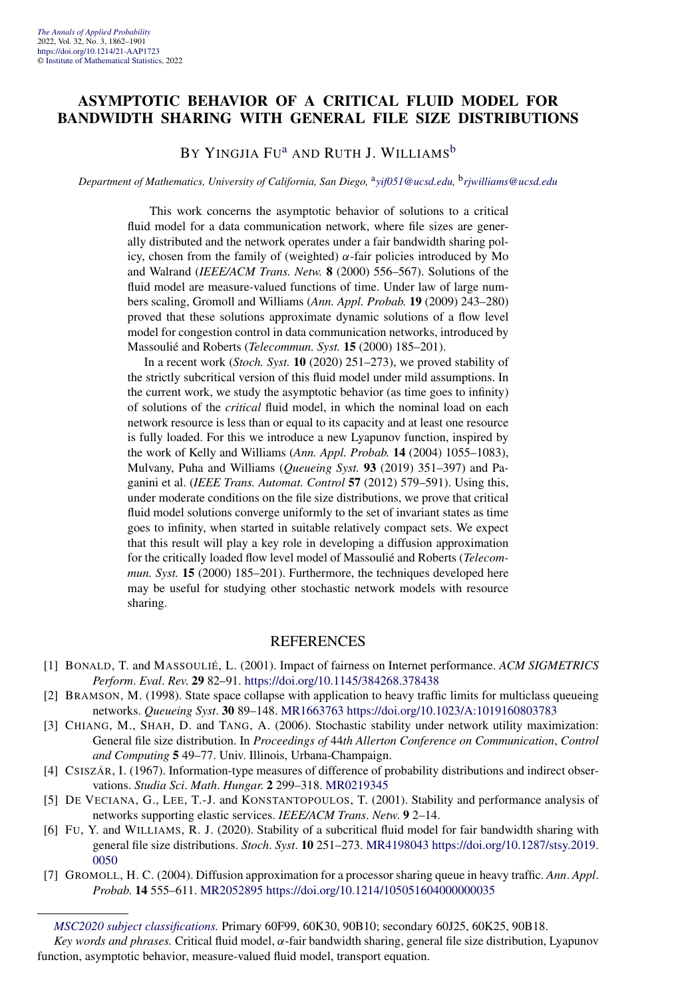#### **ASYMPTOTIC BEHAVIOR OF A CRITICAL FLUID MODEL FOR BANDWIDTH SHARING WITH GENERAL FILE SIZE DISTRIBUTIONS**

#### BY YINGJIA FU<sup>[a](#page-4-0)</sup> AND RUTH J. WILLIAMS<sup>[b](#page-4-0)</sup>

#### *Department of Mathematics, University of California, San Diego,* <sup>a</sup>*[yif051@ucsd.edu,](mailto:yif051@ucsd.edu)* <sup>b</sup>*[rjwilliams@ucsd.edu](mailto:rjwilliams@ucsd.edu)*

This work concerns the asymptotic behavior of solutions to a critical fluid model for a data communication network, where file sizes are generally distributed and the network operates under a fair bandwidth sharing policy, chosen from the family of (weighted) *α*-fair policies introduced by Mo and Walrand (*IEEE/ACM Trans. Netw.* **8** (2000) 556–567). Solutions of the fluid model are measure-valued functions of time. Under law of large numbers scaling, Gromoll and Williams (*Ann. Appl. Probab.* **19** (2009) 243–280) proved that these solutions approximate dynamic solutions of a flow level model for congestion control in data communication networks, introduced by Massoulié and Roberts (*Telecommun. Syst.* **15** (2000) 185–201).

In a recent work (*Stoch. Syst.* **10** (2020) 251–273), we proved stability of the strictly subcritical version of this fluid model under mild assumptions. In the current work, we study the asymptotic behavior (as time goes to infinity) of solutions of the *critical* fluid model, in which the nominal load on each network resource is less than or equal to its capacity and at least one resource is fully loaded. For this we introduce a new Lyapunov function, inspired by the work of Kelly and Williams (*Ann. Appl. Probab.* **14** (2004) 1055–1083), Mulvany, Puha and Williams (*Queueing Syst.* **93** (2019) 351–397) and Paganini et al. (*IEEE Trans. Automat. Control* **57** (2012) 579–591). Using this, under moderate conditions on the file size distributions, we prove that critical fluid model solutions converge uniformly to the set of invariant states as time goes to infinity, when started in suitable relatively compact sets. We expect that this result will play a key role in developing a diffusion approximation for the critically loaded flow level model of Massoulié and Roberts (*Telecommun. Syst.* **15** (2000) 185–201). Furthermore, the techniques developed here may be useful for studying other stochastic network models with resource sharing.

#### REFERENCES

- [1] BONALD, T. and MASSOULIÉ, L. (2001). Impact of fairness on Internet performance. *ACM SIGMETRICS Perform*. *Eval*. *Rev*. **29** 82–91. <https://doi.org/10.1145/384268.378438>
- [2] BRAMSON, M. (1998). State space collapse with application to heavy traffic limits for multiclass queueing networks. *Queueing Syst*. **30** 89–148. [MR1663763](http://www.ams.org/mathscinet-getitem?mr=1663763)<https://doi.org/10.1023/A:1019160803783>
- [3] CHIANG, M., SHAH, D. and TANG, A. (2006). Stochastic stability under network utility maximization: General file size distribution. In *Proceedings of* 44*th Allerton Conference on Communication*, *Control and Computing* **5** 49–77. Univ. Illinois, Urbana-Champaign.
- [4] CSISZÁR, I. (1967). Information-type measures of difference of probability distributions and indirect observations. *Studia Sci*. *Math*. *Hungar*. **2** 299–318. [MR0219345](http://www.ams.org/mathscinet-getitem?mr=0219345)
- [5] DE VECIANA, G., LEE, T.-J. and KONSTANTOPOULOS, T. (2001). Stability and performance analysis of networks supporting elastic services. *IEEE/ACM Trans*. *Netw*. **9** 2–14.
- [6] FU, Y. and WILLIAMS, R. J. (2020). Stability of a subcritical fluid model for fair bandwidth sharing with general file size distributions. *Stoch*. *Syst*. **10** 251–273. [MR4198043](http://www.ams.org/mathscinet-getitem?mr=4198043) [https://doi.org/10.1287/stsy.2019.](https://doi.org/10.1287/stsy.2019.0050) [0050](https://doi.org/10.1287/stsy.2019.0050)
- [7] GROMOLL, H. C. (2004). Diffusion approximation for a processor sharing queue in heavy traffic. *Ann*. *Appl*. *Probab*. **14** 555–611. [MR2052895](http://www.ams.org/mathscinet-getitem?mr=2052895)<https://doi.org/10.1214/105051604000000035>

*Key words and phrases.* Critical fluid model, *α*-fair bandwidth sharing, general file size distribution, Lyapunov function, asymptotic behavior, measure-valued fluid model, transport equation.

*[MSC2020 subject classifications.](https://mathscinet.ams.org/mathscinet/msc/msc2020.html)* Primary 60F99, 60K30, 90B10; secondary 60J25, 60K25, 90B18.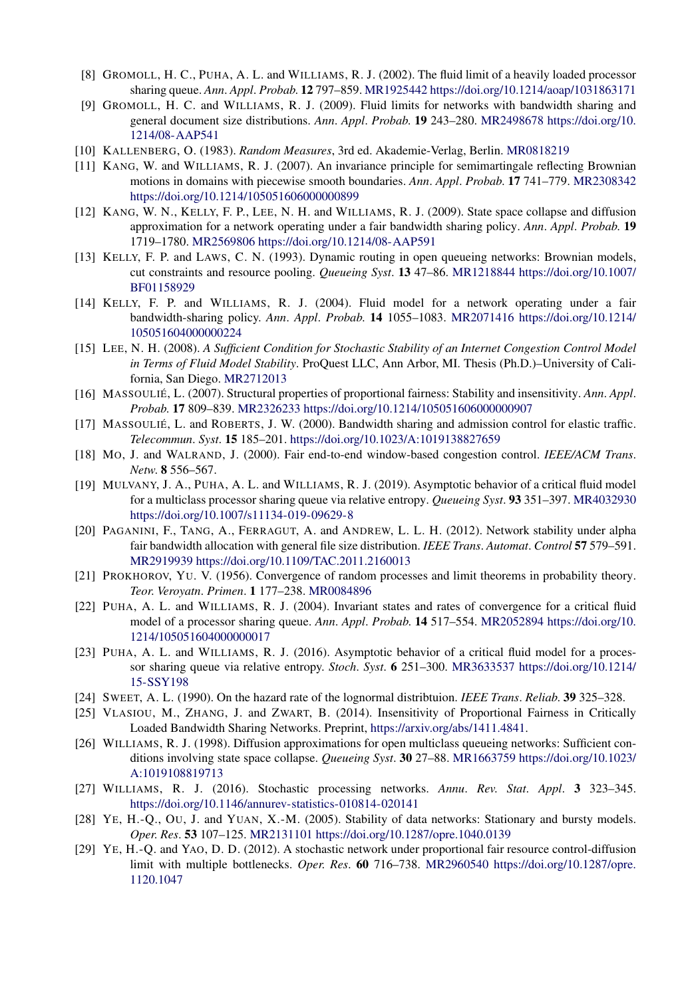- [8] GROMOLL, H. C., PUHA, A. L. and WILLIAMS, R. J. (2002). The fluid limit of a heavily loaded processor sharing queue. *Ann*. *Appl*. *Probab*. **12** 797–859. [MR1925442](http://www.ams.org/mathscinet-getitem?mr=1925442)<https://doi.org/10.1214/aoap/1031863171>
- [9] GROMOLL, H. C. and WILLIAMS, R. J. (2009). Fluid limits for networks with bandwidth sharing and general document size distributions. *Ann*. *Appl*. *Probab*. **19** 243–280. [MR2498678](http://www.ams.org/mathscinet-getitem?mr=2498678) [https://doi.org/10.](https://doi.org/10.1214/08-AAP541) [1214/08-AAP541](https://doi.org/10.1214/08-AAP541)
- [10] KALLENBERG, O. (1983). *Random Measures*, 3rd ed. Akademie-Verlag, Berlin. [MR0818219](http://www.ams.org/mathscinet-getitem?mr=0818219)
- [11] KANG, W. and WILLIAMS, R. J. (2007). An invariance principle for semimartingale reflecting Brownian motions in domains with piecewise smooth boundaries. *Ann*. *Appl*. *Probab*. **17** 741–779. [MR2308342](http://www.ams.org/mathscinet-getitem?mr=2308342) <https://doi.org/10.1214/105051606000000899>
- [12] KANG, W. N., KELLY, F. P., LEE, N. H. and WILLIAMS, R. J. (2009). State space collapse and diffusion approximation for a network operating under a fair bandwidth sharing policy. *Ann*. *Appl*. *Probab*. **19** 1719–1780. [MR2569806](http://www.ams.org/mathscinet-getitem?mr=2569806)<https://doi.org/10.1214/08-AAP591>
- [13] KELLY, F. P. and LAWS, C. N. (1993). Dynamic routing in open queueing networks: Brownian models, cut constraints and resource pooling. *Queueing Syst*. **13** 47–86. [MR1218844](http://www.ams.org/mathscinet-getitem?mr=1218844) [https://doi.org/10.1007/](https://doi.org/10.1007/BF01158929) [BF01158929](https://doi.org/10.1007/BF01158929)
- [14] KELLY, F. P. and WILLIAMS, R. J. (2004). Fluid model for a network operating under a fair bandwidth-sharing policy. *Ann*. *Appl*. *Probab*. **14** 1055–1083. [MR2071416](http://www.ams.org/mathscinet-getitem?mr=2071416) [https://doi.org/10.1214/](https://doi.org/10.1214/105051604000000224) [105051604000000224](https://doi.org/10.1214/105051604000000224)
- [15] LEE, N. H. (2008). *A Sufficient Condition for Stochastic Stability of an Internet Congestion Control Model in Terms of Fluid Model Stability*. ProQuest LLC, Ann Arbor, MI. Thesis (Ph.D.)–University of California, San Diego. [MR2712013](http://www.ams.org/mathscinet-getitem?mr=2712013)
- [16] MASSOULIÉ, L. (2007). Structural properties of proportional fairness: Stability and insensitivity. *Ann*. *Appl*. *Probab*. **17** 809–839. [MR2326233](http://www.ams.org/mathscinet-getitem?mr=2326233)<https://doi.org/10.1214/105051606000000907>
- [17] MASSOULIÉ, L. and ROBERTS, J. W. (2000). Bandwidth sharing and admission control for elastic traffic. *Telecommun*. *Syst*. **15** 185–201. <https://doi.org/10.1023/A:1019138827659>
- [18] MO, J. and WALRAND, J. (2000). Fair end-to-end window-based congestion control. *IEEE/ACM Trans*. *Netw*. **8** 556–567.
- [19] MULVANY, J. A., PUHA, A. L. and WILLIAMS, R. J. (2019). Asymptotic behavior of a critical fluid model for a multiclass processor sharing queue via relative entropy. *Queueing Syst*. **93** 351–397. [MR4032930](http://www.ams.org/mathscinet-getitem?mr=4032930) <https://doi.org/10.1007/s11134-019-09629-8>
- [20] PAGANINI, F., TANG, A., FERRAGUT, A. and ANDREW, L. L. H. (2012). Network stability under alpha fair bandwidth allocation with general file size distribution. *IEEE Trans*. *Automat*. *Control* **57** 579–591. [MR2919939](http://www.ams.org/mathscinet-getitem?mr=2919939)<https://doi.org/10.1109/TAC.2011.2160013>
- [21] PROKHOROV, YU. V. (1956). Convergence of random processes and limit theorems in probability theory. *Teor*. *Veroyatn*. *Primen*. **1** 177–238. [MR0084896](http://www.ams.org/mathscinet-getitem?mr=0084896)
- [22] PUHA, A. L. and WILLIAMS, R. J. (2004). Invariant states and rates of convergence for a critical fluid model of a processor sharing queue. *Ann*. *Appl*. *Probab*. **14** 517–554. [MR2052894](http://www.ams.org/mathscinet-getitem?mr=2052894) [https://doi.org/10.](https://doi.org/10.1214/105051604000000017) [1214/105051604000000017](https://doi.org/10.1214/105051604000000017)
- [23] PUHA, A. L. and WILLIAMS, R. J. (2016). Asymptotic behavior of a critical fluid model for a processor sharing queue via relative entropy. *Stoch*. *Syst*. **6** 251–300. [MR3633537](http://www.ams.org/mathscinet-getitem?mr=3633537) [https://doi.org/10.1214/](https://doi.org/10.1214/15-SSY198) [15-SSY198](https://doi.org/10.1214/15-SSY198)
- [24] SWEET, A. L. (1990). On the hazard rate of the lognormal distribtuion. *IEEE Trans*. *Reliab*. **39** 325–328.
- [25] VLASIOU, M., ZHANG, J. and ZWART, B. (2014). Insensitivity of Proportional Fairness in Critically Loaded Bandwidth Sharing Networks. Preprint, [https://arxiv.org/abs/1411.4841.](https://arxiv.org/abs/1411.4841)
- [26] WILLIAMS, R. J. (1998). Diffusion approximations for open multiclass queueing networks: Sufficient conditions involving state space collapse. *Queueing Syst*. **30** 27–88. [MR1663759](http://www.ams.org/mathscinet-getitem?mr=1663759) [https://doi.org/10.1023/](https://doi.org/10.1023/A:1019108819713) [A:1019108819713](https://doi.org/10.1023/A:1019108819713)
- [27] WILLIAMS, R. J. (2016). Stochastic processing networks. *Annu*. *Rev*. *Stat*. *Appl*. **3** 323–345. <https://doi.org/10.1146/annurev-statistics-010814-020141>
- [28] YE, H.-Q., OU, J. and YUAN, X.-M. (2005). Stability of data networks: Stationary and bursty models. *Oper*. *Res*. **53** 107–125. [MR2131101](http://www.ams.org/mathscinet-getitem?mr=2131101)<https://doi.org/10.1287/opre.1040.0139>
- [29] YE, H.-Q. and YAO, D. D. (2012). A stochastic network under proportional fair resource control-diffusion limit with multiple bottlenecks. *Oper*. *Res*. **60** 716–738. [MR2960540](http://www.ams.org/mathscinet-getitem?mr=2960540) [https://doi.org/10.1287/opre.](https://doi.org/10.1287/opre.1120.1047) [1120.1047](https://doi.org/10.1287/opre.1120.1047)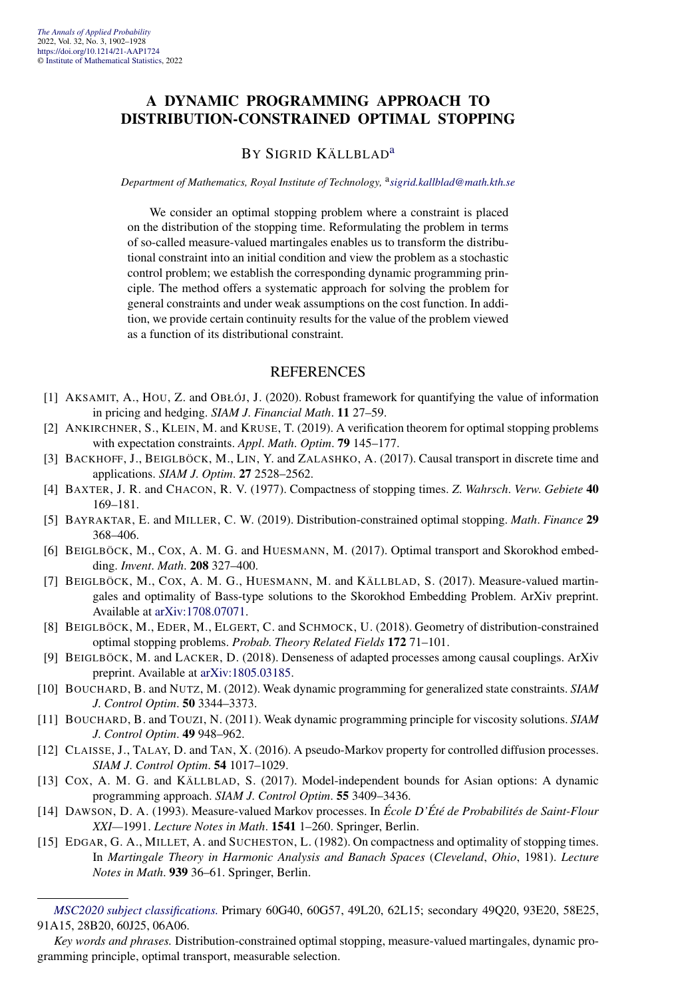#### **A DYNAMIC PROGRAMMING APPROACH TO DISTRIBUTION-CONSTRAINED OPTIMAL STOPPING**

#### BY SIGRID KÄLLBLAD<sup>[a](#page-4-0)</sup>

#### *Department of Mathematics, Royal Institute of Technology,* <sup>a</sup>*[sigrid.kallblad@math.kth.se](mailto:sigrid.kallblad@math.kth.se)*

We consider an optimal stopping problem where a constraint is placed on the distribution of the stopping time. Reformulating the problem in terms of so-called measure-valued martingales enables us to transform the distributional constraint into an initial condition and view the problem as a stochastic control problem; we establish the corresponding dynamic programming principle. The method offers a systematic approach for solving the problem for general constraints and under weak assumptions on the cost function. In addition, we provide certain continuity results for the value of the problem viewed as a function of its distributional constraint.

- [1] AKSAMIT, A., HOU, Z. and OBŁÓJ, J. (2020). Robust framework for quantifying the value of information in pricing and hedging. *SIAM J*. *Financial Math*. **11** 27–59.
- [2] ANKIRCHNER, S., KLEIN, M. and KRUSE, T. (2019). A verification theorem for optimal stopping problems with expectation constraints. *Appl*. *Math*. *Optim*. **79** 145–177.
- [3] BACKHOFF, J., BEIGLBÖCK, M., LIN, Y. and ZALASHKO, A. (2017). Causal transport in discrete time and applications. *SIAM J*. *Optim*. **27** 2528–2562.
- [4] BAXTER, J. R. and CHACON, R. V. (1977). Compactness of stopping times. *Z*. *Wahrsch*. *Verw*. *Gebiete* **40** 169–181.
- [5] BAYRAKTAR, E. and MILLER, C. W. (2019). Distribution-constrained optimal stopping. *Math*. *Finance* **29** 368–406.
- [6] BEIGLBÖCK, M., COX, A. M. G. and HUESMANN, M. (2017). Optimal transport and Skorokhod embedding. *Invent*. *Math*. **208** 327–400.
- [7] BEIGLBÖCK, M., COX, A. M. G., HUESMANN, M. and KÄLLBLAD, S. (2017). Measure-valued martingales and optimality of Bass-type solutions to the Skorokhod Embedding Problem. ArXiv preprint. Available at [arXiv:1708.07071](http://arxiv.org/abs/arXiv:1708.07071).
- [8] BEIGLBÖCK, M., EDER, M., ELGERT, C. and SCHMOCK, U. (2018). Geometry of distribution-constrained optimal stopping problems. *Probab*. *Theory Related Fields* **172** 71–101.
- [9] BEIGLBÖCK, M. and LACKER, D. (2018). Denseness of adapted processes among causal couplings. ArXiv preprint. Available at [arXiv:1805.03185.](http://arxiv.org/abs/arXiv:1805.03185)
- [10] BOUCHARD, B. and NUTZ, M. (2012). Weak dynamic programming for generalized state constraints. *SIAM J*. *Control Optim*. **50** 3344–3373.
- [11] BOUCHARD, B. and TOUZI, N. (2011). Weak dynamic programming principle for viscosity solutions. *SIAM J*. *Control Optim*. **49** 948–962.
- [12] CLAISSE, J., TALAY, D. and TAN, X. (2016). A pseudo-Markov property for controlled diffusion processes. *SIAM J*. *Control Optim*. **54** 1017–1029.
- [13] COX, A. M. G. and KÄLLBLAD, S. (2017). Model-independent bounds for Asian options: A dynamic programming approach. *SIAM J*. *Control Optim*. **55** 3409–3436.
- [14] DAWSON, D. A. (1993). Measure-valued Markov processes. In *École D'Été de Probabilités de Saint-Flour XXI—*1991. *Lecture Notes in Math*. **1541** 1–260. Springer, Berlin.
- [15] EDGAR, G. A., MILLET, A. and SUCHESTON, L. (1982). On compactness and optimality of stopping times. In *Martingale Theory in Harmonic Analysis and Banach Spaces* (*Cleveland*, *Ohio*, 1981). *Lecture Notes in Math*. **939** 36–61. Springer, Berlin.

*[MSC2020 subject classifications.](https://mathscinet.ams.org/mathscinet/msc/msc2020.html)* Primary 60G40, 60G57, 49L20, 62L15; secondary 49Q20, 93E20, 58E25, 91A15, 28B20, 60J25, 06A06.

*Key words and phrases.* Distribution-constrained optimal stopping, measure-valued martingales, dynamic programming principle, optimal transport, measurable selection.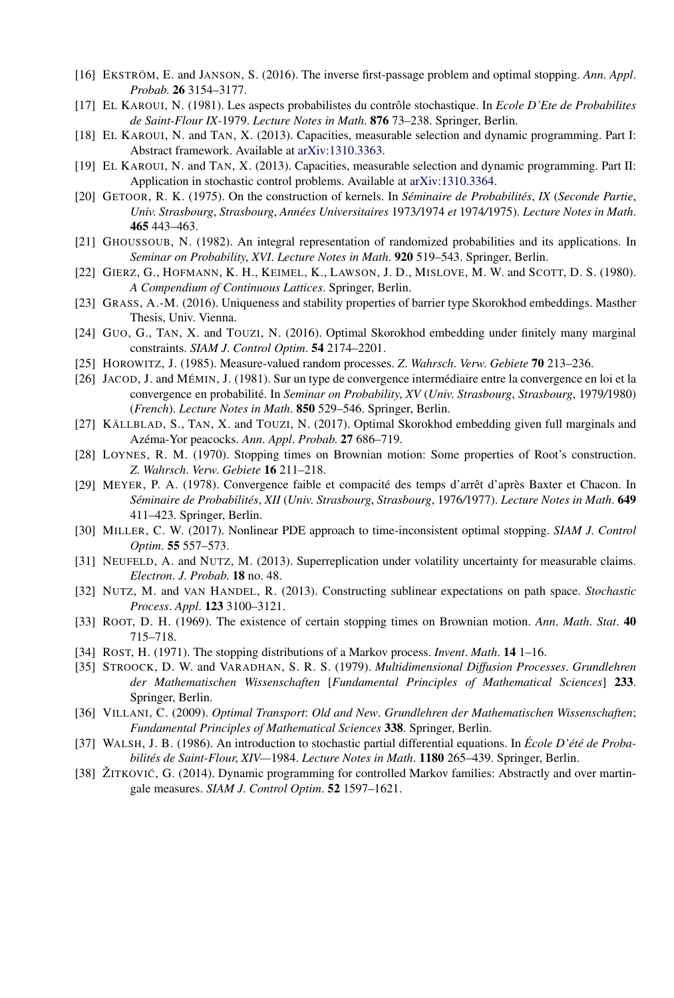- [16] EKSTRÖM, E. and JANSON, S. (2016). The inverse first-passage problem and optimal stopping. *Ann*. *Appl*. *Probab*. **26** 3154–3177.
- [17] EL KAROUI, N. (1981). Les aspects probabilistes du contrôle stochastique. In *Ecole D'Ete de Probabilites de Saint-Flour IX-*1979. *Lecture Notes in Math*. **876** 73–238. Springer, Berlin.
- [18] EL KAROUI, N. and TAN, X. (2013). Capacities, measurable selection and dynamic programming. Part I: Abstract framework. Available at [arXiv:1310.3363.](http://arxiv.org/abs/arXiv:1310.3363)
- [19] EL KAROUI, N. and TAN, X. (2013). Capacities, measurable selection and dynamic programming. Part II: Application in stochastic control problems. Available at [arXiv:1310.3364](http://arxiv.org/abs/arXiv:1310.3364).
- [20] GETOOR, R. K. (1975). On the construction of kernels. In *Séminaire de Probabilités*, *IX* (*Seconde Partie*, *Univ*. *Strasbourg*, *Strasbourg*, *Années Universitaires* 1973*/*1974 *et* 1974*/*1975). *Lecture Notes in Math*. **465** 443–463.
- [21] GHOUSSOUB, N. (1982). An integral representation of randomized probabilities and its applications. In *Seminar on Probability*, *XVI*. *Lecture Notes in Math*. **920** 519–543. Springer, Berlin.
- [22] GIERZ, G., HOFMANN, K. H., KEIMEL, K., LAWSON, J. D., MISLOVE, M. W. and SCOTT, D. S. (1980). *A Compendium of Continuous Lattices*. Springer, Berlin.
- [23] GRASS, A.-M. (2016). Uniqueness and stability properties of barrier type Skorokhod embeddings. Masther Thesis, Univ. Vienna.
- [24] GUO, G., TAN, X. and TOUZI, N. (2016). Optimal Skorokhod embedding under finitely many marginal constraints. *SIAM J*. *Control Optim*. **54** 2174–2201.
- [25] HOROWITZ, J. (1985). Measure-valued random processes. *Z*. *Wahrsch*. *Verw*. *Gebiete* **70** 213–236.
- [26] JACOD, J. and MÉMIN, J. (1981). Sur un type de convergence intermédiaire entre la convergence en loi et la convergence en probabilité. In *Seminar on Probability*, *XV* (*Univ*. *Strasbourg*, *Strasbourg*, 1979*/*1980) (*French*). *Lecture Notes in Math*. **850** 529–546. Springer, Berlin.
- [27] KÄLLBLAD, S., TAN, X. and TOUZI, N. (2017). Optimal Skorokhod embedding given full marginals and Azéma-Yor peacocks. *Ann*. *Appl*. *Probab*. **27** 686–719.
- [28] LOYNES, R. M. (1970). Stopping times on Brownian motion: Some properties of Root's construction. *Z*. *Wahrsch*. *Verw*. *Gebiete* **16** 211–218.
- [29] MEYER, P. A. (1978). Convergence faible et compacité des temps d'arrêt d'après Baxter et Chacon. In *Séminaire de Probabilités*, *XII* (*Univ*. *Strasbourg*, *Strasbourg*, 1976*/*1977). *Lecture Notes in Math*. **649** 411–423. Springer, Berlin.
- [30] MILLER, C. W. (2017). Nonlinear PDE approach to time-inconsistent optimal stopping. *SIAM J*. *Control Optim*. **55** 557–573.
- [31] NEUFELD, A. and NUTZ, M. (2013). Superreplication under volatility uncertainty for measurable claims. *Electron*. *J*. *Probab*. **18** no. 48.
- [32] NUTZ, M. and VAN HANDEL, R. (2013). Constructing sublinear expectations on path space. *Stochastic Process*. *Appl*. **123** 3100–3121.
- [33] ROOT, D. H. (1969). The existence of certain stopping times on Brownian motion. *Ann*. *Math*. *Stat*. **40** 715–718.
- [34] ROST, H. (1971). The stopping distributions of a Markov process. *Invent*. *Math*. **14** 1–16.
- [35] STROOCK, D. W. and VARADHAN, S. R. S. (1979). *Multidimensional Diffusion Processes*. *Grundlehren der Mathematischen Wissenschaften* [*Fundamental Principles of Mathematical Sciences*] **233**. Springer, Berlin.
- [36] VILLANI, C. (2009). *Optimal Transport*: *Old and New*. *Grundlehren der Mathematischen Wissenschaften*; *Fundamental Principles of Mathematical Sciences* **338**. Springer, Berlin.
- [37] WALSH, J. B. (1986). An introduction to stochastic partial differential equations. In *École D'été de Probabilités de Saint-Flour*, *XIV—*1984. *Lecture Notes in Math*. **1180** 265–439. Springer, Berlin.
- [38] ŽITKOVIĆ, G. (2014). Dynamic programming for controlled Markov families: Abstractly and over martingale measures. *SIAM J*. *Control Optim*. **52** 1597–1621.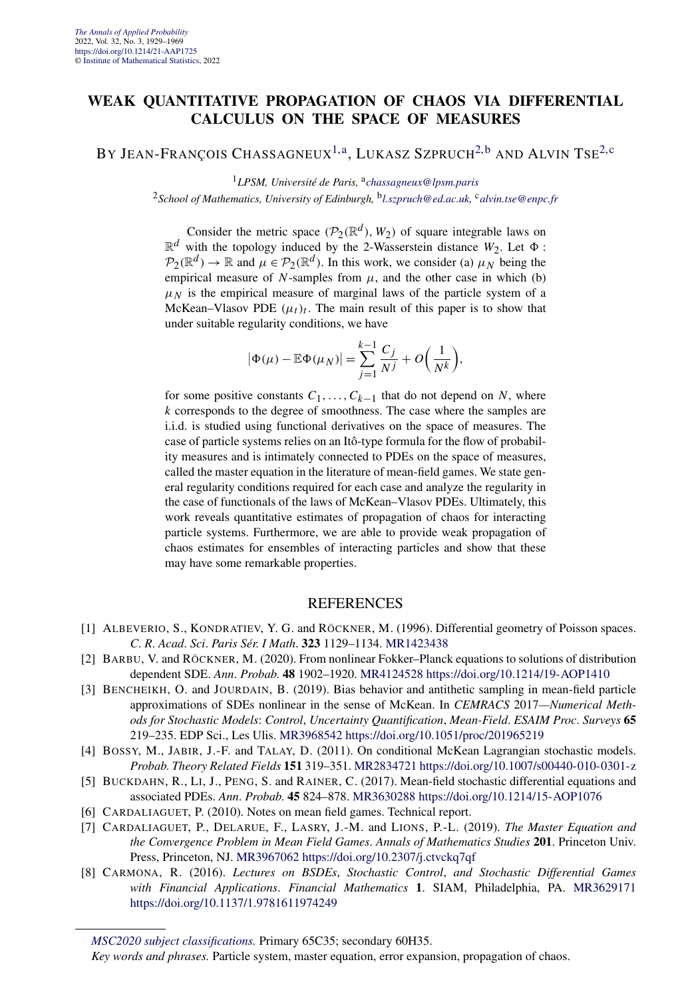#### **WEAK QUANTITATIVE PROPAGATION OF CHAOS VIA DIFFERENTIAL CALCULUS ON THE SPACE OF MEASURES**

BY JEAN-FRANÇOIS CHASSAGNEUX<sup>1,a</sup>, LUKASZ SZPRUCH<sup>[2,b](#page-4-0)</sup> AND ALVIN TSE<sup>[2,c](#page-4-0)</sup>

<sup>1</sup>*LPSM, Université de Paris,* <sup>a</sup>*[chassagneux@lpsm.paris](mailto:chassagneux@lpsm.paris)* <sup>2</sup>*School of Mathematics, University of Edinburgh,* <sup>b</sup>*[l.szpruch@ed.ac.uk,](mailto:l.szpruch@ed.ac.uk)* <sup>c</sup>*[alvin.tse@enpc.fr](mailto:alvin.tse@enpc.fr)*

Consider the metric space  $(\mathcal{P}_2(\mathbb{R}^d), W_2)$  of square integrable laws on  $\mathbb{R}^d$  with the topology induced by the 2-Wasserstein distance  $W_2$ . Let  $\Phi$ :  $P_2(\mathbb{R}^d) \to \mathbb{R}$  and  $\mu \in P_2(\mathbb{R}^d)$ . In this work, we consider (a)  $\mu_N$  being the empirical measure of *N*-samples from  $\mu$ , and the other case in which (b)  $\mu$ <sub>N</sub> is the empirical measure of marginal laws of the particle system of a McKean–Vlasov PDE  $(\mu_t)_t$ . The main result of this paper is to show that under suitable regularity conditions, we have

$$
|\Phi(\mu) - \mathbb{E}\Phi(\mu_N)| = \sum_{j=1}^{k-1} \frac{C_j}{N^j} + O\left(\frac{1}{N^k}\right),
$$

for some positive constants  $C_1, \ldots, C_{k-1}$  that do not depend on *N*, where *k* corresponds to the degree of smoothness. The case where the samples are i.i.d. is studied using functional derivatives on the space of measures. The case of particle systems relies on an Itô-type formula for the flow of probability measures and is intimately connected to PDEs on the space of measures, called the master equation in the literature of mean-field games. We state general regularity conditions required for each case and analyze the regularity in the case of functionals of the laws of McKean–Vlasov PDEs. Ultimately, this work reveals quantitative estimates of propagation of chaos for interacting particle systems. Furthermore, we are able to provide weak propagation of chaos estimates for ensembles of interacting particles and show that these may have some remarkable properties.

- [1] ALBEVERIO, S., KONDRATIEV, Y. G. and RÖCKNER, M. (1996). Differential geometry of Poisson spaces. *C*. *R*. *Acad*. *Sci*. *Paris Sér*. *I Math*. **323** 1129–1134. [MR1423438](http://www.ams.org/mathscinet-getitem?mr=1423438)
- [2] BARBU, V. and RÖCKNER, M. (2020). From nonlinear Fokker–Planck equations to solutions of distribution dependent SDE. *Ann*. *Probab*. **48** 1902–1920. [MR4124528](http://www.ams.org/mathscinet-getitem?mr=4124528)<https://doi.org/10.1214/19-AOP1410>
- [3] BENCHEIKH, O. and JOURDAIN, B. (2019). Bias behavior and antithetic sampling in mean-field particle approximations of SDEs nonlinear in the sense of McKean. In *CEMRACS* 2017*—Numerical Methods for Stochastic Models*: *Control*, *Uncertainty Quantification*, *Mean-Field*. *ESAIM Proc*. *Surveys* **65** 219–235. EDP Sci., Les Ulis. [MR3968542](http://www.ams.org/mathscinet-getitem?mr=3968542)<https://doi.org/10.1051/proc/201965219>
- [4] BOSSY, M., JABIR, J.-F. and TALAY, D. (2011). On conditional McKean Lagrangian stochastic models. *Probab*. *Theory Related Fields* **151** 319–351. [MR2834721](http://www.ams.org/mathscinet-getitem?mr=2834721)<https://doi.org/10.1007/s00440-010-0301-z>
- [5] BUCKDAHN, R., LI, J., PENG, S. and RAINER, C. (2017). Mean-field stochastic differential equations and associated PDEs. *Ann*. *Probab*. **45** 824–878. [MR3630288](http://www.ams.org/mathscinet-getitem?mr=3630288)<https://doi.org/10.1214/15-AOP1076>
- [6] CARDALIAGUET, P. (2010). Notes on mean field games. Technical report.
- [7] CARDALIAGUET, P., DELARUE, F., LASRY, J.-M. and LIONS, P.-L. (2019). *The Master Equation and the Convergence Problem in Mean Field Games*. *Annals of Mathematics Studies* **201**. Princeton Univ. Press, Princeton, NJ. [MR3967062](http://www.ams.org/mathscinet-getitem?mr=3967062)<https://doi.org/10.2307/j.ctvckq7qf>
- [8] CARMONA, R. (2016). *Lectures on BSDEs*, *Stochastic Control*, *and Stochastic Differential Games with Financial Applications*. *Financial Mathematics* **1**. SIAM, Philadelphia, PA. [MR3629171](http://www.ams.org/mathscinet-getitem?mr=3629171) <https://doi.org/10.1137/1.9781611974249>

*[MSC2020 subject classifications.](https://mathscinet.ams.org/mathscinet/msc/msc2020.html)* Primary 65C35; secondary 60H35.

*Key words and phrases.* Particle system, master equation, error expansion, propagation of chaos.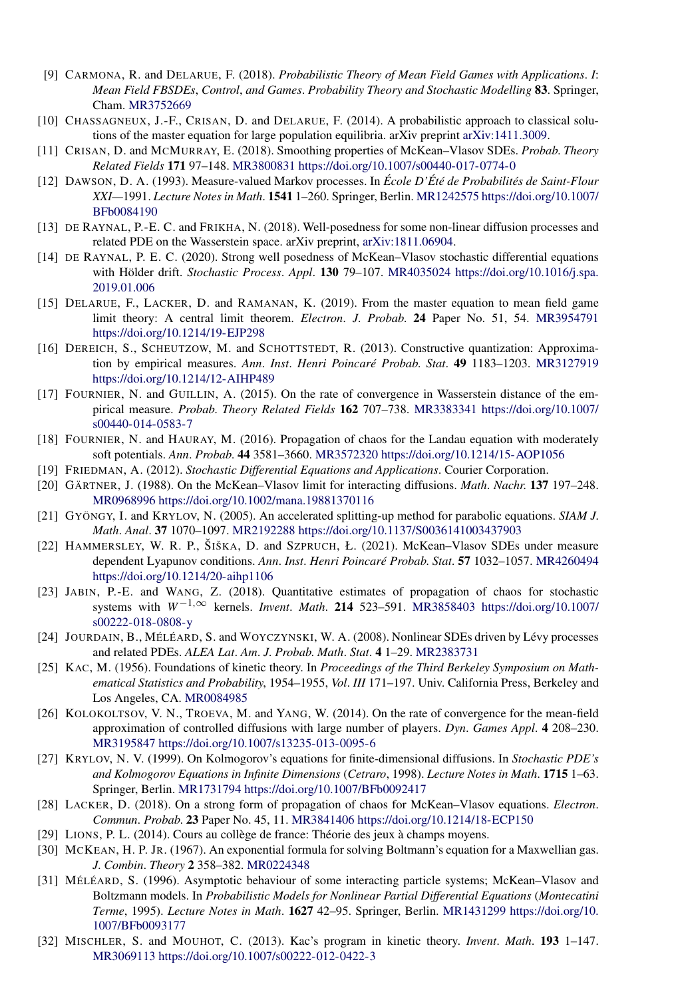- [9] CARMONA, R. and DELARUE, F. (2018). *Probabilistic Theory of Mean Field Games with Applications*. *I*: *Mean Field FBSDEs*, *Control*, *and Games*. *Probability Theory and Stochastic Modelling* **83**. Springer, Cham. [MR3752669](http://www.ams.org/mathscinet-getitem?mr=3752669)
- [10] CHASSAGNEUX, J.-F., CRISAN, D. and DELARUE, F. (2014). A probabilistic approach to classical solutions of the master equation for large population equilibria. arXiv preprint [arXiv:1411.3009.](http://arxiv.org/abs/arXiv:1411.3009)
- [11] CRISAN, D. and MCMURRAY, E. (2018). Smoothing properties of McKean–Vlasov SDEs. *Probab*. *Theory Related Fields* **171** 97–148. [MR3800831](http://www.ams.org/mathscinet-getitem?mr=3800831)<https://doi.org/10.1007/s00440-017-0774-0>
- [12] DAWSON, D. A. (1993). Measure-valued Markov processes. In *École D'Été de Probabilités de Saint-Flour XXI—*1991. *Lecture Notes in Math*. **1541** 1–260. Springer, Berlin. [MR1242575](http://www.ams.org/mathscinet-getitem?mr=1242575) [https://doi.org/10.1007/](https://doi.org/10.1007/BFb0084190) [BFb0084190](https://doi.org/10.1007/BFb0084190)
- [13] DE RAYNAL, P.-E. C. and FRIKHA, N. (2018). Well-posedness for some non-linear diffusion processes and related PDE on the Wasserstein space. arXiv preprint, [arXiv:1811.06904.](http://arxiv.org/abs/arXiv:1811.06904)
- [14] DE RAYNAL, P. E. C. (2020). Strong well posedness of McKean–Vlasov stochastic differential equations with Hölder drift. *Stochastic Process*. *Appl*. **130** 79–107. [MR4035024](http://www.ams.org/mathscinet-getitem?mr=4035024) [https://doi.org/10.1016/j.spa.](https://doi.org/10.1016/j.spa.2019.01.006) [2019.01.006](https://doi.org/10.1016/j.spa.2019.01.006)
- [15] DELARUE, F., LACKER, D. and RAMANAN, K. (2019). From the master equation to mean field game limit theory: A central limit theorem. *Electron*. *J*. *Probab*. **24** Paper No. 51, 54. [MR3954791](http://www.ams.org/mathscinet-getitem?mr=3954791) <https://doi.org/10.1214/19-EJP298>
- [16] DEREICH, S., SCHEUTZOW, M. and SCHOTTSTEDT, R. (2013). Constructive quantization: Approximation by empirical measures. *Ann*. *Inst*. *Henri Poincaré Probab*. *Stat*. **49** 1183–1203. [MR3127919](http://www.ams.org/mathscinet-getitem?mr=3127919) <https://doi.org/10.1214/12-AIHP489>
- [17] FOURNIER, N. and GUILLIN, A. (2015). On the rate of convergence in Wasserstein distance of the empirical measure. *Probab*. *Theory Related Fields* **162** 707–738. [MR3383341](http://www.ams.org/mathscinet-getitem?mr=3383341) [https://doi.org/10.1007/](https://doi.org/10.1007/s00440-014-0583-7) [s00440-014-0583-7](https://doi.org/10.1007/s00440-014-0583-7)
- [18] FOURNIER, N. and HAURAY, M. (2016). Propagation of chaos for the Landau equation with moderately soft potentials. *Ann*. *Probab*. **44** 3581–3660. [MR3572320](http://www.ams.org/mathscinet-getitem?mr=3572320)<https://doi.org/10.1214/15-AOP1056>
- [19] FRIEDMAN, A. (2012). *Stochastic Differential Equations and Applications*. Courier Corporation.
- [20] GÄRTNER, J. (1988). On the McKean–Vlasov limit for interacting diffusions. *Math*. *Nachr*. **137** 197–248. [MR0968996](http://www.ams.org/mathscinet-getitem?mr=0968996)<https://doi.org/10.1002/mana.19881370116>
- [21] GYÖNGY, I. and KRYLOV, N. (2005). An accelerated splitting-up method for parabolic equations. *SIAM J*. *Math*. *Anal*. **37** 1070–1097. [MR2192288](http://www.ams.org/mathscinet-getitem?mr=2192288)<https://doi.org/10.1137/S0036141003437903>
- [22] HAMMERSLEY, W. R. P., ŠIŠKA, D. and SZPRUCH, Ł. (2021). McKean–Vlasov SDEs under measure dependent Lyapunov conditions. *Ann*. *Inst*. *Henri Poincaré Probab*. *Stat*. **57** 1032–1057. [MR4260494](http://www.ams.org/mathscinet-getitem?mr=4260494) <https://doi.org/10.1214/20-aihp1106>
- [23] JABIN, P.-E. and WANG, Z. (2018). Quantitative estimates of propagation of chaos for stochastic systems with *W*−1*,*<sup>∞</sup> kernels. *Invent*. *Math*. **214** 523–591. [MR3858403](http://www.ams.org/mathscinet-getitem?mr=3858403) [https://doi.org/10.1007/](https://doi.org/10.1007/s00222-018-0808-y) [s00222-018-0808-y](https://doi.org/10.1007/s00222-018-0808-y)
- [24] JOURDAIN, B., MÉLÉARD, S. and WOYCZYNSKI, W. A. (2008). Nonlinear SDEs driven by Lévy processes and related PDEs. *ALEA Lat*. *Am*. *J*. *Probab*. *Math*. *Stat*. **4** 1–29. [MR2383731](http://www.ams.org/mathscinet-getitem?mr=2383731)
- [25] KAC, M. (1956). Foundations of kinetic theory. In *Proceedings of the Third Berkeley Symposium on Mathematical Statistics and Probability*, 1954*–*1955, *Vol*. *III* 171–197. Univ. California Press, Berkeley and Los Angeles, CA. [MR0084985](http://www.ams.org/mathscinet-getitem?mr=0084985)
- [26] KOLOKOLTSOV, V. N., TROEVA, M. and YANG, W. (2014). On the rate of convergence for the mean-field approximation of controlled diffusions with large number of players. *Dyn*. *Games Appl*. **4** 208–230. [MR3195847](http://www.ams.org/mathscinet-getitem?mr=3195847)<https://doi.org/10.1007/s13235-013-0095-6>
- [27] KRYLOV, N. V. (1999). On Kolmogorov's equations for finite-dimensional diffusions. In *Stochastic PDE's and Kolmogorov Equations in Infinite Dimensions* (*Cetraro*, 1998). *Lecture Notes in Math*. **1715** 1–63. Springer, Berlin. [MR1731794](http://www.ams.org/mathscinet-getitem?mr=1731794)<https://doi.org/10.1007/BFb0092417>
- [28] LACKER, D. (2018). On a strong form of propagation of chaos for McKean–Vlasov equations. *Electron*. *Commun*. *Probab*. **23** Paper No. 45, 11. [MR3841406](http://www.ams.org/mathscinet-getitem?mr=3841406)<https://doi.org/10.1214/18-ECP150>
- [29] LIONS, P. L. (2014). Cours au collège de france: Théorie des jeux à champs moyens.
- [30] MCKEAN, H. P. JR. (1967). An exponential formula for solving Boltmann's equation for a Maxwellian gas. *J*. *Combin*. *Theory* **2** 358–382. [MR0224348](http://www.ams.org/mathscinet-getitem?mr=0224348)
- [31] MÉLÉARD, S. (1996). Asymptotic behaviour of some interacting particle systems; McKean–Vlasov and Boltzmann models. In *Probabilistic Models for Nonlinear Partial Differential Equations* (*Montecatini Terme*, 1995). *Lecture Notes in Math*. **1627** 42–95. Springer, Berlin. [MR1431299](http://www.ams.org/mathscinet-getitem?mr=1431299) [https://doi.org/10.](https://doi.org/10.1007/BFb0093177) [1007/BFb0093177](https://doi.org/10.1007/BFb0093177)
- [32] MISCHLER, S. and MOUHOT, C. (2013). Kac's program in kinetic theory. *Invent*. *Math*. **193** 1–147. [MR3069113](http://www.ams.org/mathscinet-getitem?mr=3069113)<https://doi.org/10.1007/s00222-012-0422-3>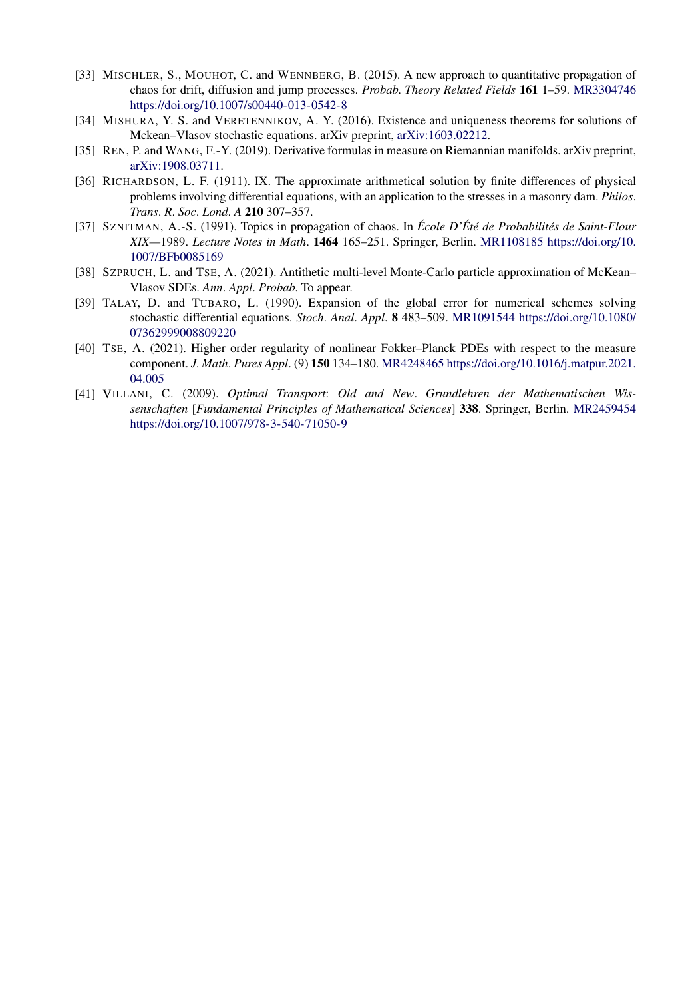- [33] MISCHLER, S., MOUHOT, C. and WENNBERG, B. (2015). A new approach to quantitative propagation of chaos for drift, diffusion and jump processes. *Probab*. *Theory Related Fields* **161** 1–59. [MR3304746](http://www.ams.org/mathscinet-getitem?mr=3304746) <https://doi.org/10.1007/s00440-013-0542-8>
- [34] MISHURA, Y. S. and VERETENNIKOV, A. Y. (2016). Existence and uniqueness theorems for solutions of Mckean–Vlasov stochastic equations. arXiv preprint, [arXiv:1603.02212.](http://arxiv.org/abs/arXiv:1603.02212)
- [35] REN, P. and WANG, F.-Y. (2019). Derivative formulas in measure on Riemannian manifolds. arXiv preprint, [arXiv:1908.03711](http://arxiv.org/abs/arXiv:1908.03711).
- [36] RICHARDSON, L. F. (1911). IX. The approximate arithmetical solution by finite differences of physical problems involving differential equations, with an application to the stresses in a masonry dam. *Philos*. *Trans*. *R*. *Soc*. *Lond*. *A* **210** 307–357.
- [37] SZNITMAN, A.-S. (1991). Topics in propagation of chaos. In *École D'Été de Probabilités de Saint-Flour XIX—*1989. *Lecture Notes in Math*. **1464** 165–251. Springer, Berlin. [MR1108185](http://www.ams.org/mathscinet-getitem?mr=1108185) [https://doi.org/10.](https://doi.org/10.1007/BFb0085169) [1007/BFb0085169](https://doi.org/10.1007/BFb0085169)
- [38] SZPRUCH, L. and TSE, A. (2021). Antithetic multi-level Monte-Carlo particle approximation of McKean– Vlasov SDEs. *Ann*. *Appl*. *Probab*. To appear.
- [39] TALAY, D. and TUBARO, L. (1990). Expansion of the global error for numerical schemes solving stochastic differential equations. *Stoch*. *Anal*. *Appl*. **8** 483–509. [MR1091544](http://www.ams.org/mathscinet-getitem?mr=1091544) [https://doi.org/10.1080/](https://doi.org/10.1080/07362999008809220) [07362999008809220](https://doi.org/10.1080/07362999008809220)
- [40] TSE, A. (2021). Higher order regularity of nonlinear Fokker–Planck PDEs with respect to the measure component. *J*. *Math*. *Pures Appl*. (9) **150** 134–180. [MR4248465](http://www.ams.org/mathscinet-getitem?mr=4248465) [https://doi.org/10.1016/j.matpur.2021.](https://doi.org/10.1016/j.matpur.2021.04.005) [04.005](https://doi.org/10.1016/j.matpur.2021.04.005)
- [41] VILLANI, C. (2009). *Optimal Transport*: *Old and New*. *Grundlehren der Mathematischen Wissenschaften* [*Fundamental Principles of Mathematical Sciences*] **338**. Springer, Berlin. [MR2459454](http://www.ams.org/mathscinet-getitem?mr=2459454) <https://doi.org/10.1007/978-3-540-71050-9>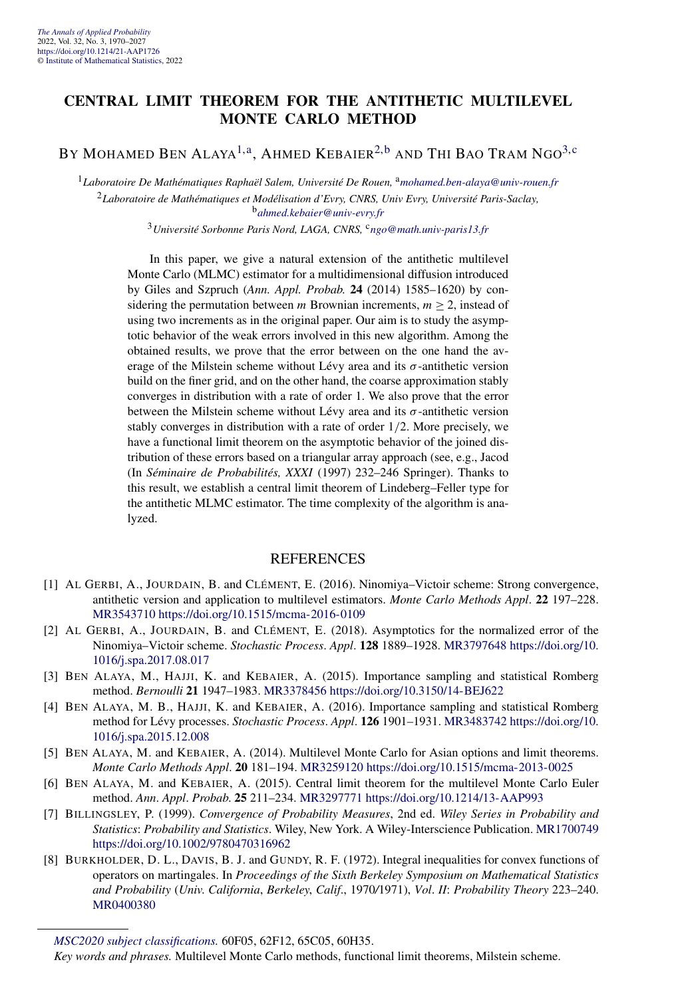#### **CENTRAL LIMIT THEOREM FOR THE ANTITHETIC MULTILEVEL MONTE CARLO METHOD**

BY MOHAMED BEN ALAYA<sup>[1,a](#page-4-0)</sup>, AHMED KEBAIER<sup>[2,b](#page-4-0)</sup> AND THI BAO TRAM NGO<sup>[3,](#page-18-0)[c](#page-4-0)</sup>

<sup>1</sup>Laboratoire De Mathématiques Raphaël Salem, Université De Rouen, <sup>a</sup>[mohamed.ben-alaya@univ-rouen.fr](mailto:mohamed.ben-alaya@univ-rouen.fr) <sup>2</sup>*Laboratoire de Mathématiques et Modélisation d'Evry, CNRS, Univ Evry, Université Paris-Saclay,* <sup>b</sup>*[ahmed.kebaier@univ-evry.fr](mailto:ahmed.kebaier@univ-evry.fr)*

<sup>3</sup>*Université Sorbonne Paris Nord, LAGA, CNRS,* <sup>c</sup>*[ngo@math.univ-paris13.fr](mailto:ngo@math.univ-paris13.fr)*

In this paper, we give a natural extension of the antithetic multilevel Monte Carlo (MLMC) estimator for a multidimensional diffusion introduced by Giles and Szpruch (*Ann. Appl. Probab.* **24** (2014) 1585–1620) by considering the permutation between *m* Brownian increments,  $m \geq 2$ , instead of using two increments as in the original paper. Our aim is to study the asymptotic behavior of the weak errors involved in this new algorithm. Among the obtained results, we prove that the error between on the one hand the average of the Milstein scheme without Lévy area and its  $\sigma$ -antithetic version build on the finer grid, and on the other hand, the coarse approximation stably converges in distribution with a rate of order 1. We also prove that the error between the Milstein scheme without Lévy area and its  $\sigma$ -antithetic version stably converges in distribution with a rate of order 1*/*2. More precisely, we have a functional limit theorem on the asymptotic behavior of the joined distribution of these errors based on a triangular array approach (see, e.g., Jacod (In *Séminaire de Probabilités, XXXI* (1997) 232–246 Springer). Thanks to this result, we establish a central limit theorem of Lindeberg–Feller type for the antithetic MLMC estimator. The time complexity of the algorithm is analyzed.

- [1] AL GERBI, A., JOURDAIN, B. and CLÉMENT, E. (2016). Ninomiya–Victoir scheme: Strong convergence, antithetic version and application to multilevel estimators. *Monte Carlo Methods Appl*. **22** 197–228. [MR3543710](http://www.ams.org/mathscinet-getitem?mr=3543710)<https://doi.org/10.1515/mcma-2016-0109>
- [2] AL GERBI, A., JOURDAIN, B. and CLÉMENT, E. (2018). Asymptotics for the normalized error of the Ninomiya–Victoir scheme. *Stochastic Process*. *Appl*. **128** 1889–1928. [MR3797648](http://www.ams.org/mathscinet-getitem?mr=3797648) [https://doi.org/10.](https://doi.org/10.1016/j.spa.2017.08.017) [1016/j.spa.2017.08.017](https://doi.org/10.1016/j.spa.2017.08.017)
- [3] BEN ALAYA, M., HAJJI, K. and KEBAIER, A. (2015). Importance sampling and statistical Romberg method. *Bernoulli* **21** 1947–1983. [MR3378456](http://www.ams.org/mathscinet-getitem?mr=3378456)<https://doi.org/10.3150/14-BEJ622>
- [4] BEN ALAYA, M. B., HAJJI, K. and KEBAIER, A. (2016). Importance sampling and statistical Romberg method for Lévy processes. *Stochastic Process*. *Appl*. **126** 1901–1931. [MR3483742](http://www.ams.org/mathscinet-getitem?mr=3483742) [https://doi.org/10.](https://doi.org/10.1016/j.spa.2015.12.008) [1016/j.spa.2015.12.008](https://doi.org/10.1016/j.spa.2015.12.008)
- [5] BEN ALAYA, M. and KEBAIER, A. (2014). Multilevel Monte Carlo for Asian options and limit theorems. *Monte Carlo Methods Appl*. **20** 181–194. [MR3259120](http://www.ams.org/mathscinet-getitem?mr=3259120)<https://doi.org/10.1515/mcma-2013-0025>
- [6] BEN ALAYA, M. and KEBAIER, A. (2015). Central limit theorem for the multilevel Monte Carlo Euler method. *Ann*. *Appl*. *Probab*. **25** 211–234. [MR3297771](http://www.ams.org/mathscinet-getitem?mr=3297771)<https://doi.org/10.1214/13-AAP993>
- [7] BILLINGSLEY, P. (1999). *Convergence of Probability Measures*, 2nd ed. *Wiley Series in Probability and Statistics*: *Probability and Statistics*. Wiley, New York. A Wiley-Interscience Publication. [MR1700749](http://www.ams.org/mathscinet-getitem?mr=1700749) <https://doi.org/10.1002/9780470316962>
- [8] BURKHOLDER, D. L., DAVIS, B. J. and GUNDY, R. F. (1972). Integral inequalities for convex functions of operators on martingales. In *Proceedings of the Sixth Berkeley Symposium on Mathematical Statistics and Probability* (*Univ*. *California*, *Berkeley*, *Calif*., 1970*/*1971), *Vol*. *II*: *Probability Theory* 223–240. [MR0400380](http://www.ams.org/mathscinet-getitem?mr=0400380)

*[MSC2020 subject classifications.](https://mathscinet.ams.org/mathscinet/msc/msc2020.html)* 60F05, 62F12, 65C05, 60H35.

*Key words and phrases.* Multilevel Monte Carlo methods, functional limit theorems, Milstein scheme.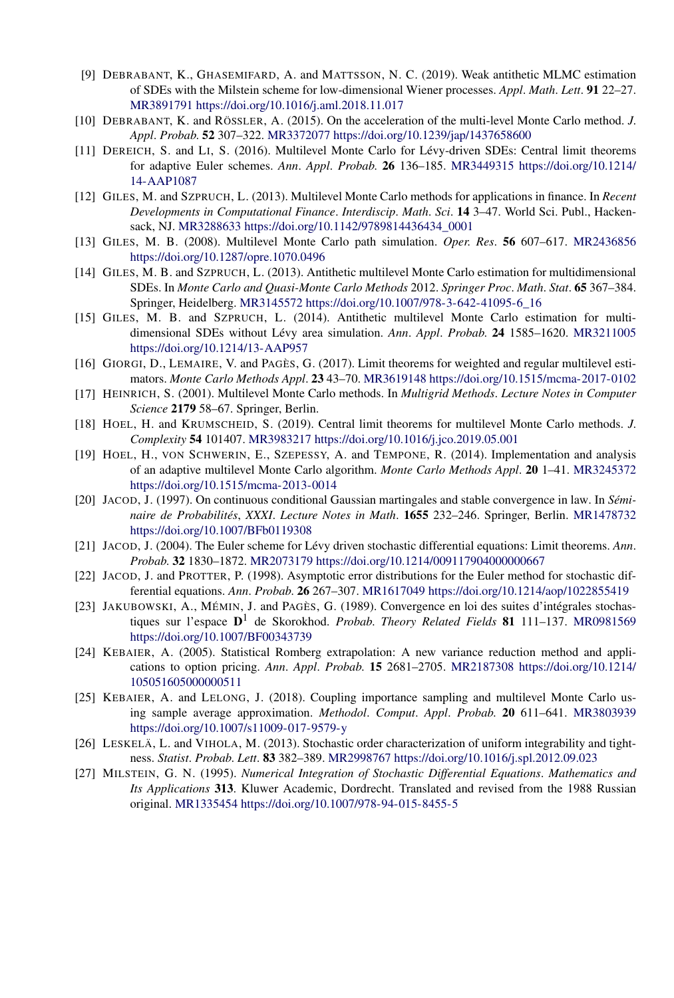- [9] DEBRABANT, K., GHASEMIFARD, A. and MATTSSON, N. C. (2019). Weak antithetic MLMC estimation of SDEs with the Milstein scheme for low-dimensional Wiener processes. *Appl*. *Math*. *Lett*. **91** 22–27. [MR3891791](http://www.ams.org/mathscinet-getitem?mr=3891791)<https://doi.org/10.1016/j.aml.2018.11.017>
- [10] DEBRABANT, K. and RÖSSLER, A. (2015). On the acceleration of the multi-level Monte Carlo method. *J*. *Appl*. *Probab*. **52** 307–322. [MR3372077](http://www.ams.org/mathscinet-getitem?mr=3372077)<https://doi.org/10.1239/jap/1437658600>
- [11] DEREICH, S. and LI, S. (2016). Multilevel Monte Carlo for Lévy-driven SDEs: Central limit theorems for adaptive Euler schemes. *Ann*. *Appl*. *Probab*. **26** 136–185. [MR3449315](http://www.ams.org/mathscinet-getitem?mr=3449315) [https://doi.org/10.1214/](https://doi.org/10.1214/14-AAP1087) [14-AAP1087](https://doi.org/10.1214/14-AAP1087)
- [12] GILES, M. and SZPRUCH, L. (2013). Multilevel Monte Carlo methods for applications in finance. In *Recent Developments in Computational Finance*. *Interdiscip*. *Math*. *Sci*. **14** 3–47. World Sci. Publ., Hackensack, NJ. [MR3288633](http://www.ams.org/mathscinet-getitem?mr=3288633) [https://doi.org/10.1142/9789814436434\\_0001](https://doi.org/10.1142/9789814436434_0001)
- [13] GILES, M. B. (2008). Multilevel Monte Carlo path simulation. *Oper*. *Res*. **56** 607–617. [MR2436856](http://www.ams.org/mathscinet-getitem?mr=2436856) <https://doi.org/10.1287/opre.1070.0496>
- [14] GILES, M. B. and SZPRUCH, L. (2013). Antithetic multilevel Monte Carlo estimation for multidimensional SDEs. In *Monte Carlo and Quasi-Monte Carlo Methods* 2012. *Springer Proc*. *Math*. *Stat*. **65** 367–384. Springer, Heidelberg. [MR3145572](http://www.ams.org/mathscinet-getitem?mr=3145572) [https://doi.org/10.1007/978-3-642-41095-6\\_16](https://doi.org/10.1007/978-3-642-41095-6_16)
- [15] GILES, M. B. and SZPRUCH, L. (2014). Antithetic multilevel Monte Carlo estimation for multidimensional SDEs without Lévy area simulation. *Ann*. *Appl*. *Probab*. **24** 1585–1620. [MR3211005](http://www.ams.org/mathscinet-getitem?mr=3211005) <https://doi.org/10.1214/13-AAP957>
- [16] GIORGI, D., LEMAIRE, V. and PAGÈS, G. (2017). Limit theorems for weighted and regular multilevel estimators. *Monte Carlo Methods Appl*. **23** 43–70. [MR3619148](http://www.ams.org/mathscinet-getitem?mr=3619148)<https://doi.org/10.1515/mcma-2017-0102>
- [17] HEINRICH, S. (2001). Multilevel Monte Carlo methods. In *Multigrid Methods*. *Lecture Notes in Computer Science* **2179** 58–67. Springer, Berlin.
- [18] HOEL, H. and KRUMSCHEID, S. (2019). Central limit theorems for multilevel Monte Carlo methods. *J*. *Complexity* **54** 101407. [MR3983217](http://www.ams.org/mathscinet-getitem?mr=3983217)<https://doi.org/10.1016/j.jco.2019.05.001>
- [19] HOEL, H., VON SCHWERIN, E., SZEPESSY, A. and TEMPONE, R. (2014). Implementation and analysis of an adaptive multilevel Monte Carlo algorithm. *Monte Carlo Methods Appl*. **20** 1–41. [MR3245372](http://www.ams.org/mathscinet-getitem?mr=3245372) <https://doi.org/10.1515/mcma-2013-0014>
- [20] JACOD, J. (1997). On continuous conditional Gaussian martingales and stable convergence in law. In *Séminaire de Probabilités*, *XXXI*. *Lecture Notes in Math*. **1655** 232–246. Springer, Berlin. [MR1478732](http://www.ams.org/mathscinet-getitem?mr=1478732) <https://doi.org/10.1007/BFb0119308>
- [21] JACOD, J. (2004). The Euler scheme for Lévy driven stochastic differential equations: Limit theorems. *Ann*. *Probab*. **32** 1830–1872. [MR2073179](http://www.ams.org/mathscinet-getitem?mr=2073179)<https://doi.org/10.1214/009117904000000667>
- [22] JACOD, J. and PROTTER, P. (1998). Asymptotic error distributions for the Euler method for stochastic differential equations. *Ann*. *Probab*. **26** 267–307. [MR1617049](http://www.ams.org/mathscinet-getitem?mr=1617049)<https://doi.org/10.1214/aop/1022855419>
- [23] JAKUBOWSKI, A., MÉMIN, J. and PAGÈS, G. (1989). Convergence en loi des suites d'intégrales stochastiques sur l'espace **D**<sup>1</sup> de Skorokhod. *Probab*. *Theory Related Fields* **81** 111–137. [MR0981569](http://www.ams.org/mathscinet-getitem?mr=0981569) <https://doi.org/10.1007/BF00343739>
- [24] KEBAIER, A. (2005). Statistical Romberg extrapolation: A new variance reduction method and applications to option pricing. *Ann*. *Appl*. *Probab*. **15** 2681–2705. [MR2187308](http://www.ams.org/mathscinet-getitem?mr=2187308) [https://doi.org/10.1214/](https://doi.org/10.1214/105051605000000511) [105051605000000511](https://doi.org/10.1214/105051605000000511)
- [25] KEBAIER, A. and LELONG, J. (2018). Coupling importance sampling and multilevel Monte Carlo using sample average approximation. *Methodol*. *Comput*. *Appl*. *Probab*. **20** 611–641. [MR3803939](http://www.ams.org/mathscinet-getitem?mr=3803939) <https://doi.org/10.1007/s11009-017-9579-y>
- [26] LESKELÄ, L. and VIHOLA, M. (2013). Stochastic order characterization of uniform integrability and tightness. *Statist*. *Probab*. *Lett*. **83** 382–389. [MR2998767](http://www.ams.org/mathscinet-getitem?mr=2998767)<https://doi.org/10.1016/j.spl.2012.09.023>
- [27] MILSTEIN, G. N. (1995). *Numerical Integration of Stochastic Differential Equations*. *Mathematics and Its Applications* **313**. Kluwer Academic, Dordrecht. Translated and revised from the 1988 Russian original. [MR1335454](http://www.ams.org/mathscinet-getitem?mr=1335454)<https://doi.org/10.1007/978-94-015-8455-5>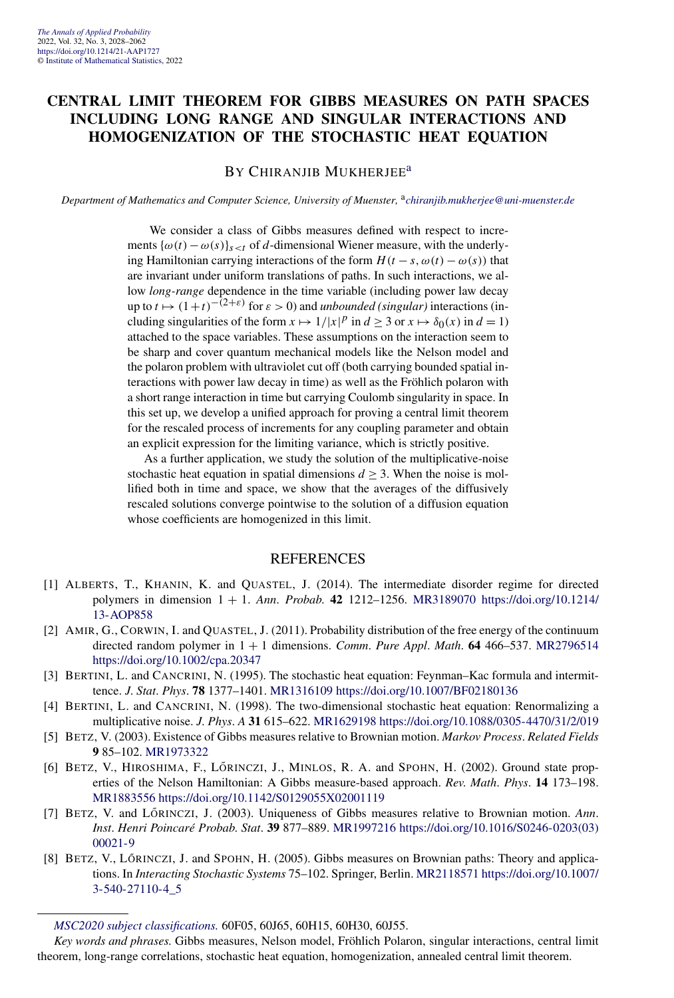#### **CENTRAL LIMIT THEOREM FOR GIBBS MEASURES ON PATH SPACES INCLUDING LONG RANGE AND SINGULAR INTERACTIONS AND HOMOGENIZATION OF THE STOCHASTIC HEAT EQUATION**

#### BY CHIRANJIB MUKHERJEE<sup>[a](#page-4-0)</sup>

*Department of Mathematics and Computer Science, University of Muenster,* <sup>a</sup>*[chiranjib.mukherjee@uni-muenster.de](mailto:chiranjib.mukherjee@uni-muenster.de)*

We consider a class of Gibbs measures defined with respect to increments  $\{\omega(t) - \omega(s)\}_{s \leq t}$  of *d*-dimensional Wiener measure, with the underlying Hamiltonian carrying interactions of the form  $H(t - s, \omega(t) - \omega(s))$  that are invariant under uniform translations of paths. In such interactions, we allow *long-range* dependence in the time variable (including power law decay up to  $t \mapsto (1+t)^{-(2+\epsilon)}$  for  $\epsilon > 0$ ) and *unbounded (singular)* interactions (including singularities of the form  $x \mapsto 1/|x|^p$  in  $d \ge 3$  or  $x \mapsto \delta_0(x)$  in  $d = 1$ ) attached to the space variables. These assumptions on the interaction seem to be sharp and cover quantum mechanical models like the Nelson model and the polaron problem with ultraviolet cut off (both carrying bounded spatial interactions with power law decay in time) as well as the Fröhlich polaron with a short range interaction in time but carrying Coulomb singularity in space. In this set up, we develop a unified approach for proving a central limit theorem for the rescaled process of increments for any coupling parameter and obtain an explicit expression for the limiting variance, which is strictly positive.

As a further application, we study the solution of the multiplicative-noise stochastic heat equation in spatial dimensions  $d \geq 3$ . When the noise is mollified both in time and space, we show that the averages of the diffusively rescaled solutions converge pointwise to the solution of a diffusion equation whose coefficients are homogenized in this limit.

- [1] ALBERTS, T., KHANIN, K. and QUASTEL, J. (2014). The intermediate disorder regime for directed polymers in dimension 1 + 1. *Ann*. *Probab*. **42** 1212–1256. [MR3189070](http://www.ams.org/mathscinet-getitem?mr=3189070) [https://doi.org/10.1214/](https://doi.org/10.1214/13-AOP858) [13-AOP858](https://doi.org/10.1214/13-AOP858)
- [2] AMIR, G., CORWIN, I. and QUASTEL, J. (2011). Probability distribution of the free energy of the continuum directed random polymer in 1 + 1 dimensions. *Comm*. *Pure Appl*. *Math*. **64** 466–537. [MR2796514](http://www.ams.org/mathscinet-getitem?mr=2796514) <https://doi.org/10.1002/cpa.20347>
- [3] BERTINI, L. and CANCRINI, N. (1995). The stochastic heat equation: Feynman–Kac formula and intermittence. *J*. *Stat*. *Phys*. **78** 1377–1401. [MR1316109](http://www.ams.org/mathscinet-getitem?mr=1316109)<https://doi.org/10.1007/BF02180136>
- [4] BERTINI, L. and CANCRINI, N. (1998). The two-dimensional stochastic heat equation: Renormalizing a multiplicative noise. *J*. *Phys*. *A* **31** 615–622. [MR1629198](http://www.ams.org/mathscinet-getitem?mr=1629198)<https://doi.org/10.1088/0305-4470/31/2/019>
- [5] BETZ, V. (2003). Existence of Gibbs measures relative to Brownian motion. *Markov Process*. *Related Fields* **9** 85–102. [MR1973322](http://www.ams.org/mathscinet-getitem?mr=1973322)
- [6] BETZ, V., HIROSHIMA, F., LŐRINCZI, J., MINLOS, R. A. and SPOHN, H. (2002). Ground state properties of the Nelson Hamiltonian: A Gibbs measure-based approach. *Rev*. *Math*. *Phys*. **14** 173–198. [MR1883556](http://www.ams.org/mathscinet-getitem?mr=1883556)<https://doi.org/10.1142/S0129055X02001119>
- [7] BETZ, V. and LŐRINCZI, J. (2003). Uniqueness of Gibbs measures relative to Brownian motion. Ann. *Inst*. *Henri Poincaré Probab*. *Stat*. **39** 877–889. [MR1997216](http://www.ams.org/mathscinet-getitem?mr=1997216) [https://doi.org/10.1016/S0246-0203\(03\)](https://doi.org/10.1016/S0246-0203(03)00021-9) [00021-9](https://doi.org/10.1016/S0246-0203(03)00021-9)
- [8] BETZ, V., LŐRINCZI, J. and SPOHN, H. (2005). Gibbs measures on Brownian paths: Theory and applications. In *Interacting Stochastic Systems* 75–102. Springer, Berlin. [MR2118571](http://www.ams.org/mathscinet-getitem?mr=2118571) [https://doi.org/10.1007/](https://doi.org/10.1007/3-540-27110-4_5) [3-540-27110-4\\_5](https://doi.org/10.1007/3-540-27110-4_5)

*[MSC2020 subject classifications.](https://mathscinet.ams.org/mathscinet/msc/msc2020.html)* 60F05, 60J65, 60H15, 60H30, 60J55.

*Key words and phrases.* Gibbs measures, Nelson model, Fröhlich Polaron, singular interactions, central limit theorem, long-range correlations, stochastic heat equation, homogenization, annealed central limit theorem.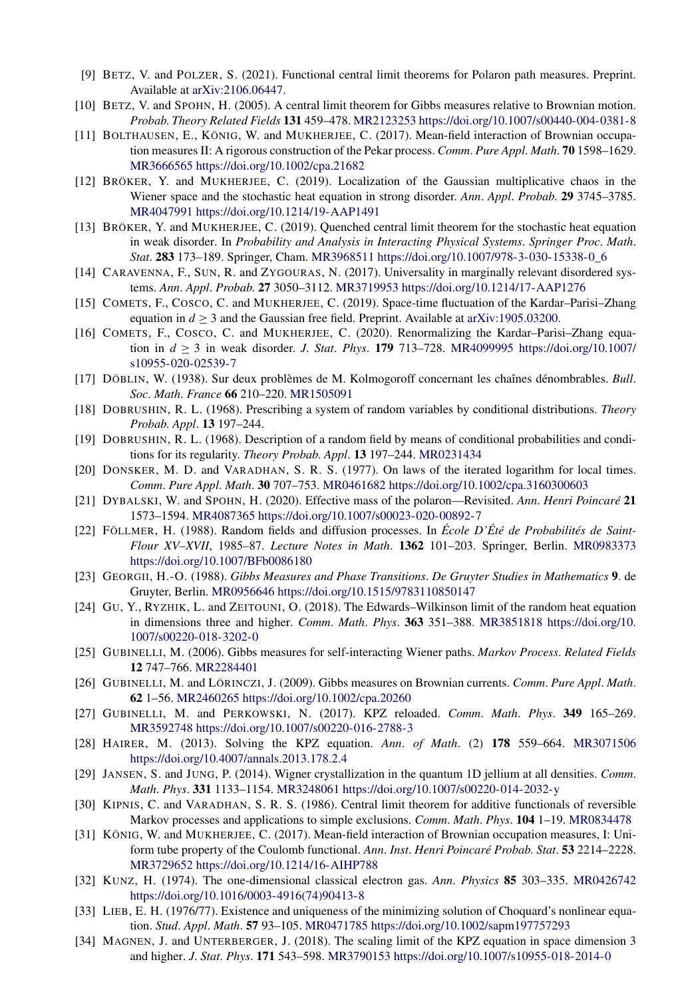- [9] BETZ, V. and POLZER, S. (2021). Functional central limit theorems for Polaron path measures. Preprint. Available at [arXiv:2106.06447](http://arxiv.org/abs/arXiv:2106.06447).
- [10] BETZ, V. and SPOHN, H. (2005). A central limit theorem for Gibbs measures relative to Brownian motion. *Probab*. *Theory Related Fields* **131** 459–478. [MR2123253](http://www.ams.org/mathscinet-getitem?mr=2123253)<https://doi.org/10.1007/s00440-004-0381-8>
- [11] BOLTHAUSEN, E., KÖNIG, W. and MUKHERJEE, C. (2017). Mean-field interaction of Brownian occupation measures II: A rigorous construction of the Pekar process. *Comm*. *Pure Appl*. *Math*. **70** 1598–1629. [MR3666565](http://www.ams.org/mathscinet-getitem?mr=3666565)<https://doi.org/10.1002/cpa.21682>
- [12] BRÖKER, Y. and MUKHERJEE, C. (2019). Localization of the Gaussian multiplicative chaos in the Wiener space and the stochastic heat equation in strong disorder. *Ann*. *Appl*. *Probab*. **29** 3745–3785. [MR4047991](http://www.ams.org/mathscinet-getitem?mr=4047991)<https://doi.org/10.1214/19-AAP1491>
- [13] BRÖKER, Y. and MUKHERJEE, C. (2019). Quenched central limit theorem for the stochastic heat equation in weak disorder. In *Probability and Analysis in Interacting Physical Systems*. *Springer Proc*. *Math*. *Stat*. **283** 173–189. Springer, Cham. [MR3968511](http://www.ams.org/mathscinet-getitem?mr=3968511) [https://doi.org/10.1007/978-3-030-15338-0\\_6](https://doi.org/10.1007/978-3-030-15338-0_6)
- [14] CARAVENNA, F., SUN, R. and ZYGOURAS, N. (2017). Universality in marginally relevant disordered systems. *Ann*. *Appl*. *Probab*. **27** 3050–3112. [MR3719953](http://www.ams.org/mathscinet-getitem?mr=3719953)<https://doi.org/10.1214/17-AAP1276>
- [15] COMETS, F., COSCO, C. and MUKHERJEE, C. (2019). Space-time fluctuation of the Kardar–Parisi–Zhang equation in  $d \geq 3$  and the Gaussian free field. Preprint. Available at [arXiv:1905.03200](http://arxiv.org/abs/arXiv:1905.03200).
- [16] COMETS, F., COSCO, C. and MUKHERJEE, C. (2020). Renormalizing the Kardar–Parisi–Zhang equation in *d* ≥ 3 in weak disorder. *J*. *Stat*. *Phys*. **179** 713–728. [MR4099995](http://www.ams.org/mathscinet-getitem?mr=4099995) [https://doi.org/10.1007/](https://doi.org/10.1007/s10955-020-02539-7) [s10955-020-02539-7](https://doi.org/10.1007/s10955-020-02539-7)
- [17] DÖBLIN, W. (1938). Sur deux problèmes de M. Kolmogoroff concernant les chaînes dénombrables. *Bull*. *Soc*. *Math*. *France* **66** 210–220. [MR1505091](http://www.ams.org/mathscinet-getitem?mr=1505091)
- [18] DOBRUSHIN, R. L. (1968). Prescribing a system of random variables by conditional distributions. *Theory Probab*. *Appl*. **13** 197–244.
- [19] DOBRUSHIN, R. L. (1968). Description of a random field by means of conditional probabilities and conditions for its regularity. *Theory Probab*. *Appl*. **13** 197–244. [MR0231434](http://www.ams.org/mathscinet-getitem?mr=0231434)
- [20] DONSKER, M. D. and VARADHAN, S. R. S. (1977). On laws of the iterated logarithm for local times. *Comm*. *Pure Appl*. *Math*. **30** 707–753. [MR0461682](http://www.ams.org/mathscinet-getitem?mr=0461682)<https://doi.org/10.1002/cpa.3160300603>
- [21] DYBALSKI, W. and SPOHN, H. (2020). Effective mass of the polaron—Revisited. *Ann*. *Henri Poincaré* **21** 1573–1594. [MR4087365](http://www.ams.org/mathscinet-getitem?mr=4087365)<https://doi.org/10.1007/s00023-020-00892-7>
- [22] FÖLLMER, H. (1988). Random fields and diffusion processes. In *École D'Été de Probabilités de Saint-Flour XV–XVII*, 1985*–*87. *Lecture Notes in Math*. **1362** 101–203. Springer, Berlin. [MR0983373](http://www.ams.org/mathscinet-getitem?mr=0983373) <https://doi.org/10.1007/BFb0086180>
- [23] GEORGII, H.-O. (1988). *Gibbs Measures and Phase Transitions*. *De Gruyter Studies in Mathematics* **9**. de Gruyter, Berlin. [MR0956646](http://www.ams.org/mathscinet-getitem?mr=0956646)<https://doi.org/10.1515/9783110850147>
- [24] GU, Y., RYZHIK, L. and ZEITOUNI, O. (2018). The Edwards–Wilkinson limit of the random heat equation in dimensions three and higher. *Comm*. *Math*. *Phys*. **363** 351–388. [MR3851818](http://www.ams.org/mathscinet-getitem?mr=3851818) [https://doi.org/10.](https://doi.org/10.1007/s00220-018-3202-0) [1007/s00220-018-3202-0](https://doi.org/10.1007/s00220-018-3202-0)
- [25] GUBINELLI, M. (2006). Gibbs measures for self-interacting Wiener paths. *Markov Process*. *Related Fields* **12** 747–766. [MR2284401](http://www.ams.org/mathscinet-getitem?mr=2284401)
- [26] GUBINELLI, M. and LÖRINCZI, J. (2009). Gibbs measures on Brownian currents. *Comm*. *Pure Appl*. *Math*. **62** 1–56. [MR2460265](http://www.ams.org/mathscinet-getitem?mr=2460265)<https://doi.org/10.1002/cpa.20260>
- [27] GUBINELLI, M. and PERKOWSKI, N. (2017). KPZ reloaded. *Comm*. *Math*. *Phys*. **349** 165–269. [MR3592748](http://www.ams.org/mathscinet-getitem?mr=3592748)<https://doi.org/10.1007/s00220-016-2788-3>
- [28] HAIRER, M. (2013). Solving the KPZ equation. *Ann*. *of Math*. (2) **178** 559–664. [MR3071506](http://www.ams.org/mathscinet-getitem?mr=3071506) <https://doi.org/10.4007/annals.2013.178.2.4>
- [29] JANSEN, S. and JUNG, P. (2014). Wigner crystallization in the quantum 1D jellium at all densities. *Comm*. *Math*. *Phys*. **331** 1133–1154. [MR3248061](http://www.ams.org/mathscinet-getitem?mr=3248061)<https://doi.org/10.1007/s00220-014-2032-y>
- [30] KIPNIS, C. and VARADHAN, S. R. S. (1986). Central limit theorem for additive functionals of reversible Markov processes and applications to simple exclusions. *Comm*. *Math*. *Phys*. **104** 1–19. [MR0834478](http://www.ams.org/mathscinet-getitem?mr=0834478)
- [31] KÖNIG, W. and MUKHERJEE, C. (2017). Mean-field interaction of Brownian occupation measures, I: Uniform tube property of the Coulomb functional. *Ann*. *Inst*. *Henri Poincaré Probab*. *Stat*. **53** 2214–2228. [MR3729652](http://www.ams.org/mathscinet-getitem?mr=3729652)<https://doi.org/10.1214/16-AIHP788>
- [32] KUNZ, H. (1974). The one-dimensional classical electron gas. *Ann*. *Physics* **85** 303–335. [MR0426742](http://www.ams.org/mathscinet-getitem?mr=0426742) [https://doi.org/10.1016/0003-4916\(74\)90413-8](https://doi.org/10.1016/0003-4916(74)90413-8)
- [33] LIEB, E. H. (1976/77). Existence and uniqueness of the minimizing solution of Choquard's nonlinear equation. *Stud*. *Appl*. *Math*. **57** 93–105. [MR0471785](http://www.ams.org/mathscinet-getitem?mr=0471785)<https://doi.org/10.1002/sapm197757293>
- [34] MAGNEN, J. and UNTERBERGER, J. (2018). The scaling limit of the KPZ equation in space dimension 3 and higher. *J*. *Stat*. *Phys*. **171** 543–598. [MR3790153](http://www.ams.org/mathscinet-getitem?mr=3790153)<https://doi.org/10.1007/s10955-018-2014-0>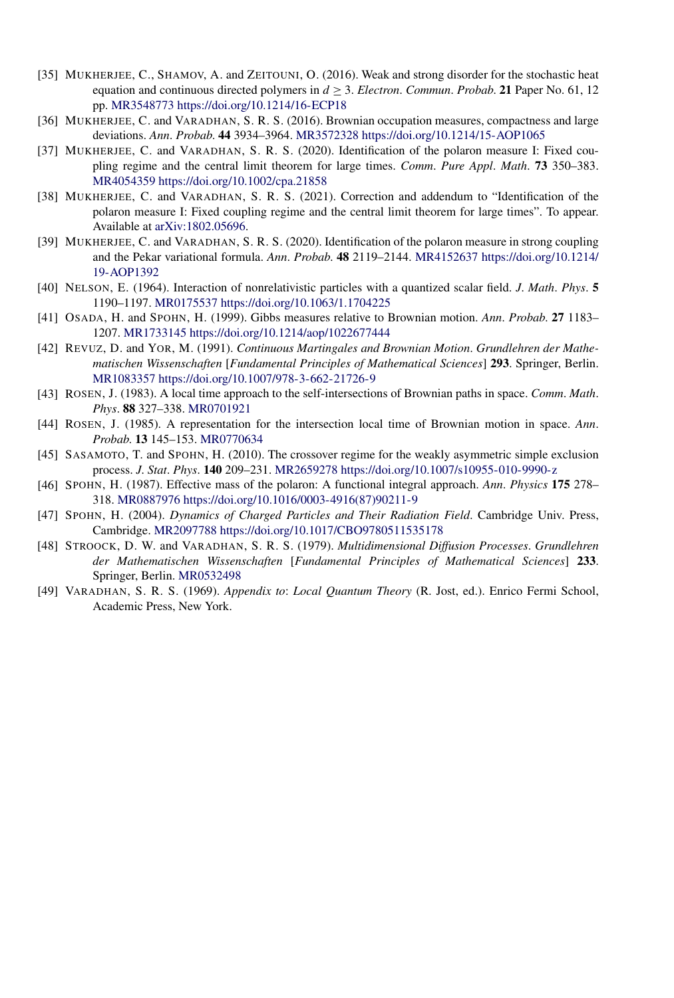- [35] MUKHERJEE, C., SHAMOV, A. and ZEITOUNI, O. (2016). Weak and strong disorder for the stochastic heat equation and continuous directed polymers in  $d \geq 3$ . *Electron. Commun. Probab.* **21** Paper No. 61, 12 pp. [MR3548773](http://www.ams.org/mathscinet-getitem?mr=3548773)<https://doi.org/10.1214/16-ECP18>
- [36] MUKHERJEE, C. and VARADHAN, S. R. S. (2016). Brownian occupation measures, compactness and large deviations. *Ann*. *Probab*. **44** 3934–3964. [MR3572328](http://www.ams.org/mathscinet-getitem?mr=3572328)<https://doi.org/10.1214/15-AOP1065>
- [37] MUKHERJEE, C. and VARADHAN, S. R. S. (2020). Identification of the polaron measure I: Fixed coupling regime and the central limit theorem for large times. *Comm*. *Pure Appl*. *Math*. **73** 350–383. [MR4054359](http://www.ams.org/mathscinet-getitem?mr=4054359)<https://doi.org/10.1002/cpa.21858>
- [38] MUKHERJEE, C. and VARADHAN, S. R. S. (2021). Correction and addendum to "Identification of the polaron measure I: Fixed coupling regime and the central limit theorem for large times". To appear. Available at [arXiv:1802.05696](http://arxiv.org/abs/arXiv:1802.05696).
- [39] MUKHERJEE, C. and VARADHAN, S. R. S. (2020). Identification of the polaron measure in strong coupling and the Pekar variational formula. *Ann*. *Probab*. **48** 2119–2144. [MR4152637](http://www.ams.org/mathscinet-getitem?mr=4152637) [https://doi.org/10.1214/](https://doi.org/10.1214/19-AOP1392) [19-AOP1392](https://doi.org/10.1214/19-AOP1392)
- [40] NELSON, E. (1964). Interaction of nonrelativistic particles with a quantized scalar field. *J*. *Math*. *Phys*. **5** 1190–1197. [MR0175537](http://www.ams.org/mathscinet-getitem?mr=0175537)<https://doi.org/10.1063/1.1704225>
- [41] OSADA, H. and SPOHN, H. (1999). Gibbs measures relative to Brownian motion. *Ann*. *Probab*. **27** 1183– 1207. [MR1733145](http://www.ams.org/mathscinet-getitem?mr=1733145)<https://doi.org/10.1214/aop/1022677444>
- [42] REVUZ, D. and YOR, M. (1991). *Continuous Martingales and Brownian Motion*. *Grundlehren der Mathematischen Wissenschaften* [*Fundamental Principles of Mathematical Sciences*] **293**. Springer, Berlin. [MR1083357](http://www.ams.org/mathscinet-getitem?mr=1083357)<https://doi.org/10.1007/978-3-662-21726-9>
- [43] ROSEN, J. (1983). A local time approach to the self-intersections of Brownian paths in space. *Comm*. *Math*. *Phys*. **88** 327–338. [MR0701921](http://www.ams.org/mathscinet-getitem?mr=0701921)
- [44] ROSEN, J. (1985). A representation for the intersection local time of Brownian motion in space. *Ann*. *Probab*. **13** 145–153. [MR0770634](http://www.ams.org/mathscinet-getitem?mr=0770634)
- [45] SASAMOTO, T. and SPOHN, H. (2010). The crossover regime for the weakly asymmetric simple exclusion process. *J*. *Stat*. *Phys*. **140** 209–231. [MR2659278](http://www.ams.org/mathscinet-getitem?mr=2659278)<https://doi.org/10.1007/s10955-010-9990-z>
- [46] SPOHN, H. (1987). Effective mass of the polaron: A functional integral approach. *Ann*. *Physics* **175** 278– 318. [MR0887976](http://www.ams.org/mathscinet-getitem?mr=0887976) [https://doi.org/10.1016/0003-4916\(87\)90211-9](https://doi.org/10.1016/0003-4916(87)90211-9)
- [47] SPOHN, H. (2004). *Dynamics of Charged Particles and Their Radiation Field*. Cambridge Univ. Press, Cambridge. [MR2097788](http://www.ams.org/mathscinet-getitem?mr=2097788)<https://doi.org/10.1017/CBO9780511535178>
- [48] STROOCK, D. W. and VARADHAN, S. R. S. (1979). *Multidimensional Diffusion Processes*. *Grundlehren der Mathematischen Wissenschaften* [*Fundamental Principles of Mathematical Sciences*] **233**. Springer, Berlin. [MR0532498](http://www.ams.org/mathscinet-getitem?mr=0532498)
- [49] VARADHAN, S. R. S. (1969). *Appendix to*: *Local Quantum Theory* (R. Jost, ed.). Enrico Fermi School, Academic Press, New York.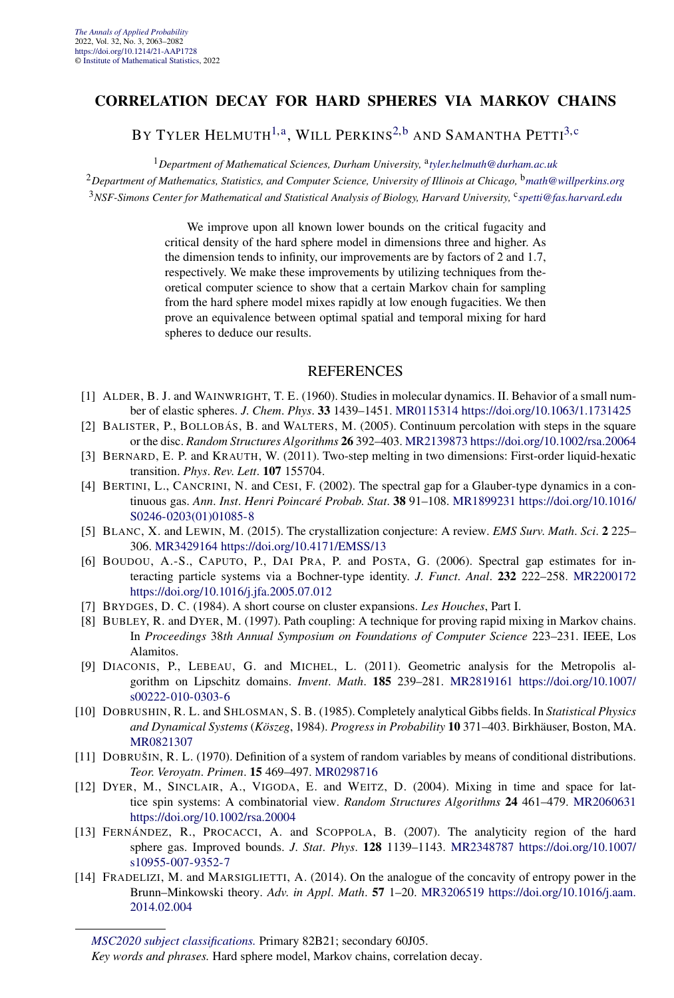#### **CORRELATION DECAY FOR HARD SPHERES VIA MARKOV CHAINS**

BY TYLER HELMUTH<sup>[1,a](#page-4-0)</sup>, WILL PERKINS<sup>[2,b](#page-4-0)</sup> AND SAMANTHA PETTI<sup>[3,](#page-18-0)[c](#page-4-0)</sup>

<sup>1</sup>*Department of Mathematical Sciences, Durham University,* <sup>a</sup>*[tyler.helmuth@durham.ac.uk](mailto:tyler.helmuth@durham.ac.uk)*

<sup>2</sup>*Department of Mathematics, Statistics, and Computer Science, University of Illinois at Chicago,* <sup>b</sup>*[math@willperkins.org](mailto:math@willperkins.org)* <sup>3</sup>*NSF-Simons Center for Mathematical and Statistical Analysis of Biology, Harvard University,* <sup>c</sup>*[spetti@fas.harvard.edu](mailto:spetti@fas.harvard.edu)*

> We improve upon all known lower bounds on the critical fugacity and critical density of the hard sphere model in dimensions three and higher. As the dimension tends to infinity, our improvements are by factors of 2 and 1*.*7, respectively. We make these improvements by utilizing techniques from theoretical computer science to show that a certain Markov chain for sampling from the hard sphere model mixes rapidly at low enough fugacities. We then prove an equivalence between optimal spatial and temporal mixing for hard spheres to deduce our results.

- [1] ALDER, B. J. and WAINWRIGHT, T. E. (1960). Studies in molecular dynamics. II. Behavior of a small number of elastic spheres. *J*. *Chem*. *Phys*. **33** 1439–1451. [MR0115314](http://www.ams.org/mathscinet-getitem?mr=0115314)<https://doi.org/10.1063/1.1731425>
- [2] BALISTER, P., BOLLOBÁS, B. and WALTERS, M. (2005). Continuum percolation with steps in the square or the disc. *Random Structures Algorithms* **26** 392–403. [MR2139873](http://www.ams.org/mathscinet-getitem?mr=2139873)<https://doi.org/10.1002/rsa.20064>
- [3] BERNARD, E. P. and KRAUTH, W. (2011). Two-step melting in two dimensions: First-order liquid-hexatic transition. *Phys*. *Rev*. *Lett*. **107** 155704.
- [4] BERTINI, L., CANCRINI, N. and CESI, F. (2002). The spectral gap for a Glauber-type dynamics in a continuous gas. *Ann*. *Inst*. *Henri Poincaré Probab*. *Stat*. **38** 91–108. [MR1899231](http://www.ams.org/mathscinet-getitem?mr=1899231) [https://doi.org/10.1016/](https://doi.org/10.1016/S0246-0203(01)01085-8) [S0246-0203\(01\)01085-8](https://doi.org/10.1016/S0246-0203(01)01085-8)
- [5] BLANC, X. and LEWIN, M. (2015). The crystallization conjecture: A review. *EMS Surv*. *Math*. *Sci*. **2** 225– 306. [MR3429164](http://www.ams.org/mathscinet-getitem?mr=3429164)<https://doi.org/10.4171/EMSS/13>
- [6] BOUDOU, A.-S., CAPUTO, P., DAI PRA, P. and POSTA, G. (2006). Spectral gap estimates for interacting particle systems via a Bochner-type identity. *J*. *Funct*. *Anal*. **232** 222–258. [MR2200172](http://www.ams.org/mathscinet-getitem?mr=2200172) <https://doi.org/10.1016/j.jfa.2005.07.012>
- [7] BRYDGES, D. C. (1984). A short course on cluster expansions. *Les Houches*, Part I.
- [8] BUBLEY, R. and DYER, M. (1997). Path coupling: A technique for proving rapid mixing in Markov chains. In *Proceedings* 38*th Annual Symposium on Foundations of Computer Science* 223–231. IEEE, Los Alamitos.
- [9] DIACONIS, P., LEBEAU, G. and MICHEL, L. (2011). Geometric analysis for the Metropolis algorithm on Lipschitz domains. *Invent*. *Math*. **185** 239–281. [MR2819161](http://www.ams.org/mathscinet-getitem?mr=2819161) [https://doi.org/10.1007/](https://doi.org/10.1007/s00222-010-0303-6) [s00222-010-0303-6](https://doi.org/10.1007/s00222-010-0303-6)
- [10] DOBRUSHIN, R. L. and SHLOSMAN, S. B. (1985). Completely analytical Gibbs fields. In *Statistical Physics and Dynamical Systems* (*Köszeg*, 1984). *Progress in Probability* **10** 371–403. Birkhäuser, Boston, MA. [MR0821307](http://www.ams.org/mathscinet-getitem?mr=0821307)
- [11] DOBRUŠIN, R. L. (1970). Definition of a system of random variables by means of conditional distributions. *Teor*. *Veroyatn*. *Primen*. **15** 469–497. [MR0298716](http://www.ams.org/mathscinet-getitem?mr=0298716)
- [12] DYER, M., SINCLAIR, A., VIGODA, E. and WEITZ, D. (2004). Mixing in time and space for lattice spin systems: A combinatorial view. *Random Structures Algorithms* **24** 461–479. [MR2060631](http://www.ams.org/mathscinet-getitem?mr=2060631) <https://doi.org/10.1002/rsa.20004>
- [13] FERNÁNDEZ, R., PROCACCI, A. and SCOPPOLA, B. (2007). The analyticity region of the hard sphere gas. Improved bounds. *J*. *Stat*. *Phys*. **128** 1139–1143. [MR2348787](http://www.ams.org/mathscinet-getitem?mr=2348787) [https://doi.org/10.1007/](https://doi.org/10.1007/s10955-007-9352-7) [s10955-007-9352-7](https://doi.org/10.1007/s10955-007-9352-7)
- [14] FRADELIZI, M. and MARSIGLIETTI, A. (2014). On the analogue of the concavity of entropy power in the Brunn–Minkowski theory. *Adv*. *in Appl*. *Math*. **57** 1–20. [MR3206519](http://www.ams.org/mathscinet-getitem?mr=3206519) [https://doi.org/10.1016/j.aam.](https://doi.org/10.1016/j.aam.2014.02.004) [2014.02.004](https://doi.org/10.1016/j.aam.2014.02.004)

*[MSC2020 subject classifications.](https://mathscinet.ams.org/mathscinet/msc/msc2020.html)* Primary 82B21; secondary 60J05.

*Key words and phrases.* Hard sphere model, Markov chains, correlation decay.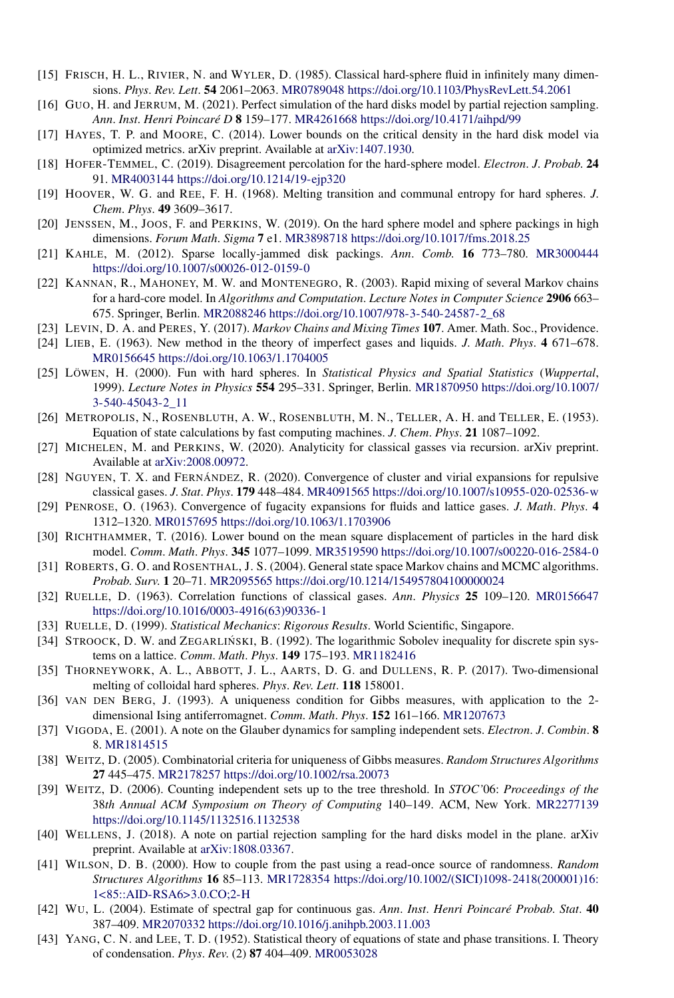- [15] FRISCH, H. L., RIVIER, N. and WYLER, D. (1985). Classical hard-sphere fluid in infinitely many dimensions. *Phys*. *Rev*. *Lett*. **54** 2061–2063. [MR0789048](http://www.ams.org/mathscinet-getitem?mr=0789048)<https://doi.org/10.1103/PhysRevLett.54.2061>
- [16] GUO, H. and JERRUM, M. (2021). Perfect simulation of the hard disks model by partial rejection sampling. *Ann*. *Inst*. *Henri Poincaré D* **8** 159–177. [MR4261668](http://www.ams.org/mathscinet-getitem?mr=4261668)<https://doi.org/10.4171/aihpd/99>
- [17] HAYES, T. P. and MOORE, C. (2014). Lower bounds on the critical density in the hard disk model via optimized metrics. arXiv preprint. Available at [arXiv:1407.1930.](http://arxiv.org/abs/arXiv:1407.1930)
- [18] HOFER-TEMMEL, C. (2019). Disagreement percolation for the hard-sphere model. *Electron*. *J*. *Probab*. **24** 91. [MR4003144](http://www.ams.org/mathscinet-getitem?mr=4003144)<https://doi.org/10.1214/19-ejp320>
- [19] HOOVER, W. G. and REE, F. H. (1968). Melting transition and communal entropy for hard spheres. *J*. *Chem*. *Phys*. **49** 3609–3617.
- [20] JENSSEN, M., JOOS, F. and PERKINS, W. (2019). On the hard sphere model and sphere packings in high dimensions. *Forum Math*. *Sigma* **7** e1. [MR3898718](http://www.ams.org/mathscinet-getitem?mr=3898718)<https://doi.org/10.1017/fms.2018.25>
- [21] KAHLE, M. (2012). Sparse locally-jammed disk packings. *Ann*. *Comb*. **16** 773–780. [MR3000444](http://www.ams.org/mathscinet-getitem?mr=3000444) <https://doi.org/10.1007/s00026-012-0159-0>
- [22] KANNAN, R., MAHONEY, M. W. and MONTENEGRO, R. (2003). Rapid mixing of several Markov chains for a hard-core model. In *Algorithms and Computation*. *Lecture Notes in Computer Science* **2906** 663– 675. Springer, Berlin. [MR2088246](http://www.ams.org/mathscinet-getitem?mr=2088246) [https://doi.org/10.1007/978-3-540-24587-2\\_68](https://doi.org/10.1007/978-3-540-24587-2_68)
- [23] LEVIN, D. A. and PERES, Y. (2017). *Markov Chains and Mixing Times* **107**. Amer. Math. Soc., Providence.
- [24] LIEB, E. (1963). New method in the theory of imperfect gases and liquids. *J*. *Math*. *Phys*. **4** 671–678. [MR0156645](http://www.ams.org/mathscinet-getitem?mr=0156645)<https://doi.org/10.1063/1.1704005>
- [25] LÖWEN, H. (2000). Fun with hard spheres. In *Statistical Physics and Spatial Statistics* (*Wuppertal*, 1999). *Lecture Notes in Physics* **554** 295–331. Springer, Berlin. [MR1870950](http://www.ams.org/mathscinet-getitem?mr=1870950) [https://doi.org/10.1007/](https://doi.org/10.1007/3-540-45043-2_11) [3-540-45043-2\\_11](https://doi.org/10.1007/3-540-45043-2_11)
- [26] METROPOLIS, N., ROSENBLUTH, A. W., ROSENBLUTH, M. N., TELLER, A. H. and TELLER, E. (1953). Equation of state calculations by fast computing machines. *J*. *Chem*. *Phys*. **21** 1087–1092.
- [27] MICHELEN, M. and PERKINS, W. (2020). Analyticity for classical gasses via recursion. arXiv preprint. Available at [arXiv:2008.00972](http://arxiv.org/abs/arXiv:2008.00972).
- [28] NGUYEN, T. X. and FERNÁNDEZ, R. (2020). Convergence of cluster and virial expansions for repulsive classical gases. *J*. *Stat*. *Phys*. **179** 448–484. [MR4091565](http://www.ams.org/mathscinet-getitem?mr=4091565)<https://doi.org/10.1007/s10955-020-02536-w>
- [29] PENROSE, O. (1963). Convergence of fugacity expansions for fluids and lattice gases. *J*. *Math*. *Phys*. **4** 1312–1320. [MR0157695](http://www.ams.org/mathscinet-getitem?mr=0157695)<https://doi.org/10.1063/1.1703906>
- [30] RICHTHAMMER, T. (2016). Lower bound on the mean square displacement of particles in the hard disk model. *Comm*. *Math*. *Phys*. **345** 1077–1099. [MR3519590](http://www.ams.org/mathscinet-getitem?mr=3519590)<https://doi.org/10.1007/s00220-016-2584-0>
- [31] ROBERTS, G. O. and ROSENTHAL, J. S. (2004). General state space Markov chains and MCMC algorithms. *Probab*. *Surv*. **1** 20–71. [MR2095565](http://www.ams.org/mathscinet-getitem?mr=2095565)<https://doi.org/10.1214/154957804100000024>
- [32] RUELLE, D. (1963). Correlation functions of classical gases. *Ann*. *Physics* **25** 109–120. [MR0156647](http://www.ams.org/mathscinet-getitem?mr=0156647) [https://doi.org/10.1016/0003-4916\(63\)90336-1](https://doi.org/10.1016/0003-4916(63)90336-1)
- [33] RUELLE, D. (1999). *Statistical Mechanics*: *Rigorous Results*. World Scientific, Singapore.
- [34] STROOCK, D. W. and ZEGARLIŃSKI, B. (1992). The logarithmic Sobolev inequality for discrete spin systems on a lattice. *Comm*. *Math*. *Phys*. **149** 175–193. [MR1182416](http://www.ams.org/mathscinet-getitem?mr=1182416)
- [35] THORNEYWORK, A. L., ABBOTT, J. L., AARTS, D. G. and DULLENS, R. P. (2017). Two-dimensional melting of colloidal hard spheres. *Phys*. *Rev*. *Lett*. **118** 158001.
- [36] VAN DEN BERG, J. (1993). A uniqueness condition for Gibbs measures, with application to the 2 dimensional Ising antiferromagnet. *Comm*. *Math*. *Phys*. **152** 161–166. [MR1207673](http://www.ams.org/mathscinet-getitem?mr=1207673)
- [37] VIGODA, E. (2001). A note on the Glauber dynamics for sampling independent sets. *Electron*. *J*. *Combin*. **8** 8. [MR1814515](http://www.ams.org/mathscinet-getitem?mr=1814515)
- [38] WEITZ, D. (2005). Combinatorial criteria for uniqueness of Gibbs measures. *Random Structures Algorithms* **27** 445–475. [MR2178257](http://www.ams.org/mathscinet-getitem?mr=2178257)<https://doi.org/10.1002/rsa.20073>
- [39] WEITZ, D. (2006). Counting independent sets up to the tree threshold. In *STOC'*06: *Proceedings of the* 38*th Annual ACM Symposium on Theory of Computing* 140–149. ACM, New York. [MR2277139](http://www.ams.org/mathscinet-getitem?mr=2277139) <https://doi.org/10.1145/1132516.1132538>
- [40] WELLENS, J. (2018). A note on partial rejection sampling for the hard disks model in the plane. arXiv preprint. Available at [arXiv:1808.03367.](http://arxiv.org/abs/arXiv:1808.03367)
- [41] WILSON, D. B. (2000). How to couple from the past using a read-once source of randomness. *Random Structures Algorithms* **16** 85–113. [MR1728354](http://www.ams.org/mathscinet-getitem?mr=1728354) [https://doi.org/10.1002/\(SICI\)1098-2418\(200001\)16:](https://doi.org/10.1002/(SICI)1098-2418(200001)16:1<85::AID-RSA6>3.0.CO;2-H) [1<85::AID-RSA6>3.0.CO;2-H](https://doi.org/10.1002/(SICI)1098-2418(200001)16:1<85::AID-RSA6>3.0.CO;2-H)
- [42] WU, L. (2004). Estimate of spectral gap for continuous gas. *Ann*. *Inst*. *Henri Poincaré Probab*. *Stat*. **40** 387–409. [MR2070332](http://www.ams.org/mathscinet-getitem?mr=2070332)<https://doi.org/10.1016/j.anihpb.2003.11.003>
- [43] YANG, C. N. and LEE, T. D. (1952). Statistical theory of equations of state and phase transitions. I. Theory of condensation. *Phys*. *Rev*. (2) **87** 404–409. [MR0053028](http://www.ams.org/mathscinet-getitem?mr=0053028)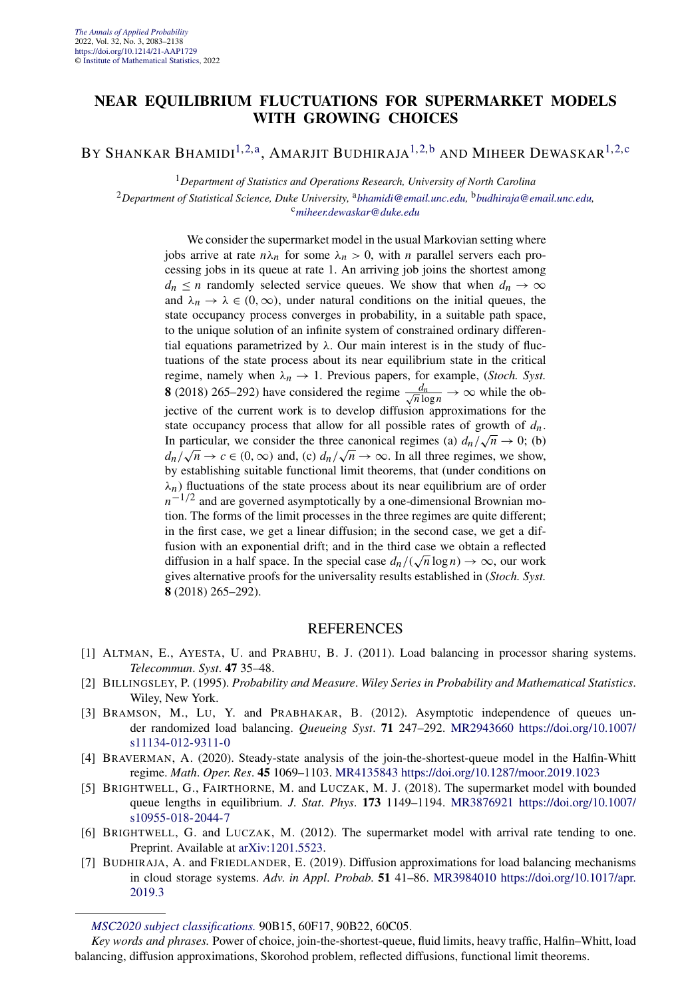#### **NEAR EQUILIBRIUM FLUCTUATIONS FOR SUPERMARKET MODELS WITH GROWING CHOICES**

BY SHANKAR BHAMIDI<sup>[1,2,a](#page-4-0)</sup>, AMARJIT BUDHIRAJA<sup>[1,2,b](#page-4-0)</sup> AND MIHEER DEWASKAR<sup>[1,2,c](#page-4-0)</sup>

<sup>1</sup>*Department of Statistics and Operations Research, University of North Carolina*

<sup>2</sup>*Department of Statistical Science, Duke University,* <sup>a</sup>*[bhamidi@email.unc.edu,](mailto:bhamidi@email.unc.edu)* <sup>b</sup>*[budhiraja@email.unc.edu,](mailto:budhiraja@email.unc.edu)* <sup>c</sup>*[miheer.dewaskar@duke.edu](mailto:miheer.dewaskar@duke.edu)*

We consider the supermarket model in the usual Markovian setting where jobs arrive at rate  $n\lambda_n$  for some  $\lambda_n > 0$ , with *n* parallel servers each processing jobs in its queue at rate 1. An arriving job joins the shortest among  $d_n \le n$  randomly selected service queues. We show that when  $d_n \to \infty$ and  $\lambda_n \to \lambda \in (0, \infty)$ , under natural conditions on the initial queues, the state occupancy process converges in probability, in a suitable path space, to the unique solution of an infinite system of constrained ordinary differential equations parametrized by  $\lambda$ . Our main interest is in the study of fluctuations of the state process about its near equilibrium state in the critical regime, namely when  $\lambda_n \to 1$ . Previous papers, for example, (*Stoch. Syst.*) **8** (2018) 265–292) have considered the regime  $\frac{d_n}{\sqrt{n} \log n} \to \infty$  while the objective of the current work is to develop diffusion approximations for the state occupancy process that allow for all possible rates of growth of  $d_n$ . In particular, we consider the three canonical regimes (a)  $d_n / \sqrt{n} \rightarrow 0$ ; (b) *dn/* $\sqrt{n} \rightarrow c \in (0, \infty)$  and, (c)  $d_n/\sqrt{n} \rightarrow \infty$ . In all three regimes, we show, by establishing suitable functional limit theorems, that (under conditions on  $\lambda_n$ ) fluctuations of the state process about its near equilibrium are of order  $n^{-1/2}$  and are governed asymptotically by a one-dimensional Brownian motion. The forms of the limit processes in the three regimes are quite different; in the first case, we get a linear diffusion; in the second case, we get a diffusion with an exponential drift; and in the third case we obtain a reflected diffusion in a half space. In the special case  $d_n/(\sqrt{n}\log n) \to \infty$ , our work gives alternative proofs for the universality results established in (*Stoch. Syst.* **8** (2018) 265–292).

- [1] ALTMAN, E., AYESTA, U. and PRABHU, B. J. (2011). Load balancing in processor sharing systems. *Telecommun*. *Syst*. **47** 35–48.
- [2] BILLINGSLEY, P. (1995). *Probability and Measure*. *Wiley Series in Probability and Mathematical Statistics*. Wiley, New York.
- [3] BRAMSON, M., LU, Y. and PRABHAKAR, B. (2012). Asymptotic independence of queues under randomized load balancing. *Queueing Syst*. **71** 247–292. [MR2943660](http://www.ams.org/mathscinet-getitem?mr=2943660) [https://doi.org/10.1007/](https://doi.org/10.1007/s11134-012-9311-0) [s11134-012-9311-0](https://doi.org/10.1007/s11134-012-9311-0)
- [4] BRAVERMAN, A. (2020). Steady-state analysis of the join-the-shortest-queue model in the Halfin-Whitt regime. *Math*. *Oper*. *Res*. **45** 1069–1103. [MR4135843](http://www.ams.org/mathscinet-getitem?mr=4135843)<https://doi.org/10.1287/moor.2019.1023>
- [5] BRIGHTWELL, G., FAIRTHORNE, M. and LUCZAK, M. J. (2018). The supermarket model with bounded queue lengths in equilibrium. *J*. *Stat*. *Phys*. **173** 1149–1194. [MR3876921](http://www.ams.org/mathscinet-getitem?mr=3876921) [https://doi.org/10.1007/](https://doi.org/10.1007/s10955-018-2044-7) [s10955-018-2044-7](https://doi.org/10.1007/s10955-018-2044-7)
- [6] BRIGHTWELL, G. and LUCZAK, M. (2012). The supermarket model with arrival rate tending to one. Preprint. Available at [arXiv:1201.5523.](http://arxiv.org/abs/arXiv:1201.5523)
- [7] BUDHIRAJA, A. and FRIEDLANDER, E. (2019). Diffusion approximations for load balancing mechanisms in cloud storage systems. *Adv*. *in Appl*. *Probab*. **51** 41–86. [MR3984010](http://www.ams.org/mathscinet-getitem?mr=3984010) [https://doi.org/10.1017/apr.](https://doi.org/10.1017/apr.2019.3) [2019.3](https://doi.org/10.1017/apr.2019.3)

*[MSC2020 subject classifications.](https://mathscinet.ams.org/mathscinet/msc/msc2020.html)* 90B15, 60F17, 90B22, 60C05.

*Key words and phrases.* Power of choice, join-the-shortest-queue, fluid limits, heavy traffic, Halfin–Whitt, load balancing, diffusion approximations, Skorohod problem, reflected diffusions, functional limit theorems.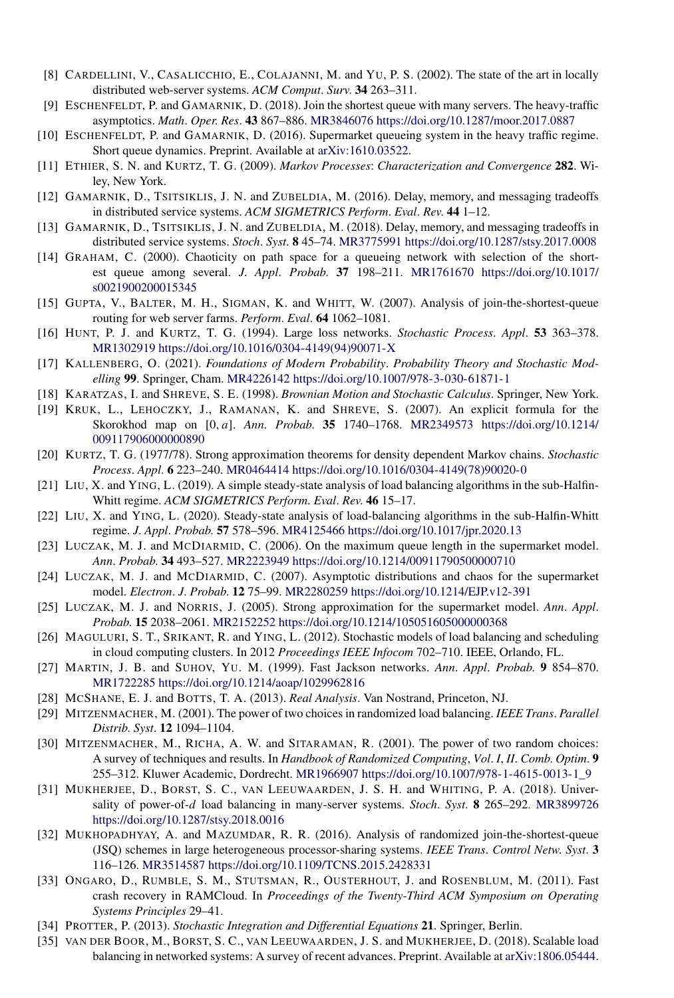- [8] CARDELLINI, V., CASALICCHIO, E., COLAJANNI, M. and YU, P. S. (2002). The state of the art in locally distributed web-server systems. *ACM Comput*. *Surv*. **34** 263–311.
- [9] ESCHENFELDT, P. and GAMARNIK, D. (2018). Join the shortest queue with many servers. The heavy-traffic asymptotics. *Math*. *Oper*. *Res*. **43** 867–886. [MR3846076](http://www.ams.org/mathscinet-getitem?mr=3846076)<https://doi.org/10.1287/moor.2017.0887>
- [10] ESCHENFELDT, P. and GAMARNIK, D. (2016). Supermarket queueing system in the heavy traffic regime. Short queue dynamics. Preprint. Available at [arXiv:1610.03522.](http://arxiv.org/abs/arXiv:1610.03522)
- [11] ETHIER, S. N. and KURTZ, T. G. (2009). *Markov Processes*: *Characterization and Convergence* **282**. Wiley, New York.
- [12] GAMARNIK, D., TSITSIKLIS, J. N. and ZUBELDIA, M. (2016). Delay, memory, and messaging tradeoffs in distributed service systems. *ACM SIGMETRICS Perform*. *Eval*. *Rev*. **44** 1–12.
- [13] GAMARNIK, D., TSITSIKLIS, J. N. and ZUBELDIA, M. (2018). Delay, memory, and messaging tradeoffs in distributed service systems. *Stoch*. *Syst*. **8** 45–74. [MR3775991](http://www.ams.org/mathscinet-getitem?mr=3775991)<https://doi.org/10.1287/stsy.2017.0008>
- [14] GRAHAM, C. (2000). Chaoticity on path space for a queueing network with selection of the shortest queue among several. *J*. *Appl*. *Probab*. **37** 198–211. [MR1761670](http://www.ams.org/mathscinet-getitem?mr=1761670) [https://doi.org/10.1017/](https://doi.org/10.1017/s0021900200015345) [s0021900200015345](https://doi.org/10.1017/s0021900200015345)
- [15] GUPTA, V., BALTER, M. H., SIGMAN, K. and WHITT, W. (2007). Analysis of join-the-shortest-queue routing for web server farms. *Perform*. *Eval*. **64** 1062–1081.
- [16] HUNT, P. J. and KURTZ, T. G. (1994). Large loss networks. *Stochastic Process*. *Appl*. **53** 363–378. [MR1302919](http://www.ams.org/mathscinet-getitem?mr=1302919) [https://doi.org/10.1016/0304-4149\(94\)90071-X](https://doi.org/10.1016/0304-4149(94)90071-X)
- [17] KALLENBERG, O. (2021). *Foundations of Modern Probability*. *Probability Theory and Stochastic Modelling* **99**. Springer, Cham. [MR4226142](http://www.ams.org/mathscinet-getitem?mr=4226142)<https://doi.org/10.1007/978-3-030-61871-1>
- [18] KARATZAS, I. and SHREVE, S. E. (1998). *Brownian Motion and Stochastic Calculus*. Springer, New York.
- [19] KRUK, L., LEHOCZKY, J., RAMANAN, K. and SHREVE, S. (2007). An explicit formula for the Skorokhod map on [0*,a*]. *Ann*. *Probab*. **35** 1740–1768. [MR2349573](http://www.ams.org/mathscinet-getitem?mr=2349573) [https://doi.org/10.1214/](https://doi.org/10.1214/009117906000000890) [009117906000000890](https://doi.org/10.1214/009117906000000890)
- [20] KURTZ, T. G. (1977/78). Strong approximation theorems for density dependent Markov chains. *Stochastic Process*. *Appl*. **6** 223–240. [MR0464414](http://www.ams.org/mathscinet-getitem?mr=0464414) [https://doi.org/10.1016/0304-4149\(78\)90020-0](https://doi.org/10.1016/0304-4149(78)90020-0)
- [21] LIU, X. and YING, L. (2019). A simple steady-state analysis of load balancing algorithms in the sub-Halfin-Whitt regime. *ACM SIGMETRICS Perform*. *Eval*. *Rev*. **46** 15–17.
- [22] LIU, X. and YING, L. (2020). Steady-state analysis of load-balancing algorithms in the sub-Halfin-Whitt regime. *J*. *Appl*. *Probab*. **57** 578–596. [MR4125466](http://www.ams.org/mathscinet-getitem?mr=4125466)<https://doi.org/10.1017/jpr.2020.13>
- [23] LUCZAK, M. J. and MCDIARMID, C. (2006). On the maximum queue length in the supermarket model. *Ann*. *Probab*. **34** 493–527. [MR2223949](http://www.ams.org/mathscinet-getitem?mr=2223949)<https://doi.org/10.1214/00911790500000710>
- [24] LUCZAK, M. J. and MCDIARMID, C. (2007). Asymptotic distributions and chaos for the supermarket model. *Electron*. *J*. *Probab*. **12** 75–99. [MR2280259](http://www.ams.org/mathscinet-getitem?mr=2280259)<https://doi.org/10.1214/EJP.v12-391>
- [25] LUCZAK, M. J. and NORRIS, J. (2005). Strong approximation for the supermarket model. *Ann*. *Appl*. *Probab*. **15** 2038–2061. [MR2152252](http://www.ams.org/mathscinet-getitem?mr=2152252)<https://doi.org/10.1214/105051605000000368>
- [26] MAGULURI, S. T., SRIKANT, R. and YING, L. (2012). Stochastic models of load balancing and scheduling in cloud computing clusters. In 2012 *Proceedings IEEE Infocom* 702–710. IEEE, Orlando, FL.
- [27] MARTIN, J. B. and SUHOV, YU. M. (1999). Fast Jackson networks. *Ann*. *Appl*. *Probab*. **9** 854–870. [MR1722285](http://www.ams.org/mathscinet-getitem?mr=1722285)<https://doi.org/10.1214/aoap/1029962816>
- [28] MCSHANE, E. J. and BOTTS, T. A. (2013). *Real Analysis*. Van Nostrand, Princeton, NJ.
- [29] MITZENMACHER, M. (2001). The power of two choices in randomized load balancing. *IEEE Trans*. *Parallel Distrib*. *Syst*. **12** 1094–1104.
- [30] MITZENMACHER, M., RICHA, A. W. and SITARAMAN, R. (2001). The power of two random choices: A survey of techniques and results. In *Handbook of Randomized Computing*, *Vol*. *I*, *II*. *Comb*. *Optim*. **9** 255–312. Kluwer Academic, Dordrecht. [MR1966907](http://www.ams.org/mathscinet-getitem?mr=1966907) [https://doi.org/10.1007/978-1-4615-0013-1\\_9](https://doi.org/10.1007/978-1-4615-0013-1_9)
- [31] MUKHERJEE, D., BORST, S. C., VAN LEEUWAARDEN, J. S. H. and WHITING, P. A. (2018). Universality of power-of-*d* load balancing in many-server systems. *Stoch*. *Syst*. **8** 265–292. [MR3899726](http://www.ams.org/mathscinet-getitem?mr=3899726) <https://doi.org/10.1287/stsy.2018.0016>
- [32] MUKHOPADHYAY, A. and MAZUMDAR, R. R. (2016). Analysis of randomized join-the-shortest-queue (JSQ) schemes in large heterogeneous processor-sharing systems. *IEEE Trans*. *Control Netw*. *Syst*. **3** 116–126. [MR3514587](http://www.ams.org/mathscinet-getitem?mr=3514587)<https://doi.org/10.1109/TCNS.2015.2428331>
- [33] ONGARO, D., RUMBLE, S. M., STUTSMAN, R., OUSTERHOUT, J. and ROSENBLUM, M. (2011). Fast crash recovery in RAMCloud. In *Proceedings of the Twenty-Third ACM Symposium on Operating Systems Principles* 29–41.
- [34] PROTTER, P. (2013). *Stochastic Integration and Differential Equations* **21**. Springer, Berlin.
- [35] VAN DER BOOR, M., BORST, S. C., VAN LEEUWAARDEN, J. S. and MUKHERJEE, D. (2018). Scalable load balancing in networked systems: A survey of recent advances. Preprint. Available at [arXiv:1806.05444.](http://arxiv.org/abs/arXiv:1806.05444)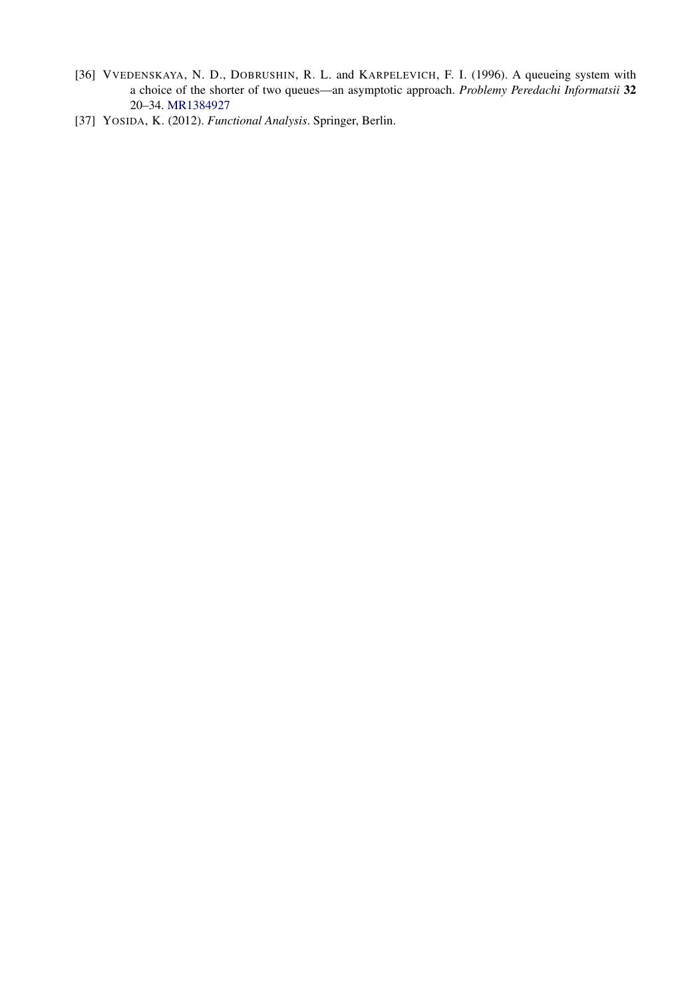- [36] VVEDENSKAYA, N. D., DOBRUSHIN, R. L. and KARPELEVICH, F. I. (1996). A queueing system with a choice of the shorter of two queues—an asymptotic approach. *Problemy Peredachi Informatsii* **32** 20–34. [MR1384927](http://www.ams.org/mathscinet-getitem?mr=1384927)
- [37] YOSIDA, K. (2012). *Functional Analysis*. Springer, Berlin.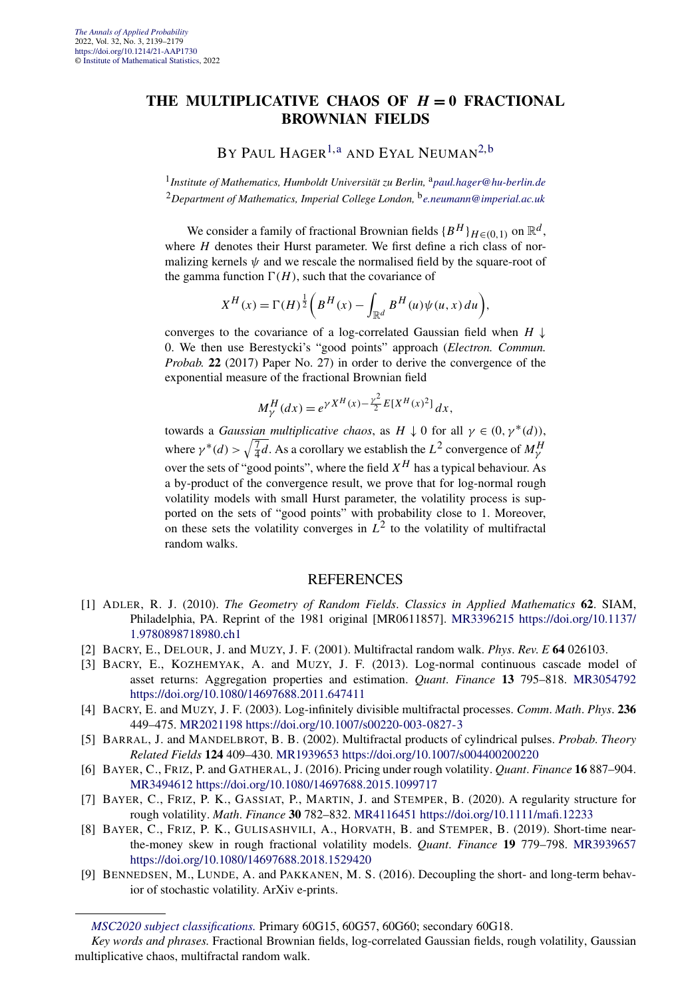#### **THE MULTIPLICATIVE CHAOS OF** *H* **= 0 FRACTIONAL BROWNIAN FIELDS**

BY PAUL HAGER<sup>[1,a](#page-4-0)</sup> AND EYAL NEUMAN<sup>[2,b](#page-4-0)</sup>

<sup>1</sup> Institute of Mathematics, Humboldt Universität zu Berlin, <sup>a</sup>[paul.hager@hu-berlin.de](mailto:paul.hager@hu-berlin.de) <sup>2</sup>*Department of Mathematics, Imperial College London,* <sup>b</sup>*[e.neumann@imperial.ac.uk](mailto:e.neumann@imperial.ac.uk)*

We consider a family of fractional Brownian fields  ${B^H}_{H \in (0,1)}$  on  $\mathbb{R}^d$ , where *H* denotes their Hurst parameter. We first define a rich class of normalizing kernels  $\psi$  and we rescale the normalised field by the square-root of the gamma function  $\Gamma(H)$ , such that the covariance of

$$
X^{H}(x) = \Gamma(H)^{\frac{1}{2}}\bigg(B^{H}(x) - \int_{\mathbb{R}^{d}} B^{H}(u)\psi(u, x) du\bigg),
$$

converges to the covariance of a log-correlated Gaussian field when  $H \downarrow$ 0. We then use Berestycki's "good points" approach (*Electron. Commun. Probab.* **22** (2017) Paper No. 27) in order to derive the convergence of the exponential measure of the fractional Brownian field

$$
M_{\gamma}^{H}(dx) = e^{\gamma X^{H}(x) - \frac{\gamma^{2}}{2}E[X^{H}(x)^{2}]} dx,
$$

towards a *Gaussian multiplicative chaos*, as  $H \downarrow 0$  for all  $\gamma \in (0, \gamma^*(d))$ , where  $\gamma^*(d) > \sqrt{\frac{7}{4}d}$ . As a corollary we establish the  $L^2$  convergence of  $M_{\gamma}^H$ over the sets of "good points", where the field *X<sup>H</sup>* has a typical behaviour. As a by-product of the convergence result, we prove that for log-normal rough volatility models with small Hurst parameter, the volatility process is supported on the sets of "good points" with probability close to 1. Moreover, on these sets the volatility converges in  $L^2$  to the volatility of multifractal random walks.

- [1] ADLER, R. J. (2010). *The Geometry of Random Fields*. *Classics in Applied Mathematics* **62**. SIAM, Philadelphia, PA. Reprint of the 1981 original [MR0611857]. [MR3396215](http://www.ams.org/mathscinet-getitem?mr=3396215) [https://doi.org/10.1137/](https://doi.org/10.1137/1.9780898718980.ch1) [1.9780898718980.ch1](https://doi.org/10.1137/1.9780898718980.ch1)
- [2] BACRY, E., DELOUR, J. and MUZY, J. F. (2001). Multifractal random walk. *Phys*. *Rev*. *E* **64** 026103.
- [3] BACRY, E., KOZHEMYAK, A. and MUZY, J. F. (2013). Log-normal continuous cascade model of asset returns: Aggregation properties and estimation. *Quant*. *Finance* **13** 795–818. [MR3054792](http://www.ams.org/mathscinet-getitem?mr=3054792) <https://doi.org/10.1080/14697688.2011.647411>
- [4] BACRY, E. and MUZY, J. F. (2003). Log-infinitely divisible multifractal processes. *Comm*. *Math*. *Phys*. **236** 449–475. [MR2021198](http://www.ams.org/mathscinet-getitem?mr=2021198)<https://doi.org/10.1007/s00220-003-0827-3>
- [5] BARRAL, J. and MANDELBROT, B. B. (2002). Multifractal products of cylindrical pulses. *Probab*. *Theory Related Fields* **124** 409–430. [MR1939653](http://www.ams.org/mathscinet-getitem?mr=1939653)<https://doi.org/10.1007/s004400200220>
- [6] BAYER, C., FRIZ, P. and GATHERAL, J. (2016). Pricing under rough volatility. *Quant*. *Finance* **16** 887–904. [MR3494612](http://www.ams.org/mathscinet-getitem?mr=3494612)<https://doi.org/10.1080/14697688.2015.1099717>
- [7] BAYER, C., FRIZ, P. K., GASSIAT, P., MARTIN, J. and STEMPER, B. (2020). A regularity structure for rough volatility. *Math*. *Finance* **30** 782–832. [MR4116451](http://www.ams.org/mathscinet-getitem?mr=4116451)<https://doi.org/10.1111/mafi.12233>
- [8] BAYER, C., FRIZ, P. K., GULISASHVILI, A., HORVATH, B. and STEMPER, B. (2019). Short-time nearthe-money skew in rough fractional volatility models. *Quant*. *Finance* **19** 779–798. [MR3939657](http://www.ams.org/mathscinet-getitem?mr=3939657) <https://doi.org/10.1080/14697688.2018.1529420>
- [9] BENNEDSEN, M., LUNDE, A. and PAKKANEN, M. S. (2016). Decoupling the short- and long-term behavior of stochastic volatility. ArXiv e-prints.

*[MSC2020 subject classifications.](https://mathscinet.ams.org/mathscinet/msc/msc2020.html)* Primary 60G15, 60G57, 60G60; secondary 60G18.

*Key words and phrases.* Fractional Brownian fields, log-correlated Gaussian fields, rough volatility, Gaussian multiplicative chaos, multifractal random walk.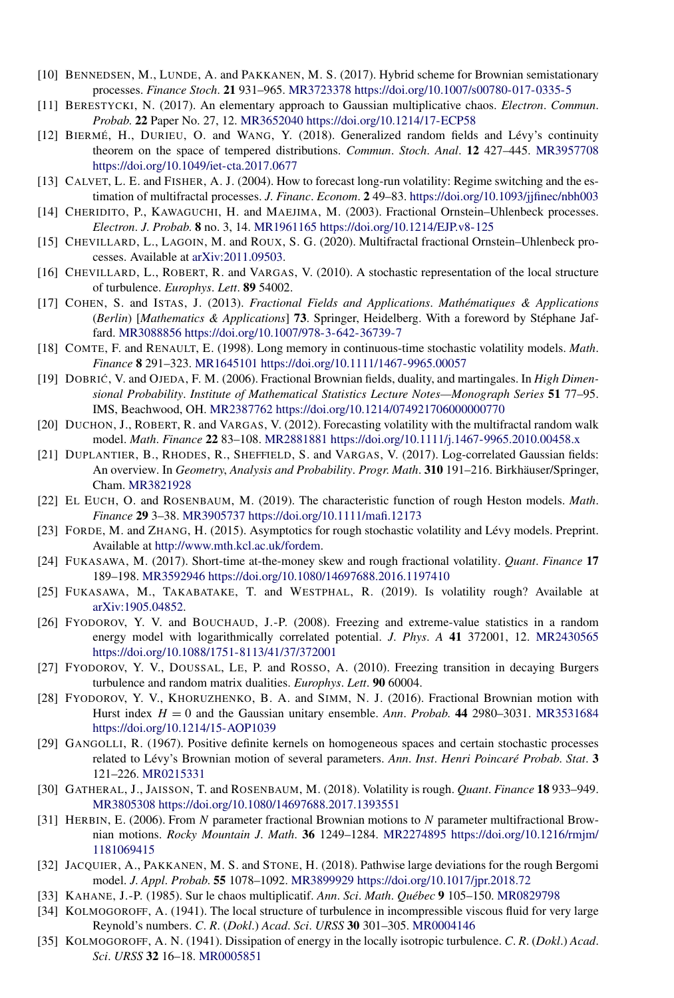- [10] BENNEDSEN, M., LUNDE, A. and PAKKANEN, M. S. (2017). Hybrid scheme for Brownian semistationary processes. *Finance Stoch*. **21** 931–965. [MR3723378](http://www.ams.org/mathscinet-getitem?mr=3723378)<https://doi.org/10.1007/s00780-017-0335-5>
- [11] BERESTYCKI, N. (2017). An elementary approach to Gaussian multiplicative chaos. *Electron*. *Commun*. *Probab*. **22** Paper No. 27, 12. [MR3652040](http://www.ams.org/mathscinet-getitem?mr=3652040)<https://doi.org/10.1214/17-ECP58>
- [12] BIERMÉ, H., DURIEU, O. and WANG, Y. (2018). Generalized random fields and Lévy's continuity theorem on the space of tempered distributions. *Commun*. *Stoch*. *Anal*. **12** 427–445. [MR3957708](http://www.ams.org/mathscinet-getitem?mr=3957708) <https://doi.org/10.1049/iet-cta.2017.0677>
- [13] CALVET, L. E. and FISHER, A. J. (2004). How to forecast long-run volatility: Regime switching and the estimation of multifractal processes. *J*. *Financ*. *Econom*. **2** 49–83. <https://doi.org/10.1093/jjfinec/nbh003>
- [14] CHERIDITO, P., KAWAGUCHI, H. and MAEJIMA, M. (2003). Fractional Ornstein–Uhlenbeck processes. *Electron*. *J*. *Probab*. **8** no. 3, 14. [MR1961165](http://www.ams.org/mathscinet-getitem?mr=1961165)<https://doi.org/10.1214/EJP.v8-125>
- [15] CHEVILLARD, L., LAGOIN, M. and ROUX, S. G. (2020). Multifractal fractional Ornstein–Uhlenbeck processes. Available at [arXiv:2011.09503.](http://arxiv.org/abs/arXiv:2011.09503)
- [16] CHEVILLARD, L., ROBERT, R. and VARGAS, V. (2010). A stochastic representation of the local structure of turbulence. *Europhys*. *Lett*. **89** 54002.
- [17] COHEN, S. and ISTAS, J. (2013). *Fractional Fields and Applications*. *Mathématiques & Applications* (*Berlin*) [*Mathematics & Applications*] **73**. Springer, Heidelberg. With a foreword by Stéphane Jaffard. [MR3088856](http://www.ams.org/mathscinet-getitem?mr=3088856)<https://doi.org/10.1007/978-3-642-36739-7>
- [18] COMTE, F. and RENAULT, E. (1998). Long memory in continuous-time stochastic volatility models. *Math*. *Finance* **8** 291–323. [MR1645101](http://www.ams.org/mathscinet-getitem?mr=1645101)<https://doi.org/10.1111/1467-9965.00057>
- [19] DOBRIC´ , V. and OJEDA, F. M. (2006). Fractional Brownian fields, duality, and martingales. In *High Dimensional Probability*. *Institute of Mathematical Statistics Lecture Notes—Monograph Series* **51** 77–95. IMS, Beachwood, OH. [MR2387762](http://www.ams.org/mathscinet-getitem?mr=2387762)<https://doi.org/10.1214/074921706000000770>
- [20] DUCHON, J., ROBERT, R. and VARGAS, V. (2012). Forecasting volatility with the multifractal random walk model. *Math*. *Finance* **22** 83–108. [MR2881881](http://www.ams.org/mathscinet-getitem?mr=2881881)<https://doi.org/10.1111/j.1467-9965.2010.00458.x>
- [21] DUPLANTIER, B., RHODES, R., SHEFFIELD, S. and VARGAS, V. (2017). Log-correlated Gaussian fields: An overview. In *Geometry*, *Analysis and Probability*. *Progr*. *Math*. **310** 191–216. Birkhäuser/Springer, Cham. [MR3821928](http://www.ams.org/mathscinet-getitem?mr=3821928)
- [22] EL EUCH, O. and ROSENBAUM, M. (2019). The characteristic function of rough Heston models. *Math*. *Finance* **29** 3–38. [MR3905737](http://www.ams.org/mathscinet-getitem?mr=3905737)<https://doi.org/10.1111/mafi.12173>
- [23] FORDE, M. and ZHANG, H. (2015). Asymptotics for rough stochastic volatility and Lévy models. Preprint. Available at <http://www.mth.kcl.ac.uk/fordem>.
- [24] FUKASAWA, M. (2017). Short-time at-the-money skew and rough fractional volatility. *Quant*. *Finance* **17** 189–198. [MR3592946](http://www.ams.org/mathscinet-getitem?mr=3592946)<https://doi.org/10.1080/14697688.2016.1197410>
- [25] FUKASAWA, M., TAKABATAKE, T. and WESTPHAL, R. (2019). Is volatility rough? Available at [arXiv:1905.04852](http://arxiv.org/abs/arXiv:1905.04852).
- [26] FYODOROV, Y. V. and BOUCHAUD, J.-P. (2008). Freezing and extreme-value statistics in a random energy model with logarithmically correlated potential. *J*. *Phys*. *A* **41** 372001, 12. [MR2430565](http://www.ams.org/mathscinet-getitem?mr=2430565) <https://doi.org/10.1088/1751-8113/41/37/372001>
- [27] FYODOROV, Y. V., DOUSSAL, LE, P. and ROSSO, A. (2010). Freezing transition in decaying Burgers turbulence and random matrix dualities. *Europhys*. *Lett*. **90** 60004.
- [28] FYODOROV, Y. V., KHORUZHENKO, B. A. and SIMM, N. J. (2016). Fractional Brownian motion with Hurst index  $H = 0$  and the Gaussian unitary ensemble. Ann. Probab. **44** 2980–3031. [MR3531684](http://www.ams.org/mathscinet-getitem?mr=3531684) <https://doi.org/10.1214/15-AOP1039>
- [29] GANGOLLI, R. (1967). Positive definite kernels on homogeneous spaces and certain stochastic processes related to Lévy's Brownian motion of several parameters. *Ann*. *Inst*. *Henri Poincaré Probab*. *Stat*. **3** 121–226. [MR0215331](http://www.ams.org/mathscinet-getitem?mr=0215331)
- [30] GATHERAL, J., JAISSON, T. and ROSENBAUM, M. (2018). Volatility is rough. *Quant*. *Finance* **18** 933–949. [MR3805308](http://www.ams.org/mathscinet-getitem?mr=3805308)<https://doi.org/10.1080/14697688.2017.1393551>
- [31] HERBIN, E. (2006). From *N* parameter fractional Brownian motions to *N* parameter multifractional Brownian motions. *Rocky Mountain J*. *Math*. **36** 1249–1284. [MR2274895](http://www.ams.org/mathscinet-getitem?mr=2274895) [https://doi.org/10.1216/rmjm/](https://doi.org/10.1216/rmjm/1181069415) [1181069415](https://doi.org/10.1216/rmjm/1181069415)
- [32] JACQUIER, A., PAKKANEN, M. S. and STONE, H. (2018). Pathwise large deviations for the rough Bergomi model. *J*. *Appl*. *Probab*. **55** 1078–1092. [MR3899929](http://www.ams.org/mathscinet-getitem?mr=3899929)<https://doi.org/10.1017/jpr.2018.72>
- [33] KAHANE, J.-P. (1985). Sur le chaos multiplicatif. *Ann*. *Sci*. *Math*. *Québec* **9** 105–150. [MR0829798](http://www.ams.org/mathscinet-getitem?mr=0829798)
- [34] KOLMOGOROFF, A. (1941). The local structure of turbulence in incompressible viscous fluid for very large Reynold's numbers. *C*. *R*. (*Dokl*.) *Acad*. *Sci*. *URSS* **30** 301–305. [MR0004146](http://www.ams.org/mathscinet-getitem?mr=0004146)
- [35] KOLMOGOROFF, A. N. (1941). Dissipation of energy in the locally isotropic turbulence. *C*. *R*. (*Dokl*.) *Acad*. *Sci*. *URSS* **32** 16–18. [MR0005851](http://www.ams.org/mathscinet-getitem?mr=0005851)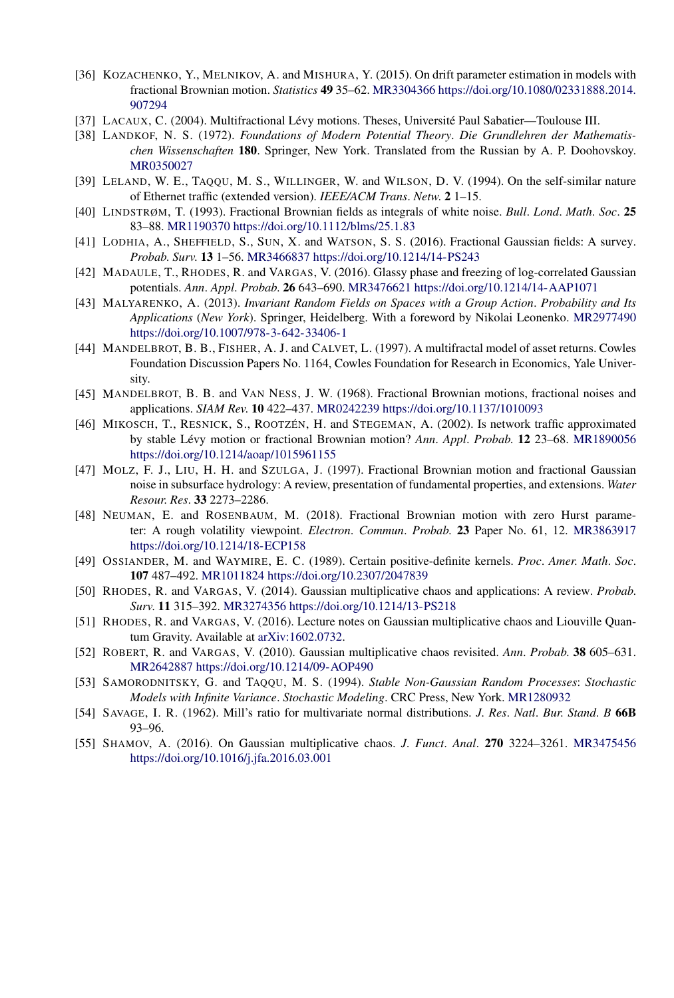- [36] KOZACHENKO, Y., MELNIKOV, A. and MISHURA, Y. (2015). On drift parameter estimation in models with fractional Brownian motion. *Statistics* **49** 35–62. [MR3304366](http://www.ams.org/mathscinet-getitem?mr=3304366) [https://doi.org/10.1080/02331888.2014.](https://doi.org/10.1080/02331888.2014.907294) [907294](https://doi.org/10.1080/02331888.2014.907294)
- [37] LACAUX, C. (2004). Multifractional Lévy motions. Theses, Université Paul Sabatier—Toulouse III.
- [38] LANDKOF, N. S. (1972). *Foundations of Modern Potential Theory*. *Die Grundlehren der Mathematischen Wissenschaften* **180**. Springer, New York. Translated from the Russian by A. P. Doohovskoy. [MR0350027](http://www.ams.org/mathscinet-getitem?mr=0350027)
- [39] LELAND, W. E., TAQQU, M. S., WILLINGER, W. and WILSON, D. V. (1994). On the self-similar nature of Ethernet traffic (extended version). *IEEE/ACM Trans*. *Netw*. **2** 1–15.
- [40] LINDSTRØM, T. (1993). Fractional Brownian fields as integrals of white noise. *Bull*. *Lond*. *Math*. *Soc*. **25** 83–88. [MR1190370](http://www.ams.org/mathscinet-getitem?mr=1190370)<https://doi.org/10.1112/blms/25.1.83>
- [41] LODHIA, A., SHEFFIELD, S., SUN, X. and WATSON, S. S. (2016). Fractional Gaussian fields: A survey. *Probab*. *Surv*. **13** 1–56. [MR3466837](http://www.ams.org/mathscinet-getitem?mr=3466837)<https://doi.org/10.1214/14-PS243>
- [42] MADAULE, T., RHODES, R. and VARGAS, V. (2016). Glassy phase and freezing of log-correlated Gaussian potentials. *Ann*. *Appl*. *Probab*. **26** 643–690. [MR3476621](http://www.ams.org/mathscinet-getitem?mr=3476621)<https://doi.org/10.1214/14-AAP1071>
- [43] MALYARENKO, A. (2013). *Invariant Random Fields on Spaces with a Group Action*. *Probability and Its Applications* (*New York*). Springer, Heidelberg. With a foreword by Nikolai Leonenko. [MR2977490](http://www.ams.org/mathscinet-getitem?mr=2977490) <https://doi.org/10.1007/978-3-642-33406-1>
- [44] MANDELBROT, B. B., FISHER, A. J. and CALVET, L. (1997). A multifractal model of asset returns. Cowles Foundation Discussion Papers No. 1164, Cowles Foundation for Research in Economics, Yale University.
- [45] MANDELBROT, B. B. and VAN NESS, J. W. (1968). Fractional Brownian motions, fractional noises and applications. *SIAM Rev*. **10** 422–437. [MR0242239](http://www.ams.org/mathscinet-getitem?mr=0242239)<https://doi.org/10.1137/1010093>
- [46] MIKOSCH, T., RESNICK, S., ROOTZÉN, H. and STEGEMAN, A. (2002). Is network traffic approximated by stable Lévy motion or fractional Brownian motion? *Ann*. *Appl*. *Probab*. **12** 23–68. [MR1890056](http://www.ams.org/mathscinet-getitem?mr=1890056) <https://doi.org/10.1214/aoap/1015961155>
- [47] MOLZ, F. J., LIU, H. H. and SZULGA, J. (1997). Fractional Brownian motion and fractional Gaussian noise in subsurface hydrology: A review, presentation of fundamental properties, and extensions. *Water Resour*. *Res*. **33** 2273–2286.
- [48] NEUMAN, E. and ROSENBAUM, M. (2018). Fractional Brownian motion with zero Hurst parameter: A rough volatility viewpoint. *Electron*. *Commun*. *Probab*. **23** Paper No. 61, 12. [MR3863917](http://www.ams.org/mathscinet-getitem?mr=3863917) <https://doi.org/10.1214/18-ECP158>
- [49] OSSIANDER, M. and WAYMIRE, E. C. (1989). Certain positive-definite kernels. *Proc*. *Amer*. *Math*. *Soc*. **107** 487–492. [MR1011824](http://www.ams.org/mathscinet-getitem?mr=1011824)<https://doi.org/10.2307/2047839>
- [50] RHODES, R. and VARGAS, V. (2014). Gaussian multiplicative chaos and applications: A review. *Probab*. *Surv*. **11** 315–392. [MR3274356](http://www.ams.org/mathscinet-getitem?mr=3274356)<https://doi.org/10.1214/13-PS218>
- [51] RHODES, R. and VARGAS, V. (2016). Lecture notes on Gaussian multiplicative chaos and Liouville Quantum Gravity. Available at [arXiv:1602.0732.](http://arxiv.org/abs/arXiv:1602.0732)
- [52] ROBERT, R. and VARGAS, V. (2010). Gaussian multiplicative chaos revisited. *Ann*. *Probab*. **38** 605–631. [MR2642887](http://www.ams.org/mathscinet-getitem?mr=2642887)<https://doi.org/10.1214/09-AOP490>
- [53] SAMORODNITSKY, G. and TAQQU, M. S. (1994). *Stable Non-Gaussian Random Processes*: *Stochastic Models with Infinite Variance*. *Stochastic Modeling*. CRC Press, New York. [MR1280932](http://www.ams.org/mathscinet-getitem?mr=1280932)
- [54] SAVAGE, I. R. (1962). Mill's ratio for multivariate normal distributions. *J*. *Res*. *Natl*. *Bur*. *Stand*. *B* **66B** 93–96.
- [55] SHAMOV, A. (2016). On Gaussian multiplicative chaos. *J*. *Funct*. *Anal*. **270** 3224–3261. [MR3475456](http://www.ams.org/mathscinet-getitem?mr=3475456) <https://doi.org/10.1016/j.jfa.2016.03.001>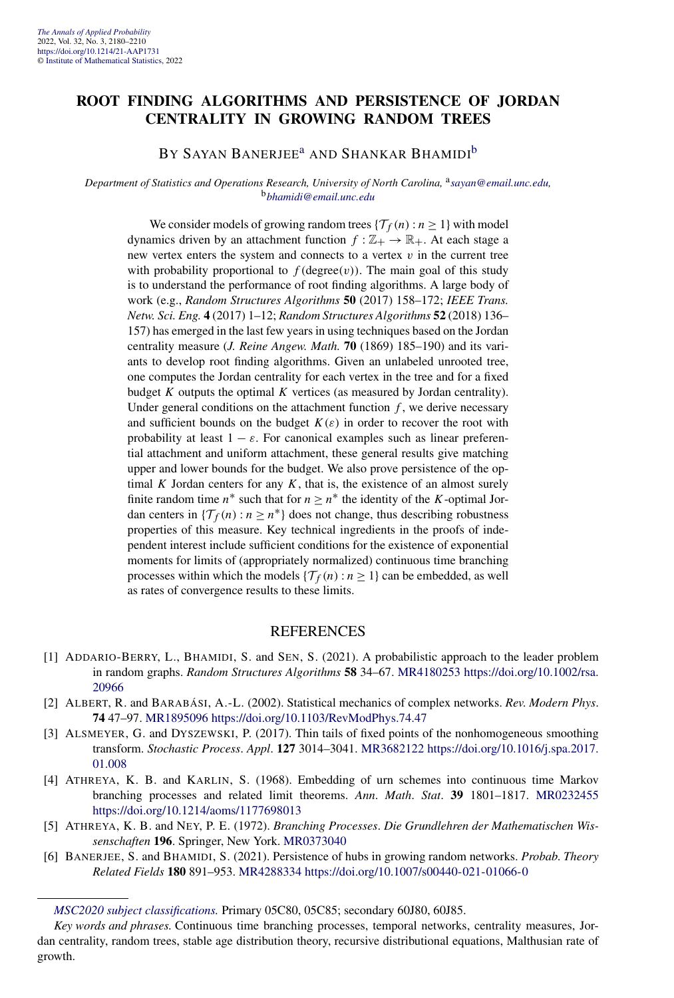#### **ROOT FINDING ALGORITHMS AND PERSISTENCE OF JORDAN CENTRALITY IN GROWING RANDOM TREES**

#### BY SAYAN BANERJEE<sup>[a](#page-4-0)</sup> AND SHANKAR BHAMIDI<sup>[b](#page-4-0)</sup>

#### *Department of Statistics and Operations Research, University of North Carolina,* <sup>a</sup>*[sayan@email.unc.edu,](mailto:sayan@email.unc.edu)* <sup>b</sup>*[bhamidi@email.unc.edu](mailto:bhamidi@email.unc.edu)*

We consider models of growing random trees  $\{\mathcal{T}_f(n) : n \geq 1\}$  with model dynamics driven by an attachment function  $f : \mathbb{Z}_+ \to \mathbb{R}_+$ . At each stage a new vertex enters the system and connects to a vertex *v* in the current tree with probability proportional to  $f$  (degree $(v)$ ). The main goal of this study is to understand the performance of root finding algorithms. A large body of work (e.g., *Random Structures Algorithms* **50** (2017) 158–172; *IEEE Trans. Netw. Sci. Eng.* **4** (2017) 1–12; *Random Structures Algorithms* **52** (2018) 136– 157) has emerged in the last few years in using techniques based on the Jordan centrality measure (*J. Reine Angew. Math.* **70** (1869) 185–190) and its variants to develop root finding algorithms. Given an unlabeled unrooted tree, one computes the Jordan centrality for each vertex in the tree and for a fixed budget  $K$  outputs the optimal  $K$  vertices (as measured by Jordan centrality). Under general conditions on the attachment function *f* , we derive necessary and sufficient bounds on the budget  $K(\varepsilon)$  in order to recover the root with probability at least  $1 - \varepsilon$ . For canonical examples such as linear preferential attachment and uniform attachment, these general results give matching upper and lower bounds for the budget. We also prove persistence of the optimal  $K$  Jordan centers for any  $K$ , that is, the existence of an almost surely finite random time  $n^*$  such that for  $n \geq n^*$  the identity of the *K*-optimal Jordan centers in  $\{\mathcal{T}_f(n): n \geq n^*\}$  does not change, thus describing robustness properties of this measure. Key technical ingredients in the proofs of independent interest include sufficient conditions for the existence of exponential moments for limits of (appropriately normalized) continuous time branching processes within which the models  $\{\mathcal{T}_f(n) : n \geq 1\}$  can be embedded, as well as rates of convergence results to these limits.

- [1] ADDARIO-BERRY, L., BHAMIDI, S. and SEN, S. (2021). A probabilistic approach to the leader problem in random graphs. *Random Structures Algorithms* **58** 34–67. [MR4180253](http://www.ams.org/mathscinet-getitem?mr=4180253) [https://doi.org/10.1002/rsa.](https://doi.org/10.1002/rsa.20966) [20966](https://doi.org/10.1002/rsa.20966)
- [2] ALBERT, R. and BARABÁSI, A.-L. (2002). Statistical mechanics of complex networks. *Rev*. *Modern Phys*. **74** 47–97. [MR1895096](http://www.ams.org/mathscinet-getitem?mr=1895096)<https://doi.org/10.1103/RevModPhys.74.47>
- [3] ALSMEYER, G. and DYSZEWSKI, P. (2017). Thin tails of fixed points of the nonhomogeneous smoothing transform. *Stochastic Process*. *Appl*. **127** 3014–3041. [MR3682122](http://www.ams.org/mathscinet-getitem?mr=3682122) [https://doi.org/10.1016/j.spa.2017.](https://doi.org/10.1016/j.spa.2017.01.008) [01.008](https://doi.org/10.1016/j.spa.2017.01.008)
- [4] ATHREYA, K. B. and KARLIN, S. (1968). Embedding of urn schemes into continuous time Markov branching processes and related limit theorems. *Ann*. *Math*. *Stat*. **39** 1801–1817. [MR0232455](http://www.ams.org/mathscinet-getitem?mr=0232455) <https://doi.org/10.1214/aoms/1177698013>
- [5] ATHREYA, K. B. and NEY, P. E. (1972). *Branching Processes*. *Die Grundlehren der Mathematischen Wissenschaften* **196**. Springer, New York. [MR0373040](http://www.ams.org/mathscinet-getitem?mr=0373040)
- [6] BANERJEE, S. and BHAMIDI, S. (2021). Persistence of hubs in growing random networks. *Probab*. *Theory Related Fields* **180** 891–953. [MR4288334](http://www.ams.org/mathscinet-getitem?mr=4288334)<https://doi.org/10.1007/s00440-021-01066-0>

*[MSC2020 subject classifications.](https://mathscinet.ams.org/mathscinet/msc/msc2020.html)* Primary 05C80, 05C85; secondary 60J80, 60J85.

*Key words and phrases.* Continuous time branching processes, temporal networks, centrality measures, Jordan centrality, random trees, stable age distribution theory, recursive distributional equations, Malthusian rate of growth.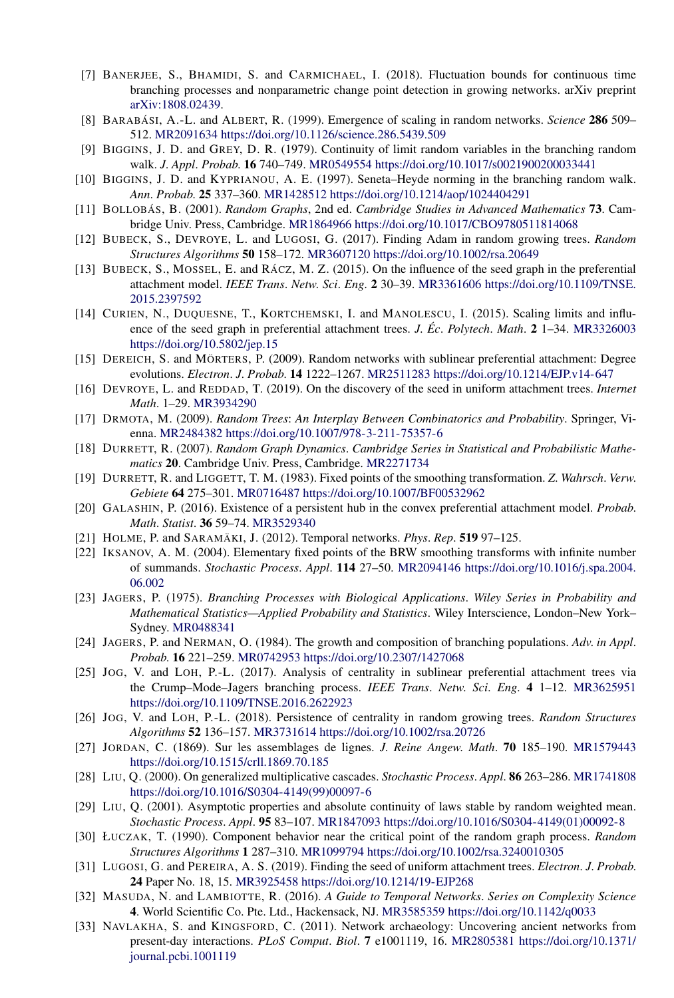- [7] BANERJEE, S., BHAMIDI, S. and CARMICHAEL, I. (2018). Fluctuation bounds for continuous time branching processes and nonparametric change point detection in growing networks. arXiv preprint [arXiv:1808.02439](http://arxiv.org/abs/arXiv:1808.02439).
- [8] BARABÁSI, A.-L. and ALBERT, R. (1999). Emergence of scaling in random networks. *Science* **286** 509– 512. [MR2091634](http://www.ams.org/mathscinet-getitem?mr=2091634)<https://doi.org/10.1126/science.286.5439.509>
- [9] BIGGINS, J. D. and GREY, D. R. (1979). Continuity of limit random variables in the branching random walk. *J*. *Appl*. *Probab*. **16** 740–749. [MR0549554](http://www.ams.org/mathscinet-getitem?mr=0549554)<https://doi.org/10.1017/s0021900200033441>
- [10] BIGGINS, J. D. and KYPRIANOU, A. E. (1997). Seneta–Heyde norming in the branching random walk. *Ann*. *Probab*. **25** 337–360. [MR1428512](http://www.ams.org/mathscinet-getitem?mr=1428512)<https://doi.org/10.1214/aop/1024404291>
- [11] BOLLOBÁS, B. (2001). *Random Graphs*, 2nd ed. *Cambridge Studies in Advanced Mathematics* **73**. Cambridge Univ. Press, Cambridge. [MR1864966](http://www.ams.org/mathscinet-getitem?mr=1864966)<https://doi.org/10.1017/CBO9780511814068>
- [12] BUBECK, S., DEVROYE, L. and LUGOSI, G. (2017). Finding Adam in random growing trees. *Random Structures Algorithms* **50** 158–172. [MR3607120](http://www.ams.org/mathscinet-getitem?mr=3607120)<https://doi.org/10.1002/rsa.20649>
- [13] BUBECK, S., MOSSEL, E. and RÁCZ, M. Z. (2015). On the influence of the seed graph in the preferential attachment model. *IEEE Trans*. *Netw*. *Sci*. *Eng*. **2** 30–39. [MR3361606](http://www.ams.org/mathscinet-getitem?mr=3361606) [https://doi.org/10.1109/TNSE.](https://doi.org/10.1109/TNSE.2015.2397592) [2015.2397592](https://doi.org/10.1109/TNSE.2015.2397592)
- [14] CURIEN, N., DUQUESNE, T., KORTCHEMSKI, I. and MANOLESCU, I. (2015). Scaling limits and influence of the seed graph in preferential attachment trees. *J*. *Éc*. *Polytech*. *Math*. **2** 1–34. [MR3326003](http://www.ams.org/mathscinet-getitem?mr=3326003) <https://doi.org/10.5802/jep.15>
- [15] DEREICH, S. and MÖRTERS, P. (2009). Random networks with sublinear preferential attachment: Degree evolutions. *Electron*. *J*. *Probab*. **14** 1222–1267. [MR2511283](http://www.ams.org/mathscinet-getitem?mr=2511283)<https://doi.org/10.1214/EJP.v14-647>
- [16] DEVROYE, L. and REDDAD, T. (2019). On the discovery of the seed in uniform attachment trees. *Internet Math*. 1–29. [MR3934290](http://www.ams.org/mathscinet-getitem?mr=3934290)
- [17] DRMOTA, M. (2009). *Random Trees*: *An Interplay Between Combinatorics and Probability*. Springer, Vienna. [MR2484382](http://www.ams.org/mathscinet-getitem?mr=2484382)<https://doi.org/10.1007/978-3-211-75357-6>
- [18] DURRETT, R. (2007). *Random Graph Dynamics*. *Cambridge Series in Statistical and Probabilistic Mathematics* **20**. Cambridge Univ. Press, Cambridge. [MR2271734](http://www.ams.org/mathscinet-getitem?mr=2271734)
- [19] DURRETT, R. and LIGGETT, T. M. (1983). Fixed points of the smoothing transformation. *Z*. *Wahrsch*. *Verw*. *Gebiete* **64** 275–301. [MR0716487](http://www.ams.org/mathscinet-getitem?mr=0716487)<https://doi.org/10.1007/BF00532962>
- [20] GALASHIN, P. (2016). Existence of a persistent hub in the convex preferential attachment model. *Probab*. *Math*. *Statist*. **36** 59–74. [MR3529340](http://www.ams.org/mathscinet-getitem?mr=3529340)
- [21] HOLME, P. and SARAMÄKI, J. (2012). Temporal networks. *Phys*. *Rep*. **519** 97–125.
- [22] IKSANOV, A. M. (2004). Elementary fixed points of the BRW smoothing transforms with infinite number of summands. *Stochastic Process*. *Appl*. **114** 27–50. [MR2094146](http://www.ams.org/mathscinet-getitem?mr=2094146) [https://doi.org/10.1016/j.spa.2004.](https://doi.org/10.1016/j.spa.2004.06.002) [06.002](https://doi.org/10.1016/j.spa.2004.06.002)
- [23] JAGERS, P. (1975). *Branching Processes with Biological Applications*. *Wiley Series in Probability and Mathematical Statistics—Applied Probability and Statistics*. Wiley Interscience, London–New York– Sydney. [MR0488341](http://www.ams.org/mathscinet-getitem?mr=0488341)
- [24] JAGERS, P. and NERMAN, O. (1984). The growth and composition of branching populations. *Adv*. *in Appl*. *Probab*. **16** 221–259. [MR0742953](http://www.ams.org/mathscinet-getitem?mr=0742953)<https://doi.org/10.2307/1427068>
- [25] JOG, V. and LOH, P.-L. (2017). Analysis of centrality in sublinear preferential attachment trees via the Crump–Mode–Jagers branching process. *IEEE Trans*. *Netw*. *Sci*. *Eng*. **4** 1–12. [MR3625951](http://www.ams.org/mathscinet-getitem?mr=3625951) <https://doi.org/10.1109/TNSE.2016.2622923>
- [26] JOG, V. and LOH, P.-L. (2018). Persistence of centrality in random growing trees. *Random Structures Algorithms* **52** 136–157. [MR3731614](http://www.ams.org/mathscinet-getitem?mr=3731614)<https://doi.org/10.1002/rsa.20726>
- [27] JORDAN, C. (1869). Sur les assemblages de lignes. *J*. *Reine Angew*. *Math*. **70** 185–190. [MR1579443](http://www.ams.org/mathscinet-getitem?mr=1579443) <https://doi.org/10.1515/crll.1869.70.185>
- [28] LIU, Q. (2000). On generalized multiplicative cascades. *Stochastic Process*. *Appl*. **86** 263–286. [MR1741808](http://www.ams.org/mathscinet-getitem?mr=1741808) [https://doi.org/10.1016/S0304-4149\(99\)00097-6](https://doi.org/10.1016/S0304-4149(99)00097-6)
- [29] LIU, Q. (2001). Asymptotic properties and absolute continuity of laws stable by random weighted mean. *Stochastic Process*. *Appl*. **95** 83–107. [MR1847093](http://www.ams.org/mathscinet-getitem?mr=1847093) [https://doi.org/10.1016/S0304-4149\(01\)00092-8](https://doi.org/10.1016/S0304-4149(01)00092-8)
- [30] ŁUCZAK, T. (1990). Component behavior near the critical point of the random graph process. *Random Structures Algorithms* **1** 287–310. [MR1099794](http://www.ams.org/mathscinet-getitem?mr=1099794)<https://doi.org/10.1002/rsa.3240010305>
- [31] LUGOSI, G. and PEREIRA, A. S. (2019). Finding the seed of uniform attachment trees. *Electron*. *J*. *Probab*. **24** Paper No. 18, 15. [MR3925458](http://www.ams.org/mathscinet-getitem?mr=3925458)<https://doi.org/10.1214/19-EJP268>
- [32] MASUDA, N. and LAMBIOTTE, R. (2016). *A Guide to Temporal Networks*. *Series on Complexity Science* **4**. World Scientific Co. Pte. Ltd., Hackensack, NJ. [MR3585359](http://www.ams.org/mathscinet-getitem?mr=3585359)<https://doi.org/10.1142/q0033>
- [33] NAVLAKHA, S. and KINGSFORD, C. (2011). Network archaeology: Uncovering ancient networks from present-day interactions. *PLoS Comput*. *Biol*. **7** e1001119, 16. [MR2805381](http://www.ams.org/mathscinet-getitem?mr=2805381) [https://doi.org/10.1371/](https://doi.org/10.1371/journal.pcbi.1001119) [journal.pcbi.1001119](https://doi.org/10.1371/journal.pcbi.1001119)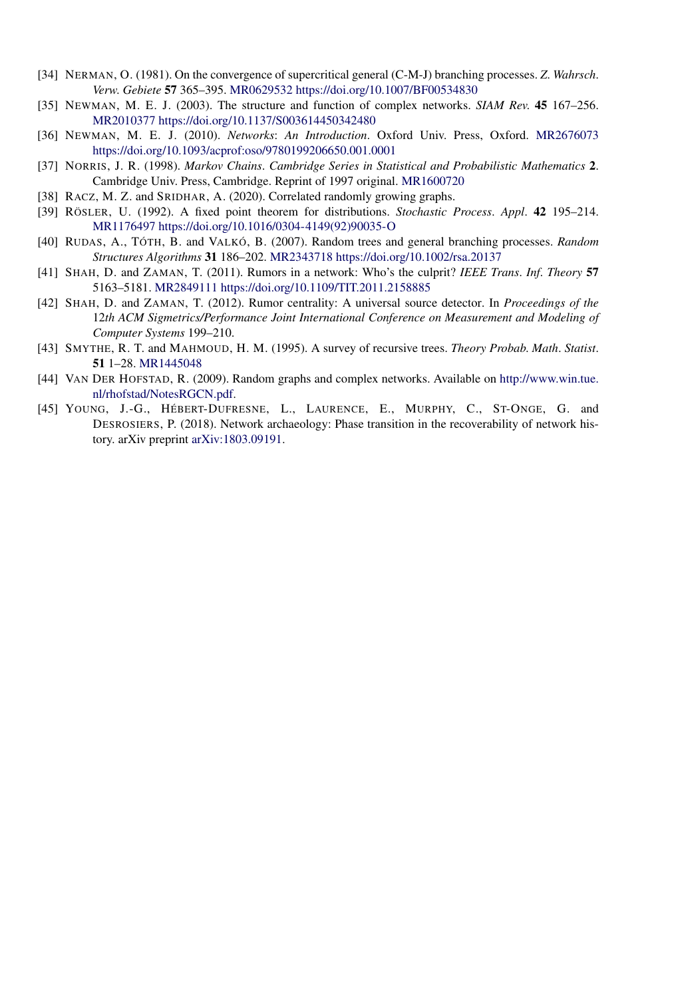- [34] NERMAN, O. (1981). On the convergence of supercritical general (C-M-J) branching processes. *Z*. *Wahrsch*. *Verw*. *Gebiete* **57** 365–395. [MR0629532](http://www.ams.org/mathscinet-getitem?mr=0629532)<https://doi.org/10.1007/BF00534830>
- [35] NEWMAN, M. E. J. (2003). The structure and function of complex networks. *SIAM Rev*. **45** 167–256. [MR2010377](http://www.ams.org/mathscinet-getitem?mr=2010377)<https://doi.org/10.1137/S003614450342480>
- [36] NEWMAN, M. E. J. (2010). *Networks*: *An Introduction*. Oxford Univ. Press, Oxford. [MR2676073](http://www.ams.org/mathscinet-getitem?mr=2676073) <https://doi.org/10.1093/acprof:oso/9780199206650.001.0001>
- [37] NORRIS, J. R. (1998). *Markov Chains*. *Cambridge Series in Statistical and Probabilistic Mathematics* **2**. Cambridge Univ. Press, Cambridge. Reprint of 1997 original. [MR1600720](http://www.ams.org/mathscinet-getitem?mr=1600720)
- [38] RACZ, M. Z. and SRIDHAR, A. (2020). Correlated randomly growing graphs.
- [39] RÖSLER, U. (1992). A fixed point theorem for distributions. *Stochastic Process*. *Appl*. **42** 195–214. [MR1176497](http://www.ams.org/mathscinet-getitem?mr=1176497) [https://doi.org/10.1016/0304-4149\(92\)90035-O](https://doi.org/10.1016/0304-4149(92)90035-O)
- [40] RUDAS, A., TÓTH, B. and VALKÓ, B. (2007). Random trees and general branching processes. *Random Structures Algorithms* **31** 186–202. [MR2343718](http://www.ams.org/mathscinet-getitem?mr=2343718)<https://doi.org/10.1002/rsa.20137>
- [41] SHAH, D. and ZAMAN, T. (2011). Rumors in a network: Who's the culprit? *IEEE Trans*. *Inf*. *Theory* **57** 5163–5181. [MR2849111](http://www.ams.org/mathscinet-getitem?mr=2849111)<https://doi.org/10.1109/TIT.2011.2158885>
- [42] SHAH, D. and ZAMAN, T. (2012). Rumor centrality: A universal source detector. In *Proceedings of the* 12*th ACM Sigmetrics/Performance Joint International Conference on Measurement and Modeling of Computer Systems* 199–210.
- [43] SMYTHE, R. T. and MAHMOUD, H. M. (1995). A survey of recursive trees. *Theory Probab*. *Math*. *Statist*. **51** 1–28. [MR1445048](http://www.ams.org/mathscinet-getitem?mr=1445048)
- [44] VAN DER HOFSTAD, R. (2009). Random graphs and complex networks. Available on [http://www.win.tue.](http://www.win.tue.nl/rhofstad/NotesRGCN.pdf) [nl/rhofstad/NotesRGCN.pdf](http://www.win.tue.nl/rhofstad/NotesRGCN.pdf).
- [45] YOUNG, J.-G., HÉBERT-DUFRESNE, L., LAURENCE, E., MURPHY, C., ST-ONGE, G. and DESROSIERS, P. (2018). Network archaeology: Phase transition in the recoverability of network history. arXiv preprint [arXiv:1803.09191.](http://arxiv.org/abs/arXiv:1803.09191)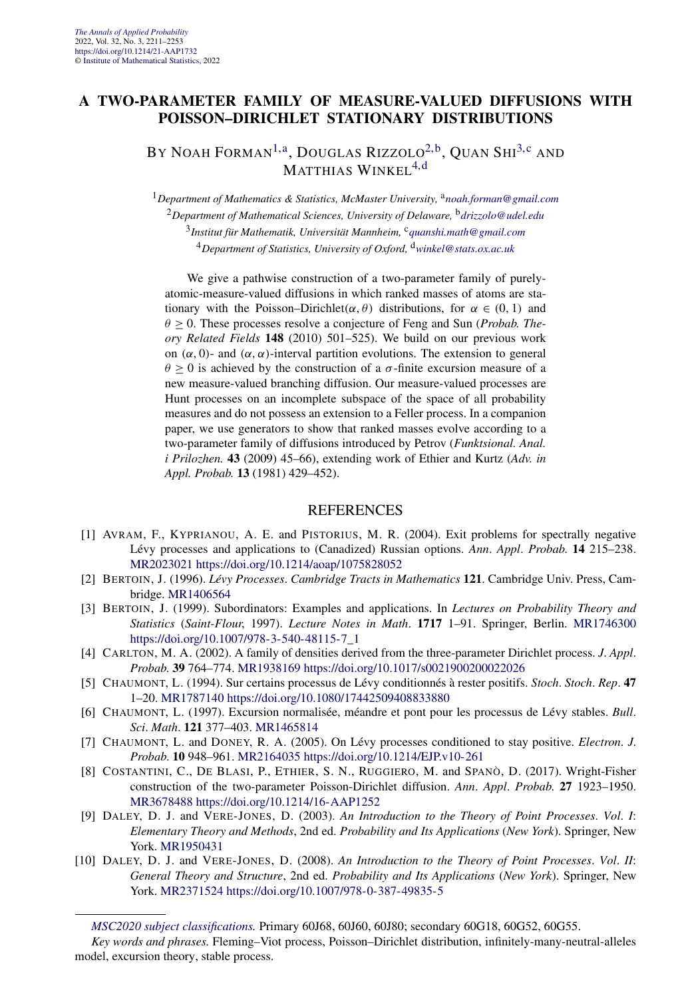#### **A TWO-PARAMETER FAMILY OF MEASURE-VALUED DIFFUSIONS WITH POISSON–DIRICHLET STATIONARY DISTRIBUTIONS**

#### BY NOAH FORMAN<sup>[1,a](#page-4-0)</sup>, DOUGLAS RIZZOLO<sup>2,b</sup>, QUAN SHI<sup>[3,](#page-18-0)[c](#page-4-0)</sup> and MATTHIAS WINKEL<sup>4[,d](#page-9-0)</sup>

<sup>1</sup>Department of Mathematics & Statistics, McMaster University, <sup>a</sup>[noah.forman@gmail.com](mailto:noah.forman@gmail.com) *Department of Mathematical Sciences, University of Delaware,* <sup>b</sup>*[drizzolo@udel.edu](mailto:drizzolo@udel.edu) Institut für Mathematik, Universität Mannheim,* <sup>c</sup>*[quanshi.math@gmail.com](mailto:quanshi.math@gmail.com) Department of Statistics, University of Oxford,* <sup>d</sup>*[winkel@stats.ox.ac.uk](mailto:winkel@stats.ox.ac.uk)*

We give a pathwise construction of a two-parameter family of purelyatomic-measure-valued diffusions in which ranked masses of atoms are stationary with the Poisson–Dirichlet $(\alpha, \theta)$  distributions, for  $\alpha \in (0, 1)$  and  $θ$  ≥ 0. These processes resolve a conjecture of Feng and Sun (*Probab. Theory Related Fields* **148** (2010) 501–525). We build on our previous work on *(α,* 0*)*- and *(α,α)*-interval partition evolutions. The extension to general  $\theta \geq 0$  is achieved by the construction of a *σ*-finite excursion measure of a new measure-valued branching diffusion. Our measure-valued processes are Hunt processes on an incomplete subspace of the space of all probability measures and do not possess an extension to a Feller process. In a companion paper, we use generators to show that ranked masses evolve according to a two-parameter family of diffusions introduced by Petrov (*Funktsional. Anal. i Prilozhen.* **43** (2009) 45–66), extending work of Ethier and Kurtz (*Adv. in Appl. Probab.* **13** (1981) 429–452).

- [1] AVRAM, F., KYPRIANOU, A. E. and PISTORIUS, M. R. (2004). Exit problems for spectrally negative Lévy processes and applications to (Canadized) Russian options. *Ann*. *Appl*. *Probab*. **14** 215–238. [MR2023021](http://www.ams.org/mathscinet-getitem?mr=2023021)<https://doi.org/10.1214/aoap/1075828052>
- [2] BERTOIN, J. (1996). *Lévy Processes*. *Cambridge Tracts in Mathematics* **121**. Cambridge Univ. Press, Cambridge. [MR1406564](http://www.ams.org/mathscinet-getitem?mr=1406564)
- [3] BERTOIN, J. (1999). Subordinators: Examples and applications. In *Lectures on Probability Theory and Statistics* (*Saint-Flour*, 1997). *Lecture Notes in Math*. **1717** 1–91. Springer, Berlin. [MR1746300](http://www.ams.org/mathscinet-getitem?mr=1746300) [https://doi.org/10.1007/978-3-540-48115-7\\_1](https://doi.org/10.1007/978-3-540-48115-7_1)
- [4] CARLTON, M. A. (2002). A family of densities derived from the three-parameter Dirichlet process. *J*. *Appl*. *Probab*. **39** 764–774. [MR1938169](http://www.ams.org/mathscinet-getitem?mr=1938169)<https://doi.org/10.1017/s0021900200022026>
- [5] CHAUMONT, L. (1994). Sur certains processus de Lévy conditionnés à rester positifs. *Stoch*. *Stoch*. *Rep*. **47** 1–20. [MR1787140](http://www.ams.org/mathscinet-getitem?mr=1787140)<https://doi.org/10.1080/17442509408833880>
- [6] CHAUMONT, L. (1997). Excursion normalisée, méandre et pont pour les processus de Lévy stables. *Bull*. *Sci*. *Math*. **121** 377–403. [MR1465814](http://www.ams.org/mathscinet-getitem?mr=1465814)
- [7] CHAUMONT, L. and DONEY, R. A. (2005). On Lévy processes conditioned to stay positive. *Electron*. *J*. *Probab*. **10** 948–961. [MR2164035](http://www.ams.org/mathscinet-getitem?mr=2164035)<https://doi.org/10.1214/EJP.v10-261>
- [8] COSTANTINI, C., DE BLASI, P., ETHIER, S. N., RUGGIERO, M. and SPANÒ, D. (2017). Wright-Fisher construction of the two-parameter Poisson-Dirichlet diffusion. *Ann*. *Appl*. *Probab*. **27** 1923–1950. [MR3678488](http://www.ams.org/mathscinet-getitem?mr=3678488)<https://doi.org/10.1214/16-AAP1252>
- [9] DALEY, D. J. and VERE-JONES, D. (2003). *An Introduction to the Theory of Point Processes*. *Vol*. *I*: *Elementary Theory and Methods*, 2nd ed. *Probability and Its Applications* (*New York*). Springer, New York. [MR1950431](http://www.ams.org/mathscinet-getitem?mr=1950431)
- [10] DALEY, D. J. and VERE-JONES, D. (2008). *An Introduction to the Theory of Point Processes*. *Vol*. *II*: *General Theory and Structure*, 2nd ed. *Probability and Its Applications* (*New York*). Springer, New York. [MR2371524](http://www.ams.org/mathscinet-getitem?mr=2371524)<https://doi.org/10.1007/978-0-387-49835-5>

*[MSC2020 subject classifications.](https://mathscinet.ams.org/mathscinet/msc/msc2020.html)* Primary 60J68, 60J60, 60J80; secondary 60G18, 60G52, 60G55.

*Key words and phrases.* Fleming–Viot process, Poisson–Dirichlet distribution, infinitely-many-neutral-alleles model, excursion theory, stable process.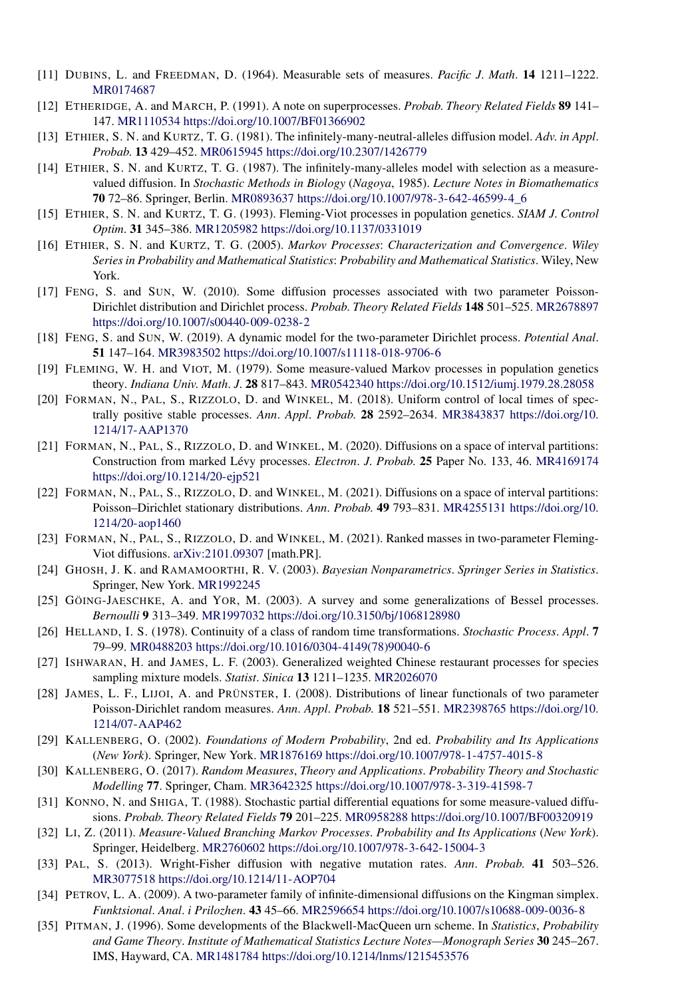- [11] DUBINS, L. and FREEDMAN, D. (1964). Measurable sets of measures. *Pacific J*. *Math*. **14** 1211–1222. [MR0174687](http://www.ams.org/mathscinet-getitem?mr=0174687)
- [12] ETHERIDGE, A. and MARCH, P. (1991). A note on superprocesses. *Probab*. *Theory Related Fields* **89** 141– 147. [MR1110534](http://www.ams.org/mathscinet-getitem?mr=1110534)<https://doi.org/10.1007/BF01366902>
- [13] ETHIER, S. N. and KURTZ, T. G. (1981). The infinitely-many-neutral-alleles diffusion model. *Adv*. *in Appl*. *Probab*. **13** 429–452. [MR0615945](http://www.ams.org/mathscinet-getitem?mr=0615945)<https://doi.org/10.2307/1426779>
- [14] ETHIER, S. N. and KURTZ, T. G. (1987). The infinitely-many-alleles model with selection as a measurevalued diffusion. In *Stochastic Methods in Biology* (*Nagoya*, 1985). *Lecture Notes in Biomathematics* **70** 72–86. Springer, Berlin. [MR0893637](http://www.ams.org/mathscinet-getitem?mr=0893637) [https://doi.org/10.1007/978-3-642-46599-4\\_6](https://doi.org/10.1007/978-3-642-46599-4_6)
- [15] ETHIER, S. N. and KURTZ, T. G. (1993). Fleming-Viot processes in population genetics. *SIAM J*. *Control Optim*. **31** 345–386. [MR1205982](http://www.ams.org/mathscinet-getitem?mr=1205982)<https://doi.org/10.1137/0331019>
- [16] ETHIER, S. N. and KURTZ, T. G. (2005). *Markov Processes*: *Characterization and Convergence*. *Wiley Series in Probability and Mathematical Statistics*: *Probability and Mathematical Statistics*. Wiley, New York.
- [17] FENG, S. and SUN, W. (2010). Some diffusion processes associated with two parameter Poisson-Dirichlet distribution and Dirichlet process. *Probab*. *Theory Related Fields* **148** 501–525. [MR2678897](http://www.ams.org/mathscinet-getitem?mr=2678897) <https://doi.org/10.1007/s00440-009-0238-2>
- [18] FENG, S. and SUN, W. (2019). A dynamic model for the two-parameter Dirichlet process. *Potential Anal*. **51** 147–164. [MR3983502](http://www.ams.org/mathscinet-getitem?mr=3983502)<https://doi.org/10.1007/s11118-018-9706-6>
- [19] FLEMING, W. H. and VIOT, M. (1979). Some measure-valued Markov processes in population genetics theory. *Indiana Univ*. *Math*. *J*. **28** 817–843. [MR0542340](http://www.ams.org/mathscinet-getitem?mr=0542340)<https://doi.org/10.1512/iumj.1979.28.28058>
- [20] FORMAN, N., PAL, S., RIZZOLO, D. and WINKEL, M. (2018). Uniform control of local times of spectrally positive stable processes. *Ann*. *Appl*. *Probab*. **28** 2592–2634. [MR3843837](http://www.ams.org/mathscinet-getitem?mr=3843837) [https://doi.org/10.](https://doi.org/10.1214/17-AAP1370) [1214/17-AAP1370](https://doi.org/10.1214/17-AAP1370)
- [21] FORMAN, N., PAL, S., RIZZOLO, D. and WINKEL, M. (2020). Diffusions on a space of interval partitions: Construction from marked Lévy processes. *Electron*. *J*. *Probab*. **25** Paper No. 133, 46. [MR4169174](http://www.ams.org/mathscinet-getitem?mr=4169174) <https://doi.org/10.1214/20-ejp521>
- [22] FORMAN, N., PAL, S., RIZZOLO, D. and WINKEL, M. (2021). Diffusions on a space of interval partitions: Poisson–Dirichlet stationary distributions. *Ann*. *Probab*. **49** 793–831. [MR4255131](http://www.ams.org/mathscinet-getitem?mr=4255131) [https://doi.org/10.](https://doi.org/10.1214/20-aop1460) [1214/20-aop1460](https://doi.org/10.1214/20-aop1460)
- [23] FORMAN, N., PAL, S., RIZZOLO, D. and WINKEL, M. (2021). Ranked masses in two-parameter Fleming-Viot diffusions. [arXiv:2101.09307](http://arxiv.org/abs/arXiv:2101.09307) [math.PR].
- [24] GHOSH, J. K. and RAMAMOORTHI, R. V. (2003). *Bayesian Nonparametrics*. *Springer Series in Statistics*. Springer, New York. [MR1992245](http://www.ams.org/mathscinet-getitem?mr=1992245)
- [25] GÖING-JAESCHKE, A. and YOR, M. (2003). A survey and some generalizations of Bessel processes. *Bernoulli* **9** 313–349. [MR1997032](http://www.ams.org/mathscinet-getitem?mr=1997032)<https://doi.org/10.3150/bj/1068128980>
- [26] HELLAND, I. S. (1978). Continuity of a class of random time transformations. *Stochastic Process*. *Appl*. **7** 79–99. [MR0488203](http://www.ams.org/mathscinet-getitem?mr=0488203) [https://doi.org/10.1016/0304-4149\(78\)90040-6](https://doi.org/10.1016/0304-4149(78)90040-6)
- [27] ISHWARAN, H. and JAMES, L. F. (2003). Generalized weighted Chinese restaurant processes for species sampling mixture models. *Statist*. *Sinica* **13** 1211–1235. [MR2026070](http://www.ams.org/mathscinet-getitem?mr=2026070)
- [28] JAMES, L. F., LIJOI, A. and PRÜNSTER, I. (2008). Distributions of linear functionals of two parameter Poisson-Dirichlet random measures. *Ann*. *Appl*. *Probab*. **18** 521–551. [MR2398765](http://www.ams.org/mathscinet-getitem?mr=2398765) [https://doi.org/10.](https://doi.org/10.1214/07-AAP462) [1214/07-AAP462](https://doi.org/10.1214/07-AAP462)
- [29] KALLENBERG, O. (2002). *Foundations of Modern Probability*, 2nd ed. *Probability and Its Applications* (*New York*). Springer, New York. [MR1876169](http://www.ams.org/mathscinet-getitem?mr=1876169)<https://doi.org/10.1007/978-1-4757-4015-8>
- [30] KALLENBERG, O. (2017). *Random Measures*, *Theory and Applications*. *Probability Theory and Stochastic Modelling* **77**. Springer, Cham. [MR3642325](http://www.ams.org/mathscinet-getitem?mr=3642325)<https://doi.org/10.1007/978-3-319-41598-7>
- [31] KONNO, N. and SHIGA, T. (1988). Stochastic partial differential equations for some measure-valued diffusions. *Probab*. *Theory Related Fields* **79** 201–225. [MR0958288](http://www.ams.org/mathscinet-getitem?mr=0958288)<https://doi.org/10.1007/BF00320919>
- [32] LI, Z. (2011). *Measure-Valued Branching Markov Processes*. *Probability and Its Applications* (*New York*). Springer, Heidelberg. [MR2760602](http://www.ams.org/mathscinet-getitem?mr=2760602)<https://doi.org/10.1007/978-3-642-15004-3>
- [33] PAL, S. (2013). Wright-Fisher diffusion with negative mutation rates. *Ann*. *Probab*. **41** 503–526. [MR3077518](http://www.ams.org/mathscinet-getitem?mr=3077518)<https://doi.org/10.1214/11-AOP704>
- [34] PETROV, L. A. (2009). A two-parameter family of infinite-dimensional diffusions on the Kingman simplex. *Funktsional*. *Anal*. *i Prilozhen*. **43** 45–66. [MR2596654](http://www.ams.org/mathscinet-getitem?mr=2596654)<https://doi.org/10.1007/s10688-009-0036-8>
- [35] PITMAN, J. (1996). Some developments of the Blackwell-MacQueen urn scheme. In *Statistics*, *Probability and Game Theory*. *Institute of Mathematical Statistics Lecture Notes—Monograph Series* **30** 245–267. IMS, Hayward, CA. [MR1481784](http://www.ams.org/mathscinet-getitem?mr=1481784)<https://doi.org/10.1214/lnms/1215453576>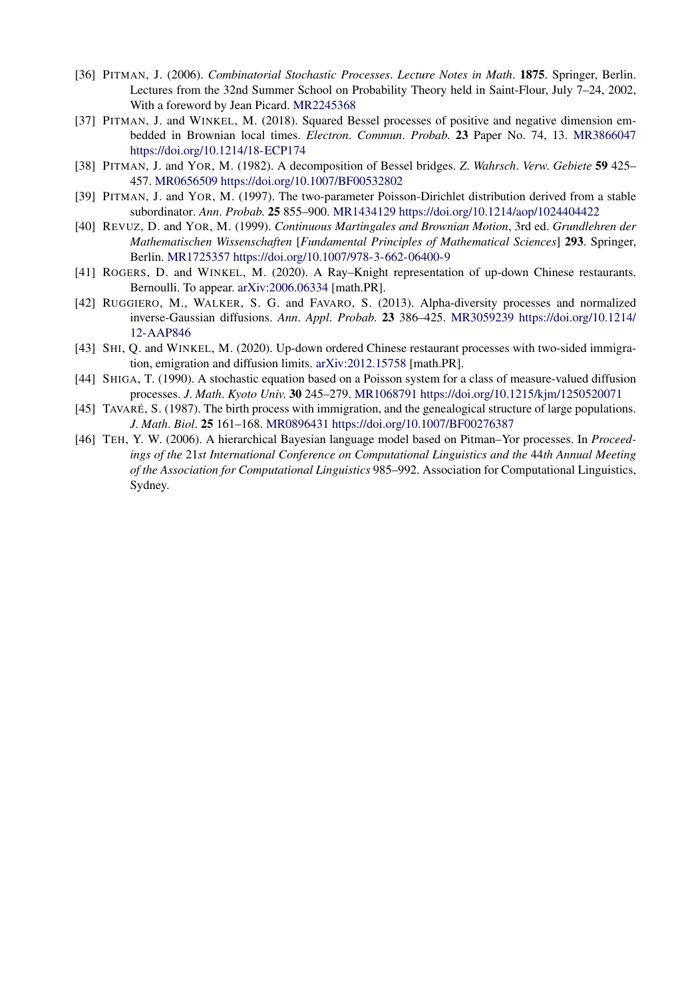- [36] PITMAN, J. (2006). *Combinatorial Stochastic Processes*. *Lecture Notes in Math*. **1875**. Springer, Berlin. Lectures from the 32nd Summer School on Probability Theory held in Saint-Flour, July 7–24, 2002, With a foreword by Jean Picard. [MR2245368](http://www.ams.org/mathscinet-getitem?mr=2245368)
- [37] PITMAN, J. and WINKEL, M. (2018). Squared Bessel processes of positive and negative dimension embedded in Brownian local times. *Electron*. *Commun*. *Probab*. **23** Paper No. 74, 13. [MR3866047](http://www.ams.org/mathscinet-getitem?mr=3866047) <https://doi.org/10.1214/18-ECP174>
- [38] PITMAN, J. and YOR, M. (1982). A decomposition of Bessel bridges. *Z*. *Wahrsch*. *Verw*. *Gebiete* **59** 425– 457. [MR0656509](http://www.ams.org/mathscinet-getitem?mr=0656509)<https://doi.org/10.1007/BF00532802>
- [39] PITMAN, J. and YOR, M. (1997). The two-parameter Poisson-Dirichlet distribution derived from a stable subordinator. *Ann*. *Probab*. **25** 855–900. [MR1434129](http://www.ams.org/mathscinet-getitem?mr=1434129)<https://doi.org/10.1214/aop/1024404422>
- [40] REVUZ, D. and YOR, M. (1999). *Continuous Martingales and Brownian Motion*, 3rd ed. *Grundlehren der Mathematischen Wissenschaften* [*Fundamental Principles of Mathematical Sciences*] **293**. Springer, Berlin. [MR1725357](http://www.ams.org/mathscinet-getitem?mr=1725357)<https://doi.org/10.1007/978-3-662-06400-9>
- [41] ROGERS, D. and WINKEL, M. (2020). A Ray–Knight representation of up-down Chinese restaurants. Bernoulli. To appear. [arXiv:2006.06334](http://arxiv.org/abs/arXiv:2006.06334) [math.PR].
- [42] RUGGIERO, M., WALKER, S. G. and FAVARO, S. (2013). Alpha-diversity processes and normalized inverse-Gaussian diffusions. *Ann*. *Appl*. *Probab*. **23** 386–425. [MR3059239](http://www.ams.org/mathscinet-getitem?mr=3059239) [https://doi.org/10.1214/](https://doi.org/10.1214/12-AAP846) [12-AAP846](https://doi.org/10.1214/12-AAP846)
- [43] SHI, Q. and WINKEL, M. (2020). Up-down ordered Chinese restaurant processes with two-sided immigration, emigration and diffusion limits. [arXiv:2012.15758](http://arxiv.org/abs/arXiv:2012.15758) [math.PR].
- [44] SHIGA, T. (1990). A stochastic equation based on a Poisson system for a class of measure-valued diffusion processes. *J*. *Math*. *Kyoto Univ*. **30** 245–279. [MR1068791](http://www.ams.org/mathscinet-getitem?mr=1068791)<https://doi.org/10.1215/kjm/1250520071>
- [45] TAVARÉ, S. (1987). The birth process with immigration, and the genealogical structure of large populations. *J*. *Math*. *Biol*. **25** 161–168. [MR0896431](http://www.ams.org/mathscinet-getitem?mr=0896431)<https://doi.org/10.1007/BF00276387>
- [46] TEH, Y. W. (2006). A hierarchical Bayesian language model based on Pitman–Yor processes. In *Proceedings of the* 21*st International Conference on Computational Linguistics and the* 44*th Annual Meeting of the Association for Computational Linguistics* 985–992. Association for Computational Linguistics, Sydney.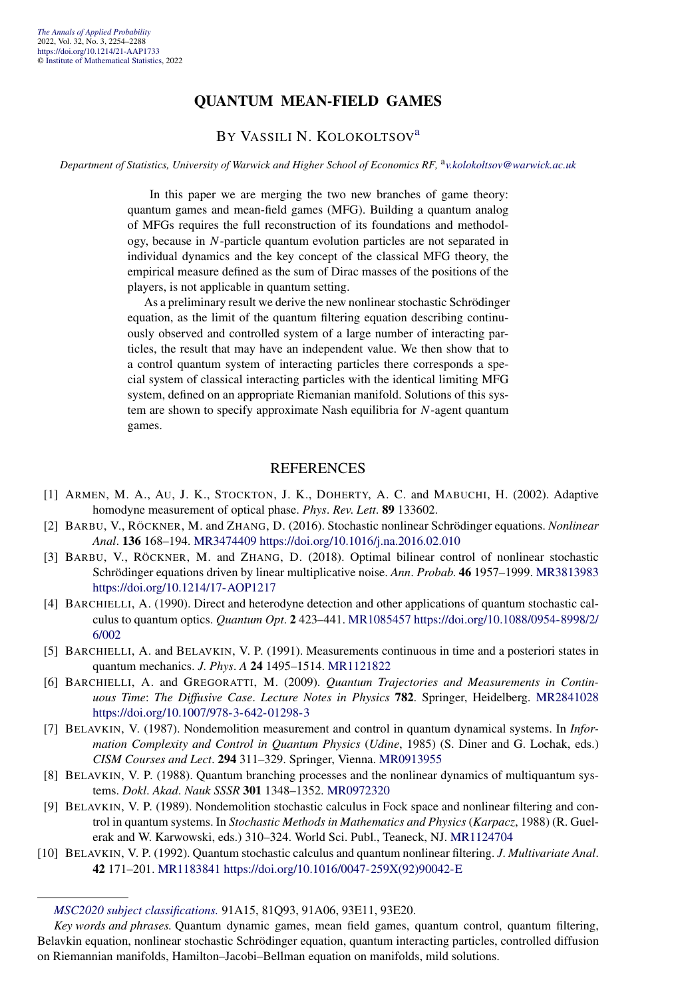#### **QUANTUM MEAN-FIELD GAMES**

#### BY VASSILI N. KOLOKOLTSOV[a](#page-4-0)

*Department of Statistics, University of Warwick and Higher School of Economics RF,* <sup>a</sup>*[v.kolokoltsov@warwick.ac.uk](mailto:v.kolokoltsov@warwick.ac.uk)*

In this paper we are merging the two new branches of game theory: quantum games and mean-field games (MFG). Building a quantum analog of MFGs requires the full reconstruction of its foundations and methodology, because in *N*-particle quantum evolution particles are not separated in individual dynamics and the key concept of the classical MFG theory, the empirical measure defined as the sum of Dirac masses of the positions of the players, is not applicable in quantum setting.

As a preliminary result we derive the new nonlinear stochastic Schrödinger equation, as the limit of the quantum filtering equation describing continuously observed and controlled system of a large number of interacting particles, the result that may have an independent value. We then show that to a control quantum system of interacting particles there corresponds a special system of classical interacting particles with the identical limiting MFG system, defined on an appropriate Riemanian manifold. Solutions of this system are shown to specify approximate Nash equilibria for *N*-agent quantum games.

#### REFERENCES

- [1] ARMEN, M. A., AU, J. K., STOCKTON, J. K., DOHERTY, A. C. and MABUCHI, H. (2002). Adaptive homodyne measurement of optical phase. *Phys*. *Rev*. *Lett*. **89** 133602.
- [2] BARBU, V., RÖCKNER, M. and ZHANG, D. (2016). Stochastic nonlinear Schrödinger equations. *Nonlinear Anal*. **136** 168–194. [MR3474409](http://www.ams.org/mathscinet-getitem?mr=3474409)<https://doi.org/10.1016/j.na.2016.02.010>
- [3] BARBU, V., RÖCKNER, M. and ZHANG, D. (2018). Optimal bilinear control of nonlinear stochastic Schrödinger equations driven by linear multiplicative noise. *Ann*. *Probab*. **46** 1957–1999. [MR3813983](http://www.ams.org/mathscinet-getitem?mr=3813983) <https://doi.org/10.1214/17-AOP1217>
- [4] BARCHIELLI, A. (1990). Direct and heterodyne detection and other applications of quantum stochastic calculus to quantum optics. *Quantum Opt*. **2** 423–441. [MR1085457](http://www.ams.org/mathscinet-getitem?mr=1085457) [https://doi.org/10.1088/0954-8998/2/](https://doi.org/10.1088/0954-8998/2/6/002) [6/002](https://doi.org/10.1088/0954-8998/2/6/002)
- [5] BARCHIELLI, A. and BELAVKIN, V. P. (1991). Measurements continuous in time and a posteriori states in quantum mechanics. *J*. *Phys*. *A* **24** 1495–1514. [MR1121822](http://www.ams.org/mathscinet-getitem?mr=1121822)
- [6] BARCHIELLI, A. and GREGORATTI, M. (2009). *Quantum Trajectories and Measurements in Continuous Time*: *The Diffusive Case*. *Lecture Notes in Physics* **782**. Springer, Heidelberg. [MR2841028](http://www.ams.org/mathscinet-getitem?mr=2841028) <https://doi.org/10.1007/978-3-642-01298-3>
- [7] BELAVKIN, V. (1987). Nondemolition measurement and control in quantum dynamical systems. In *Information Complexity and Control in Quantum Physics* (*Udine*, 1985) (S. Diner and G. Lochak, eds.) *CISM Courses and Lect*. **294** 311–329. Springer, Vienna. [MR0913955](http://www.ams.org/mathscinet-getitem?mr=0913955)
- [8] BELAVKIN, V. P. (1988). Quantum branching processes and the nonlinear dynamics of multiquantum systems. *Dokl*. *Akad*. *Nauk SSSR* **301** 1348–1352. [MR0972320](http://www.ams.org/mathscinet-getitem?mr=0972320)
- [9] BELAVKIN, V. P. (1989). Nondemolition stochastic calculus in Fock space and nonlinear filtering and control in quantum systems. In *Stochastic Methods in Mathematics and Physics* (*Karpacz*, 1988) (R. Guelerak and W. Karwowski, eds.) 310–324. World Sci. Publ., Teaneck, NJ. [MR1124704](http://www.ams.org/mathscinet-getitem?mr=1124704)
- [10] BELAVKIN, V. P. (1992). Quantum stochastic calculus and quantum nonlinear filtering. *J*. *Multivariate Anal*. **42** 171–201. [MR1183841](http://www.ams.org/mathscinet-getitem?mr=1183841) [https://doi.org/10.1016/0047-259X\(92\)90042-E](https://doi.org/10.1016/0047-259X(92)90042-E)

*[MSC2020 subject classifications.](https://mathscinet.ams.org/mathscinet/msc/msc2020.html)* 91A15, 81Q93, 91A06, 93E11, 93E20.

*Key words and phrases.* Quantum dynamic games, mean field games, quantum control, quantum filtering, Belavkin equation, nonlinear stochastic Schrödinger equation, quantum interacting particles, controlled diffusion on Riemannian manifolds, Hamilton–Jacobi–Bellman equation on manifolds, mild solutions.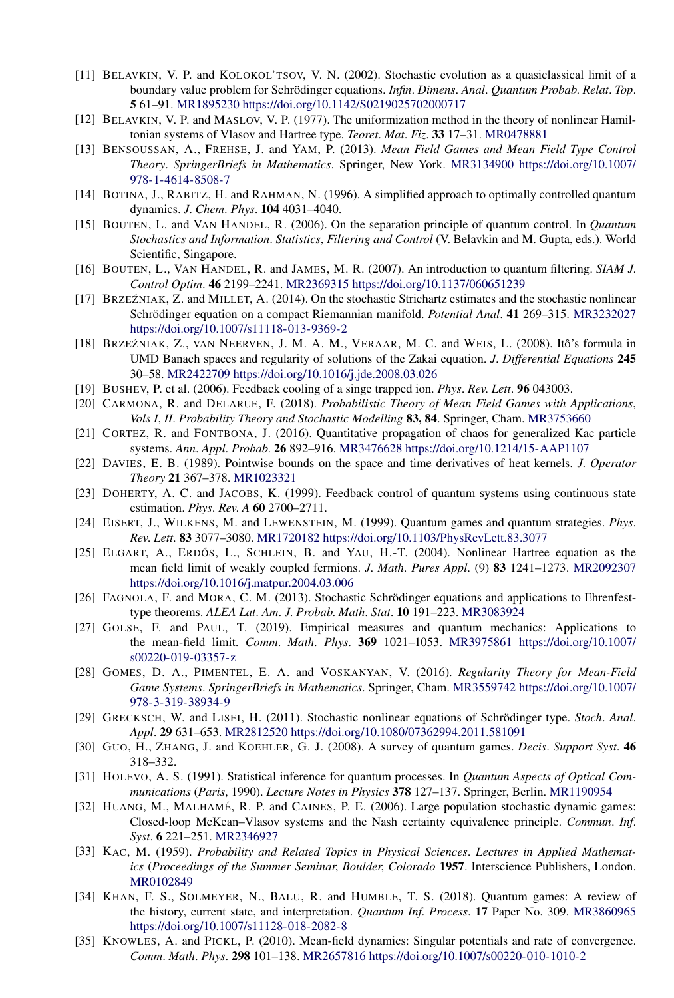- [11] BELAVKIN, V. P. and KOLOKOL'TSOV, V. N. (2002). Stochastic evolution as a quasiclassical limit of a boundary value problem for Schrödinger equations. *Infin*. *Dimens*. *Anal*. *Quantum Probab*. *Relat*. *Top*. **5** 61–91. [MR1895230](http://www.ams.org/mathscinet-getitem?mr=1895230)<https://doi.org/10.1142/S0219025702000717>
- [12] BELAVKIN, V. P. and MASLOV, V. P. (1977). The uniformization method in the theory of nonlinear Hamiltonian systems of Vlasov and Hartree type. *Teoret*. *Mat*. *Fiz*. **33** 17–31. [MR0478881](http://www.ams.org/mathscinet-getitem?mr=0478881)
- [13] BENSOUSSAN, A., FREHSE, J. and YAM, P. (2013). *Mean Field Games and Mean Field Type Control Theory*. *SpringerBriefs in Mathematics*. Springer, New York. [MR3134900](http://www.ams.org/mathscinet-getitem?mr=3134900) [https://doi.org/10.1007/](https://doi.org/10.1007/978-1-4614-8508-7) [978-1-4614-8508-7](https://doi.org/10.1007/978-1-4614-8508-7)
- [14] BOTINA, J., RABITZ, H. and RAHMAN, N. (1996). A simplified approach to optimally controlled quantum dynamics. *J*. *Chem*. *Phys*. **104** 4031–4040.
- [15] BOUTEN, L. and VAN HANDEL, R. (2006). On the separation principle of quantum control. In *Quantum Stochastics and Information*. *Statistics*, *Filtering and Control* (V. Belavkin and M. Gupta, eds.). World Scientific, Singapore.
- [16] BOUTEN, L., VAN HANDEL, R. and JAMES, M. R. (2007). An introduction to quantum filtering. *SIAM J*. *Control Optim*. **46** 2199–2241. [MR2369315](http://www.ams.org/mathscinet-getitem?mr=2369315)<https://doi.org/10.1137/060651239>
- [17] BRZEŹNIAK, Z. and MILLET, A. (2014). On the stochastic Strichartz estimates and the stochastic nonlinear Schrödinger equation on a compact Riemannian manifold. *Potential Anal*. **41** 269–315. [MR3232027](http://www.ams.org/mathscinet-getitem?mr=3232027) <https://doi.org/10.1007/s11118-013-9369-2>
- [18] BRZEŹNIAK, Z., VAN NEERVEN, J. M. A. M., VERAAR, M. C. and WEIS, L. (2008). Itô's formula in UMD Banach spaces and regularity of solutions of the Zakai equation. *J*. *Differential Equations* **245** 30–58. [MR2422709](http://www.ams.org/mathscinet-getitem?mr=2422709)<https://doi.org/10.1016/j.jde.2008.03.026>
- [19] BUSHEV, P. et al. (2006). Feedback cooling of a singe trapped ion. *Phys*. *Rev*. *Lett*. **96** 043003.
- [20] CARMONA, R. and DELARUE, F. (2018). *Probabilistic Theory of Mean Field Games with Applications*, *Vols I*, *II*. *Probability Theory and Stochastic Modelling* **83, 84**. Springer, Cham. [MR3753660](http://www.ams.org/mathscinet-getitem?mr=3753660)
- [21] CORTEZ, R. and FONTBONA, J. (2016). Quantitative propagation of chaos for generalized Kac particle systems. *Ann*. *Appl*. *Probab*. **26** 892–916. [MR3476628](http://www.ams.org/mathscinet-getitem?mr=3476628)<https://doi.org/10.1214/15-AAP1107>
- [22] DAVIES, E. B. (1989). Pointwise bounds on the space and time derivatives of heat kernels. *J*. *Operator Theory* **21** 367–378. [MR1023321](http://www.ams.org/mathscinet-getitem?mr=1023321)
- [23] DOHERTY, A. C. and JACOBS, K. (1999). Feedback control of quantum systems using continuous state estimation. *Phys*. *Rev*. *A* **60** 2700–2711.
- [24] EISERT, J., WILKENS, M. and LEWENSTEIN, M. (1999). Quantum games and quantum strategies. *Phys*. *Rev*. *Lett*. **83** 3077–3080. [MR1720182](http://www.ams.org/mathscinet-getitem?mr=1720182)<https://doi.org/10.1103/PhysRevLett.83.3077>
- [25] ELGART, A., ERDŐS, L., SCHLEIN, B. and YAU, H.-T. (2004). Nonlinear Hartree equation as the mean field limit of weakly coupled fermions. *J*. *Math*. *Pures Appl*. (9) **83** 1241–1273. [MR2092307](http://www.ams.org/mathscinet-getitem?mr=2092307) <https://doi.org/10.1016/j.matpur.2004.03.006>
- [26] FAGNOLA, F. and MORA, C. M. (2013). Stochastic Schrödinger equations and applications to Ehrenfesttype theorems. *ALEA Lat*. *Am*. *J*. *Probab*. *Math*. *Stat*. **10** 191–223. [MR3083924](http://www.ams.org/mathscinet-getitem?mr=3083924)
- [27] GOLSE, F. and PAUL, T. (2019). Empirical measures and quantum mechanics: Applications to the mean-field limit. *Comm*. *Math*. *Phys*. **369** 1021–1053. [MR3975861](http://www.ams.org/mathscinet-getitem?mr=3975861) [https://doi.org/10.1007/](https://doi.org/10.1007/s00220-019-03357-z) [s00220-019-03357-z](https://doi.org/10.1007/s00220-019-03357-z)
- [28] GOMES, D. A., PIMENTEL, E. A. and VOSKANYAN, V. (2016). *Regularity Theory for Mean-Field Game Systems*. *SpringerBriefs in Mathematics*. Springer, Cham. [MR3559742](http://www.ams.org/mathscinet-getitem?mr=3559742) [https://doi.org/10.1007/](https://doi.org/10.1007/978-3-319-38934-9) [978-3-319-38934-9](https://doi.org/10.1007/978-3-319-38934-9)
- [29] GRECKSCH, W. and LISEI, H. (2011). Stochastic nonlinear equations of Schrödinger type. *Stoch*. *Anal*. *Appl*. **29** 631–653. [MR2812520](http://www.ams.org/mathscinet-getitem?mr=2812520)<https://doi.org/10.1080/07362994.2011.581091>
- [30] GUO, H., ZHANG, J. and KOEHLER, G. J. (2008). A survey of quantum games. *Decis*. *Support Syst*. **46** 318–332.
- [31] HOLEVO, A. S. (1991). Statistical inference for quantum processes. In *Quantum Aspects of Optical Communications* (*Paris*, 1990). *Lecture Notes in Physics* **378** 127–137. Springer, Berlin. [MR1190954](http://www.ams.org/mathscinet-getitem?mr=1190954)
- [32] HUANG, M., MALHAMÉ, R. P. and CAINES, P. E. (2006). Large population stochastic dynamic games: Closed-loop McKean–Vlasov systems and the Nash certainty equivalence principle. *Commun*. *Inf*. *Syst*. **6** 221–251. [MR2346927](http://www.ams.org/mathscinet-getitem?mr=2346927)
- [33] KAC, M. (1959). *Probability and Related Topics in Physical Sciences*. *Lectures in Applied Mathematics* (*Proceedings of the Summer Seminar*, *Boulder*, *Colorado* **1957**. Interscience Publishers, London. [MR0102849](http://www.ams.org/mathscinet-getitem?mr=0102849)
- [34] KHAN, F. S., SOLMEYER, N., BALU, R. and HUMBLE, T. S. (2018). Quantum games: A review of the history, current state, and interpretation. *Quantum Inf*. *Process*. **17** Paper No. 309. [MR3860965](http://www.ams.org/mathscinet-getitem?mr=3860965) <https://doi.org/10.1007/s11128-018-2082-8>
- [35] KNOWLES, A. and PICKL, P. (2010). Mean-field dynamics: Singular potentials and rate of convergence. *Comm*. *Math*. *Phys*. **298** 101–138. [MR2657816](http://www.ams.org/mathscinet-getitem?mr=2657816)<https://doi.org/10.1007/s00220-010-1010-2>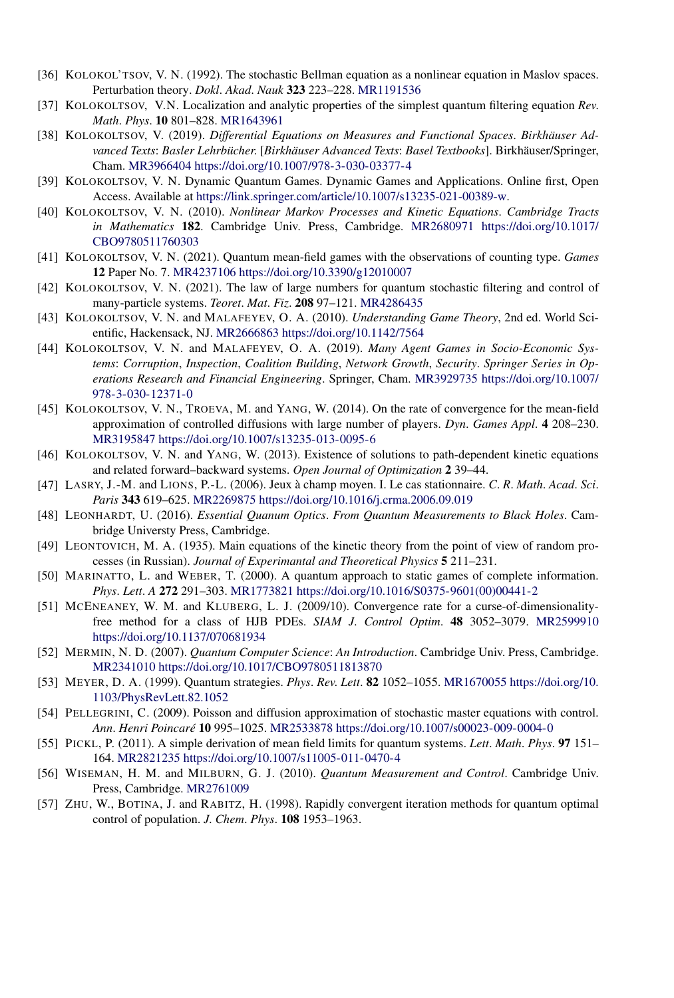- [36] KOLOKOL'TSOV, V. N. (1992). The stochastic Bellman equation as a nonlinear equation in Maslov spaces. Perturbation theory. *Dokl*. *Akad*. *Nauk* **323** 223–228. [MR1191536](http://www.ams.org/mathscinet-getitem?mr=1191536)
- [37] KOLOKOLTSOV, V.N. Localization and analytic properties of the simplest quantum filtering equation *Rev*. *Math*. *Phys*. **10** 801–828. [MR1643961](http://www.ams.org/mathscinet-getitem?mr=1643961)
- [38] KOLOKOLTSOV, V. (2019). *Differential Equations on Measures and Functional Spaces*. *Birkhäuser Advanced Texts*: *Basler Lehrbücher*. [*Birkhäuser Advanced Texts*: *Basel Textbooks*]. Birkhäuser/Springer, Cham. [MR3966404](http://www.ams.org/mathscinet-getitem?mr=3966404)<https://doi.org/10.1007/978-3-030-03377-4>
- [39] KOLOKOLTSOV, V. N. Dynamic Quantum Games. Dynamic Games and Applications. Online first, Open Access. Available at <https://link.springer.com/article/10.1007/s13235-021-00389-w>.
- [40] KOLOKOLTSOV, V. N. (2010). *Nonlinear Markov Processes and Kinetic Equations*. *Cambridge Tracts in Mathematics* **182**. Cambridge Univ. Press, Cambridge. [MR2680971](http://www.ams.org/mathscinet-getitem?mr=2680971) [https://doi.org/10.1017/](https://doi.org/10.1017/CBO9780511760303) [CBO9780511760303](https://doi.org/10.1017/CBO9780511760303)
- [41] KOLOKOLTSOV, V. N. (2021). Quantum mean-field games with the observations of counting type. *Games* **12** Paper No. 7. [MR4237106](http://www.ams.org/mathscinet-getitem?mr=4237106)<https://doi.org/10.3390/g12010007>
- [42] KOLOKOLTSOV, V. N. (2021). The law of large numbers for quantum stochastic filtering and control of many-particle systems. *Teoret*. *Mat*. *Fiz*. **208** 97–121. [MR4286435](http://www.ams.org/mathscinet-getitem?mr=4286435)
- [43] KOLOKOLTSOV, V. N. and MALAFEYEV, O. A. (2010). *Understanding Game Theory*, 2nd ed. World Scientific, Hackensack, NJ. [MR2666863](http://www.ams.org/mathscinet-getitem?mr=2666863)<https://doi.org/10.1142/7564>
- [44] KOLOKOLTSOV, V. N. and MALAFEYEV, O. A. (2019). *Many Agent Games in Socio-Economic Systems*: *Corruption*, *Inspection*, *Coalition Building*, *Network Growth*, *Security*. *Springer Series in Operations Research and Financial Engineering*. Springer, Cham. [MR3929735](http://www.ams.org/mathscinet-getitem?mr=3929735) [https://doi.org/10.1007/](https://doi.org/10.1007/978-3-030-12371-0) [978-3-030-12371-0](https://doi.org/10.1007/978-3-030-12371-0)
- [45] KOLOKOLTSOV, V. N., TROEVA, M. and YANG, W. (2014). On the rate of convergence for the mean-field approximation of controlled diffusions with large number of players. *Dyn*. *Games Appl*. **4** 208–230. [MR3195847](http://www.ams.org/mathscinet-getitem?mr=3195847)<https://doi.org/10.1007/s13235-013-0095-6>
- [46] KOLOKOLTSOV, V. N. and YANG, W. (2013). Existence of solutions to path-dependent kinetic equations and related forward–backward systems. *Open Journal of Optimization* **2** 39–44.
- [47] LASRY, J.-M. and LIONS, P.-L. (2006). Jeux à champ moyen. I. Le cas stationnaire. *C*. *R*. *Math*. *Acad*. *Sci*. *Paris* **343** 619–625. [MR2269875](http://www.ams.org/mathscinet-getitem?mr=2269875)<https://doi.org/10.1016/j.crma.2006.09.019>
- [48] LEONHARDT, U. (2016). *Essential Quanum Optics*. *From Quantum Measurements to Black Holes*. Cambridge Universty Press, Cambridge.
- [49] LEONTOVICH, M. A. (1935). Main equations of the kinetic theory from the point of view of random processes (in Russian). *Journal of Experimantal and Theoretical Physics* **5** 211–231.
- [50] MARINATTO, L. and WEBER, T. (2000). A quantum approach to static games of complete information. *Phys*. *Lett*. *A* **272** 291–303. [MR1773821](http://www.ams.org/mathscinet-getitem?mr=1773821) [https://doi.org/10.1016/S0375-9601\(00\)00441-2](https://doi.org/10.1016/S0375-9601(00)00441-2)
- [51] MCENEANEY, W. M. and KLUBERG, L. J. (2009/10). Convergence rate for a curse-of-dimensionalityfree method for a class of HJB PDEs. *SIAM J*. *Control Optim*. **48** 3052–3079. [MR2599910](http://www.ams.org/mathscinet-getitem?mr=2599910) <https://doi.org/10.1137/070681934>
- [52] MERMIN, N. D. (2007). *Quantum Computer Science: An Introduction*. Cambridge Univ. Press, Cambridge. [MR2341010](http://www.ams.org/mathscinet-getitem?mr=2341010)<https://doi.org/10.1017/CBO9780511813870>
- [53] MEYER, D. A. (1999). Quantum strategies. *Phys*. *Rev*. *Lett*. **82** 1052–1055. [MR1670055](http://www.ams.org/mathscinet-getitem?mr=1670055) [https://doi.org/10.](https://doi.org/10.1103/PhysRevLett.82.1052) [1103/PhysRevLett.82.1052](https://doi.org/10.1103/PhysRevLett.82.1052)
- [54] PELLEGRINI, C. (2009). Poisson and diffusion approximation of stochastic master equations with control. *Ann*. *Henri Poincaré* **10** 995–1025. [MR2533878](http://www.ams.org/mathscinet-getitem?mr=2533878)<https://doi.org/10.1007/s00023-009-0004-0>
- [55] PICKL, P. (2011). A simple derivation of mean field limits for quantum systems. *Lett*. *Math*. *Phys*. **97** 151– 164. [MR2821235](http://www.ams.org/mathscinet-getitem?mr=2821235)<https://doi.org/10.1007/s11005-011-0470-4>
- [56] WISEMAN, H. M. and MILBURN, G. J. (2010). *Quantum Measurement and Control*. Cambridge Univ. Press, Cambridge. [MR2761009](http://www.ams.org/mathscinet-getitem?mr=2761009)
- [57] ZHU, W., BOTINA, J. and RABITZ, H. (1998). Rapidly convergent iteration methods for quantum optimal control of population. *J*. *Chem*. *Phys*. **108** 1953–1963.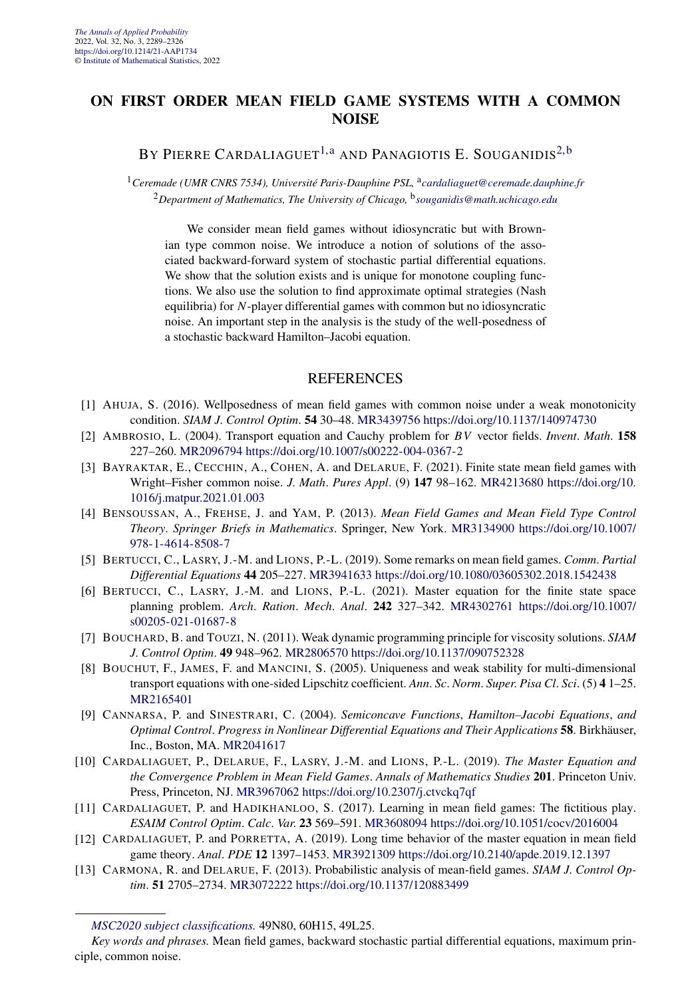#### **ON FIRST ORDER MEAN FIELD GAME SYSTEMS WITH A COMMON NOISE**

#### BY PIERRE CARDALIAGUET<sup>1, a</sup> AND PANAGIOTIS E. SOUGANIDIS<sup>2, b</sup>

<sup>1</sup> Ceremade (UMR CNRS 7534), Université Paris-Dauphine PSL, <sup>a</sup>[cardaliaguet@ceremade.dauphine.fr](mailto:cardaliaguet@ceremade.dauphine.fr) <sup>2</sup>*Department of Mathematics, The University of Chicago,* <sup>b</sup>*[souganidis@math.uchicago.edu](mailto:souganidis@math.uchicago.edu)*

We consider mean field games without idiosyncratic but with Brownian type common noise. We introduce a notion of solutions of the associated backward-forward system of stochastic partial differential equations. We show that the solution exists and is unique for monotone coupling functions. We also use the solution to find approximate optimal strategies (Nash equilibria) for *N*-player differential games with common but no idiosyncratic noise. An important step in the analysis is the study of the well-posedness of a stochastic backward Hamilton–Jacobi equation.

- [1] AHUJA, S. (2016). Wellposedness of mean field games with common noise under a weak monotonicity condition. *SIAM J*. *Control Optim*. **54** 30–48. [MR3439756](http://www.ams.org/mathscinet-getitem?mr=3439756)<https://doi.org/10.1137/140974730>
- [2] AMBROSIO, L. (2004). Transport equation and Cauchy problem for *BV* vector fields. *Invent*. *Math*. **158** 227–260. [MR2096794](http://www.ams.org/mathscinet-getitem?mr=2096794)<https://doi.org/10.1007/s00222-004-0367-2>
- [3] BAYRAKTAR, E., CECCHIN, A., COHEN, A. and DELARUE, F. (2021). Finite state mean field games with Wright–Fisher common noise. *J*. *Math*. *Pures Appl*. (9) **147** 98–162. [MR4213680](http://www.ams.org/mathscinet-getitem?mr=4213680) [https://doi.org/10.](https://doi.org/10.1016/j.matpur.2021.01.003) [1016/j.matpur.2021.01.003](https://doi.org/10.1016/j.matpur.2021.01.003)
- [4] BENSOUSSAN, A., FREHSE, J. and YAM, P. (2013). *Mean Field Games and Mean Field Type Control Theory*. *Springer Briefs in Mathematics*. Springer, New York. [MR3134900](http://www.ams.org/mathscinet-getitem?mr=3134900) [https://doi.org/10.1007/](https://doi.org/10.1007/978-1-4614-8508-7) [978-1-4614-8508-7](https://doi.org/10.1007/978-1-4614-8508-7)
- [5] BERTUCCI, C., LASRY, J.-M. and LIONS, P.-L. (2019). Some remarks on mean field games. *Comm*. *Partial Differential Equations* **44** 205–227. [MR3941633](http://www.ams.org/mathscinet-getitem?mr=3941633)<https://doi.org/10.1080/03605302.2018.1542438>
- [6] BERTUCCI, C., LASRY, J.-M. and LIONS, P.-L. (2021). Master equation for the finite state space planning problem. *Arch*. *Ration*. *Mech*. *Anal*. **242** 327–342. [MR4302761](http://www.ams.org/mathscinet-getitem?mr=4302761) [https://doi.org/10.1007/](https://doi.org/10.1007/s00205-021-01687-8) [s00205-021-01687-8](https://doi.org/10.1007/s00205-021-01687-8)
- [7] BOUCHARD, B. and TOUZI, N. (2011). Weak dynamic programming principle for viscosity solutions. *SIAM J*. *Control Optim*. **49** 948–962. [MR2806570](http://www.ams.org/mathscinet-getitem?mr=2806570)<https://doi.org/10.1137/090752328>
- [8] BOUCHUT, F., JAMES, F. and MANCINI, S. (2005). Uniqueness and weak stability for multi-dimensional transport equations with one-sided Lipschitz coefficient. *Ann*. *Sc*. *Norm*. *Super*. *Pisa Cl*. *Sci*. (5) **4** 1–25. [MR2165401](http://www.ams.org/mathscinet-getitem?mr=2165401)
- [9] CANNARSA, P. and SINESTRARI, C. (2004). *Semiconcave Functions*, *Hamilton–Jacobi Equations*, *and Optimal Control*. *Progress in Nonlinear Differential Equations and Their Applications* **58**. Birkhäuser, Inc., Boston, MA. [MR2041617](http://www.ams.org/mathscinet-getitem?mr=2041617)
- [10] CARDALIAGUET, P., DELARUE, F., LASRY, J.-M. and LIONS, P.-L. (2019). *The Master Equation and the Convergence Problem in Mean Field Games*. *Annals of Mathematics Studies* **201**. Princeton Univ. Press, Princeton, NJ. [MR3967062](http://www.ams.org/mathscinet-getitem?mr=3967062)<https://doi.org/10.2307/j.ctvckq7qf>
- [11] CARDALIAGUET, P. and HADIKHANLOO, S. (2017). Learning in mean field games: The fictitious play. *ESAIM Control Optim*. *Calc*. *Var*. **23** 569–591. [MR3608094](http://www.ams.org/mathscinet-getitem?mr=3608094)<https://doi.org/10.1051/cocv/2016004>
- [12] CARDALIAGUET, P. and PORRETTA, A. (2019). Long time behavior of the master equation in mean field game theory. *Anal*. *PDE* **12** 1397–1453. [MR3921309](http://www.ams.org/mathscinet-getitem?mr=3921309)<https://doi.org/10.2140/apde.2019.12.1397>
- [13] CARMONA, R. and DELARUE, F. (2013). Probabilistic analysis of mean-field games. *SIAM J*. *Control Optim*. **51** 2705–2734. [MR3072222](http://www.ams.org/mathscinet-getitem?mr=3072222)<https://doi.org/10.1137/120883499>

*[MSC2020 subject classifications.](https://mathscinet.ams.org/mathscinet/msc/msc2020.html)* 49N80, 60H15, 49L25.

*Key words and phrases.* Mean field games, backward stochastic partial differential equations, maximum principle, common noise.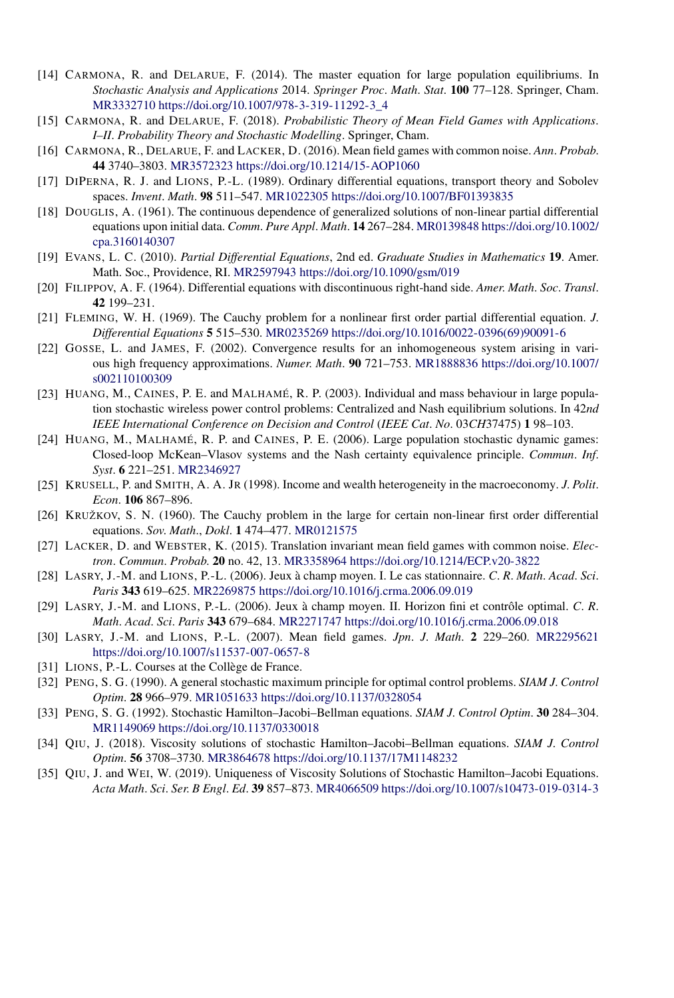- [14] CARMONA, R. and DELARUE, F. (2014). The master equation for large population equilibriums. In *Stochastic Analysis and Applications* 2014. *Springer Proc*. *Math*. *Stat*. **100** 77–128. Springer, Cham. [MR3332710](http://www.ams.org/mathscinet-getitem?mr=3332710) [https://doi.org/10.1007/978-3-319-11292-3\\_4](https://doi.org/10.1007/978-3-319-11292-3_4)
- [15] CARMONA, R. and DELARUE, F. (2018). *Probabilistic Theory of Mean Field Games with Applications*. *I–II*. *Probability Theory and Stochastic Modelling*. Springer, Cham.
- [16] CARMONA, R., DELARUE, F. and LACKER, D. (2016). Mean field games with common noise. *Ann*. *Probab*. **44** 3740–3803. [MR3572323](http://www.ams.org/mathscinet-getitem?mr=3572323)<https://doi.org/10.1214/15-AOP1060>
- [17] DIPERNA, R. J. and LIONS, P.-L. (1989). Ordinary differential equations, transport theory and Sobolev spaces. *Invent*. *Math*. **98** 511–547. [MR1022305](http://www.ams.org/mathscinet-getitem?mr=1022305)<https://doi.org/10.1007/BF01393835>
- [18] DOUGLIS, A. (1961). The continuous dependence of generalized solutions of non-linear partial differential equations upon initial data. *Comm*. *Pure Appl*. *Math*. **14** 267–284. [MR0139848](http://www.ams.org/mathscinet-getitem?mr=0139848) [https://doi.org/10.1002/](https://doi.org/10.1002/cpa.3160140307) [cpa.3160140307](https://doi.org/10.1002/cpa.3160140307)
- [19] EVANS, L. C. (2010). *Partial Differential Equations*, 2nd ed. *Graduate Studies in Mathematics* **19**. Amer. Math. Soc., Providence, RI. [MR2597943](http://www.ams.org/mathscinet-getitem?mr=2597943)<https://doi.org/10.1090/gsm/019>
- [20] FILIPPOV, A. F. (1964). Differential equations with discontinuous right-hand side. *Amer*. *Math*. *Soc*. *Transl*. **42** 199–231.
- [21] FLEMING, W. H. (1969). The Cauchy problem for a nonlinear first order partial differential equation. *J*. *Differential Equations* **5** 515–530. [MR0235269](http://www.ams.org/mathscinet-getitem?mr=0235269) [https://doi.org/10.1016/0022-0396\(69\)90091-6](https://doi.org/10.1016/0022-0396(69)90091-6)
- [22] GOSSE, L. and JAMES, F. (2002). Convergence results for an inhomogeneous system arising in various high frequency approximations. *Numer*. *Math*. **90** 721–753. [MR1888836](http://www.ams.org/mathscinet-getitem?mr=1888836) [https://doi.org/10.1007/](https://doi.org/10.1007/s002110100309) [s002110100309](https://doi.org/10.1007/s002110100309)
- [23] HUANG, M., CAINES, P. E. and MALHAMÉ, R. P. (2003). Individual and mass behaviour in large population stochastic wireless power control problems: Centralized and Nash equilibrium solutions. In 42*nd IEEE International Conference on Decision and Control* (*IEEE Cat*. *No*. 03*CH*37475) **1** 98–103.
- [24] HUANG, M., MALHAMÉ, R. P. and CAINES, P. E. (2006). Large population stochastic dynamic games: Closed-loop McKean–Vlasov systems and the Nash certainty equivalence principle. *Commun*. *Inf*. *Syst*. **6** 221–251. [MR2346927](http://www.ams.org/mathscinet-getitem?mr=2346927)
- [25] KRUSELL, P. and SMITH, A. A. JR (1998). Income and wealth heterogeneity in the macroeconomy. *J*. *Polit*. *Econ*. **106** 867–896.
- [26] KRUŽKOV, S. N. (1960). The Cauchy problem in the large for certain non-linear first order differential equations. *Sov*. *Math*., *Dokl*. **1** 474–477. [MR0121575](http://www.ams.org/mathscinet-getitem?mr=0121575)
- [27] LACKER, D. and WEBSTER, K. (2015). Translation invariant mean field games with common noise. *Electron*. *Commun*. *Probab*. **20** no. 42, 13. [MR3358964](http://www.ams.org/mathscinet-getitem?mr=3358964)<https://doi.org/10.1214/ECP.v20-3822>
- [28] LASRY, J.-M. and LIONS, P.-L. (2006). Jeux à champ moyen. I. Le cas stationnaire. *C*. *R*. *Math*. *Acad*. *Sci*. *Paris* **343** 619–625. [MR2269875](http://www.ams.org/mathscinet-getitem?mr=2269875)<https://doi.org/10.1016/j.crma.2006.09.019>
- [29] LASRY, J.-M. and LIONS, P.-L. (2006). Jeux à champ moyen. II. Horizon fini et contrôle optimal. *C*. *R*. *Math*. *Acad*. *Sci*. *Paris* **343** 679–684. [MR2271747](http://www.ams.org/mathscinet-getitem?mr=2271747)<https://doi.org/10.1016/j.crma.2006.09.018>
- [30] LASRY, J.-M. and LIONS, P.-L. (2007). Mean field games. *Jpn*. *J*. *Math*. **2** 229–260. [MR2295621](http://www.ams.org/mathscinet-getitem?mr=2295621) <https://doi.org/10.1007/s11537-007-0657-8>
- [31] LIONS, P.-L. Courses at the Collège de France.
- [32] PENG, S. G. (1990). A general stochastic maximum principle for optimal control problems. *SIAM J*. *Control Optim*. **28** 966–979. [MR1051633](http://www.ams.org/mathscinet-getitem?mr=1051633)<https://doi.org/10.1137/0328054>
- [33] PENG, S. G. (1992). Stochastic Hamilton–Jacobi–Bellman equations. *SIAM J*. *Control Optim*. **30** 284–304. [MR1149069](http://www.ams.org/mathscinet-getitem?mr=1149069)<https://doi.org/10.1137/0330018>
- [34] QIU, J. (2018). Viscosity solutions of stochastic Hamilton–Jacobi–Bellman equations. *SIAM J*. *Control Optim*. **56** 3708–3730. [MR3864678](http://www.ams.org/mathscinet-getitem?mr=3864678)<https://doi.org/10.1137/17M1148232>
- [35] QIU, J. and WEI, W. (2019). Uniqueness of Viscosity Solutions of Stochastic Hamilton–Jacobi Equations. *Acta Math*. *Sci*. *Ser*. *B Engl*. *Ed*. **39** 857–873. [MR4066509](http://www.ams.org/mathscinet-getitem?mr=4066509)<https://doi.org/10.1007/s10473-019-0314-3>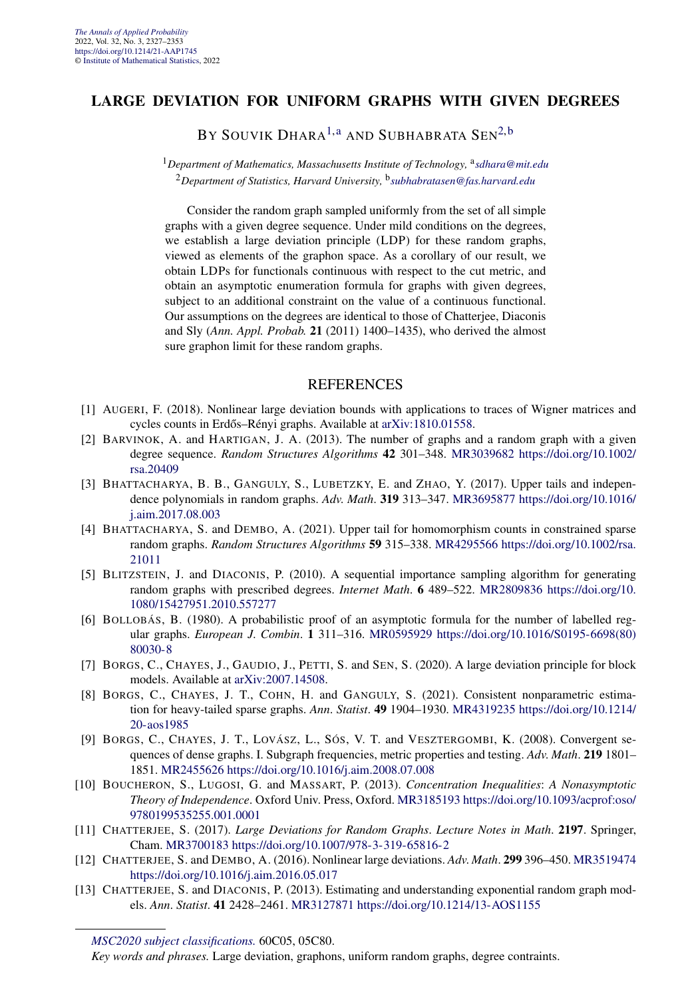#### **LARGE DEVIATION FOR UNIFORM GRAPHS WITH GIVEN DEGREES**

BY SOUVIK DHARA<sup>[1,a](#page-4-0)</sup> AND SUBHABRATA SEN<sup>[2,b](#page-4-0)</sup>

<sup>1</sup>Department of Mathematics, Massachusetts Institute of Technology, <sup>a</sup>[sdhara@mit.edu](mailto:sdhara@mit.edu) <sup>2</sup>*Department of Statistics, Harvard University,* <sup>b</sup>*[subhabratasen@fas.harvard.edu](mailto:subhabratasen@fas.harvard.edu)*

Consider the random graph sampled uniformly from the set of all simple graphs with a given degree sequence. Under mild conditions on the degrees, we establish a large deviation principle (LDP) for these random graphs, viewed as elements of the graphon space. As a corollary of our result, we obtain LDPs for functionals continuous with respect to the cut metric, and obtain an asymptotic enumeration formula for graphs with given degrees, subject to an additional constraint on the value of a continuous functional. Our assumptions on the degrees are identical to those of Chatterjee, Diaconis and Sly (*Ann. Appl. Probab.* **21** (2011) 1400–1435), who derived the almost sure graphon limit for these random graphs.

- [1] AUGERI, F. (2018). Nonlinear large deviation bounds with applications to traces of Wigner matrices and cycles counts in Erdős–Rényi graphs. Available at [arXiv:1810.01558.](http://arxiv.org/abs/arXiv:1810.01558)
- [2] BARVINOK, A. and HARTIGAN, J. A. (2013). The number of graphs and a random graph with a given degree sequence. *Random Structures Algorithms* **42** 301–348. [MR3039682](http://www.ams.org/mathscinet-getitem?mr=3039682) [https://doi.org/10.1002/](https://doi.org/10.1002/rsa.20409) [rsa.20409](https://doi.org/10.1002/rsa.20409)
- [3] BHATTACHARYA, B. B., GANGULY, S., LUBETZKY, E. and ZHAO, Y. (2017). Upper tails and independence polynomials in random graphs. *Adv*. *Math*. **319** 313–347. [MR3695877](http://www.ams.org/mathscinet-getitem?mr=3695877) [https://doi.org/10.1016/](https://doi.org/10.1016/j.aim.2017.08.003) [j.aim.2017.08.003](https://doi.org/10.1016/j.aim.2017.08.003)
- [4] BHATTACHARYA, S. and DEMBO, A. (2021). Upper tail for homomorphism counts in constrained sparse random graphs. *Random Structures Algorithms* **59** 315–338. [MR4295566](http://www.ams.org/mathscinet-getitem?mr=4295566) [https://doi.org/10.1002/rsa.](https://doi.org/10.1002/rsa.21011) [21011](https://doi.org/10.1002/rsa.21011)
- [5] BLITZSTEIN, J. and DIACONIS, P. (2010). A sequential importance sampling algorithm for generating random graphs with prescribed degrees. *Internet Math*. **6** 489–522. [MR2809836](http://www.ams.org/mathscinet-getitem?mr=2809836) [https://doi.org/10.](https://doi.org/10.1080/15427951.2010.557277) [1080/15427951.2010.557277](https://doi.org/10.1080/15427951.2010.557277)
- [6] BOLLOBÁS, B. (1980). A probabilistic proof of an asymptotic formula for the number of labelled regular graphs. *European J*. *Combin*. **1** 311–316. [MR0595929](http://www.ams.org/mathscinet-getitem?mr=0595929) [https://doi.org/10.1016/S0195-6698\(80\)](https://doi.org/10.1016/S0195-6698(80)80030-8) [80030-8](https://doi.org/10.1016/S0195-6698(80)80030-8)
- [7] BORGS, C., CHAYES, J., GAUDIO, J., PETTI, S. and SEN, S. (2020). A large deviation principle for block models. Available at [arXiv:2007.14508](http://arxiv.org/abs/arXiv:2007.14508).
- [8] BORGS, C., CHAYES, J. T., COHN, H. and GANGULY, S. (2021). Consistent nonparametric estimation for heavy-tailed sparse graphs. *Ann*. *Statist*. **49** 1904–1930. [MR4319235](http://www.ams.org/mathscinet-getitem?mr=4319235) [https://doi.org/10.1214/](https://doi.org/10.1214/20-aos1985) [20-aos1985](https://doi.org/10.1214/20-aos1985)
- [9] BORGS, C., CHAYES, J. T., LOVÁSZ, L., SÓS, V. T. and VESZTERGOMBI, K. (2008). Convergent sequences of dense graphs. I. Subgraph frequencies, metric properties and testing. *Adv*. *Math*. **219** 1801– 1851. [MR2455626](http://www.ams.org/mathscinet-getitem?mr=2455626)<https://doi.org/10.1016/j.aim.2008.07.008>
- [10] BOUCHERON, S., LUGOSI, G. and MASSART, P. (2013). *Concentration Inequalities*: *A Nonasymptotic Theory of Independence*. Oxford Univ. Press, Oxford. [MR3185193](http://www.ams.org/mathscinet-getitem?mr=3185193) [https://doi.org/10.1093/acprof:oso/](https://doi.org/10.1093/acprof:oso/9780199535255.001.0001) [9780199535255.001.0001](https://doi.org/10.1093/acprof:oso/9780199535255.001.0001)
- [11] CHATTERJEE, S. (2017). *Large Deviations for Random Graphs*. *Lecture Notes in Math*. **2197**. Springer, Cham. [MR3700183](http://www.ams.org/mathscinet-getitem?mr=3700183)<https://doi.org/10.1007/978-3-319-65816-2>
- [12] CHATTERJEE, S. and DEMBO, A. (2016). Nonlinear large deviations. *Adv*. *Math*. **299** 396–450. [MR3519474](http://www.ams.org/mathscinet-getitem?mr=3519474) <https://doi.org/10.1016/j.aim.2016.05.017>
- [13] CHATTERJEE, S. and DIACONIS, P. (2013). Estimating and understanding exponential random graph models. *Ann*. *Statist*. **41** 2428–2461. [MR3127871](http://www.ams.org/mathscinet-getitem?mr=3127871)<https://doi.org/10.1214/13-AOS1155>

*[MSC2020 subject classifications.](https://mathscinet.ams.org/mathscinet/msc/msc2020.html)* 60C05, 05C80.

*Key words and phrases.* Large deviation, graphons, uniform random graphs, degree contraints.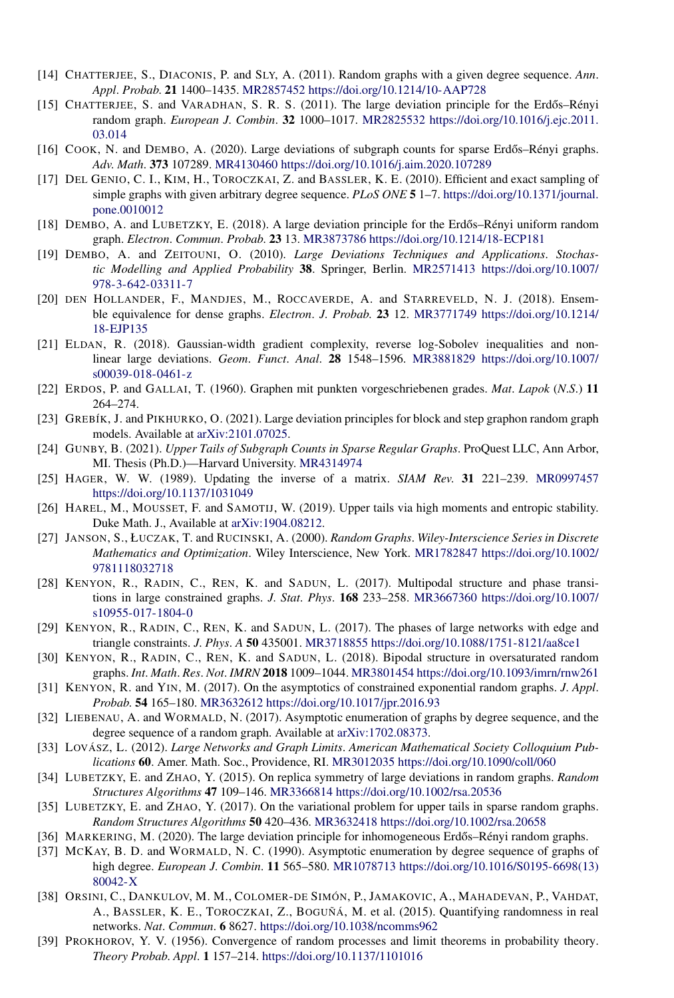- [14] CHATTERJEE, S., DIACONIS, P. and SLY, A. (2011). Random graphs with a given degree sequence. *Ann*. *Appl*. *Probab*. **21** 1400–1435. [MR2857452](http://www.ams.org/mathscinet-getitem?mr=2857452)<https://doi.org/10.1214/10-AAP728>
- [15] CHATTERJEE, S. and VARADHAN, S. R. S. (2011). The large deviation principle for the Erdős–Rényi random graph. *European J*. *Combin*. **32** 1000–1017. [MR2825532](http://www.ams.org/mathscinet-getitem?mr=2825532) [https://doi.org/10.1016/j.ejc.2011.](https://doi.org/10.1016/j.ejc.2011.03.014) [03.014](https://doi.org/10.1016/j.ejc.2011.03.014)
- [16] COOK, N. and DEMBO, A. (2020). Large deviations of subgraph counts for sparse Erdős–Rényi graphs. *Adv*. *Math*. **373** 107289. [MR4130460](http://www.ams.org/mathscinet-getitem?mr=4130460)<https://doi.org/10.1016/j.aim.2020.107289>
- [17] DEL GENIO, C. I., KIM, H., TOROCZKAI, Z. and BASSLER, K. E. (2010). Efficient and exact sampling of simple graphs with given arbitrary degree sequence. *PLoS ONE* **5** 1–7. [https://doi.org/10.1371/journal.](https://doi.org/10.1371/journal.pone.0010012) [pone.0010012](https://doi.org/10.1371/journal.pone.0010012)
- [18] DEMBO, A. and LUBETZKY, E. (2018). A large deviation principle for the Erdős–Rényi uniform random graph. *Electron*. *Commun*. *Probab*. **23** 13. [MR3873786](http://www.ams.org/mathscinet-getitem?mr=3873786)<https://doi.org/10.1214/18-ECP181>
- [19] DEMBO, A. and ZEITOUNI, O. (2010). *Large Deviations Techniques and Applications*. *Stochastic Modelling and Applied Probability* **38**. Springer, Berlin. [MR2571413](http://www.ams.org/mathscinet-getitem?mr=2571413) [https://doi.org/10.1007/](https://doi.org/10.1007/978-3-642-03311-7) [978-3-642-03311-7](https://doi.org/10.1007/978-3-642-03311-7)
- [20] DEN HOLLANDER, F., MANDJES, M., ROCCAVERDE, A. and STARREVELD, N. J. (2018). Ensemble equivalence for dense graphs. *Electron*. *J*. *Probab*. **23** 12. [MR3771749](http://www.ams.org/mathscinet-getitem?mr=3771749) [https://doi.org/10.1214/](https://doi.org/10.1214/18-EJP135) [18-EJP135](https://doi.org/10.1214/18-EJP135)
- [21] ELDAN, R. (2018). Gaussian-width gradient complexity, reverse log-Sobolev inequalities and nonlinear large deviations. *Geom*. *Funct*. *Anal*. **28** 1548–1596. [MR3881829](http://www.ams.org/mathscinet-getitem?mr=3881829) [https://doi.org/10.1007/](https://doi.org/10.1007/s00039-018-0461-z) [s00039-018-0461-z](https://doi.org/10.1007/s00039-018-0461-z)
- [22] ERDOS, P. and GALLAI, T. (1960). Graphen mit punkten vorgeschriebenen grades. *Mat*. *Lapok* (*N*.*S*.) **11** 264–274.
- [23] GREBÍK, J. and PIKHURKO, O. (2021). Large deviation principles for block and step graphon random graph models. Available at [arXiv:2101.07025](http://arxiv.org/abs/arXiv:2101.07025).
- [24] GUNBY, B. (2021). *Upper Tails of Subgraph Counts in Sparse Regular Graphs*. ProQuest LLC, Ann Arbor, MI. Thesis (Ph.D.)—Harvard University. [MR4314974](http://www.ams.org/mathscinet-getitem?mr=4314974)
- [25] HAGER, W. W. (1989). Updating the inverse of a matrix. *SIAM Rev*. **31** 221–239. [MR0997457](http://www.ams.org/mathscinet-getitem?mr=0997457) <https://doi.org/10.1137/1031049>
- [26] HAREL, M., MOUSSET, F. and SAMOTIJ, W. (2019). Upper tails via high moments and entropic stability. Duke Math. J., Available at [arXiv:1904.08212](http://arxiv.org/abs/arXiv:1904.08212).
- [27] JANSON, S., ŁUCZAK, T. and RUCINSKI, A. (2000). *Random Graphs*. *Wiley-Interscience Series in Discrete Mathematics and Optimization*. Wiley Interscience, New York. [MR1782847](http://www.ams.org/mathscinet-getitem?mr=1782847) [https://doi.org/10.1002/](https://doi.org/10.1002/9781118032718) [9781118032718](https://doi.org/10.1002/9781118032718)
- [28] KENYON, R., RADIN, C., REN, K. and SADUN, L. (2017). Multipodal structure and phase transitions in large constrained graphs. *J*. *Stat*. *Phys*. **168** 233–258. [MR3667360](http://www.ams.org/mathscinet-getitem?mr=3667360) [https://doi.org/10.1007/](https://doi.org/10.1007/s10955-017-1804-0) [s10955-017-1804-0](https://doi.org/10.1007/s10955-017-1804-0)
- [29] KENYON, R., RADIN, C., REN, K. and SADUN, L. (2017). The phases of large networks with edge and triangle constraints. *J*. *Phys*. *A* **50** 435001. [MR3718855](http://www.ams.org/mathscinet-getitem?mr=3718855)<https://doi.org/10.1088/1751-8121/aa8ce1>
- [30] KENYON, R., RADIN, C., REN, K. and SADUN, L. (2018). Bipodal structure in oversaturated random graphs. *Int*. *Math*. *Res*. *Not*. *IMRN* **2018** 1009–1044. [MR3801454](http://www.ams.org/mathscinet-getitem?mr=3801454)<https://doi.org/10.1093/imrn/rnw261>
- [31] KENYON, R. and YIN, M. (2017). On the asymptotics of constrained exponential random graphs. *J*. *Appl*. *Probab*. **54** 165–180. [MR3632612](http://www.ams.org/mathscinet-getitem?mr=3632612)<https://doi.org/10.1017/jpr.2016.93>
- [32] LIEBENAU, A. and WORMALD, N. (2017). Asymptotic enumeration of graphs by degree sequence, and the degree sequence of a random graph. Available at [arXiv:1702.08373.](http://arxiv.org/abs/arXiv:1702.08373)
- [33] LOVÁSZ, L. (2012). *Large Networks and Graph Limits*. *American Mathematical Society Colloquium Publications* **60**. Amer. Math. Soc., Providence, RI. [MR3012035](http://www.ams.org/mathscinet-getitem?mr=3012035)<https://doi.org/10.1090/coll/060>
- [34] LUBETZKY, E. and ZHAO, Y. (2015). On replica symmetry of large deviations in random graphs. *Random Structures Algorithms* **47** 109–146. [MR3366814](http://www.ams.org/mathscinet-getitem?mr=3366814)<https://doi.org/10.1002/rsa.20536>
- [35] LUBETZKY, E. and ZHAO, Y. (2017). On the variational problem for upper tails in sparse random graphs. *Random Structures Algorithms* **50** 420–436. [MR3632418](http://www.ams.org/mathscinet-getitem?mr=3632418)<https://doi.org/10.1002/rsa.20658>
- [36] MARKERING, M. (2020). The large deviation principle for inhomogeneous Erdős–Rényi random graphs.
- [37] MCKAY, B. D. and WORMALD, N. C. (1990). Asymptotic enumeration by degree sequence of graphs of high degree. *European J*. *Combin*. **11** 565–580. [MR1078713](http://www.ams.org/mathscinet-getitem?mr=1078713) [https://doi.org/10.1016/S0195-6698\(13\)](https://doi.org/10.1016/S0195-6698(13)80042-X) [80042-X](https://doi.org/10.1016/S0195-6698(13)80042-X)
- [38] ORSINI, C., DANKULOV, M. M., COLOMER-DE SIMÓN, P., JAMAKOVIC, A., MAHADEVAN, P., VAHDAT, A., BASSLER, K. E., TOROCZKAI, Z., BOGUÑÁ, M. et al. (2015). Quantifying randomness in real networks. *Nat*. *Commun*. **6** 8627. <https://doi.org/10.1038/ncomms962>
- [39] PROKHOROV, Y. V. (1956). Convergence of random processes and limit theorems in probability theory. *Theory Probab*. *Appl*. **1** 157–214. <https://doi.org/10.1137/1101016>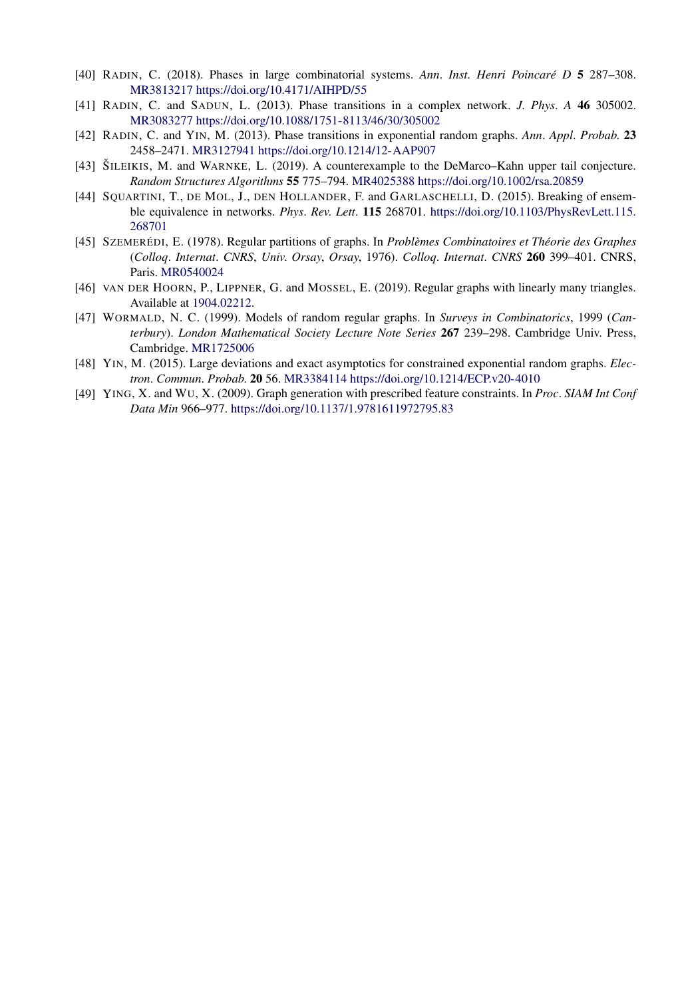- [40] RADIN, C. (2018). Phases in large combinatorial systems. *Ann*. *Inst*. *Henri Poincaré D* **5** 287–308. [MR3813217](http://www.ams.org/mathscinet-getitem?mr=3813217)<https://doi.org/10.4171/AIHPD/55>
- [41] RADIN, C. and SADUN, L. (2013). Phase transitions in a complex network. *J*. *Phys*. *A* **46** 305002. [MR3083277](http://www.ams.org/mathscinet-getitem?mr=3083277)<https://doi.org/10.1088/1751-8113/46/30/305002>
- [42] RADIN, C. and YIN, M. (2013). Phase transitions in exponential random graphs. *Ann*. *Appl*. *Probab*. **23** 2458–2471. [MR3127941](http://www.ams.org/mathscinet-getitem?mr=3127941)<https://doi.org/10.1214/12-AAP907>
- [43] ŠILEIKIS, M. and WARNKE, L. (2019). A counterexample to the DeMarco–Kahn upper tail conjecture. *Random Structures Algorithms* **55** 775–794. [MR4025388](http://www.ams.org/mathscinet-getitem?mr=4025388)<https://doi.org/10.1002/rsa.20859>
- [44] SQUARTINI, T., DE MOL, J., DEN HOLLANDER, F. and GARLASCHELLI, D. (2015). Breaking of ensemble equivalence in networks. *Phys*. *Rev*. *Lett*. **115** 268701. [https://doi.org/10.1103/PhysRevLett.115.](https://doi.org/10.1103/PhysRevLett.115.268701) [268701](https://doi.org/10.1103/PhysRevLett.115.268701)
- [45] SZEMERÉDI, E. (1978). Regular partitions of graphs. In *Problèmes Combinatoires et Théorie des Graphes* (*Colloq*. *Internat*. *CNRS*, *Univ*. *Orsay*, *Orsay*, 1976). *Colloq*. *Internat*. *CNRS* **260** 399–401. CNRS, Paris. [MR0540024](http://www.ams.org/mathscinet-getitem?mr=0540024)
- [46] VAN DER HOORN, P., LIPPNER, G. and MOSSEL, E. (2019). Regular graphs with linearly many triangles. Available at [1904.02212](http://arxiv.org/abs/1904.02212).
- [47] WORMALD, N. C. (1999). Models of random regular graphs. In *Surveys in Combinatorics*, 1999 (*Canterbury*). *London Mathematical Society Lecture Note Series* **267** 239–298. Cambridge Univ. Press, Cambridge. [MR1725006](http://www.ams.org/mathscinet-getitem?mr=1725006)
- [48] YIN, M. (2015). Large deviations and exact asymptotics for constrained exponential random graphs. *Electron*. *Commun*. *Probab*. **20** 56. [MR3384114](http://www.ams.org/mathscinet-getitem?mr=3384114)<https://doi.org/10.1214/ECP.v20-4010>
- [49] YING, X. and WU, X. (2009). Graph generation with prescribed feature constraints. In *Proc*. *SIAM Int Conf Data Min* 966–977. <https://doi.org/10.1137/1.9781611972795.83>